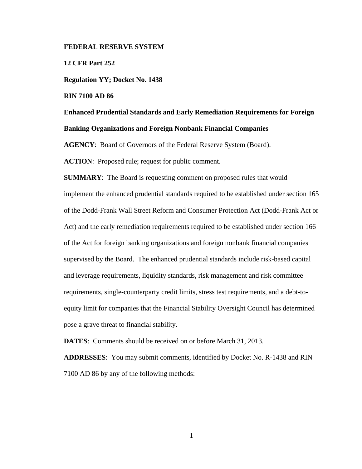### **FEDERAL RESERVE SYSTEM**

**12 CFR Part 252** 

**Regulation YY; Docket No. 1438** 

**RIN 7100 AD 86** 

**Enhanced Prudential Standards and Early Remediation Requirements for Foreign Banking Organizations and Foreign Nonbank Financial Companies** 

**AGENCY**: Board of Governors of the Federal Reserve System (Board).

ACTION: Proposed rule; request for public comment.

**SUMMARY**: The Board is requesting comment on proposed rules that would implement the enhanced prudential standards required to be established under section 165 of the Dodd-Frank Wall Street Reform and Consumer Protection Act (Dodd-Frank Act or Act) and the early remediation requirements required to be established under section 166 of the Act for foreign banking organizations and foreign nonbank financial companies supervised by the Board. The enhanced prudential standards include risk-based capital and leverage requirements, liquidity standards, risk management and risk committee requirements, single-counterparty credit limits, stress test requirements, and a debt-toequity limit for companies that the Financial Stability Oversight Council has determined pose a grave threat to financial stability.

**DATES**: Comments should be received on or before March 31, 2013.

**ADDRESSES**: You may submit comments, identified by Docket No. R-1438 and RIN 7100 AD 86 by any of the following methods: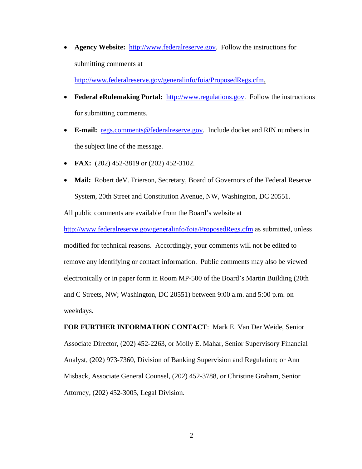• **Agency Website:** http://www.federalreserve.gov. Follow the instructions for submitting comments at

http://www.federalreserve.gov/generalinfo/foia/ProposedRegs.cfm.

- Federal eRulemaking Portal: http://www.regulations.gov. Follow the instructions for submitting comments.
- **E-mail:** regs.comments@federalreserve.gov. Include docket and RIN numbers in the subject line of the message.
- **FAX:** (202) 452-3819 or (202) 452-3102.
- **Mail:** Robert deV. Frierson, Secretary, Board of Governors of the Federal Reserve System, 20th Street and Constitution Avenue, NW, Washington, DC 20551.

All public comments are available from the Board's website at

http://www.federalreserve.gov/generalinfo/foia/ProposedRegs.cfm as submitted, unless modified for technical reasons. Accordingly, your comments will not be edited to remove any identifying or contact information. Public comments may also be viewed electronically or in paper form in Room MP-500 of the Board's Martin Building (20th and C Streets, NW; Washington, DC 20551) between 9:00 a.m. and 5:00 p.m. on weekdays.

**FOR FURTHER INFORMATION CONTACT**: Mark E. Van Der Weide, Senior Associate Director, (202) 452-2263, or Molly E. Mahar, Senior Supervisory Financial Analyst, (202) 973-7360, Division of Banking Supervision and Regulation; or Ann Misback, Associate General Counsel, (202) 452-3788, or Christine Graham, Senior Attorney, (202) 452-3005, Legal Division.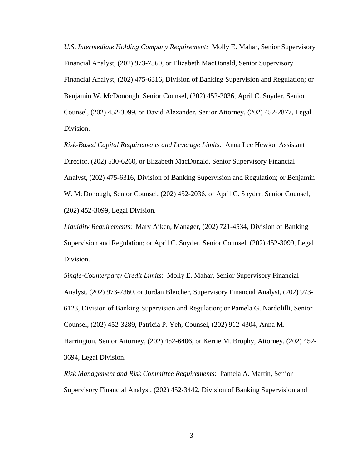*U.S. Intermediate Holding Company Requirement:* Molly E. Mahar, Senior Supervisory Financial Analyst, (202) 973-7360, or Elizabeth MacDonald, Senior Supervisory Financial Analyst, (202) 475-6316, Division of Banking Supervision and Regulation; or Benjamin W. McDonough, Senior Counsel, (202) 452-2036, April C. Snyder, Senior Counsel, (202) 452-3099, or David Alexander, Senior Attorney, (202) 452-2877, Legal Division.

*Risk-Based Capital Requirements and Leverage Limits*: Anna Lee Hewko, Assistant Director, (202) 530-6260, or Elizabeth MacDonald, Senior Supervisory Financial Analyst, (202) 475-6316, Division of Banking Supervision and Regulation; or Benjamin W. McDonough, Senior Counsel, (202) 452-2036, or April C. Snyder, Senior Counsel, (202) 452-3099, Legal Division.

*Liquidity Requirements*: Mary Aiken, Manager, (202) 721-4534, Division of Banking Supervision and Regulation; or April C. Snyder, Senior Counsel, (202) 452-3099, Legal Division.

*Single-Counterparty Credit Limits*: Molly E. Mahar, Senior Supervisory Financial Analyst, (202) 973-7360, or Jordan Bleicher, Supervisory Financial Analyst, (202) 973- 6123, Division of Banking Supervision and Regulation; or Pamela G. Nardolilli, Senior Counsel, (202) 452-3289, Patricia P. Yeh, Counsel, (202) 912-4304, Anna M. Harrington, Senior Attorney, (202) 452-6406, or Kerrie M. Brophy, Attorney, (202) 452- 3694, Legal Division.

*Risk Management and Risk Committee Requirements*: Pamela A. Martin, Senior Supervisory Financial Analyst, (202) 452-3442, Division of Banking Supervision and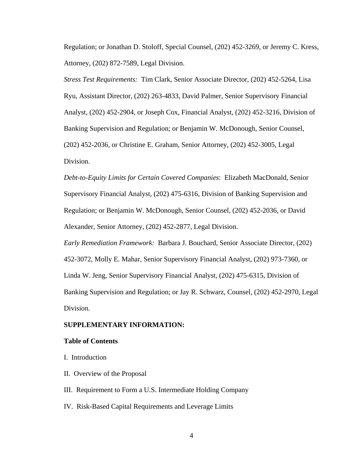Regulation; or Jonathan D. Stoloff, Special Counsel, (202) 452-3269, or Jeremy C. Kress, Attorney, (202) 872-7589, Legal Division.

*Stress Test Requirements:* Tim Clark, Senior Associate Director, (202) 452-5264, Lisa Ryu, Assistant Director, (202) 263-4833, David Palmer, Senior Supervisory Financial Analyst, (202) 452-2904, or Joseph Cox, Financial Analyst, (202) 452-3216, Division of Banking Supervision and Regulation; or Benjamin W. McDonough, Senior Counsel, (202) 452-2036, or Christine E. Graham, Senior Attorney, (202) 452-3005, Legal Division.

*Debt-to-Equity Limits for Certain Covered Companies*: Elizabeth MacDonald, Senior Supervisory Financial Analyst, (202) 475-6316, Division of Banking Supervision and Regulation; or Benjamin W. McDonough, Senior Counsel, (202) 452-2036, or David Alexander, Senior Attorney, (202) 452-2877, Legal Division.

*Early Remediation Framework:* Barbara J. Bouchard, Senior Associate Director, (202) 452-3072, Molly E. Mahar, Senior Supervisory Financial Analyst, (202) 973-7360, or Linda W. Jeng, Senior Supervisory Financial Analyst, (202) 475-6315, Division of Banking Supervision and Regulation; or Jay R. Schwarz, Counsel, (202) 452-2970, Legal Division.

#### **SUPPLEMENTARY INFORMATION:**

### **Table of Contents**

- I. Introduction
- II. Overview of the Proposal
- III. Requirement to Form a U.S. Intermediate Holding Company
- IV. Risk-Based Capital Requirements and Leverage Limits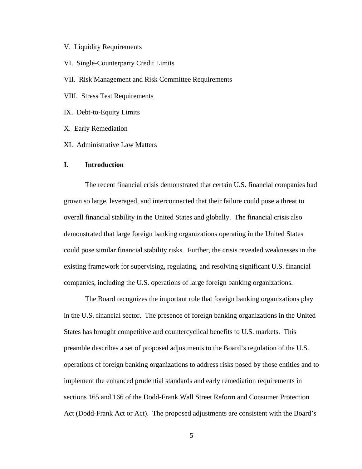### V. Liquidity Requirements

VI. Single-Counterparty Credit Limits

VII. Risk Management and Risk Committee Requirements

VIII. Stress Test Requirements

IX. Debt-to-Equity Limits

X. Early Remediation

XI. Administrative Law Matters

### **I. Introduction**

The recent financial crisis demonstrated that certain U.S. financial companies had grown so large, leveraged, and interconnected that their failure could pose a threat to overall financial stability in the United States and globally. The financial crisis also demonstrated that large foreign banking organizations operating in the United States could pose similar financial stability risks. Further, the crisis revealed weaknesses in the existing framework for supervising, regulating, and resolving significant U.S. financial companies, including the U.S. operations of large foreign banking organizations.

The Board recognizes the important role that foreign banking organizations play in the U.S. financial sector. The presence of foreign banking organizations in the United States has brought competitive and countercyclical benefits to U.S. markets. This preamble describes a set of proposed adjustments to the Board's regulation of the U.S. operations of foreign banking organizations to address risks posed by those entities and to implement the enhanced prudential standards and early remediation requirements in sections 165 and 166 of the Dodd-Frank Wall Street Reform and Consumer Protection Act (Dodd-Frank Act or Act). The proposed adjustments are consistent with the Board's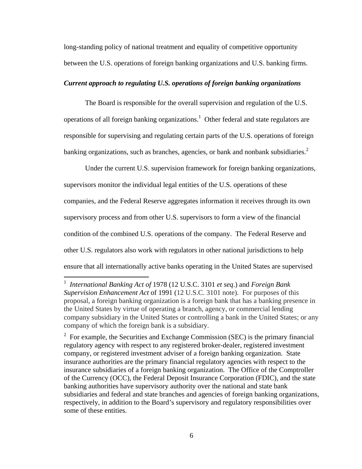long-standing policy of national treatment and equality of competitive opportunity between the U.S. operations of foreign banking organizations and U.S. banking firms.

## *Current approach to regulating U.S. operations of foreign banking organizations*

The Board is responsible for the overall supervision and regulation of the U.S. operations of all foreign banking organizations.<sup>1</sup> Other federal and state regulators are responsible for supervising and regulating certain parts of the U.S. operations of foreign banking organizations, such as branches, agencies, or bank and nonbank subsidiaries.<sup>2</sup>

Under the current U.S. supervision framework for foreign banking organizations, supervisors monitor the individual legal entities of the U.S. operations of these companies, and the Federal Reserve aggregates information it receives through its own supervisory process and from other U.S. supervisors to form a view of the financial condition of the combined U.S. operations of the company. The Federal Reserve and other U.S. regulators also work with regulators in other national jurisdictions to help ensure that all internationally active banks operating in the United States are supervised

<sup>1</sup> *International Banking Act of* 1978 (12 U.S.C. 3101 *et seq*.) and *Foreign Bank Supervision Enhancement Act* of 1991 (12 U.S.C. 3101 note). For purposes of this proposal, a foreign banking organization is a foreign bank that has a banking presence in the United States by virtue of operating a branch, agency, or commercial lending company subsidiary in the United States or controlling a bank in the United States; or any company of which the foreign bank is a subsidiary.

<sup>&</sup>lt;sup>2</sup> For example, the Securities and Exchange Commission (SEC) is the primary financial regulatory agency with respect to any registered broker-dealer, registered investment company, or registered investment adviser of a foreign banking organization. State insurance authorities are the primary financial regulatory agencies with respect to the insurance subsidiaries of a foreign banking organization. The Office of the Comptroller of the Currency (OCC), the Federal Deposit Insurance Corporation (FDIC), and the state banking authorities have supervisory authority over the national and state bank subsidiaries and federal and state branches and agencies of foreign banking organizations, respectively, in addition to the Board's supervisory and regulatory responsibilities over some of these entities.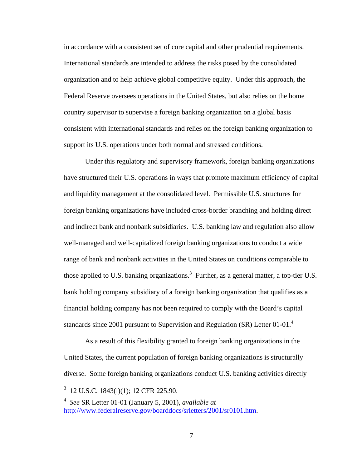in accordance with a consistent set of core capital and other prudential requirements. International standards are intended to address the risks posed by the consolidated organization and to help achieve global competitive equity. Under this approach, the Federal Reserve oversees operations in the United States, but also relies on the home country supervisor to supervise a foreign banking organization on a global basis consistent with international standards and relies on the foreign banking organization to support its U.S. operations under both normal and stressed conditions.

Under this regulatory and supervisory framework, foreign banking organizations have structured their U.S. operations in ways that promote maximum efficiency of capital and liquidity management at the consolidated level. Permissible U.S. structures for foreign banking organizations have included cross-border branching and holding direct and indirect bank and nonbank subsidiaries. U.S. banking law and regulation also allow well-managed and well-capitalized foreign banking organizations to conduct a wide range of bank and nonbank activities in the United States on conditions comparable to those applied to U.S. banking organizations.<sup>3</sup> Further, as a general matter, a top-tier U.S. bank holding company subsidiary of a foreign banking organization that qualifies as a financial holding company has not been required to comply with the Board's capital standards since 2001 pursuant to Supervision and Regulation (SR) Letter 01-01.<sup>4</sup>

As a result of this flexibility granted to foreign banking organizations in the United States, the current population of foreign banking organizations is structurally diverse. Some foreign banking organizations conduct U.S. banking activities directly

<sup>&</sup>lt;sup>3</sup> 12 U.S.C. 1843(1)(1); 12 CFR 225.90.

<sup>4</sup> *See* SR Letter 01-01 (January 5, 2001), *available at*  http://www.federalreserve.gov/boarddocs/srletters/2001/sr0101.htm.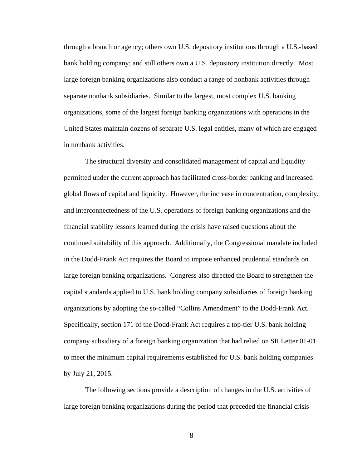through a branch or agency; others own U.S. depository institutions through a U.S.-based bank holding company; and still others own a U.S. depository institution directly. Most large foreign banking organizations also conduct a range of nonbank activities through separate nonbank subsidiaries. Similar to the largest, most complex U.S. banking organizations, some of the largest foreign banking organizations with operations in the United States maintain dozens of separate U.S. legal entities, many of which are engaged in nonbank activities.

The structural diversity and consolidated management of capital and liquidity permitted under the current approach has facilitated cross-border banking and increased global flows of capital and liquidity. However, the increase in concentration, complexity, and interconnectedness of the U.S. operations of foreign banking organizations and the financial stability lessons learned during the crisis have raised questions about the continued suitability of this approach. Additionally, the Congressional mandate included in the Dodd-Frank Act requires the Board to impose enhanced prudential standards on large foreign banking organizations. Congress also directed the Board to strengthen the capital standards applied to U.S. bank holding company subsidiaries of foreign banking organizations by adopting the so-called "Collins Amendment" to the Dodd-Frank Act. Specifically, section 171 of the Dodd-Frank Act requires a top-tier U.S. bank holding company subsidiary of a foreign banking organization that had relied on SR Letter 01-01 to meet the minimum capital requirements established for U.S. bank holding companies by July 21, 2015.

The following sections provide a description of changes in the U.S. activities of large foreign banking organizations during the period that preceded the financial crisis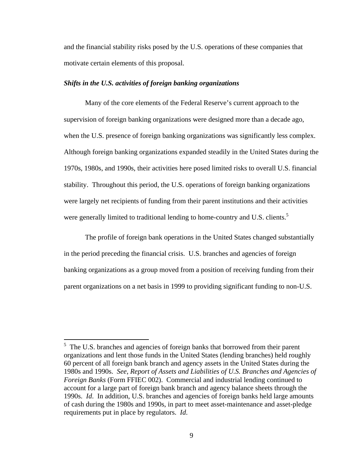and the financial stability risks posed by the U.S. operations of these companies that motivate certain elements of this proposal.

### *Shifts in the U.S. activities of foreign banking organizations*

Many of the core elements of the Federal Reserve's current approach to the supervision of foreign banking organizations were designed more than a decade ago, when the U.S. presence of foreign banking organizations was significantly less complex. Although foreign banking organizations expanded steadily in the United States during the 1970s, 1980s, and 1990s, their activities here posed limited risks to overall U.S. financial stability. Throughout this period, the U.S. operations of foreign banking organizations were largely net recipients of funding from their parent institutions and their activities were generally limited to traditional lending to home-country and U.S. clients.<sup>5</sup>

The profile of foreign bank operations in the United States changed substantially in the period preceding the financial crisis. U.S. branches and agencies of foreign banking organizations as a group moved from a position of receiving funding from their parent organizations on a net basis in 1999 to providing significant funding to non-U.S.

 $5$  The U.S. branches and agencies of foreign banks that borrowed from their parent organizations and lent those funds in the United States (lending branches) held roughly 60 percent of all foreign bank branch and agency assets in the United States during the 1980s and 1990s. *See*, *Report of Assets and Liabilities of U.S. Branches and Agencies of Foreign Banks* (Form FFIEC 002). Commercial and industrial lending continued to account for a large part of foreign bank branch and agency balance sheets through the 1990s. *Id*. In addition, U.S. branches and agencies of foreign banks held large amounts of cash during the 1980s and 1990s, in part to meet asset-maintenance and asset-pledge requirements put in place by regulators. *Id*.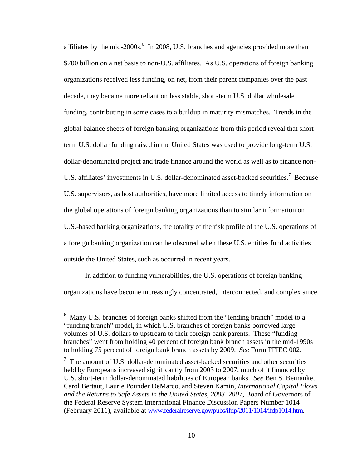affiliates by the mid-2000s. $\frac{6}{1}$  In 2008, U.S. branches and agencies provided more than \$700 billion on a net basis to non-U.S. affiliates. As U.S. operations of foreign banking organizations received less funding, on net, from their parent companies over the past decade, they became more reliant on less stable, short-term U.S. dollar wholesale funding, contributing in some cases to a buildup in maturity mismatches. Trends in the global balance sheets of foreign banking organizations from this period reveal that shortterm U.S. dollar funding raised in the United States was used to provide long-term U.S. dollar-denominated project and trade finance around the world as well as to finance non-U.S. affiliates' investments in U.S. dollar-denominated asset-backed securities.<sup>7</sup> Because U.S. supervisors, as host authorities, have more limited access to timely information on the global operations of foreign banking organizations than to similar information on U.S.-based banking organizations, the totality of the risk profile of the U.S. operations of a foreign banking organization can be obscured when these U.S. entities fund activities outside the United States, such as occurred in recent years.

In addition to funding vulnerabilities, the U.S. operations of foreign banking organizations have become increasingly concentrated, interconnected, and complex since

<sup>&</sup>lt;sup>6</sup> Many U.S. branches of foreign banks shifted from the "lending branch" model to a "funding branch" model, in which U.S. branches of foreign banks borrowed large volumes of U.S. dollars to upstream to their foreign bank parents. These "funding branches" went from holding 40 percent of foreign bank branch assets in the mid-1990s to holding 75 percent of foreign bank branch assets by 2009. *See* Form FFIEC 002.

 $\frac{7}{1}$  The amount of U.S. dollar-denominated asset-backed securities and other securities held by Europeans increased significantly from 2003 to 2007, much of it financed by U.S. short-term dollar-denominated liabilities of European banks. *See* Ben S. Bernanke, Carol Bertaut, Laurie Pounder DeMarco, and Steven Kamin, *International Capital Flows and the Returns to Safe Assets in the United States, 2003–2007*, Board of Governors of the Federal Reserve System International Finance Discussion Papers Number 1014 (February 2011), available at www.federalreserve.gov/pubs/ifdp/2011/1014/ifdp1014.htm.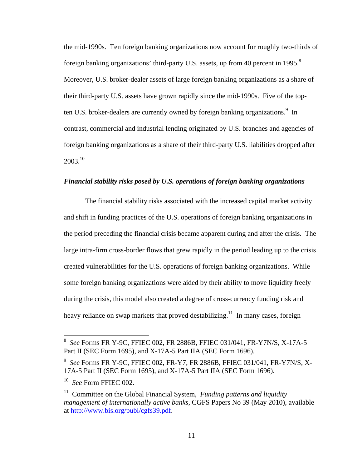the mid-1990s. Ten foreign banking organizations now account for roughly two-thirds of foreign banking organizations' third-party U.S. assets, up from 40 percent in 1995.<sup>8</sup> Moreover, U.S. broker-dealer assets of large foreign banking organizations as a share of their third-party U.S. assets have grown rapidly since the mid-1990s. Five of the topten U.S. broker-dealers are currently owned by foreign banking organizations.<sup>9</sup> In contrast, commercial and industrial lending originated by U.S. branches and agencies of foreign banking organizations as a share of their third-party U.S. liabilities dropped after 2003.10

# *Financial stability risks posed by U.S. operations of foreign banking organizations*

The financial stability risks associated with the increased capital market activity and shift in funding practices of the U.S. operations of foreign banking organizations in the period preceding the financial crisis became apparent during and after the crisis. The large intra-firm cross-border flows that grew rapidly in the period leading up to the crisis created vulnerabilities for the U.S. operations of foreign banking organizations. While some foreign banking organizations were aided by their ability to move liquidity freely during the crisis, this model also created a degree of cross-currency funding risk and heavy reliance on swap markets that proved destabilizing.<sup>11</sup> In many cases, foreign

 8 *See* Forms FR Y-9C, FFIEC 002, FR 2886B, FFIEC 031/041, FR-Y7N/S, X-17A-5 Part II (SEC Form 1695), and X-17A-5 Part IIA (SEC Form 1696).

<sup>9</sup> *See* Forms FR Y-9C, FFIEC 002, FR-Y7, FR 2886B, FFIEC 031/041, FR-Y7N/S, X-17A-5 Part II (SEC Form 1695), and X-17A-5 Part IIA (SEC Form 1696).

<sup>10</sup> *See* Form FFIEC 002.

<sup>&</sup>lt;sup>11</sup> Committee on the Global Financial System, *Funding patterns and liquidity management of internationally active banks*, CGFS Papers No 39 (May 2010), available at http://www.bis.org/publ/cgfs39.pdf.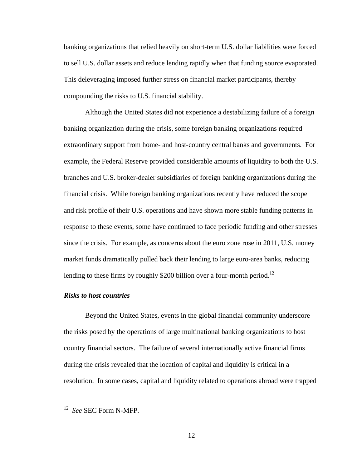banking organizations that relied heavily on short-term U.S. dollar liabilities were forced to sell U.S. dollar assets and reduce lending rapidly when that funding source evaporated. This deleveraging imposed further stress on financial market participants, thereby compounding the risks to U.S. financial stability.

Although the United States did not experience a destabilizing failure of a foreign banking organization during the crisis, some foreign banking organizations required extraordinary support from home- and host-country central banks and governments. For example, the Federal Reserve provided considerable amounts of liquidity to both the U.S. branches and U.S. broker-dealer subsidiaries of foreign banking organizations during the financial crisis. While foreign banking organizations recently have reduced the scope and risk profile of their U.S. operations and have shown more stable funding patterns in response to these events, some have continued to face periodic funding and other stresses since the crisis. For example, as concerns about the euro zone rose in 2011, U.S. money market funds dramatically pulled back their lending to large euro-area banks, reducing lending to these firms by roughly \$200 billion over a four-month period.<sup>12</sup>

### *Risks to host countries*

Beyond the United States, events in the global financial community underscore the risks posed by the operations of large multinational banking organizations to host country financial sectors. The failure of several internationally active financial firms during the crisis revealed that the location of capital and liquidity is critical in a resolution. In some cases, capital and liquidity related to operations abroad were trapped

<sup>12</sup> *See* SEC Form N-MFP.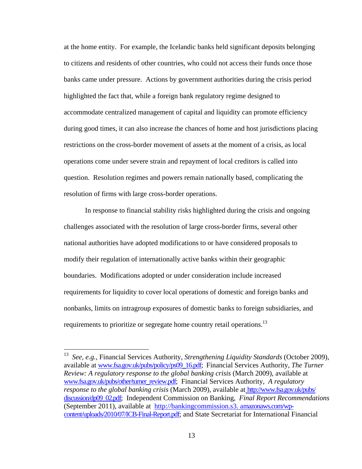at the home entity. For example, the Icelandic banks held significant deposits belonging to citizens and residents of other countries, who could not access their funds once those banks came under pressure. Actions by government authorities during the crisis period highlighted the fact that, while a foreign bank regulatory regime designed to accommodate centralized management of capital and liquidity can promote efficiency during good times, it can also increase the chances of home and host jurisdictions placing restrictions on the cross-border movement of assets at the moment of a crisis, as local operations come under severe strain and repayment of local creditors is called into question. Resolution regimes and powers remain nationally based, complicating the resolution of firms with large cross-border operations.

In response to financial stability risks highlighted during the crisis and ongoing challenges associated with the resolution of large cross-border firms, several other national authorities have adopted modifications to or have considered proposals to modify their regulation of internationally active banks within their geographic boundaries. Modifications adopted or under consideration include increased requirements for liquidity to cover local operations of domestic and foreign banks and nonbanks, limits on intragroup exposures of domestic banks to foreign subsidiaries, and requirements to prioritize or segregate home country retail operations.<sup>13</sup>

<sup>13</sup> *See, e.g.*, Financial Services Authority*, Strengthening Liquidity Standards* (October 2009), available at www.fsa.gov.uk/pubs/policy/ps09\_16.pdf; Financial Services Authority, *The Turner Review: A regulatory response to the global banking crisis* (March 2009), available at www.fsa.gov.uk/pubs/other/turner\_review.pdf; Financial Services Authority, *A regulatory response to the global banking crisis* (March 2009), available at http://www.fsa.gov.uk/pubs/ discussion/dp09\_02.pdf; Independent Commission on Banking, *Final Report Recommendations* (September 2011), available at http://bankingcommission.s3. amazonaws.com/wpcontent/uploads/2010/07/ICB-Final-Report.pdf; and State Secretariat for International Financial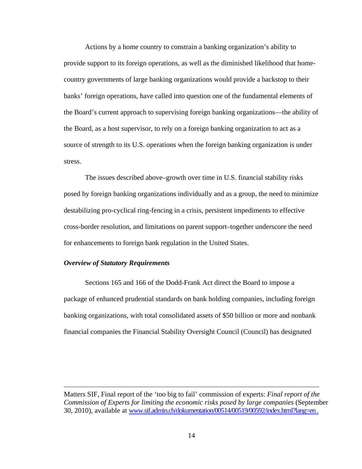Actions by a home country to constrain a banking organization's ability to provide support to its foreign operations, as well as the diminished likelihood that homecountry governments of large banking organizations would provide a backstop to their banks' foreign operations, have called into question one of the fundamental elements of the Board's current approach to supervising foreign banking organizations—the ability of the Board, as a host supervisor, to rely on a foreign banking organization to act as a source of strength to its U.S. operations when the foreign banking organization is under stress.

The issues described above–growth over time in U.S. financial stability risks posed by foreign banking organizations individually and as a group, the need to minimize destabilizing pro-cyclical ring-fencing in a crisis, persistent impediments to effective cross-border resolution, and limitations on parent support–together underscore the need for enhancements to foreign bank regulation in the United States.

### *Overview of Statutory Requirements*

1

Sections 165 and 166 of the Dodd-Frank Act direct the Board to impose a package of enhanced prudential standards on bank holding companies, including foreign banking organizations, with total consolidated assets of \$50 billion or more and nonbank financial companies the Financial Stability Oversight Council (Council) has designated

Matters SIF, Final report of the 'too big to fail' commission of experts: *Final report of the Commission of Experts for limiting the economic risks posed by large companies* (September 30, 2010), available at www.sif.admin.ch/dokumentation/00514/00519/00592/index.html?lang=en .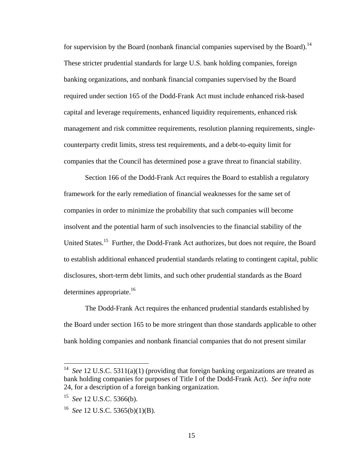for supervision by the Board (nonbank financial companies supervised by the Board).<sup>14</sup> These stricter prudential standards for large U.S. bank holding companies, foreign banking organizations, and nonbank financial companies supervised by the Board required under section 165 of the Dodd-Frank Act must include enhanced risk-based capital and leverage requirements, enhanced liquidity requirements, enhanced risk management and risk committee requirements, resolution planning requirements, singlecounterparty credit limits, stress test requirements, and a debt-to-equity limit for companies that the Council has determined pose a grave threat to financial stability.

Section 166 of the Dodd-Frank Act requires the Board to establish a regulatory framework for the early remediation of financial weaknesses for the same set of companies in order to minimize the probability that such companies will become insolvent and the potential harm of such insolvencies to the financial stability of the United States.15 Further, the Dodd-Frank Act authorizes, but does not require, the Board to establish additional enhanced prudential standards relating to contingent capital, public disclosures, short-term debt limits, and such other prudential standards as the Board determines appropriate. $16$ 

The Dodd-Frank Act requires the enhanced prudential standards established by the Board under section 165 to be more stringent than those standards applicable to other bank holding companies and nonbank financial companies that do not present similar

See 12 U.S.C. 5311(a)(1) (providing that foreign banking organizations are treated as bank holding companies for purposes of Title I of the Dodd-Frank Act). *See infra* note 24, for a description of a foreign banking organization.

<sup>15</sup> *See* 12 U.S.C. 5366(b).

<sup>16</sup> *See* 12 U.S.C. 5365(b)(1)(B).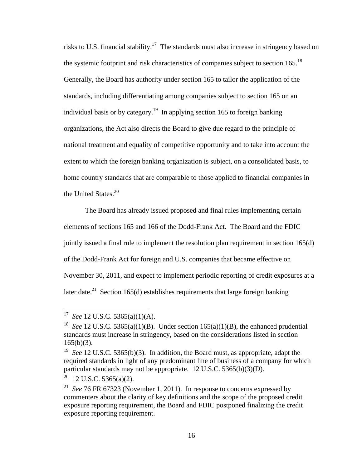risks to U.S. financial stability.<sup>17</sup> The standards must also increase in stringency based on the systemic footprint and risk characteristics of companies subject to section  $165$ <sup>18</sup> Generally, the Board has authority under section 165 to tailor the application of the standards, including differentiating among companies subject to section 165 on an individual basis or by category.<sup>19</sup> In applying section 165 to foreign banking organizations, the Act also directs the Board to give due regard to the principle of national treatment and equality of competitive opportunity and to take into account the extent to which the foreign banking organization is subject, on a consolidated basis, to home country standards that are comparable to those applied to financial companies in the United States.<sup>20</sup>

The Board has already issued proposed and final rules implementing certain elements of sections 165 and 166 of the Dodd-Frank Act. The Board and the FDIC jointly issued a final rule to implement the resolution plan requirement in section 165(d) of the Dodd-Frank Act for foreign and U.S. companies that became effective on November 30, 2011, and expect to implement periodic reporting of credit exposures at a later date.<sup>21</sup> Section 165(d) establishes requirements that large foreign banking

<sup>17</sup> *See* 12 U.S.C. 5365(a)(1)(A).

<sup>&</sup>lt;sup>18</sup> *See* 12 U.S.C. 5365(a)(1)(B). Under section 165(a)(1)(B), the enhanced prudential standards must increase in stringency, based on the considerations listed in section  $165(b)(3)$ .

<sup>19</sup> *See* 12 U.S.C. 5365(b)(3). In addition, the Board must, as appropriate, adapt the required standards in light of any predominant line of business of a company for which particular standards may not be appropriate. 12 U.S.C. 5365(b)(3)(D).

 $20$  12 U.S.C. 5365(a)(2).

<sup>21</sup> *See* 76 FR 67323 (November 1, 2011). In response to concerns expressed by commenters about the clarity of key definitions and the scope of the proposed credit exposure reporting requirement, the Board and FDIC postponed finalizing the credit exposure reporting requirement.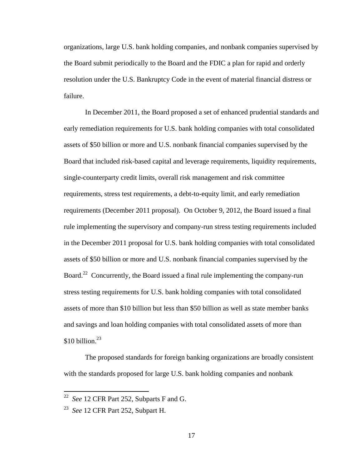organizations, large U.S. bank holding companies, and nonbank companies supervised by the Board submit periodically to the Board and the FDIC a plan for rapid and orderly resolution under the U.S. Bankruptcy Code in the event of material financial distress or failure.

In December 2011, the Board proposed a set of enhanced prudential standards and early remediation requirements for U.S. bank holding companies with total consolidated assets of \$50 billion or more and U.S. nonbank financial companies supervised by the Board that included risk-based capital and leverage requirements, liquidity requirements, single-counterparty credit limits, overall risk management and risk committee requirements, stress test requirements, a debt-to-equity limit, and early remediation requirements (December 2011 proposal). On October 9, 2012, the Board issued a final rule implementing the supervisory and company-run stress testing requirements included in the December 2011 proposal for U.S. bank holding companies with total consolidated assets of \$50 billion or more and U.S. nonbank financial companies supervised by the Board.<sup>22</sup> Concurrently, the Board issued a final rule implementing the company-run stress testing requirements for U.S. bank holding companies with total consolidated assets of more than \$10 billion but less than \$50 billion as well as state member banks and savings and loan holding companies with total consolidated assets of more than \$10 billion. $^{23}$ 

The proposed standards for foreign banking organizations are broadly consistent with the standards proposed for large U.S. bank holding companies and nonbank

<sup>22</sup> *See* 12 CFR Part 252, Subparts F and G.

<sup>23</sup> *See* 12 CFR Part 252, Subpart H.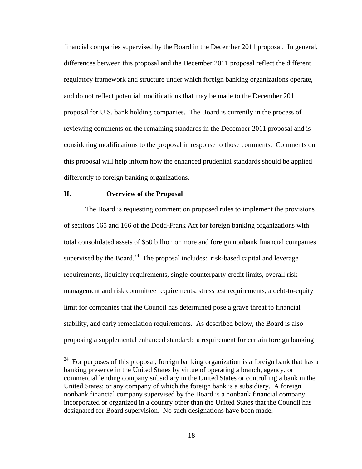financial companies supervised by the Board in the December 2011 proposal. In general, differences between this proposal and the December 2011 proposal reflect the different regulatory framework and structure under which foreign banking organizations operate, and do not reflect potential modifications that may be made to the December 2011 proposal for U.S. bank holding companies. The Board is currently in the process of reviewing comments on the remaining standards in the December 2011 proposal and is considering modifications to the proposal in response to those comments. Comments on this proposal will help inform how the enhanced prudential standards should be applied differently to foreign banking organizations.

## **II. Overview of the Proposal**

 $\overline{a}$ 

The Board is requesting comment on proposed rules to implement the provisions of sections 165 and 166 of the Dodd-Frank Act for foreign banking organizations with total consolidated assets of \$50 billion or more and foreign nonbank financial companies supervised by the Board.<sup>24</sup> The proposal includes: risk-based capital and leverage requirements, liquidity requirements, single-counterparty credit limits, overall risk management and risk committee requirements, stress test requirements, a debt-to-equity limit for companies that the Council has determined pose a grave threat to financial stability, and early remediation requirements. As described below, the Board is also proposing a supplemental enhanced standard: a requirement for certain foreign banking

 $24$  For purposes of this proposal, foreign banking organization is a foreign bank that has a banking presence in the United States by virtue of operating a branch, agency, or commercial lending company subsidiary in the United States or controlling a bank in the United States; or any company of which the foreign bank is a subsidiary. A foreign nonbank financial company supervised by the Board is a nonbank financial company incorporated or organized in a country other than the United States that the Council has designated for Board supervision. No such designations have been made.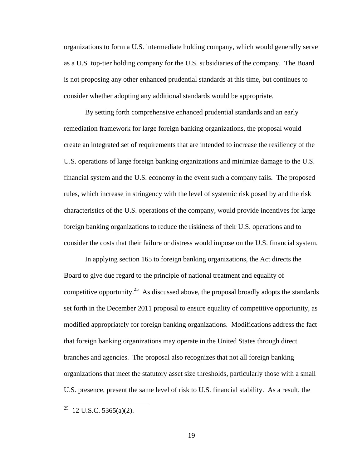organizations to form a U.S. intermediate holding company, which would generally serve as a U.S. top-tier holding company for the U.S. subsidiaries of the company. The Board is not proposing any other enhanced prudential standards at this time, but continues to consider whether adopting any additional standards would be appropriate.

By setting forth comprehensive enhanced prudential standards and an early remediation framework for large foreign banking organizations, the proposal would create an integrated set of requirements that are intended to increase the resiliency of the U.S. operations of large foreign banking organizations and minimize damage to the U.S. financial system and the U.S. economy in the event such a company fails. The proposed rules, which increase in stringency with the level of systemic risk posed by and the risk characteristics of the U.S. operations of the company, would provide incentives for large foreign banking organizations to reduce the riskiness of their U.S. operations and to consider the costs that their failure or distress would impose on the U.S. financial system.

In applying section 165 to foreign banking organizations, the Act directs the Board to give due regard to the principle of national treatment and equality of competitive opportunity.<sup>25</sup> As discussed above, the proposal broadly adopts the standards set forth in the December 2011 proposal to ensure equality of competitive opportunity, as modified appropriately for foreign banking organizations. Modifications address the fact that foreign banking organizations may operate in the United States through direct branches and agencies. The proposal also recognizes that not all foreign banking organizations that meet the statutory asset size thresholds, particularly those with a small U.S. presence, present the same level of risk to U.S. financial stability. As a result, the

<sup>&</sup>lt;sup>25</sup> 12 U.S.C. 5365(a)(2).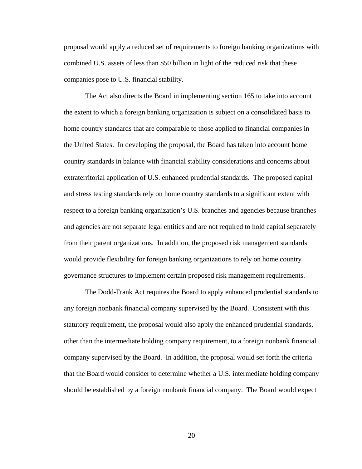proposal would apply a reduced set of requirements to foreign banking organizations with combined U.S. assets of less than \$50 billion in light of the reduced risk that these companies pose to U.S. financial stability.

The Act also directs the Board in implementing section 165 to take into account the extent to which a foreign banking organization is subject on a consolidated basis to home country standards that are comparable to those applied to financial companies in the United States. In developing the proposal, the Board has taken into account home country standards in balance with financial stability considerations and concerns about extraterritorial application of U.S. enhanced prudential standards. The proposed capital and stress testing standards rely on home country standards to a significant extent with respect to a foreign banking organization's U.S. branches and agencies because branches and agencies are not separate legal entities and are not required to hold capital separately from their parent organizations. In addition, the proposed risk management standards would provide flexibility for foreign banking organizations to rely on home country governance structures to implement certain proposed risk management requirements.

The Dodd-Frank Act requires the Board to apply enhanced prudential standards to any foreign nonbank financial company supervised by the Board. Consistent with this statutory requirement, the proposal would also apply the enhanced prudential standards, other than the intermediate holding company requirement, to a foreign nonbank financial company supervised by the Board. In addition, the proposal would set forth the criteria that the Board would consider to determine whether a U.S. intermediate holding company should be established by a foreign nonbank financial company. The Board would expect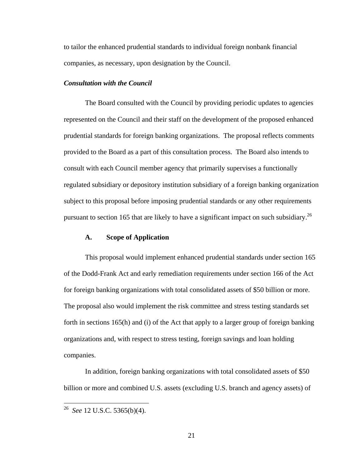to tailor the enhanced prudential standards to individual foreign nonbank financial companies, as necessary, upon designation by the Council.

### *Consultation with the Council*

The Board consulted with the Council by providing periodic updates to agencies represented on the Council and their staff on the development of the proposed enhanced prudential standards for foreign banking organizations. The proposal reflects comments provided to the Board as a part of this consultation process. The Board also intends to consult with each Council member agency that primarily supervises a functionally regulated subsidiary or depository institution subsidiary of a foreign banking organization subject to this proposal before imposing prudential standards or any other requirements pursuant to section 165 that are likely to have a significant impact on such subsidiary.26

## **A. Scope of Application**

This proposal would implement enhanced prudential standards under section 165 of the Dodd-Frank Act and early remediation requirements under section 166 of the Act for foreign banking organizations with total consolidated assets of \$50 billion or more. The proposal also would implement the risk committee and stress testing standards set forth in sections 165(h) and (i) of the Act that apply to a larger group of foreign banking organizations and, with respect to stress testing, foreign savings and loan holding companies.

In addition, foreign banking organizations with total consolidated assets of \$50 billion or more and combined U.S. assets (excluding U.S. branch and agency assets) of

<sup>26</sup> *See* 12 U.S.C. 5365(b)(4).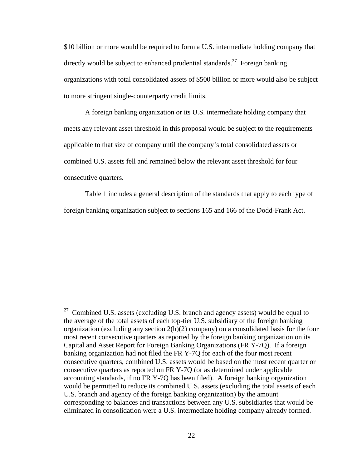\$10 billion or more would be required to form a U.S. intermediate holding company that directly would be subject to enhanced prudential standards.<sup>27</sup> Foreign banking organizations with total consolidated assets of \$500 billion or more would also be subject to more stringent single-counterparty credit limits.

A foreign banking organization or its U.S. intermediate holding company that meets any relevant asset threshold in this proposal would be subject to the requirements applicable to that size of company until the company's total consolidated assets or combined U.S. assets fell and remained below the relevant asset threshold for four consecutive quarters.

Table 1 includes a general description of the standards that apply to each type of foreign banking organization subject to sections 165 and 166 of the Dodd-Frank Act.

 $27$  Combined U.S. assets (excluding U.S. branch and agency assets) would be equal to the average of the total assets of each top-tier U.S. subsidiary of the foreign banking organization (excluding any section 2(h)(2) company) on a consolidated basis for the four most recent consecutive quarters as reported by the foreign banking organization on its Capital and Asset Report for Foreign Banking Organizations (FR Y-7Q). If a foreign banking organization had not filed the FR Y-7Q for each of the four most recent consecutive quarters, combined U.S. assets would be based on the most recent quarter or consecutive quarters as reported on FR Y-7Q (or as determined under applicable accounting standards, if no FR Y-7Q has been filed). A foreign banking organization would be permitted to reduce its combined U.S. assets (excluding the total assets of each U.S. branch and agency of the foreign banking organization) by the amount corresponding to balances and transactions between any U.S. subsidiaries that would be eliminated in consolidation were a U.S. intermediate holding company already formed.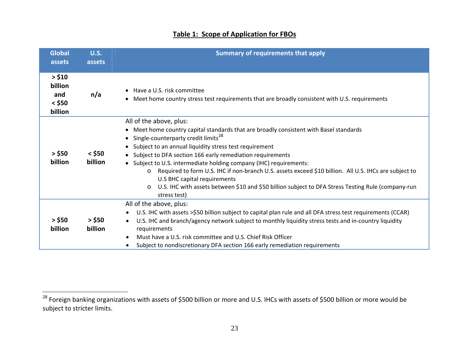| <b>Global</b><br>assets                         | <b>U.S.</b><br>assets | <b>Summary of requirements that apply</b>                                                                                                                                                                                                                                                                                                                                                                                                                                                                                                                                                                                                                                                                |
|-------------------------------------------------|-----------------------|----------------------------------------------------------------------------------------------------------------------------------------------------------------------------------------------------------------------------------------------------------------------------------------------------------------------------------------------------------------------------------------------------------------------------------------------------------------------------------------------------------------------------------------------------------------------------------------------------------------------------------------------------------------------------------------------------------|
| > \$10<br>billion<br>and<br>$<$ \$50<br>billion | n/a                   | Have a U.S. risk committee<br>$\bullet$<br>Meet home country stress test requirements that are broadly consistent with U.S. requirements<br>$\bullet$                                                                                                                                                                                                                                                                                                                                                                                                                                                                                                                                                    |
| $>$ \$50<br>billion                             | $<$ \$50<br>billion   | All of the above, plus:<br>Meet home country capital standards that are broadly consistent with Basel standards<br>$\bullet$<br>Single-counterparty credit limits <sup>28</sup><br>$\bullet$<br>Subject to an annual liquidity stress test requirement<br>$\bullet$<br>Subject to DFA section 166 early remediation requirements<br>$\bullet$<br>• Subject to U.S. intermediate holding company (IHC) requirements:<br>Required to form U.S. IHC if non-branch U.S. assets exceed \$10 billion. All U.S. IHCs are subject to<br>$\circ$<br>U.S BHC capital requirements<br>U.S. IHC with assets between \$10 and \$50 billion subject to DFA Stress Testing Rule (company-run<br>$\circ$<br>stress test) |
| $>$ \$50<br>billion                             | $>$ \$50<br>billion   | All of the above, plus:<br>U.S. IHC with assets >\$50 billion subject to capital plan rule and all DFA stress test requirements (CCAR)<br>$\bullet$<br>U.S. IHC and branch/agency network subject to monthly liquidity stress tests and in-country liquidity<br>$\bullet$<br>requirements<br>Must have a U.S. risk committee and U.S. Chief Risk Officer<br>$\bullet$<br>Subject to nondiscretionary DFA section 166 early remediation requirements                                                                                                                                                                                                                                                      |

# **Table 1: Scope of Application for FBOs**

 $^{28}$  Foreign banking organizations with assets of \$500 billion or more and U.S. IHCs with assets of \$500 billion or more would be subject to stricter limits.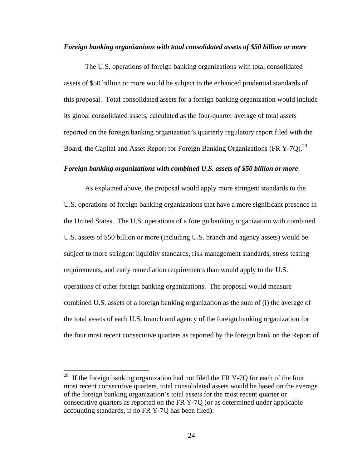## *Foreign banking organizations with total consolidated assets of \$50 billion or more*

The U.S. operations of foreign banking organizations with total consolidated assets of \$50 billion or more would be subject to the enhanced prudential standards of this proposal. Total consolidated assets for a foreign banking organization would include its global consolidated assets, calculated as the four-quarter average of total assets reported on the foreign banking organization's quarterly regulatory report filed with the Board, the Capital and Asset Report for Foreign Banking Organizations (FR Y-7Q).<sup>29</sup>

## *Foreign banking organizations with combined U.S. assets of \$50 billion or more*

As explained above, the proposal would apply more stringent standards to the U.S. operations of foreign banking organizations that have a more significant presence in the United States. The U.S. operations of a foreign banking organization with combined U.S. assets of \$50 billion or more (including U.S. branch and agency assets) would be subject to more stringent liquidity standards, risk management standards, stress testing requirements, and early remediation requirements than would apply to the U.S. operations of other foreign banking organizations. The proposal would measure combined U.S. assets of a foreign banking organization as the sum of (i) the average of the total assets of each U.S. branch and agency of the foreign banking organization for the four most recent consecutive quarters as reported by the foreign bank on the Report of

<u>.</u>

<sup>&</sup>lt;sup>29</sup> If the foreign banking organization had not filed the FR Y-7Q for each of the four most recent consecutive quarters, total consolidated assets would be based on the average of the foreign banking organization's total assets for the most recent quarter or consecutive quarters as reported on the FR Y-7Q (or as determined under applicable accounting standards, if no FR Y-7Q has been filed).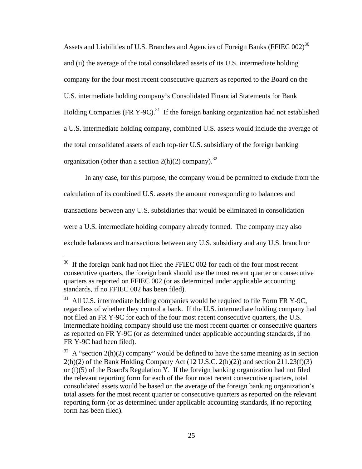Assets and Liabilities of U.S. Branches and Agencies of Foreign Banks (FFIEC  $002$ )<sup>30</sup> and (ii) the average of the total consolidated assets of its U.S. intermediate holding company for the four most recent consecutive quarters as reported to the Board on the U.S. intermediate holding company's Consolidated Financial Statements for Bank Holding Companies (FR Y-9C).<sup>31</sup> If the foreign banking organization had not established a U.S. intermediate holding company, combined U.S. assets would include the average of the total consolidated assets of each top-tier U.S. subsidiary of the foreign banking organization (other than a section  $2(h)(2)$  company).<sup>32</sup>

In any case, for this purpose, the company would be permitted to exclude from the calculation of its combined U.S. assets the amount corresponding to balances and transactions between any U.S. subsidiaries that would be eliminated in consolidation were a U.S. intermediate holding company already formed. The company may also exclude balances and transactions between any U.S. subsidiary and any U.S. branch or

 $30$  If the foreign bank had not filed the FFIEC 002 for each of the four most recent consecutive quarters, the foreign bank should use the most recent quarter or consecutive quarters as reported on FFIEC 002 (or as determined under applicable accounting standards, if no FFIEC 002 has been filed).

 $31$  All U.S. intermediate holding companies would be required to file Form FR Y-9C, regardless of whether they control a bank. If the U.S. intermediate holding company had not filed an FR Y-9C for each of the four most recent consecutive quarters, the U.S. intermediate holding company should use the most recent quarter or consecutive quarters as reported on FR Y-9C (or as determined under applicable accounting standards, if no FR Y-9C had been filed).

 $32$  A "section 2(h)(2) company" would be defined to have the same meaning as in section  $2(h)(2)$  of the Bank Holding Company Act (12 U.S.C.  $2(h)(2)$ ) and section  $211.23(f)(3)$ or (f)(5) of the Board's Regulation Y. If the foreign banking organization had not filed the relevant reporting form for each of the four most recent consecutive quarters, total consolidated assets would be based on the average of the foreign banking organization's total assets for the most recent quarter or consecutive quarters as reported on the relevant reporting form (or as determined under applicable accounting standards, if no reporting form has been filed).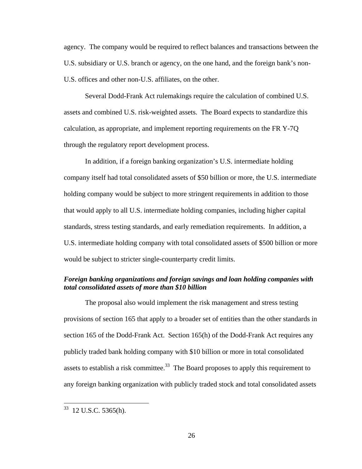agency. The company would be required to reflect balances and transactions between the U.S. subsidiary or U.S. branch or agency, on the one hand, and the foreign bank's non-U.S. offices and other non-U.S. affiliates, on the other.

Several Dodd-Frank Act rulemakings require the calculation of combined U.S. assets and combined U.S. risk-weighted assets. The Board expects to standardize this calculation, as appropriate, and implement reporting requirements on the FR Y-7Q through the regulatory report development process.

In addition, if a foreign banking organization's U.S. intermediate holding company itself had total consolidated assets of \$50 billion or more, the U.S. intermediate holding company would be subject to more stringent requirements in addition to those that would apply to all U.S. intermediate holding companies, including higher capital standards, stress testing standards, and early remediation requirements. In addition, a U.S. intermediate holding company with total consolidated assets of \$500 billion or more would be subject to stricter single-counterparty credit limits.

# *Foreign banking organizations and foreign savings and loan holding companies with total consolidated assets of more than \$10 billion*

The proposal also would implement the risk management and stress testing provisions of section 165 that apply to a broader set of entities than the other standards in section 165 of the Dodd-Frank Act. Section 165(h) of the Dodd-Frank Act requires any publicly traded bank holding company with \$10 billion or more in total consolidated assets to establish a risk committee.<sup>33</sup> The Board proposes to apply this requirement to any foreign banking organization with publicly traded stock and total consolidated assets

 $33$  12 U.S.C. 5365(h).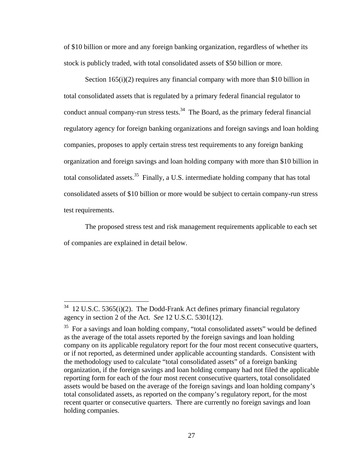of \$10 billion or more and any foreign banking organization, regardless of whether its stock is publicly traded, with total consolidated assets of \$50 billion or more.

Section 165(i)(2) requires any financial company with more than \$10 billion in total consolidated assets that is regulated by a primary federal financial regulator to conduct annual company-run stress tests. $34$  The Board, as the primary federal financial regulatory agency for foreign banking organizations and foreign savings and loan holding companies, proposes to apply certain stress test requirements to any foreign banking organization and foreign savings and loan holding company with more than \$10 billion in total consolidated assets.<sup>35</sup> Finally, a U.S. intermediate holding company that has total consolidated assets of \$10 billion or more would be subject to certain company-run stress test requirements.

The proposed stress test and risk management requirements applicable to each set of companies are explained in detail below.

 $34$  12 U.S.C. 5365(i)(2). The Dodd-Frank Act defines primary financial regulatory agency in section 2 of the Act. *See* 12 U.S.C. 5301(12).

<sup>&</sup>lt;sup>35</sup> For a savings and loan holding company, "total consolidated assets" would be defined as the average of the total assets reported by the foreign savings and loan holding company on its applicable regulatory report for the four most recent consecutive quarters, or if not reported, as determined under applicable accounting standards. Consistent with the methodology used to calculate "total consolidated assets" of a foreign banking organization, if the foreign savings and loan holding company had not filed the applicable reporting form for each of the four most recent consecutive quarters, total consolidated assets would be based on the average of the foreign savings and loan holding company's total consolidated assets, as reported on the company's regulatory report, for the most recent quarter or consecutive quarters. There are currently no foreign savings and loan holding companies.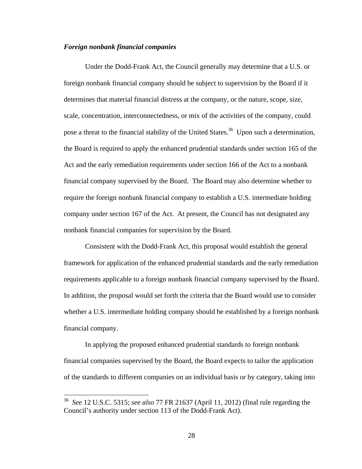# *Foreign nonbank financial companies*

Under the Dodd-Frank Act, the Council generally may determine that a U.S. or foreign nonbank financial company should be subject to supervision by the Board if it determines that material financial distress at the company, or the nature, scope, size, scale, concentration, interconnectedness, or mix of the activities of the company, could pose a threat to the financial stability of the United States.<sup>36</sup> Upon such a determination, the Board is required to apply the enhanced prudential standards under section 165 of the Act and the early remediation requirements under section 166 of the Act to a nonbank financial company supervised by the Board. The Board may also determine whether to require the foreign nonbank financial company to establish a U.S. intermediate holding company under section 167 of the Act. At present, the Council has not designated any nonbank financial companies for supervision by the Board.

Consistent with the Dodd-Frank Act, this proposal would establish the general framework for application of the enhanced prudential standards and the early remediation requirements applicable to a foreign nonbank financial company supervised by the Board. In addition, the proposal would set forth the criteria that the Board would use to consider whether a U.S. intermediate holding company should be established by a foreign nonbank financial company.

In applying the proposed enhanced prudential standards to foreign nonbank financial companies supervised by the Board, the Board expects to tailor the application of the standards to different companies on an individual basis or by category, taking into

<sup>36</sup> *See* 12 U.S.C. 5315; *see also* 77 FR 21637 (April 11, 2012) (final rule regarding the Council's authority under section 113 of the Dodd-Frank Act).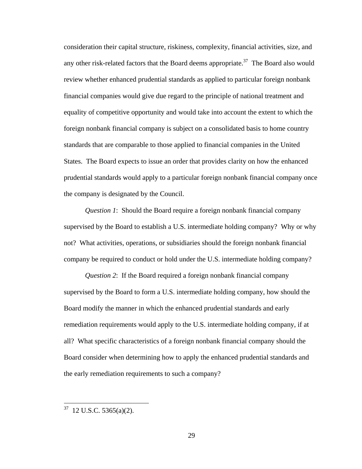consideration their capital structure, riskiness, complexity, financial activities, size, and any other risk-related factors that the Board deems appropriate.<sup>37</sup> The Board also would review whether enhanced prudential standards as applied to particular foreign nonbank financial companies would give due regard to the principle of national treatment and equality of competitive opportunity and would take into account the extent to which the foreign nonbank financial company is subject on a consolidated basis to home country standards that are comparable to those applied to financial companies in the United States. The Board expects to issue an order that provides clarity on how the enhanced prudential standards would apply to a particular foreign nonbank financial company once the company is designated by the Council.

*Question 1*: Should the Board require a foreign nonbank financial company supervised by the Board to establish a U.S. intermediate holding company? Why or why not? What activities, operations, or subsidiaries should the foreign nonbank financial company be required to conduct or hold under the U.S. intermediate holding company?

*Question 2*: If the Board required a foreign nonbank financial company supervised by the Board to form a U.S. intermediate holding company, how should the Board modify the manner in which the enhanced prudential standards and early remediation requirements would apply to the U.S. intermediate holding company, if at all? What specific characteristics of a foreign nonbank financial company should the Board consider when determining how to apply the enhanced prudential standards and the early remediation requirements to such a company?

 $37$  12 U.S.C. 5365(a)(2).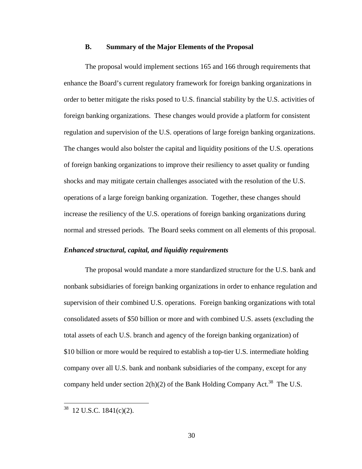### **B. Summary of the Major Elements of the Proposal**

The proposal would implement sections 165 and 166 through requirements that enhance the Board's current regulatory framework for foreign banking organizations in order to better mitigate the risks posed to U.S. financial stability by the U.S. activities of foreign banking organizations. These changes would provide a platform for consistent regulation and supervision of the U.S. operations of large foreign banking organizations. The changes would also bolster the capital and liquidity positions of the U.S. operations of foreign banking organizations to improve their resiliency to asset quality or funding shocks and may mitigate certain challenges associated with the resolution of the U.S. operations of a large foreign banking organization. Together, these changes should increase the resiliency of the U.S. operations of foreign banking organizations during normal and stressed periods. The Board seeks comment on all elements of this proposal.

### *Enhanced structural, capital, and liquidity requirements*

The proposal would mandate a more standardized structure for the U.S. bank and nonbank subsidiaries of foreign banking organizations in order to enhance regulation and supervision of their combined U.S. operations. Foreign banking organizations with total consolidated assets of \$50 billion or more and with combined U.S. assets (excluding the total assets of each U.S. branch and agency of the foreign banking organization) of \$10 billion or more would be required to establish a top-tier U.S. intermediate holding company over all U.S. bank and nonbank subsidiaries of the company, except for any company held under section  $2(h)(2)$  of the Bank Holding Company Act.<sup>38</sup> The U.S.

 $38$  12 U.S.C. 1841(c)(2).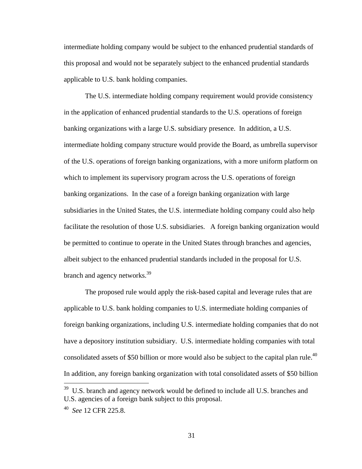intermediate holding company would be subject to the enhanced prudential standards of this proposal and would not be separately subject to the enhanced prudential standards applicable to U.S. bank holding companies.

The U.S. intermediate holding company requirement would provide consistency in the application of enhanced prudential standards to the U.S. operations of foreign banking organizations with a large U.S. subsidiary presence. In addition, a U.S. intermediate holding company structure would provide the Board, as umbrella supervisor of the U.S. operations of foreign banking organizations, with a more uniform platform on which to implement its supervisory program across the U.S. operations of foreign banking organizations. In the case of a foreign banking organization with large subsidiaries in the United States, the U.S. intermediate holding company could also help facilitate the resolution of those U.S. subsidiaries. A foreign banking organization would be permitted to continue to operate in the United States through branches and agencies, albeit subject to the enhanced prudential standards included in the proposal for U.S. branch and agency networks.<sup>39</sup>

The proposed rule would apply the risk-based capital and leverage rules that are applicable to U.S. bank holding companies to U.S. intermediate holding companies of foreign banking organizations, including U.S. intermediate holding companies that do not have a depository institution subsidiary. U.S. intermediate holding companies with total consolidated assets of \$50 billion or more would also be subject to the capital plan rule.<sup>40</sup> In addition, any foreign banking organization with total consolidated assets of \$50 billion

<sup>&</sup>lt;sup>39</sup> U.S. branch and agency network would be defined to include all U.S. branches and U.S. agencies of a foreign bank subject to this proposal.

<sup>40</sup> *See* 12 CFR 225.8.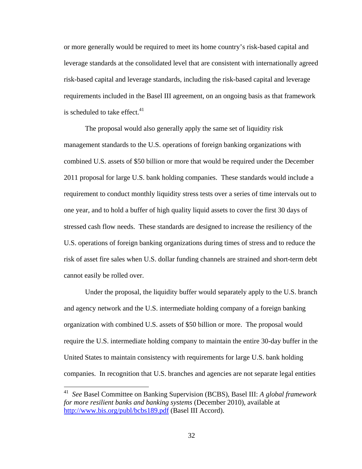or more generally would be required to meet its home country's risk-based capital and leverage standards at the consolidated level that are consistent with internationally agreed risk-based capital and leverage standards, including the risk-based capital and leverage requirements included in the Basel III agreement, on an ongoing basis as that framework is scheduled to take effect. $41$ 

The proposal would also generally apply the same set of liquidity risk management standards to the U.S. operations of foreign banking organizations with combined U.S. assets of \$50 billion or more that would be required under the December 2011 proposal for large U.S. bank holding companies. These standards would include a requirement to conduct monthly liquidity stress tests over a series of time intervals out to one year, and to hold a buffer of high quality liquid assets to cover the first 30 days of stressed cash flow needs. These standards are designed to increase the resiliency of the U.S. operations of foreign banking organizations during times of stress and to reduce the risk of asset fire sales when U.S. dollar funding channels are strained and short-term debt cannot easily be rolled over.

Under the proposal, the liquidity buffer would separately apply to the U.S. branch and agency network and the U.S. intermediate holding company of a foreign banking organization with combined U.S. assets of \$50 billion or more. The proposal would require the U.S. intermediate holding company to maintain the entire 30-day buffer in the United States to maintain consistency with requirements for large U.S. bank holding companies. In recognition that U.S. branches and agencies are not separate legal entities

<sup>41</sup> *See* Basel Committee on Banking Supervision (BCBS), Basel III: *A global framework for more resilient banks and banking systems* (December 2010), available at http://www.bis.org/publ/bcbs189.pdf (Basel III Accord).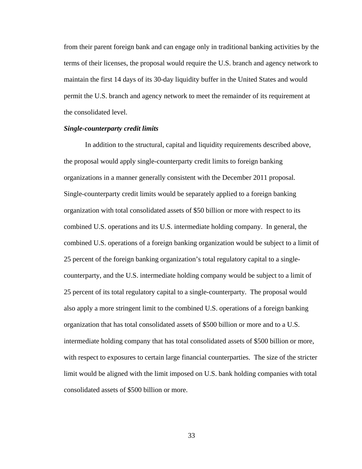from their parent foreign bank and can engage only in traditional banking activities by the terms of their licenses, the proposal would require the U.S. branch and agency network to maintain the first 14 days of its 30-day liquidity buffer in the United States and would permit the U.S. branch and agency network to meet the remainder of its requirement at the consolidated level.

## *Single-counterparty credit limits*

In addition to the structural, capital and liquidity requirements described above, the proposal would apply single-counterparty credit limits to foreign banking organizations in a manner generally consistent with the December 2011 proposal. Single-counterparty credit limits would be separately applied to a foreign banking organization with total consolidated assets of \$50 billion or more with respect to its combined U.S. operations and its U.S. intermediate holding company. In general, the combined U.S. operations of a foreign banking organization would be subject to a limit of 25 percent of the foreign banking organization's total regulatory capital to a singlecounterparty, and the U.S. intermediate holding company would be subject to a limit of 25 percent of its total regulatory capital to a single-counterparty. The proposal would also apply a more stringent limit to the combined U.S. operations of a foreign banking organization that has total consolidated assets of \$500 billion or more and to a U.S. intermediate holding company that has total consolidated assets of \$500 billion or more, with respect to exposures to certain large financial counterparties. The size of the stricter limit would be aligned with the limit imposed on U.S. bank holding companies with total consolidated assets of \$500 billion or more.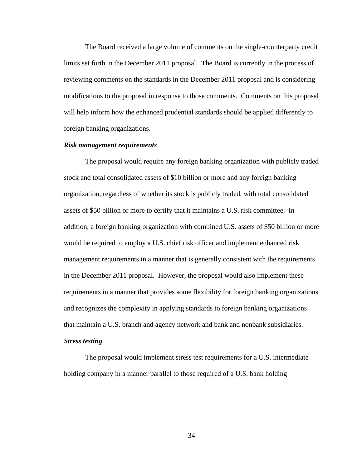The Board received a large volume of comments on the single-counterparty credit limits set forth in the December 2011 proposal. The Board is currently in the process of reviewing comments on the standards in the December 2011 proposal and is considering modifications to the proposal in response to those comments. Comments on this proposal will help inform how the enhanced prudential standards should be applied differently to foreign banking organizations.

## *Risk management requirements*

The proposal would require any foreign banking organization with publicly traded stock and total consolidated assets of \$10 billion or more and any foreign banking organization, regardless of whether its stock is publicly traded, with total consolidated assets of \$50 billion or more to certify that it maintains a U.S. risk committee. In addition, a foreign banking organization with combined U.S. assets of \$50 billion or more would be required to employ a U.S. chief risk officer and implement enhanced risk management requirements in a manner that is generally consistent with the requirements in the December 2011 proposal. However, the proposal would also implement these requirements in a manner that provides some flexibility for foreign banking organizations and recognizes the complexity in applying standards to foreign banking organizations that maintain a U.S. branch and agency network and bank and nonbank subsidiaries.

## *Stress testing*

The proposal would implement stress test requirements for a U.S. intermediate holding company in a manner parallel to those required of a U.S. bank holding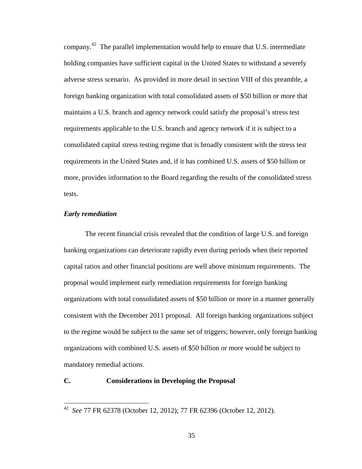company.<sup>42</sup> The parallel implementation would help to ensure that U.S. intermediate holding companies have sufficient capital in the United States to withstand a severely adverse stress scenario. As provided in more detail in section VIII of this preamble, a foreign banking organization with total consolidated assets of \$50 billion or more that maintains a U.S. branch and agency network could satisfy the proposal's stress test requirements applicable to the U.S. branch and agency network if it is subject to a consolidated capital stress testing regime that is broadly consistent with the stress test requirements in the United States and, if it has combined U.S. assets of \$50 billion or more, provides information to the Board regarding the results of the consolidated stress tests.

## *Early remediation*

1

The recent financial crisis revealed that the condition of large U.S. and foreign banking organizations can deteriorate rapidly even during periods when their reported capital ratios and other financial positions are well above minimum requirements. The proposal would implement early remediation requirements for foreign banking organizations with total consolidated assets of \$50 billion or more in a manner generally consistent with the December 2011 proposal. All foreign banking organizations subject to the regime would be subject to the same set of triggers; however, only foreign banking organizations with combined U.S. assets of \$50 billion or more would be subject to mandatory remedial actions.

# **C. Considerations in Developing the Proposal**

<sup>42</sup> *See* 77 FR 62378 (October 12, 2012); 77 FR 62396 (October 12, 2012).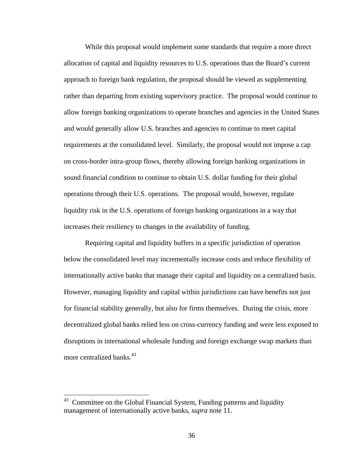While this proposal would implement some standards that require a more direct allocation of capital and liquidity resources to U.S. operations than the Board's current approach to foreign bank regulation, the proposal should be viewed as supplementing rather than departing from existing supervisory practice. The proposal would continue to allow foreign banking organizations to operate branches and agencies in the United States and would generally allow U.S. branches and agencies to continue to meet capital requirements at the consolidated level. Similarly, the proposal would not impose a cap on cross-border intra-group flows, thereby allowing foreign banking organizations in sound financial condition to continue to obtain U.S. dollar funding for their global operations through their U.S. operations. The proposal would, however, regulate liquidity risk in the U.S. operations of foreign banking organizations in a way that increases their resiliency to changes in the availability of funding.

Requiring capital and liquidity buffers in a specific jurisdiction of operation below the consolidated level may incrementally increase costs and reduce flexibility of internationally active banks that manage their capital and liquidity on a centralized basis. However, managing liquidity and capital within jurisdictions can have benefits not just for financial stability generally, but also for firms themselves. During the crisis, more decentralized global banks relied less on cross-currency funding and were less exposed to disruptions in international wholesale funding and foreign exchange swap markets than more centralized banks. $43$ 

Committee on the Global Financial System, Funding patterns and liquidity management of internationally active banks, *supra* note 11.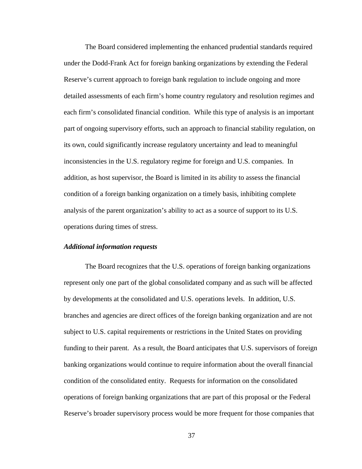The Board considered implementing the enhanced prudential standards required under the Dodd-Frank Act for foreign banking organizations by extending the Federal Reserve's current approach to foreign bank regulation to include ongoing and more detailed assessments of each firm's home country regulatory and resolution regimes and each firm's consolidated financial condition. While this type of analysis is an important part of ongoing supervisory efforts, such an approach to financial stability regulation, on its own, could significantly increase regulatory uncertainty and lead to meaningful inconsistencies in the U.S. regulatory regime for foreign and U.S. companies. In addition, as host supervisor, the Board is limited in its ability to assess the financial condition of a foreign banking organization on a timely basis, inhibiting complete analysis of the parent organization's ability to act as a source of support to its U.S. operations during times of stress.

#### *Additional information requests*

The Board recognizes that the U.S. operations of foreign banking organizations represent only one part of the global consolidated company and as such will be affected by developments at the consolidated and U.S. operations levels. In addition, U.S. branches and agencies are direct offices of the foreign banking organization and are not subject to U.S. capital requirements or restrictions in the United States on providing funding to their parent. As a result, the Board anticipates that U.S. supervisors of foreign banking organizations would continue to require information about the overall financial condition of the consolidated entity. Requests for information on the consolidated operations of foreign banking organizations that are part of this proposal or the Federal Reserve's broader supervisory process would be more frequent for those companies that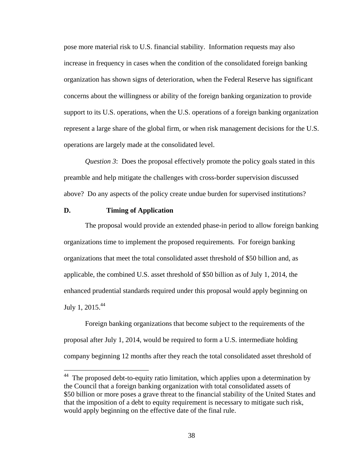pose more material risk to U.S. financial stability. Information requests may also increase in frequency in cases when the condition of the consolidated foreign banking organization has shown signs of deterioration, when the Federal Reserve has significant concerns about the willingness or ability of the foreign banking organization to provide support to its U.S. operations, when the U.S. operations of a foreign banking organization represent a large share of the global firm, or when risk management decisions for the U.S. operations are largely made at the consolidated level.

*Question 3*: Does the proposal effectively promote the policy goals stated in this preamble and help mitigate the challenges with cross-border supervision discussed above? Do any aspects of the policy create undue burden for supervised institutions?

## **D. Timing of Application**

 $\overline{a}$ 

The proposal would provide an extended phase-in period to allow foreign banking organizations time to implement the proposed requirements. For foreign banking organizations that meet the total consolidated asset threshold of \$50 billion and, as applicable, the combined U.S. asset threshold of \$50 billion as of July 1, 2014, the enhanced prudential standards required under this proposal would apply beginning on July 1,  $2015.<sup>44</sup>$ 

Foreign banking organizations that become subject to the requirements of the proposal after July 1, 2014, would be required to form a U.S. intermediate holding company beginning 12 months after they reach the total consolidated asset threshold of

 $44$  The proposed debt-to-equity ratio limitation, which applies upon a determination by the Council that a foreign banking organization with total consolidated assets of \$50 billion or more poses a grave threat to the financial stability of the United States and that the imposition of a debt to equity requirement is necessary to mitigate such risk, would apply beginning on the effective date of the final rule.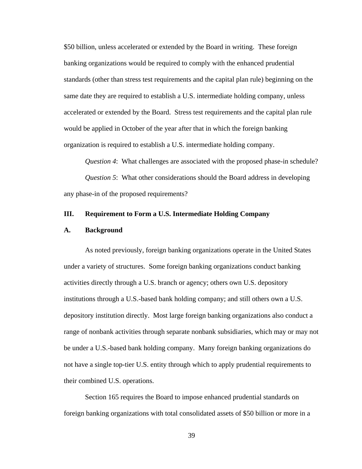\$50 billion, unless accelerated or extended by the Board in writing. These foreign banking organizations would be required to comply with the enhanced prudential standards (other than stress test requirements and the capital plan rule) beginning on the same date they are required to establish a U.S. intermediate holding company, unless accelerated or extended by the Board. Stress test requirements and the capital plan rule would be applied in October of the year after that in which the foreign banking organization is required to establish a U.S. intermediate holding company.

*Question 4*: What challenges are associated with the proposed phase-in schedule? *Question 5*: What other considerations should the Board address in developing any phase-in of the proposed requirements?

## **III. Requirement to Form a U.S. Intermediate Holding Company**

#### **A. Background**

As noted previously, foreign banking organizations operate in the United States under a variety of structures. Some foreign banking organizations conduct banking activities directly through a U.S. branch or agency; others own U.S. depository institutions through a U.S.-based bank holding company; and still others own a U.S. depository institution directly. Most large foreign banking organizations also conduct a range of nonbank activities through separate nonbank subsidiaries, which may or may not be under a U.S.-based bank holding company. Many foreign banking organizations do not have a single top-tier U.S. entity through which to apply prudential requirements to their combined U.S. operations.

Section 165 requires the Board to impose enhanced prudential standards on foreign banking organizations with total consolidated assets of \$50 billion or more in a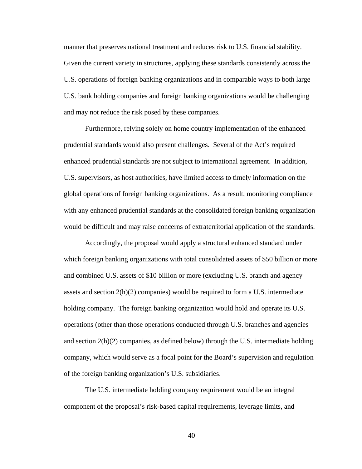manner that preserves national treatment and reduces risk to U.S. financial stability. Given the current variety in structures, applying these standards consistently across the U.S. operations of foreign banking organizations and in comparable ways to both large U.S. bank holding companies and foreign banking organizations would be challenging and may not reduce the risk posed by these companies.

Furthermore, relying solely on home country implementation of the enhanced prudential standards would also present challenges. Several of the Act's required enhanced prudential standards are not subject to international agreement. In addition, U.S. supervisors, as host authorities, have limited access to timely information on the global operations of foreign banking organizations. As a result, monitoring compliance with any enhanced prudential standards at the consolidated foreign banking organization would be difficult and may raise concerns of extraterritorial application of the standards.

Accordingly, the proposal would apply a structural enhanced standard under which foreign banking organizations with total consolidated assets of \$50 billion or more and combined U.S. assets of \$10 billion or more (excluding U.S. branch and agency assets and section 2(h)(2) companies) would be required to form a U.S. intermediate holding company. The foreign banking organization would hold and operate its U.S. operations (other than those operations conducted through U.S. branches and agencies and section  $2(h)(2)$  companies, as defined below) through the U.S. intermediate holding company, which would serve as a focal point for the Board's supervision and regulation of the foreign banking organization's U.S. subsidiaries.

The U.S. intermediate holding company requirement would be an integral component of the proposal's risk-based capital requirements, leverage limits, and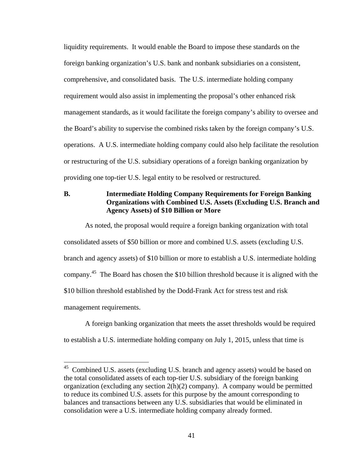liquidity requirements. It would enable the Board to impose these standards on the foreign banking organization's U.S. bank and nonbank subsidiaries on a consistent, comprehensive, and consolidated basis. The U.S. intermediate holding company requirement would also assist in implementing the proposal's other enhanced risk management standards, as it would facilitate the foreign company's ability to oversee and the Board's ability to supervise the combined risks taken by the foreign company's U.S. operations. A U.S. intermediate holding company could also help facilitate the resolution or restructuring of the U.S. subsidiary operations of a foreign banking organization by providing one top-tier U.S. legal entity to be resolved or restructured.

# **B. Intermediate Holding Company Requirements for Foreign Banking Organizations with Combined U.S. Assets (Excluding U.S. Branch and Agency Assets) of \$10 Billion or More**

As noted, the proposal would require a foreign banking organization with total consolidated assets of \$50 billion or more and combined U.S. assets (excluding U.S. branch and agency assets) of \$10 billion or more to establish a U.S. intermediate holding company.45 The Board has chosen the \$10 billion threshold because it is aligned with the \$10 billion threshold established by the Dodd-Frank Act for stress test and risk management requirements.

A foreign banking organization that meets the asset thresholds would be required to establish a U.S. intermediate holding company on July 1, 2015, unless that time is

 $45$  Combined U.S. assets (excluding U.S. branch and agency assets) would be based on the total consolidated assets of each top-tier U.S. subsidiary of the foreign banking organization (excluding any section 2(h)(2) company). A company would be permitted to reduce its combined U.S. assets for this purpose by the amount corresponding to balances and transactions between any U.S. subsidiaries that would be eliminated in consolidation were a U.S. intermediate holding company already formed.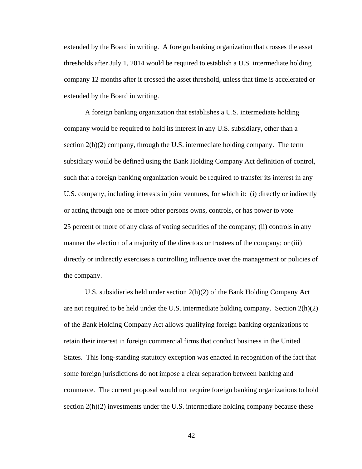extended by the Board in writing. A foreign banking organization that crosses the asset thresholds after July 1, 2014 would be required to establish a U.S. intermediate holding company 12 months after it crossed the asset threshold, unless that time is accelerated or extended by the Board in writing.

A foreign banking organization that establishes a U.S. intermediate holding company would be required to hold its interest in any U.S. subsidiary, other than a section  $2(h)(2)$  company, through the U.S. intermediate holding company. The term subsidiary would be defined using the Bank Holding Company Act definition of control, such that a foreign banking organization would be required to transfer its interest in any U.S. company, including interests in joint ventures, for which it: (i) directly or indirectly or acting through one or more other persons owns, controls, or has power to vote 25 percent or more of any class of voting securities of the company; (ii) controls in any manner the election of a majority of the directors or trustees of the company; or (iii) directly or indirectly exercises a controlling influence over the management or policies of the company.

U.S. subsidiaries held under section 2(h)(2) of the Bank Holding Company Act are not required to be held under the U.S. intermediate holding company. Section 2(h)(2) of the Bank Holding Company Act allows qualifying foreign banking organizations to retain their interest in foreign commercial firms that conduct business in the United States. This long-standing statutory exception was enacted in recognition of the fact that some foreign jurisdictions do not impose a clear separation between banking and commerce. The current proposal would not require foreign banking organizations to hold section  $2(h)(2)$  investments under the U.S. intermediate holding company because these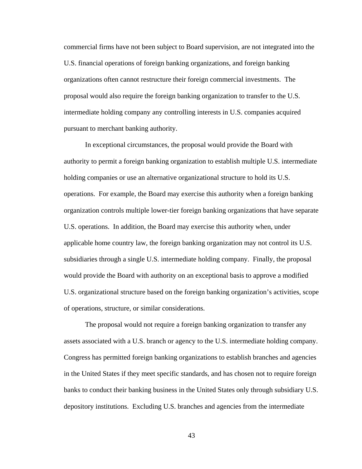commercial firms have not been subject to Board supervision, are not integrated into the U.S. financial operations of foreign banking organizations, and foreign banking organizations often cannot restructure their foreign commercial investments. The proposal would also require the foreign banking organization to transfer to the U.S. intermediate holding company any controlling interests in U.S. companies acquired pursuant to merchant banking authority.

In exceptional circumstances, the proposal would provide the Board with authority to permit a foreign banking organization to establish multiple U.S. intermediate holding companies or use an alternative organizational structure to hold its U.S. operations. For example, the Board may exercise this authority when a foreign banking organization controls multiple lower-tier foreign banking organizations that have separate U.S. operations. In addition, the Board may exercise this authority when, under applicable home country law, the foreign banking organization may not control its U.S. subsidiaries through a single U.S. intermediate holding company. Finally, the proposal would provide the Board with authority on an exceptional basis to approve a modified U.S. organizational structure based on the foreign banking organization's activities, scope of operations, structure, or similar considerations.

The proposal would not require a foreign banking organization to transfer any assets associated with a U.S. branch or agency to the U.S. intermediate holding company. Congress has permitted foreign banking organizations to establish branches and agencies in the United States if they meet specific standards, and has chosen not to require foreign banks to conduct their banking business in the United States only through subsidiary U.S. depository institutions. Excluding U.S. branches and agencies from the intermediate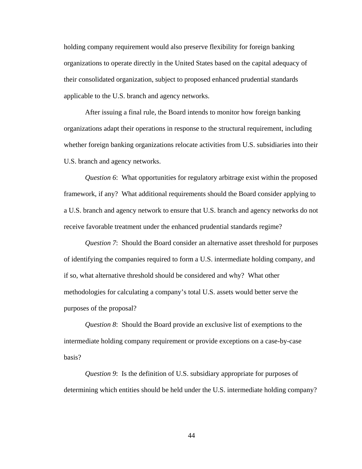holding company requirement would also preserve flexibility for foreign banking organizations to operate directly in the United States based on the capital adequacy of their consolidated organization, subject to proposed enhanced prudential standards applicable to the U.S. branch and agency networks.

After issuing a final rule, the Board intends to monitor how foreign banking organizations adapt their operations in response to the structural requirement, including whether foreign banking organizations relocate activities from U.S. subsidiaries into their U.S. branch and agency networks.

*Question 6*: What opportunities for regulatory arbitrage exist within the proposed framework, if any? What additional requirements should the Board consider applying to a U.S. branch and agency network to ensure that U.S. branch and agency networks do not receive favorable treatment under the enhanced prudential standards regime?

*Question 7*: Should the Board consider an alternative asset threshold for purposes of identifying the companies required to form a U.S. intermediate holding company, and if so, what alternative threshold should be considered and why? What other methodologies for calculating a company's total U.S. assets would better serve the purposes of the proposal?

*Question 8*: Should the Board provide an exclusive list of exemptions to the intermediate holding company requirement or provide exceptions on a case-by-case basis?

*Question 9*: Is the definition of U.S. subsidiary appropriate for purposes of determining which entities should be held under the U.S. intermediate holding company?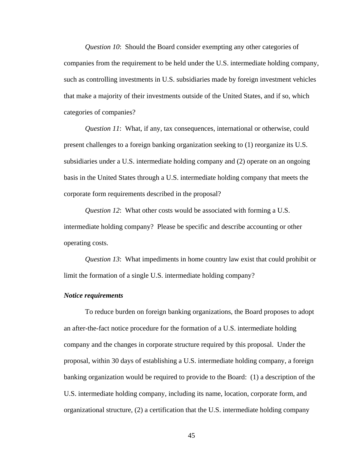*Question 10*: Should the Board consider exempting any other categories of companies from the requirement to be held under the U.S. intermediate holding company, such as controlling investments in U.S. subsidiaries made by foreign investment vehicles that make a majority of their investments outside of the United States, and if so, which categories of companies?

*Question 11*: What, if any, tax consequences, international or otherwise, could present challenges to a foreign banking organization seeking to (1) reorganize its U.S. subsidiaries under a U.S. intermediate holding company and (2) operate on an ongoing basis in the United States through a U.S. intermediate holding company that meets the corporate form requirements described in the proposal?

*Question 12*: What other costs would be associated with forming a U.S. intermediate holding company? Please be specific and describe accounting or other operating costs.

*Question 13*: What impediments in home country law exist that could prohibit or limit the formation of a single U.S. intermediate holding company?

## *Notice requirements*

To reduce burden on foreign banking organizations, the Board proposes to adopt an after-the-fact notice procedure for the formation of a U.S. intermediate holding company and the changes in corporate structure required by this proposal. Under the proposal, within 30 days of establishing a U.S. intermediate holding company, a foreign banking organization would be required to provide to the Board: (1) a description of the U.S. intermediate holding company, including its name, location, corporate form, and organizational structure, (2) a certification that the U.S. intermediate holding company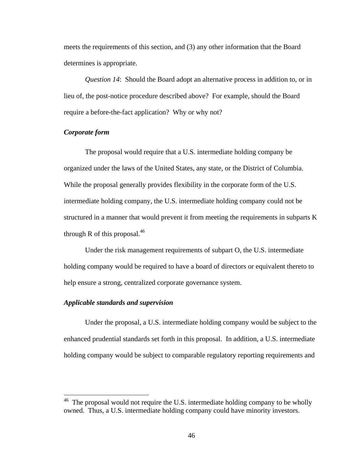meets the requirements of this section, and (3) any other information that the Board determines is appropriate.

*Question 14*: Should the Board adopt an alternative process in addition to, or in lieu of, the post-notice procedure described above? For example, should the Board require a before-the-fact application? Why or why not?

## *Corporate form*

The proposal would require that a U.S. intermediate holding company be organized under the laws of the United States, any state, or the District of Columbia. While the proposal generally provides flexibility in the corporate form of the U.S. intermediate holding company, the U.S. intermediate holding company could not be structured in a manner that would prevent it from meeting the requirements in subparts K through R of this proposal. $46$ 

Under the risk management requirements of subpart O, the U.S. intermediate holding company would be required to have a board of directors or equivalent thereto to help ensure a strong, centralized corporate governance system.

## *Applicable standards and supervision*

1

Under the proposal, a U.S. intermediate holding company would be subject to the enhanced prudential standards set forth in this proposal. In addition, a U.S. intermediate holding company would be subject to comparable regulatory reporting requirements and

The proposal would not require the U.S. intermediate holding company to be wholly owned. Thus, a U.S. intermediate holding company could have minority investors.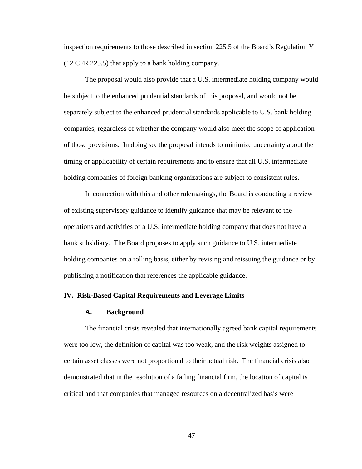inspection requirements to those described in section 225.5 of the Board's Regulation Y (12 CFR 225.5) that apply to a bank holding company.

The proposal would also provide that a U.S. intermediate holding company would be subject to the enhanced prudential standards of this proposal, and would not be separately subject to the enhanced prudential standards applicable to U.S. bank holding companies, regardless of whether the company would also meet the scope of application of those provisions. In doing so, the proposal intends to minimize uncertainty about the timing or applicability of certain requirements and to ensure that all U.S. intermediate holding companies of foreign banking organizations are subject to consistent rules.

In connection with this and other rulemakings, the Board is conducting a review of existing supervisory guidance to identify guidance that may be relevant to the operations and activities of a U.S. intermediate holding company that does not have a bank subsidiary. The Board proposes to apply such guidance to U.S. intermediate holding companies on a rolling basis, either by revising and reissuing the guidance or by publishing a notification that references the applicable guidance.

## **IV. Risk-Based Capital Requirements and Leverage Limits**

#### **A. Background**

The financial crisis revealed that internationally agreed bank capital requirements were too low, the definition of capital was too weak, and the risk weights assigned to certain asset classes were not proportional to their actual risk. The financial crisis also demonstrated that in the resolution of a failing financial firm, the location of capital is critical and that companies that managed resources on a decentralized basis were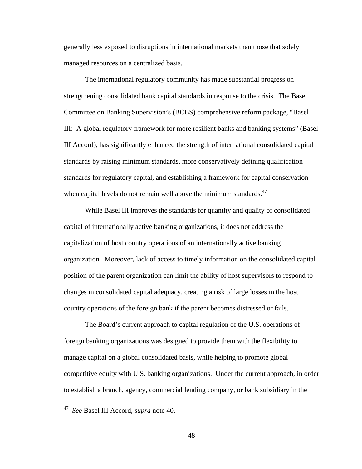generally less exposed to disruptions in international markets than those that solely managed resources on a centralized basis.

The international regulatory community has made substantial progress on strengthening consolidated bank capital standards in response to the crisis. The Basel Committee on Banking Supervision's (BCBS) comprehensive reform package, "Basel III: A global regulatory framework for more resilient banks and banking systems" (Basel III Accord), has significantly enhanced the strength of international consolidated capital standards by raising minimum standards, more conservatively defining qualification standards for regulatory capital, and establishing a framework for capital conservation when capital levels do not remain well above the minimum standards. $47$ 

While Basel III improves the standards for quantity and quality of consolidated capital of internationally active banking organizations, it does not address the capitalization of host country operations of an internationally active banking organization. Moreover, lack of access to timely information on the consolidated capital position of the parent organization can limit the ability of host supervisors to respond to changes in consolidated capital adequacy, creating a risk of large losses in the host country operations of the foreign bank if the parent becomes distressed or fails.

The Board's current approach to capital regulation of the U.S. operations of foreign banking organizations was designed to provide them with the flexibility to manage capital on a global consolidated basis, while helping to promote global competitive equity with U.S. banking organizations. Under the current approach, in order to establish a branch, agency, commercial lending company, or bank subsidiary in the

<sup>47</sup> *See* Basel III Accord, *supra* note 40.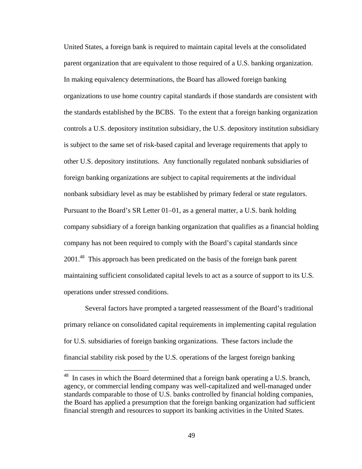United States, a foreign bank is required to maintain capital levels at the consolidated parent organization that are equivalent to those required of a U.S. banking organization. In making equivalency determinations, the Board has allowed foreign banking organizations to use home country capital standards if those standards are consistent with the standards established by the BCBS. To the extent that a foreign banking organization controls a U.S. depository institution subsidiary, the U.S. depository institution subsidiary is subject to the same set of risk-based capital and leverage requirements that apply to other U.S. depository institutions. Any functionally regulated nonbank subsidiaries of foreign banking organizations are subject to capital requirements at the individual nonbank subsidiary level as may be established by primary federal or state regulators. Pursuant to the Board's SR Letter 01–01, as a general matter, a U.S. bank holding company subsidiary of a foreign banking organization that qualifies as a financial holding company has not been required to comply with the Board's capital standards since 2001<sup>48</sup> This approach has been predicated on the basis of the foreign bank parent maintaining sufficient consolidated capital levels to act as a source of support to its U.S. operations under stressed conditions.

Several factors have prompted a targeted reassessment of the Board's traditional primary reliance on consolidated capital requirements in implementing capital regulation for U.S. subsidiaries of foreign banking organizations. These factors include the financial stability risk posed by the U.S. operations of the largest foreign banking

<u>.</u>

 $48$  In cases in which the Board determined that a foreign bank operating a U.S. branch, agency, or commercial lending company was well-capitalized and well-managed under standards comparable to those of U.S. banks controlled by financial holding companies, the Board has applied a presumption that the foreign banking organization had sufficient financial strength and resources to support its banking activities in the United States.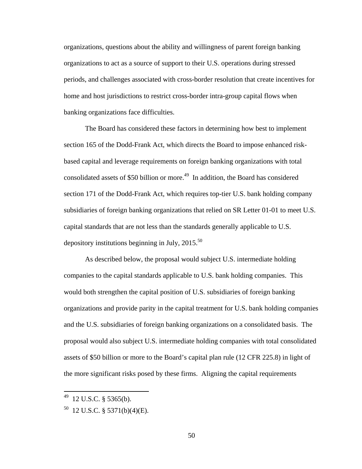organizations, questions about the ability and willingness of parent foreign banking organizations to act as a source of support to their U.S. operations during stressed periods, and challenges associated with cross-border resolution that create incentives for home and host jurisdictions to restrict cross-border intra-group capital flows when banking organizations face difficulties.

The Board has considered these factors in determining how best to implement section 165 of the Dodd-Frank Act, which directs the Board to impose enhanced riskbased capital and leverage requirements on foreign banking organizations with total consolidated assets of \$50 billion or more.<sup>49</sup> In addition, the Board has considered section 171 of the Dodd-Frank Act, which requires top-tier U.S. bank holding company subsidiaries of foreign banking organizations that relied on SR Letter 01-01 to meet U.S. capital standards that are not less than the standards generally applicable to U.S. depository institutions beginning in July,  $2015^{50}$ 

As described below, the proposal would subject U.S. intermediate holding companies to the capital standards applicable to U.S. bank holding companies. This would both strengthen the capital position of U.S. subsidiaries of foreign banking organizations and provide parity in the capital treatment for U.S. bank holding companies and the U.S. subsidiaries of foreign banking organizations on a consolidated basis. The proposal would also subject U.S. intermediate holding companies with total consolidated assets of \$50 billion or more to the Board's capital plan rule (12 CFR 225.8) in light of the more significant risks posed by these firms. Aligning the capital requirements

<sup>49 12</sup> U.S.C. § 5365(b).

 $^{50}$  12 U.S.C. § 5371(b)(4)(E).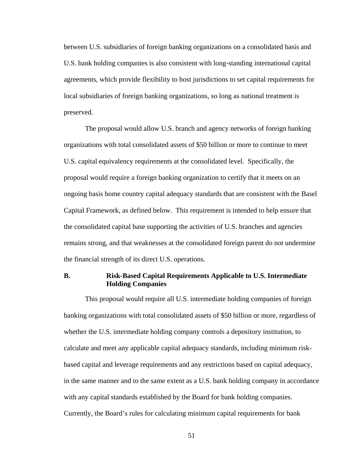between U.S. subsidiaries of foreign banking organizations on a consolidated basis and U.S. bank holding companies is also consistent with long-standing international capital agreements, which provide flexibility to host jurisdictions to set capital requirements for local subsidiaries of foreign banking organizations, so long as national treatment is preserved.

The proposal would allow U.S. branch and agency networks of foreign banking organizations with total consolidated assets of \$50 billion or more to continue to meet U.S. capital equivalency requirements at the consolidated level. Specifically, the proposal would require a foreign banking organization to certify that it meets on an ongoing basis home country capital adequacy standards that are consistent with the Basel Capital Framework, as defined below. This requirement is intended to help ensure that the consolidated capital base supporting the activities of U.S. branches and agencies remains strong, and that weaknesses at the consolidated foreign parent do not undermine the financial strength of its direct U.S. operations.

## **B. Risk-Based Capital Requirements Applicable to U.S. Intermediate Holding Companies**

This proposal would require all U.S. intermediate holding companies of foreign banking organizations with total consolidated assets of \$50 billion or more, regardless of whether the U.S. intermediate holding company controls a depository institution, to calculate and meet any applicable capital adequacy standards, including minimum riskbased capital and leverage requirements and any restrictions based on capital adequacy, in the same manner and to the same extent as a U.S. bank holding company in accordance with any capital standards established by the Board for bank holding companies. Currently, the Board's rules for calculating minimum capital requirements for bank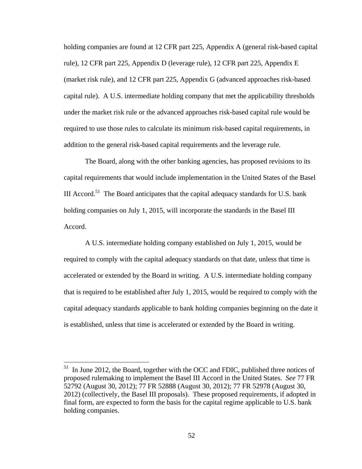holding companies are found at 12 CFR part 225, Appendix A (general risk-based capital rule), 12 CFR part 225, Appendix D (leverage rule), 12 CFR part 225, Appendix E (market risk rule), and 12 CFR part 225, Appendix G (advanced approaches risk-based capital rule). A U.S. intermediate holding company that met the applicability thresholds under the market risk rule or the advanced approaches risk-based capital rule would be required to use those rules to calculate its minimum risk-based capital requirements, in addition to the general risk-based capital requirements and the leverage rule.

The Board, along with the other banking agencies, has proposed revisions to its capital requirements that would include implementation in the United States of the Basel III Accord.<sup>51</sup> The Board anticipates that the capital adequacy standards for U.S. bank holding companies on July 1, 2015, will incorporate the standards in the Basel III Accord.

A U.S. intermediate holding company established on July 1, 2015, would be required to comply with the capital adequacy standards on that date, unless that time is accelerated or extended by the Board in writing. A U.S. intermediate holding company that is required to be established after July 1, 2015, would be required to comply with the capital adequacy standards applicable to bank holding companies beginning on the date it is established, unless that time is accelerated or extended by the Board in writing.

 $51$  In June 2012, the Board, together with the OCC and FDIC, published three notices of proposed rulemaking to implement the Basel III Accord in the United States. *See* 77 FR 52792 (August 30, 2012); 77 FR 52888 (August 30, 2012); 77 FR 52978 (August 30, 2012) (collectively, the Basel III proposals). These proposed requirements, if adopted in final form, are expected to form the basis for the capital regime applicable to U.S. bank holding companies.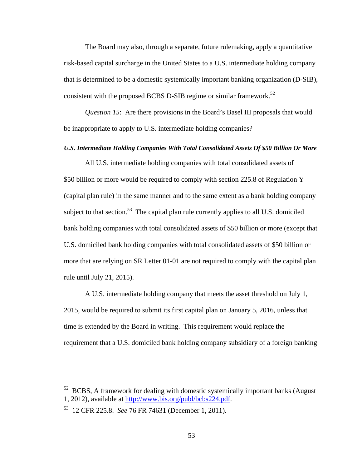The Board may also, through a separate, future rulemaking, apply a quantitative risk-based capital surcharge in the United States to a U.S. intermediate holding company that is determined to be a domestic systemically important banking organization (D-SIB), consistent with the proposed BCBS D-SIB regime or similar framework.<sup>52</sup>

*Question 15*: Are there provisions in the Board's Basel III proposals that would be inappropriate to apply to U.S. intermediate holding companies?

# *U.S. Intermediate Holding Companies With Total Consolidated Assets Of \$50 Billion Or More*

All U.S. intermediate holding companies with total consolidated assets of \$50 billion or more would be required to comply with section 225.8 of Regulation Y (capital plan rule) in the same manner and to the same extent as a bank holding company subject to that section.<sup>53</sup> The capital plan rule currently applies to all U.S. domiciled bank holding companies with total consolidated assets of \$50 billion or more (except that U.S. domiciled bank holding companies with total consolidated assets of \$50 billion or more that are relying on SR Letter 01-01 are not required to comply with the capital plan rule until July 21, 2015).

A U.S. intermediate holding company that meets the asset threshold on July 1, 2015, would be required to submit its first capital plan on January 5, 2016, unless that time is extended by the Board in writing. This requirement would replace the requirement that a U.S. domiciled bank holding company subsidiary of a foreign banking

 $52$  BCBS, A framework for dealing with domestic systemically important banks (August) 1, 2012), available at http://www.bis.org/publ/bcbs224.pdf.

<sup>53 12</sup> CFR 225.8. *See* 76 FR 74631 (December 1, 2011).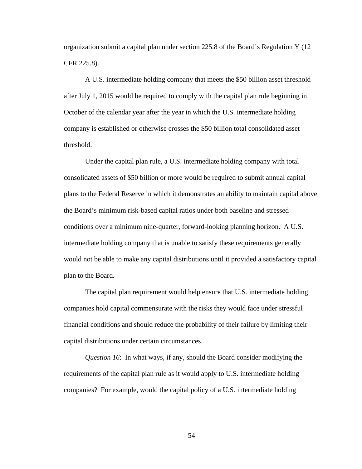organization submit a capital plan under section 225.8 of the Board's Regulation Y (12 CFR 225.8).

A U.S. intermediate holding company that meets the \$50 billion asset threshold after July 1, 2015 would be required to comply with the capital plan rule beginning in October of the calendar year after the year in which the U.S. intermediate holding company is established or otherwise crosses the \$50 billion total consolidated asset threshold.

Under the capital plan rule, a U.S. intermediate holding company with total consolidated assets of \$50 billion or more would be required to submit annual capital plans to the Federal Reserve in which it demonstrates an ability to maintain capital above the Board's minimum risk-based capital ratios under both baseline and stressed conditions over a minimum nine-quarter, forward-looking planning horizon. A U.S. intermediate holding company that is unable to satisfy these requirements generally would not be able to make any capital distributions until it provided a satisfactory capital plan to the Board.

The capital plan requirement would help ensure that U.S. intermediate holding companies hold capital commensurate with the risks they would face under stressful financial conditions and should reduce the probability of their failure by limiting their capital distributions under certain circumstances.

*Question 16*: In what ways, if any, should the Board consider modifying the requirements of the capital plan rule as it would apply to U.S. intermediate holding companies? For example, would the capital policy of a U.S. intermediate holding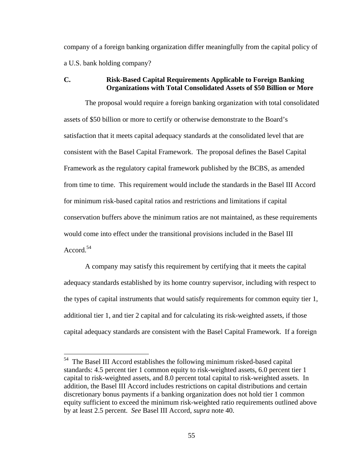company of a foreign banking organization differ meaningfully from the capital policy of a U.S. bank holding company?

## **C. Risk-Based Capital Requirements Applicable to Foreign Banking Organizations with Total Consolidated Assets of \$50 Billion or More**

The proposal would require a foreign banking organization with total consolidated assets of \$50 billion or more to certify or otherwise demonstrate to the Board's satisfaction that it meets capital adequacy standards at the consolidated level that are consistent with the Basel Capital Framework. The proposal defines the Basel Capital Framework as the regulatory capital framework published by the BCBS, as amended from time to time. This requirement would include the standards in the Basel III Accord for minimum risk-based capital ratios and restrictions and limitations if capital conservation buffers above the minimum ratios are not maintained, as these requirements would come into effect under the transitional provisions included in the Basel III Accord.54

A company may satisfy this requirement by certifying that it meets the capital adequacy standards established by its home country supervisor, including with respect to the types of capital instruments that would satisfy requirements for common equity tier 1, additional tier 1, and tier 2 capital and for calculating its risk-weighted assets, if those capital adequacy standards are consistent with the Basel Capital Framework. If a foreign

<sup>&</sup>lt;sup>54</sup> The Basel III Accord establishes the following minimum risked-based capital standards: 4.5 percent tier 1 common equity to risk-weighted assets, 6.0 percent tier 1 capital to risk-weighted assets, and 8.0 percent total capital to risk-weighted assets. In addition, the Basel III Accord includes restrictions on capital distributions and certain discretionary bonus payments if a banking organization does not hold tier 1 common equity sufficient to exceed the minimum risk-weighted ratio requirements outlined above by at least 2.5 percent. *See* Basel III Accord, *supra* note 40.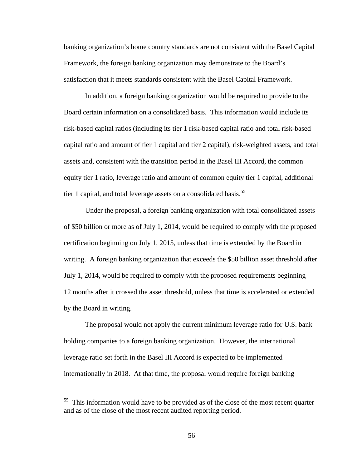banking organization's home country standards are not consistent with the Basel Capital Framework, the foreign banking organization may demonstrate to the Board's satisfaction that it meets standards consistent with the Basel Capital Framework.

In addition, a foreign banking organization would be required to provide to the Board certain information on a consolidated basis. This information would include its risk-based capital ratios (including its tier 1 risk-based capital ratio and total risk-based capital ratio and amount of tier 1 capital and tier 2 capital), risk-weighted assets, and total assets and, consistent with the transition period in the Basel III Accord, the common equity tier 1 ratio, leverage ratio and amount of common equity tier 1 capital, additional tier 1 capital, and total leverage assets on a consolidated basis.<sup>55</sup>

Under the proposal, a foreign banking organization with total consolidated assets of \$50 billion or more as of July 1, 2014, would be required to comply with the proposed certification beginning on July 1, 2015, unless that time is extended by the Board in writing. A foreign banking organization that exceeds the \$50 billion asset threshold after July 1, 2014, would be required to comply with the proposed requirements beginning 12 months after it crossed the asset threshold, unless that time is accelerated or extended by the Board in writing.

The proposal would not apply the current minimum leverage ratio for U.S. bank holding companies to a foreign banking organization. However, the international leverage ratio set forth in the Basel III Accord is expected to be implemented internationally in 2018. At that time, the proposal would require foreign banking

This information would have to be provided as of the close of the most recent quarter and as of the close of the most recent audited reporting period.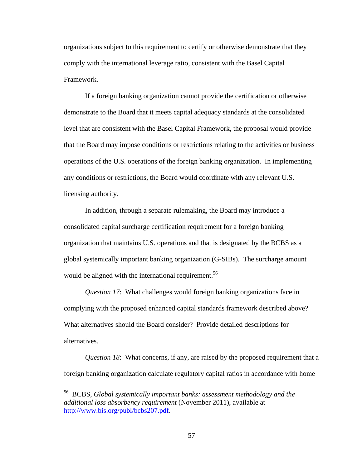organizations subject to this requirement to certify or otherwise demonstrate that they comply with the international leverage ratio, consistent with the Basel Capital Framework.

If a foreign banking organization cannot provide the certification or otherwise demonstrate to the Board that it meets capital adequacy standards at the consolidated level that are consistent with the Basel Capital Framework, the proposal would provide that the Board may impose conditions or restrictions relating to the activities or business operations of the U.S. operations of the foreign banking organization. In implementing any conditions or restrictions, the Board would coordinate with any relevant U.S. licensing authority.

In addition, through a separate rulemaking, the Board may introduce a consolidated capital surcharge certification requirement for a foreign banking organization that maintains U.S. operations and that is designated by the BCBS as a global systemically important banking organization (G-SIBs). The surcharge amount would be aligned with the international requirement.<sup>56</sup>

*Question 17*: What challenges would foreign banking organizations face in complying with the proposed enhanced capital standards framework described above? What alternatives should the Board consider? Provide detailed descriptions for alternatives.

*Question 18*: What concerns, if any, are raised by the proposed requirement that a foreign banking organization calculate regulatory capital ratios in accordance with home

<sup>56</sup> BCBS, *Global systemically important banks: assessment methodology and the additional loss absorbency requirement* (November 2011), available at http://www.bis.org/publ/bcbs207.pdf.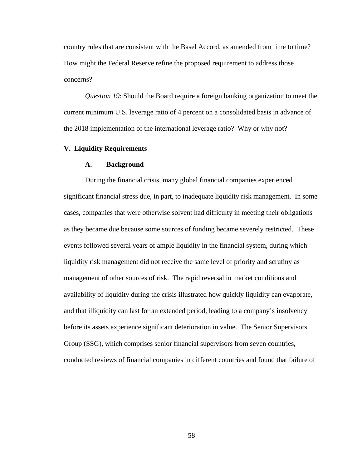country rules that are consistent with the Basel Accord, as amended from time to time? How might the Federal Reserve refine the proposed requirement to address those concerns?

*Question 19*: Should the Board require a foreign banking organization to meet the current minimum U.S. leverage ratio of 4 percent on a consolidated basis in advance of the 2018 implementation of the international leverage ratio? Why or why not?

## **V. Liquidity Requirements**

## **A. Background**

During the financial crisis, many global financial companies experienced significant financial stress due, in part, to inadequate liquidity risk management. In some cases, companies that were otherwise solvent had difficulty in meeting their obligations as they became due because some sources of funding became severely restricted. These events followed several years of ample liquidity in the financial system, during which liquidity risk management did not receive the same level of priority and scrutiny as management of other sources of risk. The rapid reversal in market conditions and availability of liquidity during the crisis illustrated how quickly liquidity can evaporate, and that illiquidity can last for an extended period, leading to a company's insolvency before its assets experience significant deterioration in value. The Senior Supervisors Group (SSG), which comprises senior financial supervisors from seven countries, conducted reviews of financial companies in different countries and found that failure of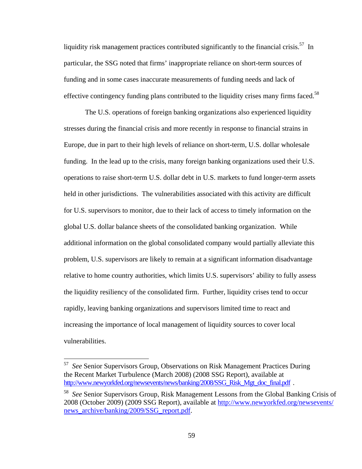liquidity risk management practices contributed significantly to the financial crisis.<sup>57</sup> In particular, the SSG noted that firms' inappropriate reliance on short-term sources of funding and in some cases inaccurate measurements of funding needs and lack of effective contingency funding plans contributed to the liquidity crises many firms faced.<sup>58</sup>

The U.S. operations of foreign banking organizations also experienced liquidity stresses during the financial crisis and more recently in response to financial strains in Europe, due in part to their high levels of reliance on short-term, U.S. dollar wholesale funding. In the lead up to the crisis, many foreign banking organizations used their U.S. operations to raise short-term U.S. dollar debt in U.S. markets to fund longer-term assets held in other jurisdictions. The vulnerabilities associated with this activity are difficult for U.S. supervisors to monitor, due to their lack of access to timely information on the global U.S. dollar balance sheets of the consolidated banking organization. While additional information on the global consolidated company would partially alleviate this problem, U.S. supervisors are likely to remain at a significant information disadvantage relative to home country authorities, which limits U.S. supervisors' ability to fully assess the liquidity resiliency of the consolidated firm. Further, liquidity crises tend to occur rapidly, leaving banking organizations and supervisors limited time to react and increasing the importance of local management of liquidity sources to cover local vulnerabilities.

<sup>57</sup> *See* Senior Supervisors Group, Observations on Risk Management Practices During the Recent Market Turbulence (March 2008) (2008 SSG Report), available at http://www.newyorkfed.org/newsevents/news/banking/2008/SSG\_Risk\_Mgt\_doc\_final.pdf .

<sup>58</sup> *See* Senior Supervisors Group, Risk Management Lessons from the Global Banking Crisis of 2008 (October 2009) (2009 SSG Report), available at http://www.newyorkfed.org/newsevents/ news\_archive/banking/2009/SSG\_report.pdf.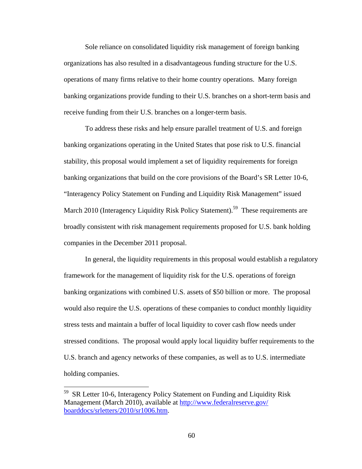Sole reliance on consolidated liquidity risk management of foreign banking organizations has also resulted in a disadvantageous funding structure for the U.S. operations of many firms relative to their home country operations. Many foreign banking organizations provide funding to their U.S. branches on a short-term basis and receive funding from their U.S. branches on a longer-term basis.

To address these risks and help ensure parallel treatment of U.S. and foreign banking organizations operating in the United States that pose risk to U.S. financial stability, this proposal would implement a set of liquidity requirements for foreign banking organizations that build on the core provisions of the Board's SR Letter 10-6, "Interagency Policy Statement on Funding and Liquidity Risk Management" issued March 2010 (Interagency Liquidity Risk Policy Statement).<sup>59</sup> These requirements are broadly consistent with risk management requirements proposed for U.S. bank holding companies in the December 2011 proposal.

In general, the liquidity requirements in this proposal would establish a regulatory framework for the management of liquidity risk for the U.S. operations of foreign banking organizations with combined U.S. assets of \$50 billion or more. The proposal would also require the U.S. operations of these companies to conduct monthly liquidity stress tests and maintain a buffer of local liquidity to cover cash flow needs under stressed conditions. The proposal would apply local liquidity buffer requirements to the U.S. branch and agency networks of these companies, as well as to U.S. intermediate holding companies.

<sup>59</sup> SR Letter 10-6, Interagency Policy Statement on Funding and Liquidity Risk Management (March 2010), available at http://www.federalreserve.gov/ boarddocs/srletters/2010/sr1006.htm.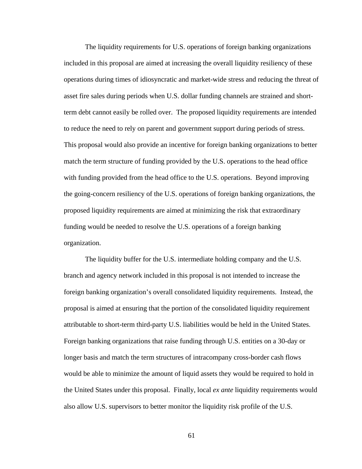The liquidity requirements for U.S. operations of foreign banking organizations included in this proposal are aimed at increasing the overall liquidity resiliency of these operations during times of idiosyncratic and market-wide stress and reducing the threat of asset fire sales during periods when U.S. dollar funding channels are strained and shortterm debt cannot easily be rolled over. The proposed liquidity requirements are intended to reduce the need to rely on parent and government support during periods of stress. This proposal would also provide an incentive for foreign banking organizations to better match the term structure of funding provided by the U.S. operations to the head office with funding provided from the head office to the U.S. operations. Beyond improving the going-concern resiliency of the U.S. operations of foreign banking organizations, the proposed liquidity requirements are aimed at minimizing the risk that extraordinary funding would be needed to resolve the U.S. operations of a foreign banking organization.

The liquidity buffer for the U.S. intermediate holding company and the U.S. branch and agency network included in this proposal is not intended to increase the foreign banking organization's overall consolidated liquidity requirements. Instead, the proposal is aimed at ensuring that the portion of the consolidated liquidity requirement attributable to short-term third-party U.S. liabilities would be held in the United States. Foreign banking organizations that raise funding through U.S. entities on a 30-day or longer basis and match the term structures of intracompany cross-border cash flows would be able to minimize the amount of liquid assets they would be required to hold in the United States under this proposal. Finally, local *ex ante* liquidity requirements would also allow U.S. supervisors to better monitor the liquidity risk profile of the U.S.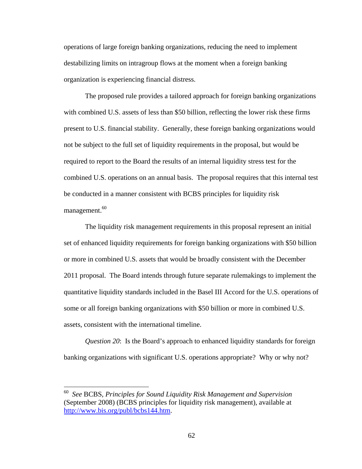operations of large foreign banking organizations, reducing the need to implement destabilizing limits on intragroup flows at the moment when a foreign banking organization is experiencing financial distress.

The proposed rule provides a tailored approach for foreign banking organizations with combined U.S. assets of less than \$50 billion, reflecting the lower risk these firms present to U.S. financial stability. Generally, these foreign banking organizations would not be subject to the full set of liquidity requirements in the proposal, but would be required to report to the Board the results of an internal liquidity stress test for the combined U.S. operations on an annual basis. The proposal requires that this internal test be conducted in a manner consistent with BCBS principles for liquidity risk management.<sup>60</sup>

The liquidity risk management requirements in this proposal represent an initial set of enhanced liquidity requirements for foreign banking organizations with \$50 billion or more in combined U.S. assets that would be broadly consistent with the December 2011 proposal. The Board intends through future separate rulemakings to implement the quantitative liquidity standards included in the Basel III Accord for the U.S. operations of some or all foreign banking organizations with \$50 billion or more in combined U.S. assets, consistent with the international timeline.

*Question 20*: Is the Board's approach to enhanced liquidity standards for foreign banking organizations with significant U.S. operations appropriate? Why or why not?

<sup>60</sup> *See* BCBS, *Principles for Sound Liquidity Risk Management and Supervision* (September 2008) (BCBS principles for liquidity risk management), available at http://www.bis.org/publ/bcbs144.htm.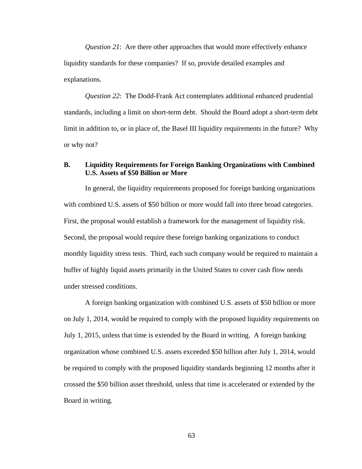*Question 21*: Are there other approaches that would more effectively enhance liquidity standards for these companies? If so, provide detailed examples and explanations.

*Question 22*: The Dodd-Frank Act contemplates additional enhanced prudential standards, including a limit on short-term debt. Should the Board adopt a short-term debt limit in addition to, or in place of, the Basel III liquidity requirements in the future? Why or why not?

## **B. Liquidity Requirements for Foreign Banking Organizations with Combined U.S. Assets of \$50 Billion or More**

In general, the liquidity requirements proposed for foreign banking organizations with combined U.S. assets of \$50 billion or more would fall into three broad categories. First, the proposal would establish a framework for the management of liquidity risk. Second, the proposal would require these foreign banking organizations to conduct monthly liquidity stress tests. Third, each such company would be required to maintain a buffer of highly liquid assets primarily in the United States to cover cash flow needs under stressed conditions.

A foreign banking organization with combined U.S. assets of \$50 billion or more on July 1, 2014, would be required to comply with the proposed liquidity requirements on July 1, 2015, unless that time is extended by the Board in writing. A foreign banking organization whose combined U.S. assets exceeded \$50 billion after July 1, 2014, would be required to comply with the proposed liquidity standards beginning 12 months after it crossed the \$50 billion asset threshold, unless that time is accelerated or extended by the Board in writing.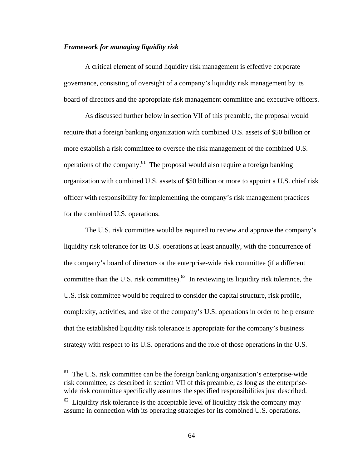# *Framework for managing liquidity risk*

 $\overline{a}$ 

A critical element of sound liquidity risk management is effective corporate governance, consisting of oversight of a company's liquidity risk management by its board of directors and the appropriate risk management committee and executive officers.

As discussed further below in section VII of this preamble, the proposal would require that a foreign banking organization with combined U.S. assets of \$50 billion or more establish a risk committee to oversee the risk management of the combined U.S. operations of the company.<sup>61</sup> The proposal would also require a foreign banking organization with combined U.S. assets of \$50 billion or more to appoint a U.S. chief risk officer with responsibility for implementing the company's risk management practices for the combined U.S. operations.

The U.S. risk committee would be required to review and approve the company's liquidity risk tolerance for its U.S. operations at least annually, with the concurrence of the company's board of directors or the enterprise-wide risk committee (if a different committee than the U.S. risk committee).<sup>62</sup> In reviewing its liquidity risk tolerance, the U.S. risk committee would be required to consider the capital structure, risk profile, complexity, activities, and size of the company's U.S. operations in order to help ensure that the established liquidity risk tolerance is appropriate for the company's business strategy with respect to its U.S. operations and the role of those operations in the U.S.

 $61$  The U.S. risk committee can be the foreign banking organization's enterprise-wide risk committee, as described in section VII of this preamble, as long as the enterprisewide risk committee specifically assumes the specified responsibilities just described.

 $62$  Liquidity risk tolerance is the acceptable level of liquidity risk the company may assume in connection with its operating strategies for its combined U.S. operations.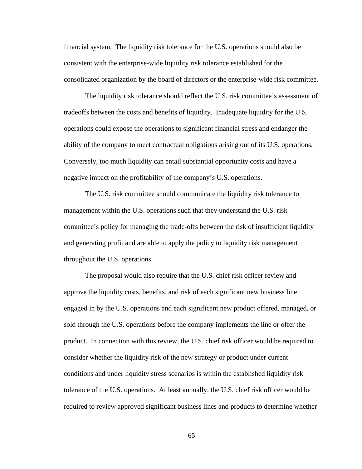financial system. The liquidity risk tolerance for the U.S. operations should also be consistent with the enterprise-wide liquidity risk tolerance established for the consolidated organization by the board of directors or the enterprise-wide risk committee.

The liquidity risk tolerance should reflect the U.S. risk committee's assessment of tradeoffs between the costs and benefits of liquidity. Inadequate liquidity for the U.S. operations could expose the operations to significant financial stress and endanger the ability of the company to meet contractual obligations arising out of its U.S. operations. Conversely, too much liquidity can entail substantial opportunity costs and have a negative impact on the profitability of the company's U.S. operations.

The U.S. risk committee should communicate the liquidity risk tolerance to management within the U.S. operations such that they understand the U.S. risk committee's policy for managing the trade-offs between the risk of insufficient liquidity and generating profit and are able to apply the policy to liquidity risk management throughout the U.S. operations.

The proposal would also require that the U.S. chief risk officer review and approve the liquidity costs, benefits, and risk of each significant new business line engaged in by the U.S. operations and each significant new product offered, managed, or sold through the U.S. operations before the company implements the line or offer the product. In connection with this review, the U.S. chief risk officer would be required to consider whether the liquidity risk of the new strategy or product under current conditions and under liquidity stress scenarios is within the established liquidity risk tolerance of the U.S. operations. At least annually, the U.S. chief risk officer would be required to review approved significant business lines and products to determine whether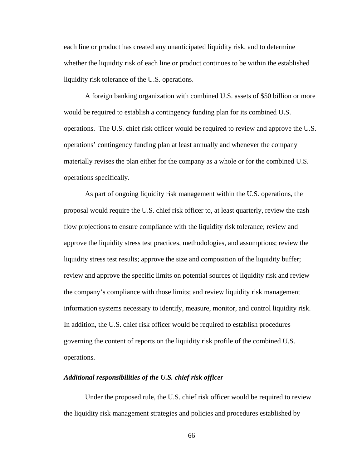each line or product has created any unanticipated liquidity risk, and to determine whether the liquidity risk of each line or product continues to be within the established liquidity risk tolerance of the U.S. operations.

A foreign banking organization with combined U.S. assets of \$50 billion or more would be required to establish a contingency funding plan for its combined U.S. operations. The U.S. chief risk officer would be required to review and approve the U.S. operations' contingency funding plan at least annually and whenever the company materially revises the plan either for the company as a whole or for the combined U.S. operations specifically.

As part of ongoing liquidity risk management within the U.S. operations, the proposal would require the U.S. chief risk officer to, at least quarterly, review the cash flow projections to ensure compliance with the liquidity risk tolerance; review and approve the liquidity stress test practices, methodologies, and assumptions; review the liquidity stress test results; approve the size and composition of the liquidity buffer; review and approve the specific limits on potential sources of liquidity risk and review the company's compliance with those limits; and review liquidity risk management information systems necessary to identify, measure, monitor, and control liquidity risk. In addition, the U.S. chief risk officer would be required to establish procedures governing the content of reports on the liquidity risk profile of the combined U.S. operations.

## *Additional responsibilities of the U.S. chief risk officer*

Under the proposed rule, the U.S. chief risk officer would be required to review the liquidity risk management strategies and policies and procedures established by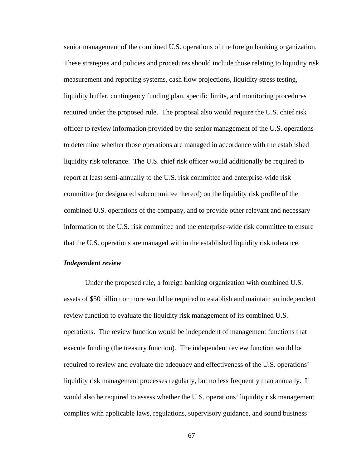senior management of the combined U.S. operations of the foreign banking organization. These strategies and policies and procedures should include those relating to liquidity risk measurement and reporting systems, cash flow projections, liquidity stress testing, liquidity buffer, contingency funding plan, specific limits, and monitoring procedures required under the proposed rule. The proposal also would require the U.S. chief risk officer to review information provided by the senior management of the U.S. operations to determine whether those operations are managed in accordance with the established liquidity risk tolerance. The U.S. chief risk officer would additionally be required to report at least semi-annually to the U.S. risk committee and enterprise-wide risk committee (or designated subcommittee thereof) on the liquidity risk profile of the combined U.S. operations of the company, and to provide other relevant and necessary information to the U.S. risk committee and the enterprise-wide risk committee to ensure that the U.S. operations are managed within the established liquidity risk tolerance.

#### *Independent review*

Under the proposed rule, a foreign banking organization with combined U.S. assets of \$50 billion or more would be required to establish and maintain an independent review function to evaluate the liquidity risk management of its combined U.S. operations. The review function would be independent of management functions that execute funding (the treasury function). The independent review function would be required to review and evaluate the adequacy and effectiveness of the U.S. operations' liquidity risk management processes regularly, but no less frequently than annually. It would also be required to assess whether the U.S. operations' liquidity risk management complies with applicable laws, regulations, supervisory guidance, and sound business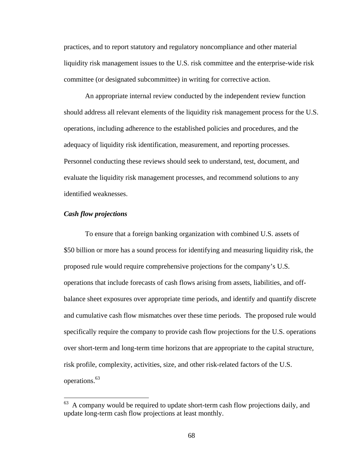practices, and to report statutory and regulatory noncompliance and other material liquidity risk management issues to the U.S. risk committee and the enterprise-wide risk committee (or designated subcommittee) in writing for corrective action.

An appropriate internal review conducted by the independent review function should address all relevant elements of the liquidity risk management process for the U.S. operations, including adherence to the established policies and procedures, and the adequacy of liquidity risk identification, measurement, and reporting processes. Personnel conducting these reviews should seek to understand, test, document, and evaluate the liquidity risk management processes, and recommend solutions to any identified weaknesses.

#### *Cash flow projections*

 $\overline{a}$ 

To ensure that a foreign banking organization with combined U.S. assets of \$50 billion or more has a sound process for identifying and measuring liquidity risk, the proposed rule would require comprehensive projections for the company's U.S. operations that include forecasts of cash flows arising from assets, liabilities, and offbalance sheet exposures over appropriate time periods, and identify and quantify discrete and cumulative cash flow mismatches over these time periods. The proposed rule would specifically require the company to provide cash flow projections for the U.S. operations over short-term and long-term time horizons that are appropriate to the capital structure, risk profile, complexity, activities, size, and other risk-related factors of the U.S. operations.<sup>63</sup>

 $63$  A company would be required to update short-term cash flow projections daily, and update long-term cash flow projections at least monthly.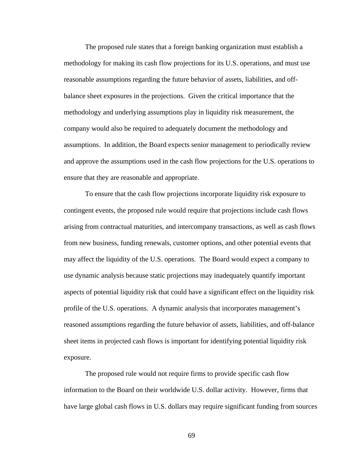The proposed rule states that a foreign banking organization must establish a methodology for making its cash flow projections for its U.S. operations, and must use reasonable assumptions regarding the future behavior of assets, liabilities, and offbalance sheet exposures in the projections. Given the critical importance that the methodology and underlying assumptions play in liquidity risk measurement, the company would also be required to adequately document the methodology and assumptions. In addition, the Board expects senior management to periodically review and approve the assumptions used in the cash flow projections for the U.S. operations to ensure that they are reasonable and appropriate.

To ensure that the cash flow projections incorporate liquidity risk exposure to contingent events, the proposed rule would require that projections include cash flows arising from contractual maturities, and intercompany transactions, as well as cash flows from new business, funding renewals, customer options, and other potential events that may affect the liquidity of the U.S. operations. The Board would expect a company to use dynamic analysis because static projections may inadequately quantify important aspects of potential liquidity risk that could have a significant effect on the liquidity risk profile of the U.S. operations. A dynamic analysis that incorporates management's reasoned assumptions regarding the future behavior of assets, liabilities, and off-balance sheet items in projected cash flows is important for identifying potential liquidity risk exposure.

The proposed rule would not require firms to provide specific cash flow information to the Board on their worldwide U.S. dollar activity. However, firms that have large global cash flows in U.S. dollars may require significant funding from sources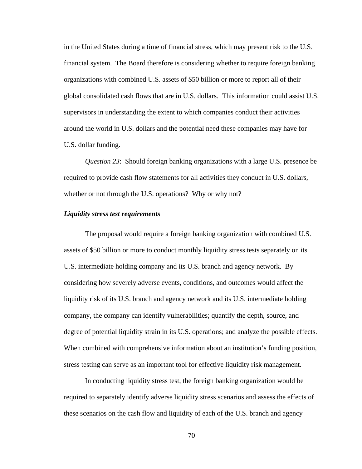in the United States during a time of financial stress, which may present risk to the U.S. financial system. The Board therefore is considering whether to require foreign banking organizations with combined U.S. assets of \$50 billion or more to report all of their global consolidated cash flows that are in U.S. dollars. This information could assist U.S. supervisors in understanding the extent to which companies conduct their activities around the world in U.S. dollars and the potential need these companies may have for U.S. dollar funding.

*Question 23*: Should foreign banking organizations with a large U.S. presence be required to provide cash flow statements for all activities they conduct in U.S. dollars, whether or not through the U.S. operations? Why or why not?

#### *Liquidity stress test requirements*

The proposal would require a foreign banking organization with combined U.S. assets of \$50 billion or more to conduct monthly liquidity stress tests separately on its U.S. intermediate holding company and its U.S. branch and agency network. By considering how severely adverse events, conditions, and outcomes would affect the liquidity risk of its U.S. branch and agency network and its U.S. intermediate holding company, the company can identify vulnerabilities; quantify the depth, source, and degree of potential liquidity strain in its U.S. operations; and analyze the possible effects. When combined with comprehensive information about an institution's funding position, stress testing can serve as an important tool for effective liquidity risk management.

In conducting liquidity stress test, the foreign banking organization would be required to separately identify adverse liquidity stress scenarios and assess the effects of these scenarios on the cash flow and liquidity of each of the U.S. branch and agency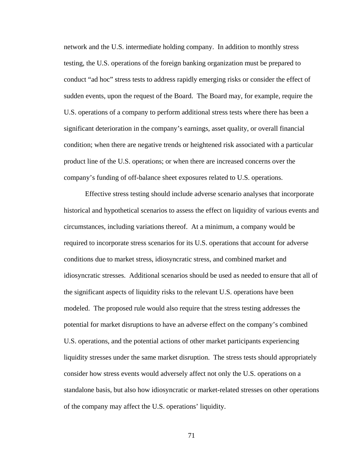network and the U.S. intermediate holding company. In addition to monthly stress testing, the U.S. operations of the foreign banking organization must be prepared to conduct "ad hoc" stress tests to address rapidly emerging risks or consider the effect of sudden events, upon the request of the Board. The Board may, for example, require the U.S. operations of a company to perform additional stress tests where there has been a significant deterioration in the company's earnings, asset quality, or overall financial condition; when there are negative trends or heightened risk associated with a particular product line of the U.S. operations; or when there are increased concerns over the company's funding of off-balance sheet exposures related to U.S. operations.

Effective stress testing should include adverse scenario analyses that incorporate historical and hypothetical scenarios to assess the effect on liquidity of various events and circumstances, including variations thereof. At a minimum, a company would be required to incorporate stress scenarios for its U.S. operations that account for adverse conditions due to market stress, idiosyncratic stress, and combined market and idiosyncratic stresses. Additional scenarios should be used as needed to ensure that all of the significant aspects of liquidity risks to the relevant U.S. operations have been modeled. The proposed rule would also require that the stress testing addresses the potential for market disruptions to have an adverse effect on the company's combined U.S. operations, and the potential actions of other market participants experiencing liquidity stresses under the same market disruption. The stress tests should appropriately consider how stress events would adversely affect not only the U.S. operations on a standalone basis, but also how idiosyncratic or market-related stresses on other operations of the company may affect the U.S. operations' liquidity.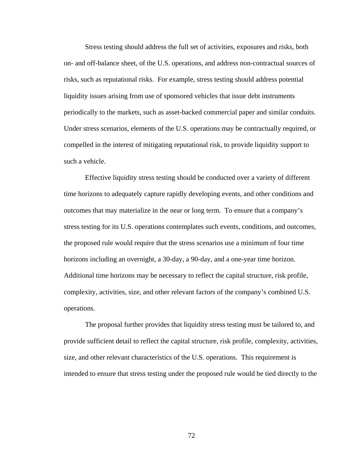Stress testing should address the full set of activities, exposures and risks, both on- and off-balance sheet, of the U.S. operations, and address non-contractual sources of risks, such as reputational risks. For example, stress testing should address potential liquidity issues arising from use of sponsored vehicles that issue debt instruments periodically to the markets, such as asset-backed commercial paper and similar conduits. Under stress scenarios, elements of the U.S. operations may be contractually required, or compelled in the interest of mitigating reputational risk, to provide liquidity support to such a vehicle.

Effective liquidity stress testing should be conducted over a variety of different time horizons to adequately capture rapidly developing events, and other conditions and outcomes that may materialize in the near or long term. To ensure that a company's stress testing for its U.S. operations contemplates such events, conditions, and outcomes, the proposed rule would require that the stress scenarios use a minimum of four time horizons including an overnight, a 30-day, a 90-day, and a one-year time horizon. Additional time horizons may be necessary to reflect the capital structure, risk profile, complexity, activities, size, and other relevant factors of the company's combined U.S. operations.

The proposal further provides that liquidity stress testing must be tailored to, and provide sufficient detail to reflect the capital structure, risk profile, complexity, activities, size, and other relevant characteristics of the U.S. operations. This requirement is intended to ensure that stress testing under the proposed rule would be tied directly to the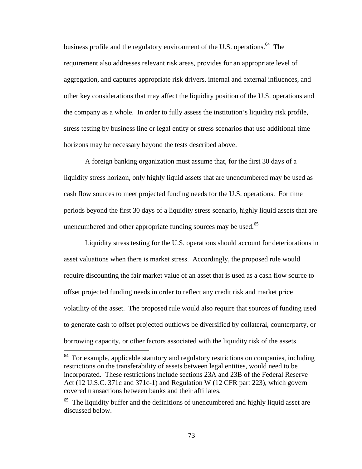business profile and the regulatory environment of the U.S. operations.<sup>64</sup> The requirement also addresses relevant risk areas, provides for an appropriate level of aggregation, and captures appropriate risk drivers, internal and external influences, and other key considerations that may affect the liquidity position of the U.S. operations and the company as a whole. In order to fully assess the institution's liquidity risk profile, stress testing by business line or legal entity or stress scenarios that use additional time horizons may be necessary beyond the tests described above.

A foreign banking organization must assume that, for the first 30 days of a liquidity stress horizon, only highly liquid assets that are unencumbered may be used as cash flow sources to meet projected funding needs for the U.S. operations. For time periods beyond the first 30 days of a liquidity stress scenario, highly liquid assets that are unencumbered and other appropriate funding sources may be used.<sup>65</sup>

Liquidity stress testing for the U.S. operations should account for deteriorations in asset valuations when there is market stress. Accordingly, the proposed rule would require discounting the fair market value of an asset that is used as a cash flow source to offset projected funding needs in order to reflect any credit risk and market price volatility of the asset. The proposed rule would also require that sources of funding used to generate cash to offset projected outflows be diversified by collateral, counterparty, or borrowing capacity, or other factors associated with the liquidity risk of the assets

 $\overline{a}$ 

 $64$  For example, applicable statutory and regulatory restrictions on companies, including restrictions on the transferability of assets between legal entities, would need to be incorporated. These restrictions include sections 23A and 23B of the Federal Reserve Act (12 U.S.C. 371c and 371c-1) and Regulation W (12 CFR part 223), which govern covered transactions between banks and their affiliates.

 $65$  The liquidity buffer and the definitions of unencumbered and highly liquid asset are discussed below.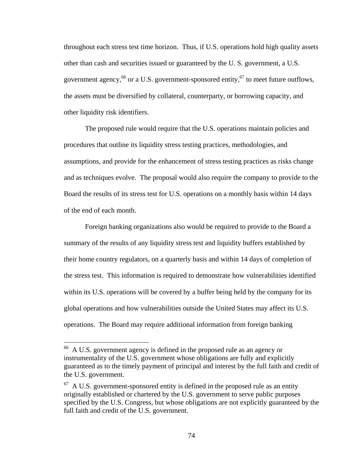throughout each stress test time horizon. Thus, if U.S. operations hold high quality assets other than cash and securities issued or guaranteed by the U. S. government, a U.S. government agency,<sup>66</sup> or a U.S. government-sponsored entity,<sup>67</sup> to meet future outflows, the assets must be diversified by collateral, counterparty, or borrowing capacity, and other liquidity risk identifiers.

The proposed rule would require that the U.S. operations maintain policies and procedures that outline its liquidity stress testing practices, methodologies, and assumptions, and provide for the enhancement of stress testing practices as risks change and as techniques evolve. The proposal would also require the company to provide to the Board the results of its stress test for U.S. operations on a monthly basis within 14 days of the end of each month.

Foreign banking organizations also would be required to provide to the Board a summary of the results of any liquidity stress test and liquidity buffers established by their home country regulators, on a quarterly basis and within 14 days of completion of the stress test. This information is required to demonstrate how vulnerabilities identified within its U.S. operations will be covered by a buffer being held by the company for its global operations and how vulnerabilities outside the United States may affect its U.S. operations. The Board may require additional information from foreign banking

 $\overline{a}$ 

<sup>&</sup>lt;sup>66</sup> A U.S. government agency is defined in the proposed rule as an agency or instrumentality of the U.S. government whose obligations are fully and explicitly guaranteed as to the timely payment of principal and interest by the full faith and credit of the U.S. government.

 $67$  A U.S. government-sponsored entity is defined in the proposed rule as an entity originally established or chartered by the U.S. government to serve public purposes specified by the U.S. Congress, but whose obligations are not explicitly guaranteed by the full faith and credit of the U.S. government.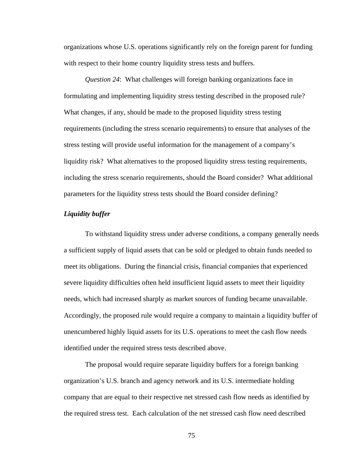organizations whose U.S. operations significantly rely on the foreign parent for funding with respect to their home country liquidity stress tests and buffers.

*Question 24*: What challenges will foreign banking organizations face in formulating and implementing liquidity stress testing described in the proposed rule? What changes, if any, should be made to the proposed liquidity stress testing requirements (including the stress scenario requirements) to ensure that analyses of the stress testing will provide useful information for the management of a company's liquidity risk? What alternatives to the proposed liquidity stress testing requirements, including the stress scenario requirements, should the Board consider? What additional parameters for the liquidity stress tests should the Board consider defining?

### *Liquidity buffer*

To withstand liquidity stress under adverse conditions, a company generally needs a sufficient supply of liquid assets that can be sold or pledged to obtain funds needed to meet its obligations. During the financial crisis, financial companies that experienced severe liquidity difficulties often held insufficient liquid assets to meet their liquidity needs, which had increased sharply as market sources of funding became unavailable. Accordingly, the proposed rule would require a company to maintain a liquidity buffer of unencumbered highly liquid assets for its U.S. operations to meet the cash flow needs identified under the required stress tests described above.

The proposal would require separate liquidity buffers for a foreign banking organization's U.S. branch and agency network and its U.S. intermediate holding company that are equal to their respective net stressed cash flow needs as identified by the required stress test. Each calculation of the net stressed cash flow need described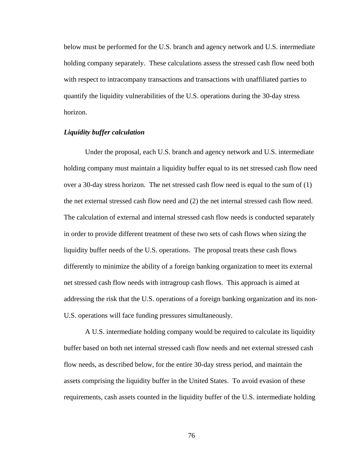below must be performed for the U.S. branch and agency network and U.S. intermediate holding company separately. These calculations assess the stressed cash flow need both with respect to intracompany transactions and transactions with unaffiliated parties to quantify the liquidity vulnerabilities of the U.S. operations during the 30-day stress horizon.

# *Liquidity buffer calculation*

Under the proposal, each U.S. branch and agency network and U.S. intermediate holding company must maintain a liquidity buffer equal to its net stressed cash flow need over a 30-day stress horizon. The net stressed cash flow need is equal to the sum of (1) the net external stressed cash flow need and (2) the net internal stressed cash flow need. The calculation of external and internal stressed cash flow needs is conducted separately in order to provide different treatment of these two sets of cash flows when sizing the liquidity buffer needs of the U.S. operations. The proposal treats these cash flows differently to minimize the ability of a foreign banking organization to meet its external net stressed cash flow needs with intragroup cash flows. This approach is aimed at addressing the risk that the U.S. operations of a foreign banking organization and its non-U.S. operations will face funding pressures simultaneously.

A U.S. intermediate holding company would be required to calculate its liquidity buffer based on both net internal stressed cash flow needs and net external stressed cash flow needs, as described below, for the entire 30-day stress period, and maintain the assets comprising the liquidity buffer in the United States. To avoid evasion of these requirements, cash assets counted in the liquidity buffer of the U.S. intermediate holding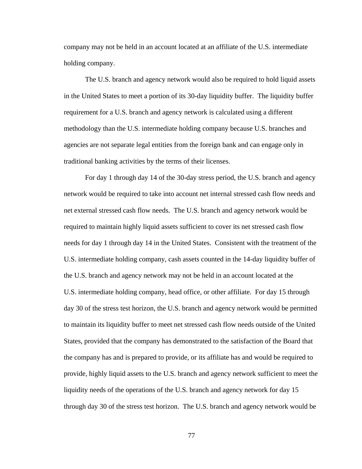company may not be held in an account located at an affiliate of the U.S. intermediate holding company.

The U.S. branch and agency network would also be required to hold liquid assets in the United States to meet a portion of its 30-day liquidity buffer. The liquidity buffer requirement for a U.S. branch and agency network is calculated using a different methodology than the U.S. intermediate holding company because U.S. branches and agencies are not separate legal entities from the foreign bank and can engage only in traditional banking activities by the terms of their licenses.

For day 1 through day 14 of the 30-day stress period, the U.S. branch and agency network would be required to take into account net internal stressed cash flow needs and net external stressed cash flow needs. The U.S. branch and agency network would be required to maintain highly liquid assets sufficient to cover its net stressed cash flow needs for day 1 through day 14 in the United States. Consistent with the treatment of the U.S. intermediate holding company, cash assets counted in the 14-day liquidity buffer of the U.S. branch and agency network may not be held in an account located at the U.S. intermediate holding company, head office, or other affiliate. For day 15 through day 30 of the stress test horizon, the U.S. branch and agency network would be permitted to maintain its liquidity buffer to meet net stressed cash flow needs outside of the United States, provided that the company has demonstrated to the satisfaction of the Board that the company has and is prepared to provide, or its affiliate has and would be required to provide, highly liquid assets to the U.S. branch and agency network sufficient to meet the liquidity needs of the operations of the U.S. branch and agency network for day 15 through day 30 of the stress test horizon. The U.S. branch and agency network would be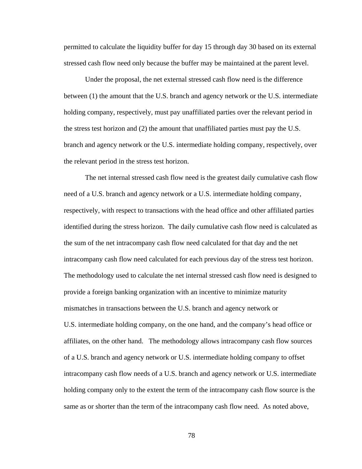permitted to calculate the liquidity buffer for day 15 through day 30 based on its external stressed cash flow need only because the buffer may be maintained at the parent level.

Under the proposal, the net external stressed cash flow need is the difference between (1) the amount that the U.S. branch and agency network or the U.S. intermediate holding company, respectively, must pay unaffiliated parties over the relevant period in the stress test horizon and (2) the amount that unaffiliated parties must pay the U.S. branch and agency network or the U.S. intermediate holding company, respectively, over the relevant period in the stress test horizon.

The net internal stressed cash flow need is the greatest daily cumulative cash flow need of a U.S. branch and agency network or a U.S. intermediate holding company, respectively, with respect to transactions with the head office and other affiliated parties identified during the stress horizon. The daily cumulative cash flow need is calculated as the sum of the net intracompany cash flow need calculated for that day and the net intracompany cash flow need calculated for each previous day of the stress test horizon. The methodology used to calculate the net internal stressed cash flow need is designed to provide a foreign banking organization with an incentive to minimize maturity mismatches in transactions between the U.S. branch and agency network or U.S. intermediate holding company, on the one hand, and the company's head office or affiliates, on the other hand. The methodology allows intracompany cash flow sources of a U.S. branch and agency network or U.S. intermediate holding company to offset intracompany cash flow needs of a U.S. branch and agency network or U.S. intermediate holding company only to the extent the term of the intracompany cash flow source is the same as or shorter than the term of the intracompany cash flow need. As noted above,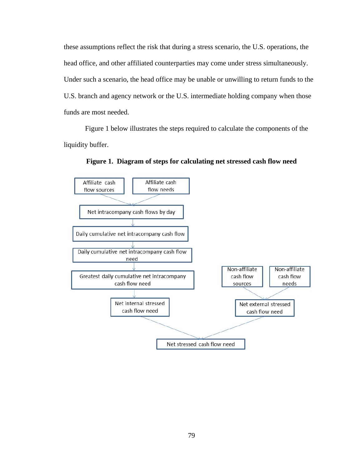these assumptions reflect the risk that during a stress scenario, the U.S. operations, the head office, and other affiliated counterparties may come under stress simultaneously. Under such a scenario, the head office may be unable or unwilling to return funds to the U.S. branch and agency network or the U.S. intermediate holding company when those funds are most needed.

Figure 1 below illustrates the steps required to calculate the components of the liquidity buffer.



**Figure 1. Diagram of steps for calculating net stressed cash flow need**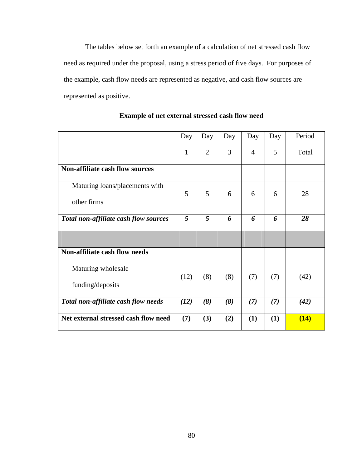The tables below set forth an example of a calculation of net stressed cash flow need as required under the proposal, using a stress period of five days. For purposes of the example, cash flow needs are represented as negative, and cash flow sources are represented as positive.

|                                               | Day          | Day            | Day | Day            | Day | Period |
|-----------------------------------------------|--------------|----------------|-----|----------------|-----|--------|
|                                               | $\mathbf{1}$ | $\overline{2}$ | 3   | $\overline{4}$ | 5   | Total  |
| <b>Non-affiliate cash flow sources</b>        |              |                |     |                |     |        |
| Maturing loans/placements with<br>other firms | 5            | 5              | 6   | 6              | 6   | 28     |
| Total non-affiliate cash flow sources         | 5            | 5              | 6   | 6              | 6   | 28     |
|                                               |              |                |     |                |     |        |
| <b>Non-affiliate cash flow needs</b>          |              |                |     |                |     |        |
| Maturing wholesale<br>funding/deposits        | (12)         | (8)            | (8) | (7)            | (7) | (42)   |
| Total non-affiliate cash flow needs           | (12)         | (8)            | (8) | (7)            | (7) | (42)   |
| Net external stressed cash flow need          | (7)          | (3)            | (2) | (1)            | (1) | (14)   |

**Example of net external stressed cash flow need**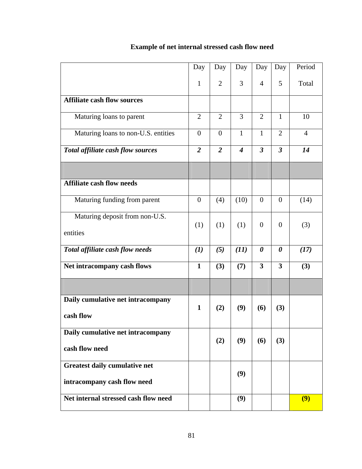|                                      | Day            | Day            | Day              | Day                     | Day                     | Period         |
|--------------------------------------|----------------|----------------|------------------|-------------------------|-------------------------|----------------|
|                                      | $\mathbf{1}$   | $\overline{2}$ | 3                | $\overline{4}$          | 5                       | Total          |
| <b>Affiliate cash flow sources</b>   |                |                |                  |                         |                         |                |
| Maturing loans to parent             | $\overline{2}$ | $\overline{2}$ | 3                | $\overline{2}$          | $\mathbf{1}$            | 10             |
| Maturing loans to non-U.S. entities  | $\theta$       | $\theta$       | $\mathbf{1}$     | $\mathbf{1}$            | $\overline{2}$          | $\overline{4}$ |
| Total affiliate cash flow sources    | $\overline{2}$ | $\overline{2}$ | $\boldsymbol{4}$ | $\overline{\mathbf{3}}$ | $\overline{3}$          | 14             |
|                                      |                |                |                  |                         |                         |                |
| <b>Affiliate cash flow needs</b>     |                |                |                  |                         |                         |                |
| Maturing funding from parent         | $\overline{0}$ | (4)            | (10)             | $\overline{0}$          | $\theta$                | (14)           |
| Maturing deposit from non-U.S.       | (1)            | (1)            | (1)              | $\overline{0}$          | $\overline{0}$          | (3)            |
| entities                             |                |                |                  |                         |                         |                |
| Total affiliate cash flow needs      | (I)            | (5)            | (11)             | $\boldsymbol{\theta}$   | 0                       | (17)           |
| Net intracompany cash flows          | $\mathbf{1}$   | (3)            | (7)              | 3                       | $\overline{\mathbf{3}}$ | (3)            |
|                                      |                |                |                  |                         |                         |                |
| Daily cumulative net intracompany    | $\mathbf{1}$   | (2)            | (9)              | (6)                     | (3)                     |                |
| cash flow                            |                |                |                  |                         |                         |                |
| Daily cumulative net intracompany    |                | (2)            | (9)              | (6)                     | (3)                     |                |
| cash flow need                       |                |                |                  |                         |                         |                |
| Greatest daily cumulative net        |                |                | (9)              |                         |                         |                |
| intracompany cash flow need          |                |                |                  |                         |                         |                |
| Net internal stressed cash flow need |                |                | (9)              |                         |                         | (9)            |

# **Example of net internal stressed cash flow need**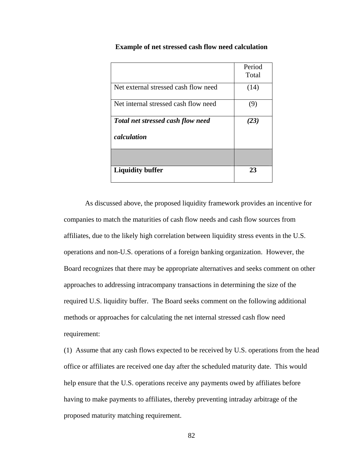|                                          | Period |
|------------------------------------------|--------|
|                                          | Total  |
| Net external stressed cash flow need     | (14)   |
| Net internal stressed cash flow need     | (9)    |
| <b>Total net stressed cash flow need</b> | (23)   |
| calculation                              |        |
|                                          |        |
| <b>Liquidity buffer</b>                  | 23     |

### **Example of net stressed cash flow need calculation**

As discussed above, the proposed liquidity framework provides an incentive for companies to match the maturities of cash flow needs and cash flow sources from affiliates, due to the likely high correlation between liquidity stress events in the U.S. operations and non-U.S. operations of a foreign banking organization. However, the Board recognizes that there may be appropriate alternatives and seeks comment on other approaches to addressing intracompany transactions in determining the size of the required U.S. liquidity buffer. The Board seeks comment on the following additional methods or approaches for calculating the net internal stressed cash flow need requirement:

(1) Assume that any cash flows expected to be received by U.S. operations from the head office or affiliates are received one day after the scheduled maturity date. This would help ensure that the U.S. operations receive any payments owed by affiliates before having to make payments to affiliates, thereby preventing intraday arbitrage of the proposed maturity matching requirement.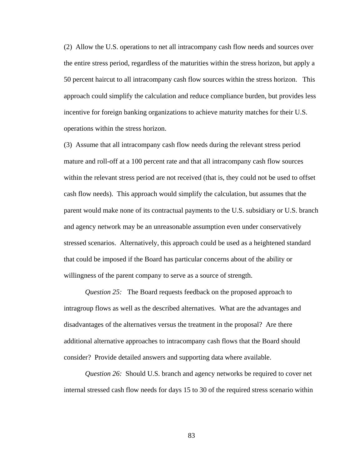(2) Allow the U.S. operations to net all intracompany cash flow needs and sources over the entire stress period, regardless of the maturities within the stress horizon, but apply a 50 percent haircut to all intracompany cash flow sources within the stress horizon. This approach could simplify the calculation and reduce compliance burden, but provides less incentive for foreign banking organizations to achieve maturity matches for their U.S. operations within the stress horizon.

(3) Assume that all intracompany cash flow needs during the relevant stress period mature and roll-off at a 100 percent rate and that all intracompany cash flow sources within the relevant stress period are not received (that is, they could not be used to offset cash flow needs). This approach would simplify the calculation, but assumes that the parent would make none of its contractual payments to the U.S. subsidiary or U.S. branch and agency network may be an unreasonable assumption even under conservatively stressed scenarios. Alternatively, this approach could be used as a heightened standard that could be imposed if the Board has particular concerns about of the ability or willingness of the parent company to serve as a source of strength.

*Question 25:* The Board requests feedback on the proposed approach to intragroup flows as well as the described alternatives. What are the advantages and disadvantages of the alternatives versus the treatment in the proposal? Are there additional alternative approaches to intracompany cash flows that the Board should consider? Provide detailed answers and supporting data where available.

*Question 26:* Should U.S. branch and agency networks be required to cover net internal stressed cash flow needs for days 15 to 30 of the required stress scenario within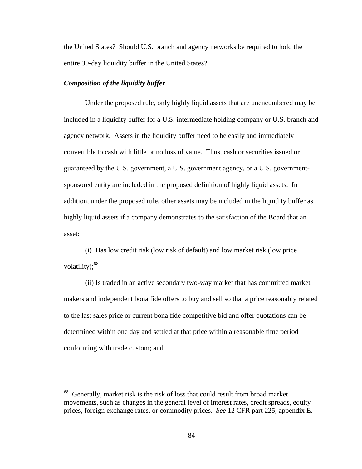the United States? Should U.S. branch and agency networks be required to hold the entire 30-day liquidity buffer in the United States?

# *Composition of the liquidity buffer*

 $\overline{a}$ 

Under the proposed rule, only highly liquid assets that are unencumbered may be included in a liquidity buffer for a U.S. intermediate holding company or U.S. branch and agency network. Assets in the liquidity buffer need to be easily and immediately convertible to cash with little or no loss of value. Thus, cash or securities issued or guaranteed by the U.S. government, a U.S. government agency, or a U.S. governmentsponsored entity are included in the proposed definition of highly liquid assets. In addition, under the proposed rule, other assets may be included in the liquidity buffer as highly liquid assets if a company demonstrates to the satisfaction of the Board that an asset:

(i) Has low credit risk (low risk of default) and low market risk (low price volatility); $68$ 

(ii) Is traded in an active secondary two-way market that has committed market makers and independent bona fide offers to buy and sell so that a price reasonably related to the last sales price or current bona fide competitive bid and offer quotations can be determined within one day and settled at that price within a reasonable time period conforming with trade custom; and

<sup>68</sup> Generally, market risk is the risk of loss that could result from broad market movements, such as changes in the general level of interest rates, credit spreads, equity prices, foreign exchange rates, or commodity prices. *See* 12 CFR part 225, appendix E.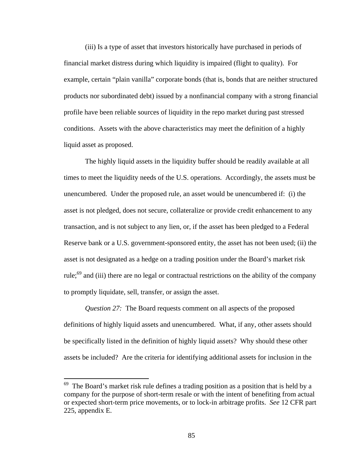(iii) Is a type of asset that investors historically have purchased in periods of financial market distress during which liquidity is impaired (flight to quality). For example, certain "plain vanilla" corporate bonds (that is, bonds that are neither structured products nor subordinated debt) issued by a nonfinancial company with a strong financial profile have been reliable sources of liquidity in the repo market during past stressed conditions. Assets with the above characteristics may meet the definition of a highly liquid asset as proposed.

The highly liquid assets in the liquidity buffer should be readily available at all times to meet the liquidity needs of the U.S. operations. Accordingly, the assets must be unencumbered. Under the proposed rule, an asset would be unencumbered if: (i) the asset is not pledged, does not secure, collateralize or provide credit enhancement to any transaction, and is not subject to any lien, or, if the asset has been pledged to a Federal Reserve bank or a U.S. government-sponsored entity, the asset has not been used; (ii) the asset is not designated as a hedge on a trading position under the Board's market risk rule;<sup>69</sup> and (iii) there are no legal or contractual restrictions on the ability of the company to promptly liquidate, sell, transfer, or assign the asset.

*Question 27:* The Board requests comment on all aspects of the proposed definitions of highly liquid assets and unencumbered. What, if any, other assets should be specifically listed in the definition of highly liquid assets? Why should these other assets be included? Are the criteria for identifying additional assets for inclusion in the

 $\overline{a}$ 

 $69$  The Board's market risk rule defines a trading position as a position that is held by a company for the purpose of short-term resale or with the intent of benefiting from actual or expected short-term price movements, or to lock-in arbitrage profits. *See* 12 CFR part 225, appendix E.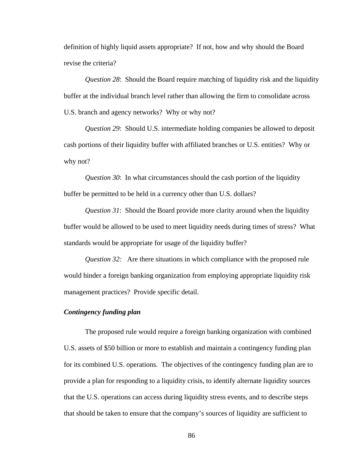definition of highly liquid assets appropriate? If not, how and why should the Board revise the criteria?

*Question 28*: Should the Board require matching of liquidity risk and the liquidity buffer at the individual branch level rather than allowing the firm to consolidate across U.S. branch and agency networks? Why or why not?

*Question 29*: Should U.S. intermediate holding companies be allowed to deposit cash portions of their liquidity buffer with affiliated branches or U.S. entities? Why or why not?

*Question 30*: In what circumstances should the cash portion of the liquidity buffer be permitted to be held in a currency other than U.S. dollars?

*Question 31*: Should the Board provide more clarity around when the liquidity buffer would be allowed to be used to meet liquidity needs during times of stress? What standards would be appropriate for usage of the liquidity buffer?

*Question 32:* Are there situations in which compliance with the proposed rule would hinder a foreign banking organization from employing appropriate liquidity risk management practices? Provide specific detail.

# *Contingency funding plan*

 The proposed rule would require a foreign banking organization with combined U.S. assets of \$50 billion or more to establish and maintain a contingency funding plan for its combined U.S. operations. The objectives of the contingency funding plan are to provide a plan for responding to a liquidity crisis, to identify alternate liquidity sources that the U.S. operations can access during liquidity stress events, and to describe steps that should be taken to ensure that the company's sources of liquidity are sufficient to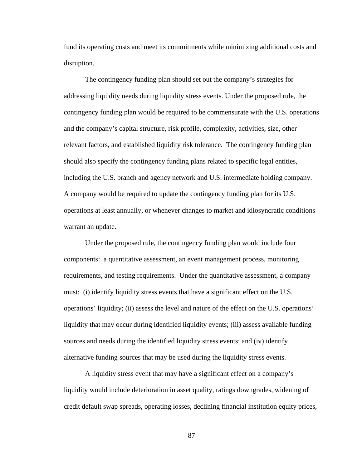fund its operating costs and meet its commitments while minimizing additional costs and disruption.

The contingency funding plan should set out the company's strategies for addressing liquidity needs during liquidity stress events. Under the proposed rule, the contingency funding plan would be required to be commensurate with the U.S. operations and the company's capital structure, risk profile, complexity, activities, size, other relevant factors, and established liquidity risk tolerance. The contingency funding plan should also specify the contingency funding plans related to specific legal entities, including the U.S. branch and agency network and U.S. intermediate holding company. A company would be required to update the contingency funding plan for its U.S. operations at least annually, or whenever changes to market and idiosyncratic conditions warrant an update.

Under the proposed rule, the contingency funding plan would include four components: a quantitative assessment, an event management process, monitoring requirements, and testing requirements. Under the quantitative assessment, a company must: (i) identify liquidity stress events that have a significant effect on the U.S. operations' liquidity; (ii) assess the level and nature of the effect on the U.S. operations' liquidity that may occur during identified liquidity events; (iii) assess available funding sources and needs during the identified liquidity stress events; and (iv) identify alternative funding sources that may be used during the liquidity stress events.

A liquidity stress event that may have a significant effect on a company's liquidity would include deterioration in asset quality, ratings downgrades, widening of credit default swap spreads, operating losses, declining financial institution equity prices,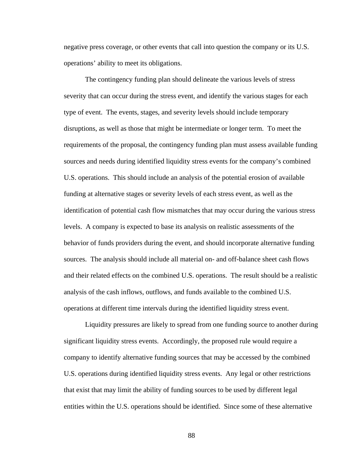negative press coverage, or other events that call into question the company or its U.S. operations' ability to meet its obligations.

The contingency funding plan should delineate the various levels of stress severity that can occur during the stress event, and identify the various stages for each type of event. The events, stages, and severity levels should include temporary disruptions, as well as those that might be intermediate or longer term. To meet the requirements of the proposal, the contingency funding plan must assess available funding sources and needs during identified liquidity stress events for the company's combined U.S. operations. This should include an analysis of the potential erosion of available funding at alternative stages or severity levels of each stress event, as well as the identification of potential cash flow mismatches that may occur during the various stress levels. A company is expected to base its analysis on realistic assessments of the behavior of funds providers during the event, and should incorporate alternative funding sources. The analysis should include all material on- and off-balance sheet cash flows and their related effects on the combined U.S. operations. The result should be a realistic analysis of the cash inflows, outflows, and funds available to the combined U.S. operations at different time intervals during the identified liquidity stress event.

Liquidity pressures are likely to spread from one funding source to another during significant liquidity stress events. Accordingly, the proposed rule would require a company to identify alternative funding sources that may be accessed by the combined U.S. operations during identified liquidity stress events. Any legal or other restrictions that exist that may limit the ability of funding sources to be used by different legal entities within the U.S. operations should be identified. Since some of these alternative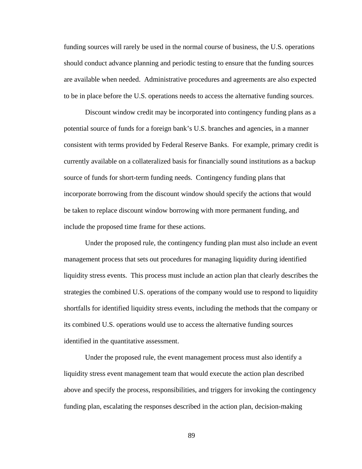funding sources will rarely be used in the normal course of business, the U.S. operations should conduct advance planning and periodic testing to ensure that the funding sources are available when needed. Administrative procedures and agreements are also expected to be in place before the U.S. operations needs to access the alternative funding sources.

Discount window credit may be incorporated into contingency funding plans as a potential source of funds for a foreign bank's U.S. branches and agencies, in a manner consistent with terms provided by Federal Reserve Banks. For example, primary credit is currently available on a collateralized basis for financially sound institutions as a backup source of funds for short-term funding needs. Contingency funding plans that incorporate borrowing from the discount window should specify the actions that would be taken to replace discount window borrowing with more permanent funding, and include the proposed time frame for these actions.

Under the proposed rule, the contingency funding plan must also include an event management process that sets out procedures for managing liquidity during identified liquidity stress events. This process must include an action plan that clearly describes the strategies the combined U.S. operations of the company would use to respond to liquidity shortfalls for identified liquidity stress events, including the methods that the company or its combined U.S. operations would use to access the alternative funding sources identified in the quantitative assessment.

 Under the proposed rule, the event management process must also identify a liquidity stress event management team that would execute the action plan described above and specify the process, responsibilities, and triggers for invoking the contingency funding plan, escalating the responses described in the action plan, decision-making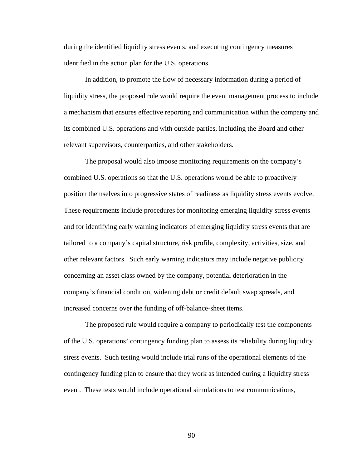during the identified liquidity stress events, and executing contingency measures identified in the action plan for the U.S. operations.

In addition, to promote the flow of necessary information during a period of liquidity stress, the proposed rule would require the event management process to include a mechanism that ensures effective reporting and communication within the company and its combined U.S. operations and with outside parties, including the Board and other relevant supervisors, counterparties, and other stakeholders.

The proposal would also impose monitoring requirements on the company's combined U.S. operations so that the U.S. operations would be able to proactively position themselves into progressive states of readiness as liquidity stress events evolve. These requirements include procedures for monitoring emerging liquidity stress events and for identifying early warning indicators of emerging liquidity stress events that are tailored to a company's capital structure, risk profile, complexity, activities, size, and other relevant factors. Such early warning indicators may include negative publicity concerning an asset class owned by the company, potential deterioration in the company's financial condition, widening debt or credit default swap spreads, and increased concerns over the funding of off-balance-sheet items.

The proposed rule would require a company to periodically test the components of the U.S. operations' contingency funding plan to assess its reliability during liquidity stress events. Such testing would include trial runs of the operational elements of the contingency funding plan to ensure that they work as intended during a liquidity stress event. These tests would include operational simulations to test communications,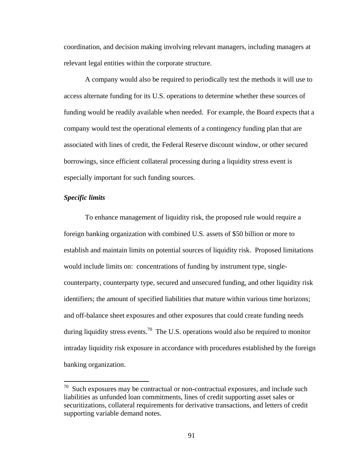coordination, and decision making involving relevant managers, including managers at relevant legal entities within the corporate structure.

 A company would also be required to periodically test the methods it will use to access alternate funding for its U.S. operations to determine whether these sources of funding would be readily available when needed. For example, the Board expects that a company would test the operational elements of a contingency funding plan that are associated with lines of credit, the Federal Reserve discount window, or other secured borrowings, since efficient collateral processing during a liquidity stress event is especially important for such funding sources.

# *Specific limits*

 $\overline{a}$ 

 To enhance management of liquidity risk, the proposed rule would require a foreign banking organization with combined U.S. assets of \$50 billion or more to establish and maintain limits on potential sources of liquidity risk. Proposed limitations would include limits on: concentrations of funding by instrument type, singlecounterparty, counterparty type, secured and unsecured funding, and other liquidity risk identifiers; the amount of specified liabilities that mature within various time horizons; and off-balance sheet exposures and other exposures that could create funding needs during liquidity stress events.<sup>70</sup> The U.S. operations would also be required to monitor intraday liquidity risk exposure in accordance with procedures established by the foreign banking organization.

 $70$  Such exposures may be contractual or non-contractual exposures, and include such liabilities as unfunded loan commitments, lines of credit supporting asset sales or securitizations, collateral requirements for derivative transactions, and letters of credit supporting variable demand notes.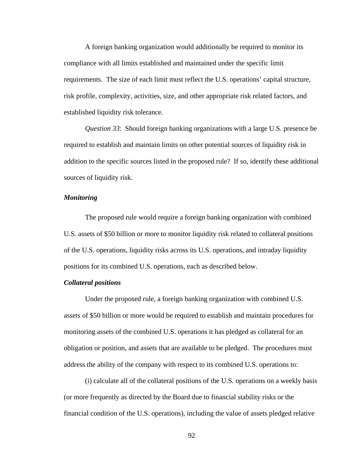A foreign banking organization would additionally be required to monitor its compliance with all limits established and maintained under the specific limit requirements. The size of each limit must reflect the U.S. operations' capital structure, risk profile, complexity, activities, size, and other appropriate risk related factors, and established liquidity risk tolerance.

*Question 33*: Should foreign banking organizations with a large U.S. presence be required to establish and maintain limits on other potential sources of liquidity risk in addition to the specific sources listed in the proposed rule? If so, identify these additional sources of liquidity risk.

### *Monitoring*

The proposed rule would require a foreign banking organization with combined U.S. assets of \$50 billion or more to monitor liquidity risk related to collateral positions of the U.S. operations, liquidity risks across its U.S. operations, and intraday liquidity positions for its combined U.S. operations, each as described below.

### *Collateral positions*

Under the proposed rule, a foreign banking organization with combined U.S. assets of \$50 billion or more would be required to establish and maintain procedures for monitoring assets of the combined U.S. operations it has pledged as collateral for an obligation or position, and assets that are available to be pledged. The procedures must address the ability of the company with respect to its combined U.S. operations to:

(i) calculate all of the collateral positions of the U.S. operations on a weekly basis (or more frequently as directed by the Board due to financial stability risks or the financial condition of the U.S. operations), including the value of assets pledged relative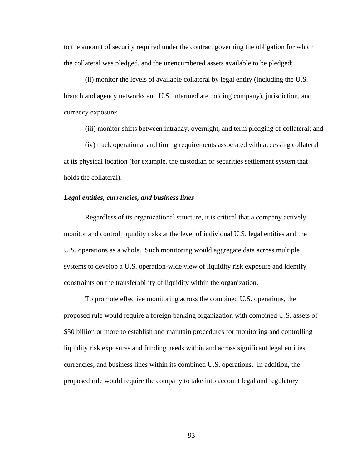to the amount of security required under the contract governing the obligation for which the collateral was pledged, and the unencumbered assets available to be pledged;

(ii) monitor the levels of available collateral by legal entity (including the U.S. branch and agency networks and U.S. intermediate holding company), jurisdiction, and currency exposure;

(iii) monitor shifts between intraday, overnight, and term pledging of collateral; and

(iv) track operational and timing requirements associated with accessing collateral at its physical location (for example, the custodian or securities settlement system that holds the collateral).

### *Legal entities, currencies, and business lines*

Regardless of its organizational structure, it is critical that a company actively monitor and control liquidity risks at the level of individual U.S. legal entities and the U.S. operations as a whole. Such monitoring would aggregate data across multiple systems to develop a U.S. operation-wide view of liquidity risk exposure and identify constraints on the transferability of liquidity within the organization.

To promote effective monitoring across the combined U.S. operations, the proposed rule would require a foreign banking organization with combined U.S. assets of \$50 billion or more to establish and maintain procedures for monitoring and controlling liquidity risk exposures and funding needs within and across significant legal entities, currencies, and business lines within its combined U.S. operations. In addition, the proposed rule would require the company to take into account legal and regulatory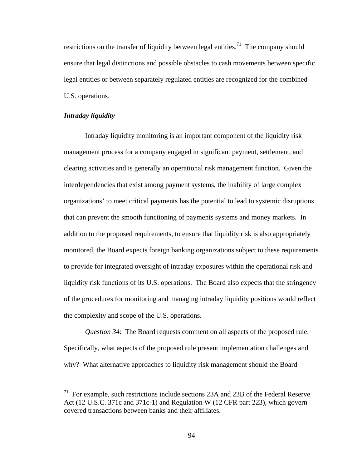restrictions on the transfer of liquidity between legal entities.<sup>71</sup> The company should ensure that legal distinctions and possible obstacles to cash movements between specific legal entities or between separately regulated entities are recognized for the combined U.S. operations.

### *Intraday liquidity*

1

Intraday liquidity monitoring is an important component of the liquidity risk management process for a company engaged in significant payment, settlement, and clearing activities and is generally an operational risk management function. Given the interdependencies that exist among payment systems, the inability of large complex organizations' to meet critical payments has the potential to lead to systemic disruptions that can prevent the smooth functioning of payments systems and money markets. In addition to the proposed requirements, to ensure that liquidity risk is also appropriately monitored, the Board expects foreign banking organizations subject to these requirements to provide for integrated oversight of intraday exposures within the operational risk and liquidity risk functions of its U.S. operations. The Board also expects that the stringency of the procedures for monitoring and managing intraday liquidity positions would reflect the complexity and scope of the U.S. operations.

*Question 34*: The Board requests comment on all aspects of the proposed rule. Specifically, what aspects of the proposed rule present implementation challenges and why? What alternative approaches to liquidity risk management should the Board

 $71$  For example, such restrictions include sections 23A and 23B of the Federal Reserve Act (12 U.S.C. 371c and 371c-1) and Regulation W (12 CFR part 223), which govern covered transactions between banks and their affiliates.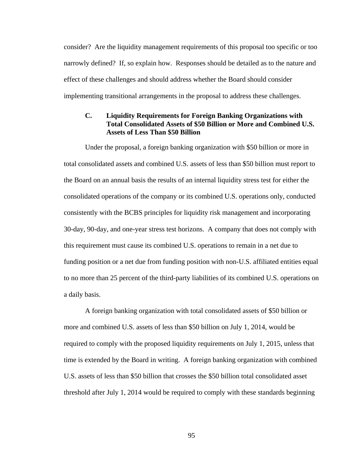consider? Are the liquidity management requirements of this proposal too specific or too narrowly defined? If, so explain how. Responses should be detailed as to the nature and effect of these challenges and should address whether the Board should consider implementing transitional arrangements in the proposal to address these challenges.

# **C. Liquidity Requirements for Foreign Banking Organizations with Total Consolidated Assets of \$50 Billion or More and Combined U.S. Assets of Less Than \$50 Billion**

Under the proposal, a foreign banking organization with \$50 billion or more in total consolidated assets and combined U.S. assets of less than \$50 billion must report to the Board on an annual basis the results of an internal liquidity stress test for either the consolidated operations of the company or its combined U.S. operations only, conducted consistently with the BCBS principles for liquidity risk management and incorporating 30-day, 90-day, and one-year stress test horizons. A company that does not comply with this requirement must cause its combined U.S. operations to remain in a net due to funding position or a net due from funding position with non-U.S. affiliated entities equal to no more than 25 percent of the third-party liabilities of its combined U.S. operations on a daily basis.

A foreign banking organization with total consolidated assets of \$50 billion or more and combined U.S. assets of less than \$50 billion on July 1, 2014, would be required to comply with the proposed liquidity requirements on July 1, 2015, unless that time is extended by the Board in writing. A foreign banking organization with combined U.S. assets of less than \$50 billion that crosses the \$50 billion total consolidated asset threshold after July 1, 2014 would be required to comply with these standards beginning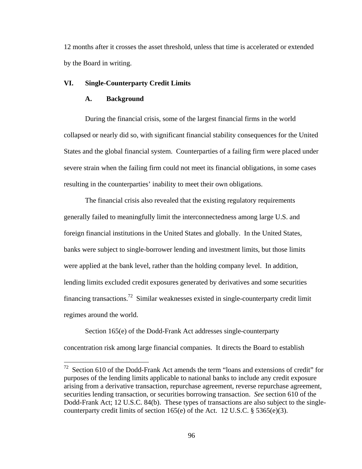12 months after it crosses the asset threshold, unless that time is accelerated or extended by the Board in writing.

# **VI. Single-Counterparty Credit Limits**

# **A. Background**

 $\overline{a}$ 

During the financial crisis, some of the largest financial firms in the world collapsed or nearly did so, with significant financial stability consequences for the United States and the global financial system. Counterparties of a failing firm were placed under severe strain when the failing firm could not meet its financial obligations, in some cases resulting in the counterparties' inability to meet their own obligations.

The financial crisis also revealed that the existing regulatory requirements generally failed to meaningfully limit the interconnectedness among large U.S. and foreign financial institutions in the United States and globally. In the United States, banks were subject to single-borrower lending and investment limits, but those limits were applied at the bank level, rather than the holding company level. In addition, lending limits excluded credit exposures generated by derivatives and some securities financing transactions.<sup>72</sup> Similar weaknesses existed in single-counterparty credit limit regimes around the world.

Section 165(e) of the Dodd-Frank Act addresses single-counterparty concentration risk among large financial companies. It directs the Board to establish

 $72$  Section 610 of the Dodd-Frank Act amends the term "loans and extensions of credit" for purposes of the lending limits applicable to national banks to include any credit exposure arising from a derivative transaction, repurchase agreement, reverse repurchase agreement, securities lending transaction, or securities borrowing transaction. *See* section 610 of the Dodd-Frank Act; 12 U.S.C. 84(b). These types of transactions are also subject to the singlecounterparty credit limits of section  $165(e)$  of the Act. 12 U.S.C. § 5365(e)(3).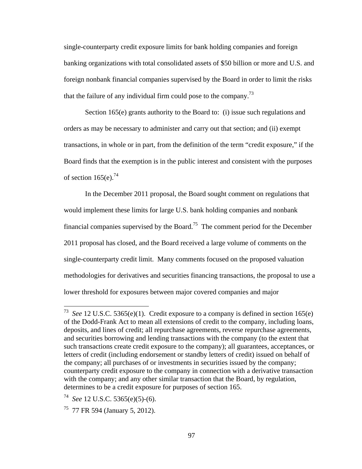single-counterparty credit exposure limits for bank holding companies and foreign banking organizations with total consolidated assets of \$50 billion or more and U.S. and foreign nonbank financial companies supervised by the Board in order to limit the risks that the failure of any individual firm could pose to the company.<sup>73</sup>

Section 165(e) grants authority to the Board to: (i) issue such regulations and orders as may be necessary to administer and carry out that section; and (ii) exempt transactions, in whole or in part, from the definition of the term "credit exposure," if the Board finds that the exemption is in the public interest and consistent with the purposes of section  $165(e)^{74}$ 

In the December 2011 proposal, the Board sought comment on regulations that would implement these limits for large U.S. bank holding companies and nonbank financial companies supervised by the Board.<sup>75</sup> The comment period for the December 2011 proposal has closed, and the Board received a large volume of comments on the single-counterparty credit limit. Many comments focused on the proposed valuation methodologies for derivatives and securities financing transactions, the proposal to use a lower threshold for exposures between major covered companies and major

 $\overline{a}$ 

<sup>73</sup> *See* 12 U.S.C. 5365(e)(1). Credit exposure to a company is defined in section 165(e) of the Dodd-Frank Act to mean all extensions of credit to the company, including loans, deposits, and lines of credit; all repurchase agreements, reverse repurchase agreements, and securities borrowing and lending transactions with the company (to the extent that such transactions create credit exposure to the company); all guarantees, acceptances, or letters of credit (including endorsement or standby letters of credit) issued on behalf of the company; all purchases of or investments in securities issued by the company; counterparty credit exposure to the company in connection with a derivative transaction with the company; and any other similar transaction that the Board, by regulation, determines to be a credit exposure for purposes of section 165.

<sup>74</sup> *See* 12 U.S.C. 5365(e)(5)-(6).

 $75$  77 FR 594 (January 5, 2012).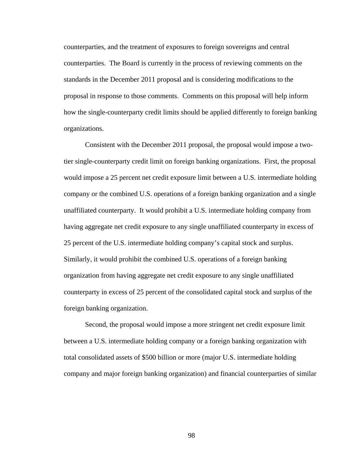counterparties, and the treatment of exposures to foreign sovereigns and central counterparties. The Board is currently in the process of reviewing comments on the standards in the December 2011 proposal and is considering modifications to the proposal in response to those comments. Comments on this proposal will help inform how the single-counterparty credit limits should be applied differently to foreign banking organizations.

Consistent with the December 2011 proposal, the proposal would impose a twotier single-counterparty credit limit on foreign banking organizations. First, the proposal would impose a 25 percent net credit exposure limit between a U.S. intermediate holding company or the combined U.S. operations of a foreign banking organization and a single unaffiliated counterparty. It would prohibit a U.S. intermediate holding company from having aggregate net credit exposure to any single unaffiliated counterparty in excess of 25 percent of the U.S. intermediate holding company's capital stock and surplus. Similarly, it would prohibit the combined U.S. operations of a foreign banking organization from having aggregate net credit exposure to any single unaffiliated counterparty in excess of 25 percent of the consolidated capital stock and surplus of the foreign banking organization.

Second, the proposal would impose a more stringent net credit exposure limit between a U.S. intermediate holding company or a foreign banking organization with total consolidated assets of \$500 billion or more (major U.S. intermediate holding company and major foreign banking organization) and financial counterparties of similar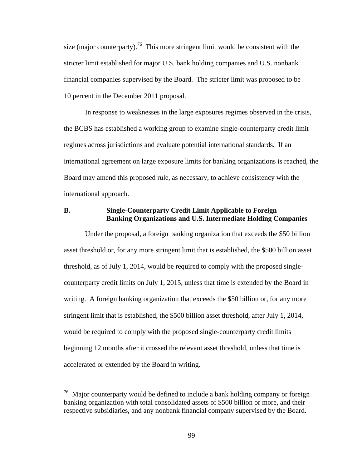size (major counterparty).<sup>76</sup> This more stringent limit would be consistent with the stricter limit established for major U.S. bank holding companies and U.S. nonbank financial companies supervised by the Board. The stricter limit was proposed to be 10 percent in the December 2011 proposal.

In response to weaknesses in the large exposures regimes observed in the crisis, the BCBS has established a working group to examine single-counterparty credit limit regimes across jurisdictions and evaluate potential international standards. If an international agreement on large exposure limits for banking organizations is reached, the Board may amend this proposed rule, as necessary, to achieve consistency with the international approach.

# **B. Single-Counterparty Credit Limit Applicable to Foreign Banking Organizations and U.S. Intermediate Holding Companies**

Under the proposal, a foreign banking organization that exceeds the \$50 billion asset threshold or, for any more stringent limit that is established, the \$500 billion asset threshold, as of July 1, 2014, would be required to comply with the proposed singlecounterparty credit limits on July 1, 2015, unless that time is extended by the Board in writing. A foreign banking organization that exceeds the \$50 billion or, for any more stringent limit that is established, the \$500 billion asset threshold, after July 1, 2014, would be required to comply with the proposed single-counterparty credit limits beginning 12 months after it crossed the relevant asset threshold, unless that time is accelerated or extended by the Board in writing.

 $\overline{a}$ 

<sup>&</sup>lt;sup>76</sup> Major counterparty would be defined to include a bank holding company or foreign banking organization with total consolidated assets of \$500 billion or more, and their respective subsidiaries, and any nonbank financial company supervised by the Board.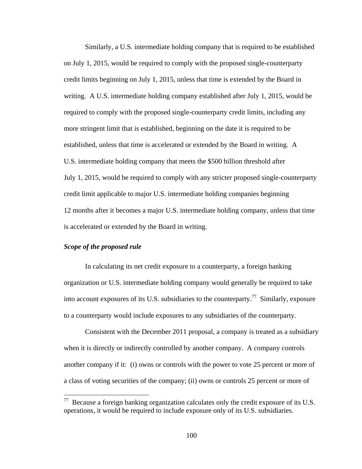Similarly, a U.S. intermediate holding company that is required to be established on July 1, 2015, would be required to comply with the proposed single-counterparty credit limits beginning on July 1, 2015, unless that time is extended by the Board in writing. A U.S. intermediate holding company established after July 1, 2015, would be required to comply with the proposed single-counterparty credit limits, including any more stringent limit that is established, beginning on the date it is required to be established, unless that time is accelerated or extended by the Board in writing. A U.S. intermediate holding company that meets the \$500 billion threshold after July 1, 2015, would be required to comply with any stricter proposed single-counterparty credit limit applicable to major U.S. intermediate holding companies beginning 12 months after it becomes a major U.S. intermediate holding company, unless that time is accelerated or extended by the Board in writing.

# *Scope of the proposed rule*

1

In calculating its net credit exposure to a counterparty, a foreign banking organization or U.S. intermediate holding company would generally be required to take into account exposures of its U.S. subsidiaries to the counterparty.<sup>77</sup> Similarly, exposure to a counterparty would include exposures to any subsidiaries of the counterparty.

Consistent with the December 2011 proposal, a company is treated as a subsidiary when it is directly or indirectly controlled by another company. A company controls another company if it: (i) owns or controls with the power to vote 25 percent or more of a class of voting securities of the company; (ii) owns or controls 25 percent or more of

 $77$  Because a foreign banking organization calculates only the credit exposure of its U.S. operations, it would be required to include exposure only of its U.S. subsidiaries.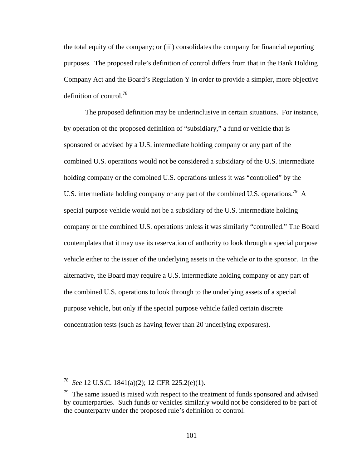the total equity of the company; or (iii) consolidates the company for financial reporting purposes. The proposed rule's definition of control differs from that in the Bank Holding Company Act and the Board's Regulation Y in order to provide a simpler, more objective definition of control.78

The proposed definition may be underinclusive in certain situations. For instance, by operation of the proposed definition of "subsidiary," a fund or vehicle that is sponsored or advised by a U.S. intermediate holding company or any part of the combined U.S. operations would not be considered a subsidiary of the U.S. intermediate holding company or the combined U.S. operations unless it was "controlled" by the U.S. intermediate holding company or any part of the combined U.S. operations.<sup>79</sup> A special purpose vehicle would not be a subsidiary of the U.S. intermediate holding company or the combined U.S. operations unless it was similarly "controlled." The Board contemplates that it may use its reservation of authority to look through a special purpose vehicle either to the issuer of the underlying assets in the vehicle or to the sponsor. In the alternative, the Board may require a U.S. intermediate holding company or any part of the combined U.S. operations to look through to the underlying assets of a special purpose vehicle, but only if the special purpose vehicle failed certain discrete concentration tests (such as having fewer than 20 underlying exposures).

<sup>78</sup> *See* 12 U.S.C. 1841(a)(2); 12 CFR 225.2(e)(1).

 $79$  The same issued is raised with respect to the treatment of funds sponsored and advised by counterparties. Such funds or vehicles similarly would not be considered to be part of the counterparty under the proposed rule's definition of control.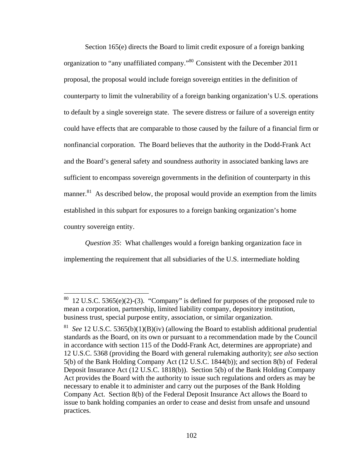Section 165(e) directs the Board to limit credit exposure of a foreign banking organization to "any unaffiliated company."80 Consistent with the December 2011 proposal, the proposal would include foreign sovereign entities in the definition of counterparty to limit the vulnerability of a foreign banking organization's U.S. operations to default by a single sovereign state. The severe distress or failure of a sovereign entity could have effects that are comparable to those caused by the failure of a financial firm or nonfinancial corporation. The Board believes that the authority in the Dodd-Frank Act and the Board's general safety and soundness authority in associated banking laws are sufficient to encompass sovereign governments in the definition of counterparty in this manner. $81$  As described below, the proposal would provide an exemption from the limits established in this subpart for exposures to a foreign banking organization's home country sovereign entity.

*Question 35*: What challenges would a foreign banking organization face in implementing the requirement that all subsidiaries of the U.S. intermediate holding

 $80$  12 U.S.C. 5365(e)(2)-(3). "Company" is defined for purposes of the proposed rule to mean a corporation, partnership, limited liability company, depository institution, business trust, special purpose entity, association, or similar organization.

<sup>81</sup> *See* 12 U.S.C. 5365(b)(1)(B)(iv) (allowing the Board to establish additional prudential standards as the Board, on its own or pursuant to a recommendation made by the Council in accordance with section 115 of the Dodd-Frank Act, determines are appropriate) and 12 U.S.C. 5368 (providing the Board with general rulemaking authority); *see also* section 5(b) of the Bank Holding Company Act (12 U.S.C. 1844(b)); and section 8(b) of Federal Deposit Insurance Act (12 U.S.C. 1818(b)). Section 5(b) of the Bank Holding Company Act provides the Board with the authority to issue such regulations and orders as may be necessary to enable it to administer and carry out the purposes of the Bank Holding Company Act. Section 8(b) of the Federal Deposit Insurance Act allows the Board to issue to bank holding companies an order to cease and desist from unsafe and unsound practices.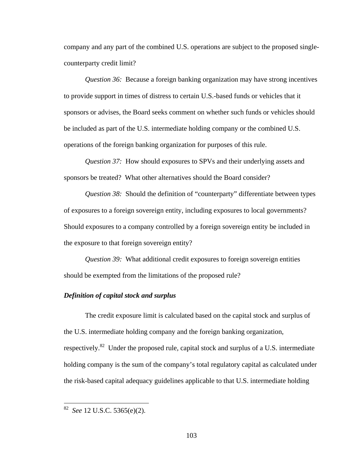company and any part of the combined U.S. operations are subject to the proposed singlecounterparty credit limit?

*Question 36:* Because a foreign banking organization may have strong incentives to provide support in times of distress to certain U.S.-based funds or vehicles that it sponsors or advises, the Board seeks comment on whether such funds or vehicles should be included as part of the U.S. intermediate holding company or the combined U.S. operations of the foreign banking organization for purposes of this rule.

*Question 37:* How should exposures to SPVs and their underlying assets and sponsors be treated? What other alternatives should the Board consider?

*Question 38:* Should the definition of "counterparty" differentiate between types of exposures to a foreign sovereign entity, including exposures to local governments? Should exposures to a company controlled by a foreign sovereign entity be included in the exposure to that foreign sovereign entity?

*Question 39:* What additional credit exposures to foreign sovereign entities should be exempted from the limitations of the proposed rule?

# *Definition of capital stock and surplus*

The credit exposure limit is calculated based on the capital stock and surplus of the U.S. intermediate holding company and the foreign banking organization, respectively.<sup>82</sup> Under the proposed rule, capital stock and surplus of a U.S. intermediate holding company is the sum of the company's total regulatory capital as calculated under the risk-based capital adequacy guidelines applicable to that U.S. intermediate holding

 $\overline{a}$ 

<sup>82</sup> *See* 12 U.S.C. 5365(e)(2).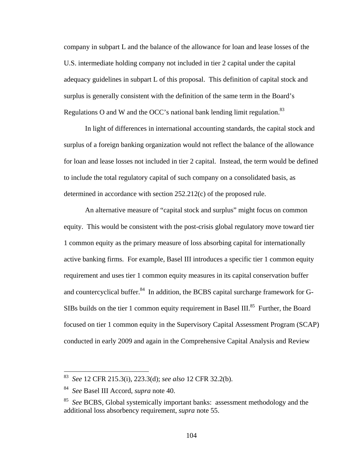company in subpart L and the balance of the allowance for loan and lease losses of the U.S. intermediate holding company not included in tier 2 capital under the capital adequacy guidelines in subpart L of this proposal. This definition of capital stock and surplus is generally consistent with the definition of the same term in the Board's Regulations O and W and the OCC's national bank lending limit regulation.<sup>83</sup>

In light of differences in international accounting standards, the capital stock and surplus of a foreign banking organization would not reflect the balance of the allowance for loan and lease losses not included in tier 2 capital. Instead, the term would be defined to include the total regulatory capital of such company on a consolidated basis, as determined in accordance with section 252.212(c) of the proposed rule.

An alternative measure of "capital stock and surplus" might focus on common equity. This would be consistent with the post-crisis global regulatory move toward tier 1 common equity as the primary measure of loss absorbing capital for internationally active banking firms. For example, Basel III introduces a specific tier 1 common equity requirement and uses tier 1 common equity measures in its capital conservation buffer and countercyclical buffer.<sup>84</sup> In addition, the BCBS capital surcharge framework for G-SIBs builds on the tier 1 common equity requirement in Basel III.<sup>85</sup> Further, the Board focused on tier 1 common equity in the Supervisory Capital Assessment Program (SCAP) conducted in early 2009 and again in the Comprehensive Capital Analysis and Review

 $\overline{a}$ 

<sup>83</sup> *See* 12 CFR 215.3(i), 223.3(d); *see also* 12 CFR 32.2(b).

<sup>84</sup> *See* Basel III Accord, *supra* note 40.

<sup>85</sup> *See* BCBS, Global systemically important banks: assessment methodology and the additional loss absorbency requirement, *supra* note 55.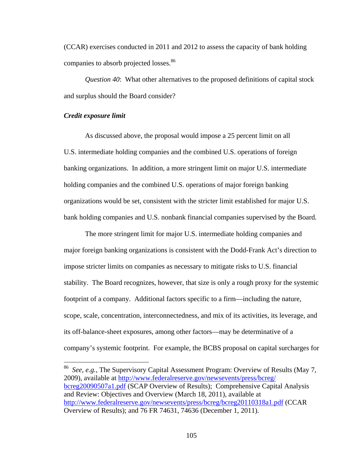(CCAR) exercises conducted in 2011 and 2012 to assess the capacity of bank holding companies to absorb projected losses.<sup>86</sup>

*Question 40*: What other alternatives to the proposed definitions of capital stock and surplus should the Board consider?

### *Credit exposure limit*

 $\overline{a}$ 

As discussed above, the proposal would impose a 25 percent limit on all U.S. intermediate holding companies and the combined U.S. operations of foreign banking organizations. In addition, a more stringent limit on major U.S. intermediate holding companies and the combined U.S. operations of major foreign banking organizations would be set, consistent with the stricter limit established for major U.S. bank holding companies and U.S. nonbank financial companies supervised by the Board.

The more stringent limit for major U.S. intermediate holding companies and major foreign banking organizations is consistent with the Dodd-Frank Act's direction to impose stricter limits on companies as necessary to mitigate risks to U.S. financial stability. The Board recognizes, however, that size is only a rough proxy for the systemic footprint of a company. Additional factors specific to a firm—including the nature, scope, scale, concentration, interconnectedness, and mix of its activities, its leverage, and its off-balance-sheet exposures, among other factors—may be determinative of a company's systemic footprint. For example, the BCBS proposal on capital surcharges for

86 *See, e.g.,* The Supervisory Capital Assessment Program: Overview of Results (May 7, 2009), available at http://www.federalreserve.gov/newsevents/press/bcreg/ bcreg20090507a1.pdf (SCAP Overview of Results); Comprehensive Capital Analysis and Review: Objectives and Overview (March 18, 2011), available at http://www.federalreserve.gov/newsevents/press/bcreg/bcreg20110318a1.pdf (CCAR Overview of Results); and 76 FR 74631, 74636 (December 1, 2011).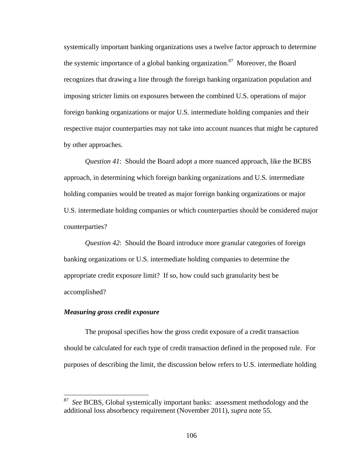systemically important banking organizations uses a twelve factor approach to determine the systemic importance of a global banking organization.<sup>87</sup> Moreover, the Board recognizes that drawing a line through the foreign banking organization population and imposing stricter limits on exposures between the combined U.S. operations of major foreign banking organizations or major U.S. intermediate holding companies and their respective major counterparties may not take into account nuances that might be captured by other approaches.

*Question 41*: Should the Board adopt a more nuanced approach, like the BCBS approach, in determining which foreign banking organizations and U.S. intermediate holding companies would be treated as major foreign banking organizations or major U.S. intermediate holding companies or which counterparties should be considered major counterparties?

*Question 42*: Should the Board introduce more granular categories of foreign banking organizations or U.S. intermediate holding companies to determine the appropriate credit exposure limit? If so, how could such granularity best be accomplished?

# *Measuring gross credit exposure*

 $\overline{a}$ 

The proposal specifies how the gross credit exposure of a credit transaction should be calculated for each type of credit transaction defined in the proposed rule. For purposes of describing the limit, the discussion below refers to U.S. intermediate holding

See BCBS, Global systemically important banks: assessment methodology and the additional loss absorbency requirement (November 2011), *supra* note 55.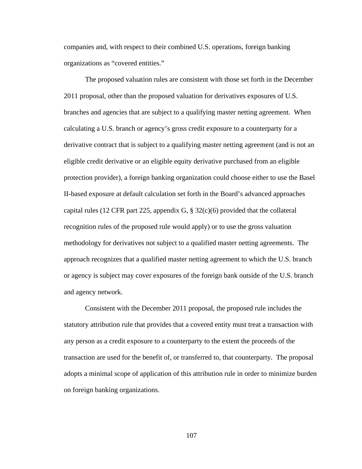companies and, with respect to their combined U.S. operations, foreign banking organizations as "covered entities."

The proposed valuation rules are consistent with those set forth in the December 2011 proposal, other than the proposed valuation for derivatives exposures of U.S. branches and agencies that are subject to a qualifying master netting agreement. When calculating a U.S. branch or agency's gross credit exposure to a counterparty for a derivative contract that is subject to a qualifying master netting agreement (and is not an eligible credit derivative or an eligible equity derivative purchased from an eligible protection provider), a foreign banking organization could choose either to use the Basel II-based exposure at default calculation set forth in the Board's advanced approaches capital rules (12 CFR part 225, appendix G,  $\S$  32(c)(6) provided that the collateral recognition rules of the proposed rule would apply) or to use the gross valuation methodology for derivatives not subject to a qualified master netting agreements. The approach recognizes that a qualified master netting agreement to which the U.S. branch or agency is subject may cover exposures of the foreign bank outside of the U.S. branch and agency network.

Consistent with the December 2011 proposal, the proposed rule includes the statutory attribution rule that provides that a covered entity must treat a transaction with any person as a credit exposure to a counterparty to the extent the proceeds of the transaction are used for the benefit of, or transferred to, that counterparty. The proposal adopts a minimal scope of application of this attribution rule in order to minimize burden on foreign banking organizations.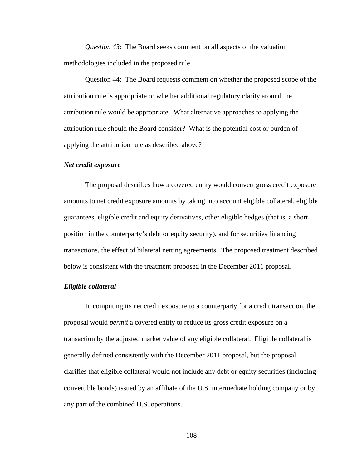*Question 43*: The Board seeks comment on all aspects of the valuation methodologies included in the proposed rule.

Question 44: The Board requests comment on whether the proposed scope of the attribution rule is appropriate or whether additional regulatory clarity around the attribution rule would be appropriate. What alternative approaches to applying the attribution rule should the Board consider? What is the potential cost or burden of applying the attribution rule as described above?

### *Net credit exposure*

The proposal describes how a covered entity would convert gross credit exposure amounts to net credit exposure amounts by taking into account eligible collateral, eligible guarantees, eligible credit and equity derivatives, other eligible hedges (that is, a short position in the counterparty's debt or equity security), and for securities financing transactions, the effect of bilateral netting agreements. The proposed treatment described below is consistent with the treatment proposed in the December 2011 proposal.

### *Eligible collateral*

In computing its net credit exposure to a counterparty for a credit transaction, the proposal would *permit* a covered entity to reduce its gross credit exposure on a transaction by the adjusted market value of any eligible collateral. Eligible collateral is generally defined consistently with the December 2011 proposal, but the proposal clarifies that eligible collateral would not include any debt or equity securities (including convertible bonds) issued by an affiliate of the U.S. intermediate holding company or by any part of the combined U.S. operations.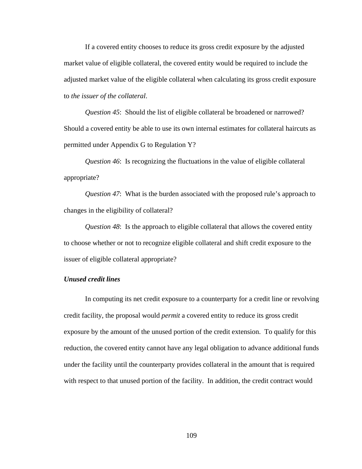If a covered entity chooses to reduce its gross credit exposure by the adjusted market value of eligible collateral, the covered entity would be required to include the adjusted market value of the eligible collateral when calculating its gross credit exposure to *the issuer of the collateral*.

*Question 45*: Should the list of eligible collateral be broadened or narrowed? Should a covered entity be able to use its own internal estimates for collateral haircuts as permitted under Appendix G to Regulation Y?

*Question 46*: Is recognizing the fluctuations in the value of eligible collateral appropriate?

*Question 47*: What is the burden associated with the proposed rule's approach to changes in the eligibility of collateral?

*Question 48*: Is the approach to eligible collateral that allows the covered entity to choose whether or not to recognize eligible collateral and shift credit exposure to the issuer of eligible collateral appropriate?

# *Unused credit lines*

In computing its net credit exposure to a counterparty for a credit line or revolving credit facility, the proposal would *permit* a covered entity to reduce its gross credit exposure by the amount of the unused portion of the credit extension. To qualify for this reduction, the covered entity cannot have any legal obligation to advance additional funds under the facility until the counterparty provides collateral in the amount that is required with respect to that unused portion of the facility. In addition, the credit contract would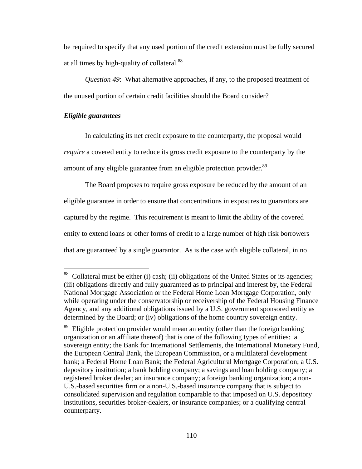be required to specify that any used portion of the credit extension must be fully secured at all times by high-quality of collateral.88

*Question 49*: What alternative approaches, if any, to the proposed treatment of the unused portion of certain credit facilities should the Board consider?

#### *Eligible guarantees*

 $\overline{a}$ 

In calculating its net credit exposure to the counterparty, the proposal would *require* a covered entity to reduce its gross credit exposure to the counterparty by the amount of any eligible guarantee from an eligible protection provider.<sup>89</sup>

The Board proposes to require gross exposure be reduced by the amount of an eligible guarantee in order to ensure that concentrations in exposures to guarantors are captured by the regime. This requirement is meant to limit the ability of the covered entity to extend loans or other forms of credit to a large number of high risk borrowers that are guaranteed by a single guarantor. As is the case with eligible collateral, in no

 $88$  Collateral must be either (i) cash; (ii) obligations of the United States or its agencies; (iii) obligations directly and fully guaranteed as to principal and interest by, the Federal National Mortgage Association or the Federal Home Loan Mortgage Corporation, only while operating under the conservatorship or receivership of the Federal Housing Finance Agency, and any additional obligations issued by a U.S. government sponsored entity as determined by the Board; or (iv) obligations of the home country sovereign entity.

<sup>&</sup>lt;sup>89</sup> Eligible protection provider would mean an entity (other than the foreign banking organization or an affiliate thereof) that is one of the following types of entities: a sovereign entity; the Bank for International Settlements, the International Monetary Fund, the European Central Bank, the European Commission, or a multilateral development bank; a Federal Home Loan Bank; the Federal Agricultural Mortgage Corporation; a U.S. depository institution; a bank holding company; a savings and loan holding company; a registered broker dealer; an insurance company; a foreign banking organization; a non-U.S.-based securities firm or a non-U.S.-based insurance company that is subject to consolidated supervision and regulation comparable to that imposed on U.S. depository institutions, securities broker-dealers, or insurance companies; or a qualifying central counterparty.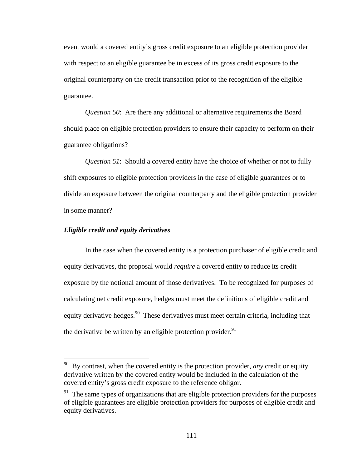event would a covered entity's gross credit exposure to an eligible protection provider with respect to an eligible guarantee be in excess of its gross credit exposure to the original counterparty on the credit transaction prior to the recognition of the eligible guarantee.

*Question 50*: Are there any additional or alternative requirements the Board should place on eligible protection providers to ensure their capacity to perform on their guarantee obligations?

*Question 51*: Should a covered entity have the choice of whether or not to fully shift exposures to eligible protection providers in the case of eligible guarantees or to divide an exposure between the original counterparty and the eligible protection provider in some manner?

## *Eligible credit and equity derivatives*

 $\overline{a}$ 

In the case when the covered entity is a protection purchaser of eligible credit and equity derivatives, the proposal would *require* a covered entity to reduce its credit exposure by the notional amount of those derivatives. To be recognized for purposes of calculating net credit exposure, hedges must meet the definitions of eligible credit and equity derivative hedges.<sup>90</sup> These derivatives must meet certain criteria, including that the derivative be written by an eligible protection provider. $91$ 

<sup>90</sup> By contrast, when the covered entity is the protection provider, *any* credit or equity derivative written by the covered entity would be included in the calculation of the covered entity's gross credit exposure to the reference obligor.

 $91$  The same types of organizations that are eligible protection providers for the purposes of eligible guarantees are eligible protection providers for purposes of eligible credit and equity derivatives.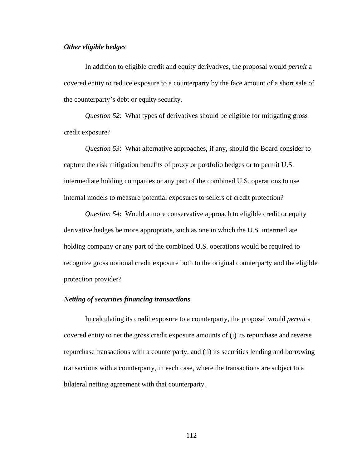#### *Other eligible hedges*

In addition to eligible credit and equity derivatives, the proposal would *permit* a covered entity to reduce exposure to a counterparty by the face amount of a short sale of the counterparty's debt or equity security.

*Question 52*: What types of derivatives should be eligible for mitigating gross credit exposure?

*Question 53*: What alternative approaches, if any, should the Board consider to capture the risk mitigation benefits of proxy or portfolio hedges or to permit U.S. intermediate holding companies or any part of the combined U.S. operations to use internal models to measure potential exposures to sellers of credit protection?

*Question 54*: Would a more conservative approach to eligible credit or equity derivative hedges be more appropriate, such as one in which the U.S. intermediate holding company or any part of the combined U.S. operations would be required to recognize gross notional credit exposure both to the original counterparty and the eligible protection provider?

# *Netting of securities financing transactions*

In calculating its credit exposure to a counterparty, the proposal would *permit* a covered entity to net the gross credit exposure amounts of (i) its repurchase and reverse repurchase transactions with a counterparty, and (ii) its securities lending and borrowing transactions with a counterparty, in each case, where the transactions are subject to a bilateral netting agreement with that counterparty.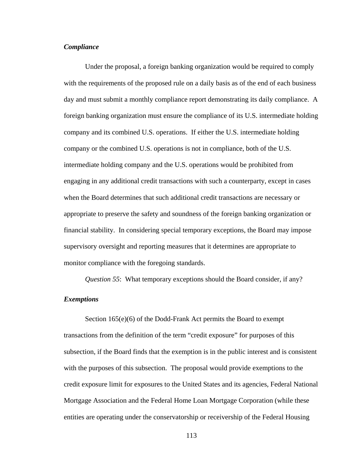## *Compliance*

Under the proposal, a foreign banking organization would be required to comply with the requirements of the proposed rule on a daily basis as of the end of each business day and must submit a monthly compliance report demonstrating its daily compliance. A foreign banking organization must ensure the compliance of its U.S. intermediate holding company and its combined U.S. operations. If either the U.S. intermediate holding company or the combined U.S. operations is not in compliance, both of the U.S. intermediate holding company and the U.S. operations would be prohibited from engaging in any additional credit transactions with such a counterparty, except in cases when the Board determines that such additional credit transactions are necessary or appropriate to preserve the safety and soundness of the foreign banking organization or financial stability. In considering special temporary exceptions, the Board may impose supervisory oversight and reporting measures that it determines are appropriate to monitor compliance with the foregoing standards.

*Question 55*: What temporary exceptions should the Board consider, if any?

## *Exemptions*

Section 165(e)(6) of the Dodd-Frank Act permits the Board to exempt transactions from the definition of the term "credit exposure" for purposes of this subsection, if the Board finds that the exemption is in the public interest and is consistent with the purposes of this subsection. The proposal would provide exemptions to the credit exposure limit for exposures to the United States and its agencies, Federal National Mortgage Association and the Federal Home Loan Mortgage Corporation (while these entities are operating under the conservatorship or receivership of the Federal Housing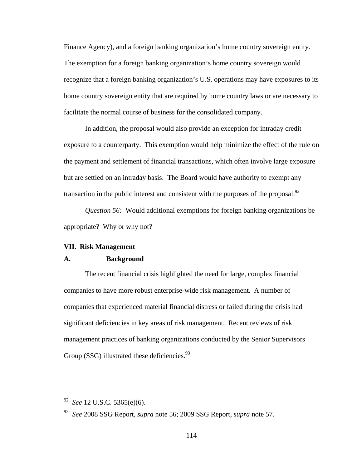Finance Agency), and a foreign banking organization's home country sovereign entity. The exemption for a foreign banking organization's home country sovereign would recognize that a foreign banking organization's U.S. operations may have exposures to its home country sovereign entity that are required by home country laws or are necessary to facilitate the normal course of business for the consolidated company.

In addition, the proposal would also provide an exception for intraday credit exposure to a counterparty. This exemption would help minimize the effect of the rule on the payment and settlement of financial transactions, which often involve large exposure but are settled on an intraday basis. The Board would have authority to exempt any transaction in the public interest and consistent with the purposes of the proposal. $^{92}$ 

*Question 56:* Would additional exemptions for foreign banking organizations be appropriate? Why or why not?

### **VII. Risk Management**

## **A. Background**

The recent financial crisis highlighted the need for large, complex financial companies to have more robust enterprise-wide risk management. A number of companies that experienced material financial distress or failed during the crisis had significant deficiencies in key areas of risk management. Recent reviews of risk management practices of banking organizations conducted by the Senior Supervisors Group (SSG) illustrated these deficiencies. $93$ 

<sup>92</sup> *See* 12 U.S.C. 5365(e)(6).

<sup>93</sup> *See* 2008 SSG Report, *supra* note 56; 2009 SSG Report, *supra* note 57.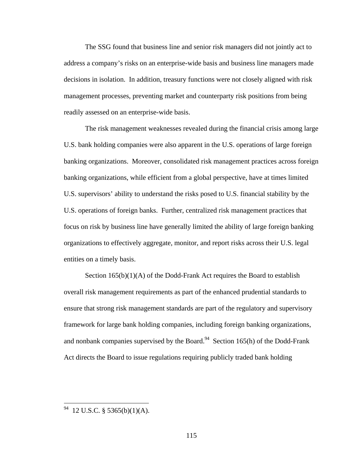The SSG found that business line and senior risk managers did not jointly act to address a company's risks on an enterprise-wide basis and business line managers made decisions in isolation. In addition, treasury functions were not closely aligned with risk management processes, preventing market and counterparty risk positions from being readily assessed on an enterprise-wide basis.

The risk management weaknesses revealed during the financial crisis among large U.S. bank holding companies were also apparent in the U.S. operations of large foreign banking organizations. Moreover, consolidated risk management practices across foreign banking organizations, while efficient from a global perspective, have at times limited U.S. supervisors' ability to understand the risks posed to U.S. financial stability by the U.S. operations of foreign banks. Further, centralized risk management practices that focus on risk by business line have generally limited the ability of large foreign banking organizations to effectively aggregate, monitor, and report risks across their U.S. legal entities on a timely basis.

Section  $165(b)(1)(A)$  of the Dodd-Frank Act requires the Board to establish overall risk management requirements as part of the enhanced prudential standards to ensure that strong risk management standards are part of the regulatory and supervisory framework for large bank holding companies, including foreign banking organizations, and nonbank companies supervised by the Board.<sup>94</sup> Section 165(h) of the Dodd-Frank Act directs the Board to issue regulations requiring publicly traded bank holding

 $94$  12 U.S.C. § 5365(b)(1)(A).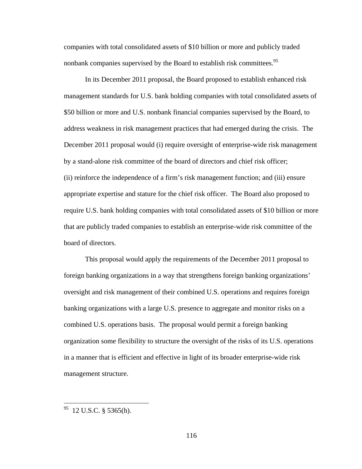companies with total consolidated assets of \$10 billion or more and publicly traded nonbank companies supervised by the Board to establish risk committees.<sup>95</sup>

In its December 2011 proposal, the Board proposed to establish enhanced risk management standards for U.S. bank holding companies with total consolidated assets of \$50 billion or more and U.S. nonbank financial companies supervised by the Board, to address weakness in risk management practices that had emerged during the crisis. The December 2011 proposal would (i) require oversight of enterprise-wide risk management by a stand-alone risk committee of the board of directors and chief risk officer; (ii) reinforce the independence of a firm's risk management function; and (iii) ensure appropriate expertise and stature for the chief risk officer. The Board also proposed to require U.S. bank holding companies with total consolidated assets of \$10 billion or more that are publicly traded companies to establish an enterprise-wide risk committee of the board of directors.

This proposal would apply the requirements of the December 2011 proposal to foreign banking organizations in a way that strengthens foreign banking organizations' oversight and risk management of their combined U.S. operations and requires foreign banking organizations with a large U.S. presence to aggregate and monitor risks on a combined U.S. operations basis. The proposal would permit a foreign banking organization some flexibility to structure the oversight of the risks of its U.S. operations in a manner that is efficient and effective in light of its broader enterprise-wide risk management structure.

 $^{95}$  12 U.S.C. § 5365(h).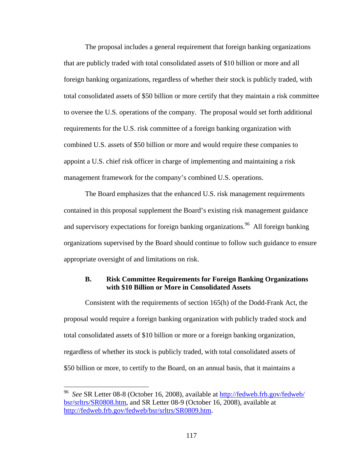The proposal includes a general requirement that foreign banking organizations that are publicly traded with total consolidated assets of \$10 billion or more and all foreign banking organizations, regardless of whether their stock is publicly traded, with total consolidated assets of \$50 billion or more certify that they maintain a risk committee to oversee the U.S. operations of the company. The proposal would set forth additional requirements for the U.S. risk committee of a foreign banking organization with combined U.S. assets of \$50 billion or more and would require these companies to appoint a U.S. chief risk officer in charge of implementing and maintaining a risk management framework for the company's combined U.S. operations.

The Board emphasizes that the enhanced U.S. risk management requirements contained in this proposal supplement the Board's existing risk management guidance and supervisory expectations for foreign banking organizations.<sup>96</sup> All foreign banking organizations supervised by the Board should continue to follow such guidance to ensure appropriate oversight of and limitations on risk.

# **B. Risk Committee Requirements for Foreign Banking Organizations with \$10 Billion or More in Consolidated Assets**

Consistent with the requirements of section 165(h) of the Dodd-Frank Act, the proposal would require a foreign banking organization with publicly traded stock and total consolidated assets of \$10 billion or more or a foreign banking organization, regardless of whether its stock is publicly traded, with total consolidated assets of \$50 billion or more, to certify to the Board, on an annual basis, that it maintains a

<sup>96</sup> *See* SR Letter 08-8 (October 16, 2008), available at http://fedweb.frb.gov/fedweb/ bsr/srltrs/SR0808.htm, and SR Letter 08-9 (October 16, 2008), available at http://fedweb.frb.gov/fedweb/bsr/srltrs/SR0809.htm.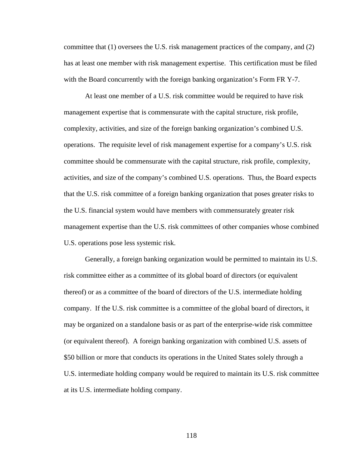committee that (1) oversees the U.S. risk management practices of the company, and (2) has at least one member with risk management expertise. This certification must be filed with the Board concurrently with the foreign banking organization's Form FR Y-7.

At least one member of a U.S. risk committee would be required to have risk management expertise that is commensurate with the capital structure, risk profile, complexity, activities, and size of the foreign banking organization's combined U.S. operations. The requisite level of risk management expertise for a company's U.S. risk committee should be commensurate with the capital structure, risk profile, complexity, activities, and size of the company's combined U.S. operations. Thus, the Board expects that the U.S. risk committee of a foreign banking organization that poses greater risks to the U.S. financial system would have members with commensurately greater risk management expertise than the U.S. risk committees of other companies whose combined U.S. operations pose less systemic risk.

Generally, a foreign banking organization would be permitted to maintain its U.S. risk committee either as a committee of its global board of directors (or equivalent thereof) or as a committee of the board of directors of the U.S. intermediate holding company. If the U.S. risk committee is a committee of the global board of directors, it may be organized on a standalone basis or as part of the enterprise-wide risk committee (or equivalent thereof). A foreign banking organization with combined U.S. assets of \$50 billion or more that conducts its operations in the United States solely through a U.S. intermediate holding company would be required to maintain its U.S. risk committee at its U.S. intermediate holding company.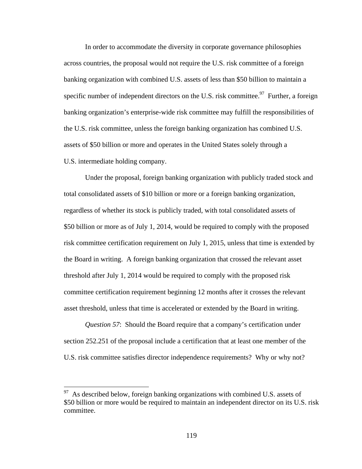In order to accommodate the diversity in corporate governance philosophies across countries, the proposal would not require the U.S. risk committee of a foreign banking organization with combined U.S. assets of less than \$50 billion to maintain a specific number of independent directors on the U.S. risk committee.<sup>97</sup> Further, a foreign banking organization's enterprise-wide risk committee may fulfill the responsibilities of the U.S. risk committee, unless the foreign banking organization has combined U.S. assets of \$50 billion or more and operates in the United States solely through a U.S. intermediate holding company.

Under the proposal, foreign banking organization with publicly traded stock and total consolidated assets of \$10 billion or more or a foreign banking organization, regardless of whether its stock is publicly traded, with total consolidated assets of \$50 billion or more as of July 1, 2014, would be required to comply with the proposed risk committee certification requirement on July 1, 2015, unless that time is extended by the Board in writing. A foreign banking organization that crossed the relevant asset threshold after July 1, 2014 would be required to comply with the proposed risk committee certification requirement beginning 12 months after it crosses the relevant asset threshold, unless that time is accelerated or extended by the Board in writing.

*Question 57*: Should the Board require that a company's certification under section 252.251 of the proposal include a certification that at least one member of the U.S. risk committee satisfies director independence requirements? Why or why not?

 $97$  As described below, foreign banking organizations with combined U.S. assets of \$50 billion or more would be required to maintain an independent director on its U.S. risk committee.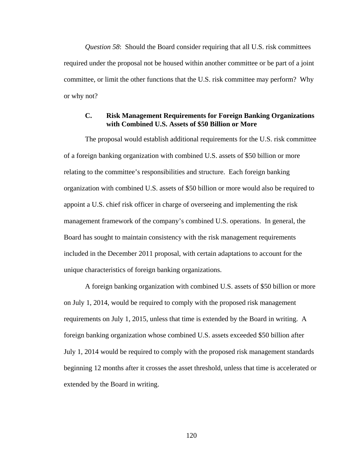*Question 58*: Should the Board consider requiring that all U.S. risk committees required under the proposal not be housed within another committee or be part of a joint committee, or limit the other functions that the U.S. risk committee may perform? Why or why not?

# **C. Risk Management Requirements for Foreign Banking Organizations with Combined U.S. Assets of \$50 Billion or More**

The proposal would establish additional requirements for the U.S. risk committee of a foreign banking organization with combined U.S. assets of \$50 billion or more relating to the committee's responsibilities and structure. Each foreign banking organization with combined U.S. assets of \$50 billion or more would also be required to appoint a U.S. chief risk officer in charge of overseeing and implementing the risk management framework of the company's combined U.S. operations. In general, the Board has sought to maintain consistency with the risk management requirements included in the December 2011 proposal, with certain adaptations to account for the unique characteristics of foreign banking organizations.

A foreign banking organization with combined U.S. assets of \$50 billion or more on July 1, 2014, would be required to comply with the proposed risk management requirements on July 1, 2015, unless that time is extended by the Board in writing. A foreign banking organization whose combined U.S. assets exceeded \$50 billion after July 1, 2014 would be required to comply with the proposed risk management standards beginning 12 months after it crosses the asset threshold, unless that time is accelerated or extended by the Board in writing.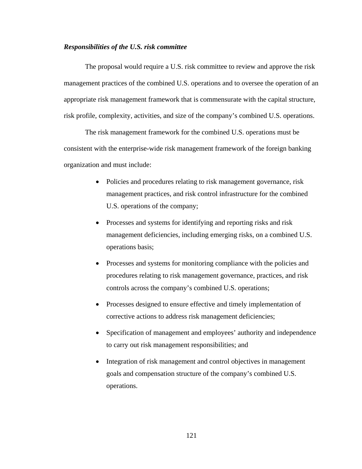#### *Responsibilities of the U.S. risk committee*

The proposal would require a U.S. risk committee to review and approve the risk management practices of the combined U.S. operations and to oversee the operation of an appropriate risk management framework that is commensurate with the capital structure, risk profile, complexity, activities, and size of the company's combined U.S. operations.

The risk management framework for the combined U.S. operations must be consistent with the enterprise-wide risk management framework of the foreign banking organization and must include:

- Policies and procedures relating to risk management governance, risk management practices, and risk control infrastructure for the combined U.S. operations of the company;
- Processes and systems for identifying and reporting risks and risk management deficiencies, including emerging risks, on a combined U.S. operations basis;
- Processes and systems for monitoring compliance with the policies and procedures relating to risk management governance, practices, and risk controls across the company's combined U.S. operations;
- Processes designed to ensure effective and timely implementation of corrective actions to address risk management deficiencies;
- Specification of management and employees' authority and independence to carry out risk management responsibilities; and
- Integration of risk management and control objectives in management goals and compensation structure of the company's combined U.S. operations.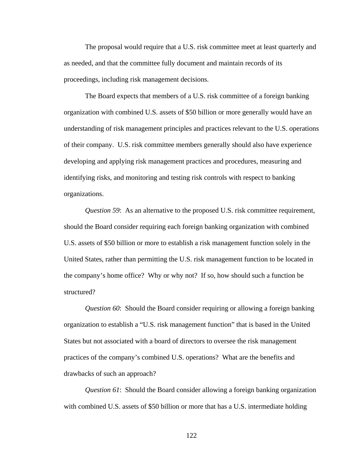The proposal would require that a U.S. risk committee meet at least quarterly and as needed, and that the committee fully document and maintain records of its proceedings, including risk management decisions.

The Board expects that members of a U.S. risk committee of a foreign banking organization with combined U.S. assets of \$50 billion or more generally would have an understanding of risk management principles and practices relevant to the U.S. operations of their company. U.S. risk committee members generally should also have experience developing and applying risk management practices and procedures, measuring and identifying risks, and monitoring and testing risk controls with respect to banking organizations.

*Question 59*: As an alternative to the proposed U.S. risk committee requirement, should the Board consider requiring each foreign banking organization with combined U.S. assets of \$50 billion or more to establish a risk management function solely in the United States, rather than permitting the U.S. risk management function to be located in the company's home office? Why or why not? If so, how should such a function be structured?

*Question 60*: Should the Board consider requiring or allowing a foreign banking organization to establish a "U.S. risk management function" that is based in the United States but not associated with a board of directors to oversee the risk management practices of the company's combined U.S. operations? What are the benefits and drawbacks of such an approach?

*Question 61*: Should the Board consider allowing a foreign banking organization with combined U.S. assets of \$50 billion or more that has a U.S. intermediate holding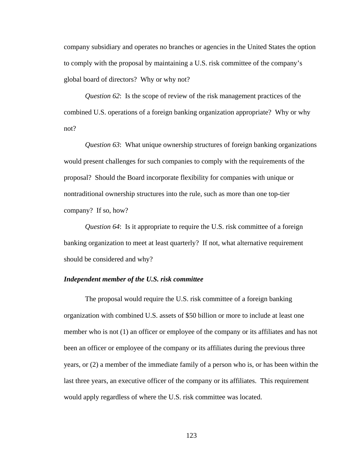company subsidiary and operates no branches or agencies in the United States the option to comply with the proposal by maintaining a U.S. risk committee of the company's global board of directors? Why or why not?

*Question 62*: Is the scope of review of the risk management practices of the combined U.S. operations of a foreign banking organization appropriate? Why or why not?

*Question 63*: What unique ownership structures of foreign banking organizations would present challenges for such companies to comply with the requirements of the proposal? Should the Board incorporate flexibility for companies with unique or nontraditional ownership structures into the rule, such as more than one top-tier company? If so, how?

*Question 64*: Is it appropriate to require the U.S. risk committee of a foreign banking organization to meet at least quarterly? If not, what alternative requirement should be considered and why?

#### *Independent member of the U.S. risk committee*

The proposal would require the U.S. risk committee of a foreign banking organization with combined U.S. assets of \$50 billion or more to include at least one member who is not (1) an officer or employee of the company or its affiliates and has not been an officer or employee of the company or its affiliates during the previous three years, or (2) a member of the immediate family of a person who is, or has been within the last three years, an executive officer of the company or its affiliates. This requirement would apply regardless of where the U.S. risk committee was located.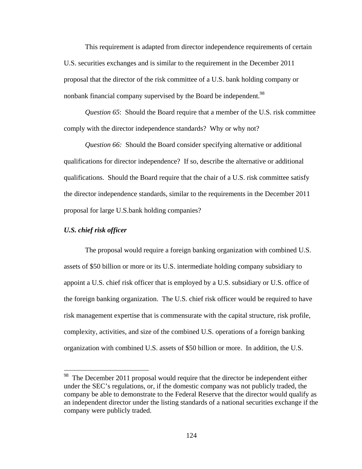This requirement is adapted from director independence requirements of certain U.S. securities exchanges and is similar to the requirement in the December 2011 proposal that the director of the risk committee of a U.S. bank holding company or nonbank financial company supervised by the Board be independent.<sup>98</sup>

*Question 65*: Should the Board require that a member of the U.S. risk committee comply with the director independence standards? Why or why not?

*Question 66:* Should the Board consider specifying alternative or additional qualifications for director independence? If so, describe the alternative or additional qualifications. Should the Board require that the chair of a U.S. risk committee satisfy the director independence standards, similar to the requirements in the December 2011 proposal for large U.S.bank holding companies?

#### *U.S. chief risk officer*

<u>.</u>

The proposal would require a foreign banking organization with combined U.S. assets of \$50 billion or more or its U.S. intermediate holding company subsidiary to appoint a U.S. chief risk officer that is employed by a U.S. subsidiary or U.S. office of the foreign banking organization. The U.S. chief risk officer would be required to have risk management expertise that is commensurate with the capital structure, risk profile, complexity, activities, and size of the combined U.S. operations of a foreign banking organization with combined U.S. assets of \$50 billion or more. In addition, the U.S.

<sup>&</sup>lt;sup>98</sup> The December 2011 proposal would require that the director be independent either under the SEC's regulations, or, if the domestic company was not publicly traded, the company be able to demonstrate to the Federal Reserve that the director would qualify as an independent director under the listing standards of a national securities exchange if the company were publicly traded.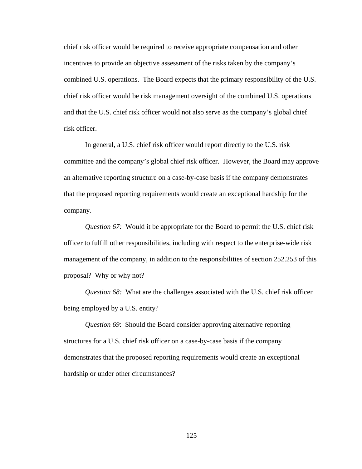chief risk officer would be required to receive appropriate compensation and other incentives to provide an objective assessment of the risks taken by the company's combined U.S. operations. The Board expects that the primary responsibility of the U.S. chief risk officer would be risk management oversight of the combined U.S. operations and that the U.S. chief risk officer would not also serve as the company's global chief risk officer.

In general, a U.S. chief risk officer would report directly to the U.S. risk committee and the company's global chief risk officer. However, the Board may approve an alternative reporting structure on a case-by-case basis if the company demonstrates that the proposed reporting requirements would create an exceptional hardship for the company.

*Question 67:* Would it be appropriate for the Board to permit the U.S. chief risk officer to fulfill other responsibilities, including with respect to the enterprise-wide risk management of the company, in addition to the responsibilities of section 252.253 of this proposal? Why or why not?

*Question 68:* What are the challenges associated with the U.S. chief risk officer being employed by a U.S. entity?

*Question 69*: Should the Board consider approving alternative reporting structures for a U.S. chief risk officer on a case-by-case basis if the company demonstrates that the proposed reporting requirements would create an exceptional hardship or under other circumstances?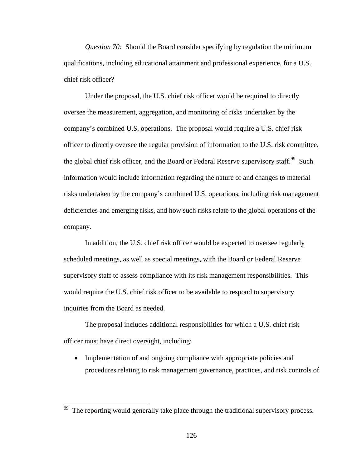*Question 70:* Should the Board consider specifying by regulation the minimum qualifications, including educational attainment and professional experience, for a U.S. chief risk officer?

Under the proposal, the U.S. chief risk officer would be required to directly oversee the measurement, aggregation, and monitoring of risks undertaken by the company's combined U.S. operations. The proposal would require a U.S. chief risk officer to directly oversee the regular provision of information to the U.S. risk committee, the global chief risk officer, and the Board or Federal Reserve supervisory staff.<sup>99</sup> Such information would include information regarding the nature of and changes to material risks undertaken by the company's combined U.S. operations, including risk management deficiencies and emerging risks, and how such risks relate to the global operations of the company.

In addition, the U.S. chief risk officer would be expected to oversee regularly scheduled meetings, as well as special meetings, with the Board or Federal Reserve supervisory staff to assess compliance with its risk management responsibilities. This would require the U.S. chief risk officer to be available to respond to supervisory inquiries from the Board as needed.

 The proposal includes additional responsibilities for which a U.S. chief risk officer must have direct oversight, including:

• Implementation of and ongoing compliance with appropriate policies and procedures relating to risk management governance, practices, and risk controls of

 $99$  The reporting would generally take place through the traditional supervisory process.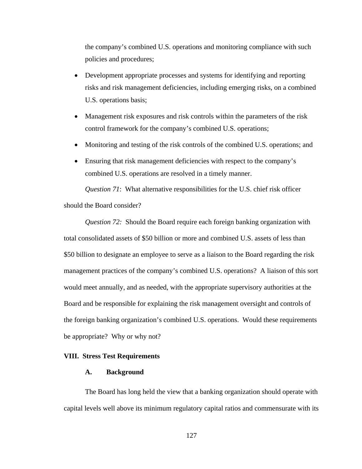the company's combined U.S. operations and monitoring compliance with such policies and procedures;

- Development appropriate processes and systems for identifying and reporting risks and risk management deficiencies, including emerging risks, on a combined U.S. operations basis;
- Management risk exposures and risk controls within the parameters of the risk control framework for the company's combined U.S. operations;
- Monitoring and testing of the risk controls of the combined U.S. operations; and
- Ensuring that risk management deficiencies with respect to the company's combined U.S. operations are resolved in a timely manner.

*Question 71*: What alternative responsibilities for the U.S. chief risk officer should the Board consider?

*Question 72:* Should the Board require each foreign banking organization with total consolidated assets of \$50 billion or more and combined U.S. assets of less than \$50 billion to designate an employee to serve as a liaison to the Board regarding the risk management practices of the company's combined U.S. operations? A liaison of this sort would meet annually, and as needed, with the appropriate supervisory authorities at the Board and be responsible for explaining the risk management oversight and controls of the foreign banking organization's combined U.S. operations. Would these requirements be appropriate? Why or why not?

# **VIII. Stress Test Requirements**

#### **A. Background**

The Board has long held the view that a banking organization should operate with capital levels well above its minimum regulatory capital ratios and commensurate with its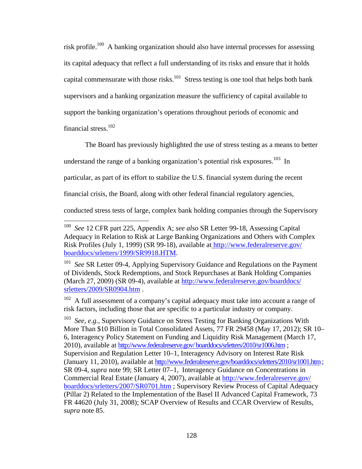risk profile.100 A banking organization should also have internal processes for assessing its capital adequacy that reflect a full understanding of its risks and ensure that it holds capital commensurate with those risks.<sup>101</sup> Stress testing is one tool that helps both bank supervisors and a banking organization measure the sufficiency of capital available to support the banking organization's operations throughout periods of economic and financial stress.102

The Board has previously highlighted the use of stress testing as a means to better

understand the range of a banking organization's potential risk exposures.<sup>103</sup> In

particular, as part of its effort to stabilize the U.S. financial system during the recent

financial crisis, the Board, along with other federal financial regulatory agencies,

conducted stress tests of large, complex bank holding companies through the Supervisory

 $100\,$ 100 *See* 12 CFR part 225, Appendix A; *see also* SR Letter 99-18, Assessing Capital Adequacy in Relation to Risk at Large Banking Organizations and Others with Complex Risk Profiles (July 1, 1999) (SR 99-18), available at http://www.federalreserve.gov/ boarddocs/srletters/1999/SR9918.HTM.

See SR Letter 09-4, Applying Supervisory Guidance and Regulations on the Payment of Dividends, Stock Redemptions, and Stock Repurchases at Bank Holding Companies (March 27, 2009) (SR 09-4), available at http://www.federalreserve.gov/boarddocs/ srletters/2009/SR0904.htm .

A full assessment of a company's capital adequacy must take into account a range of risk factors, including those that are specific to a particular industry or company.

<sup>103</sup> *See, e.g.,* Supervisory Guidance on Stress Testing for Banking Organizations With More Than \$10 Billion in Total Consolidated Assets, 77 FR 29458 (May 17, 2012); SR 10– 6, Interagency Policy Statement on Funding and Liquidity Risk Management (March 17, 2010), available at http://www.federalreserve.gov/boarddocs/srletters/2010/sr1006.htm ; Supervision and Regulation Letter 10–1, Interagency Advisory on Interest Rate Risk (January 11, 2010), available at http://www.federalreserve.gov/boarddocs/srletters/2010/sr1001.htm ; SR 09-4, *supra* note 99; SR Letter 07–1, Interagency Guidance on Concentrations in Commercial Real Estate (January 4, 2007), available at http://www.federalreserve.gov/ boarddocs/srletters/2007/SR0701.htm ; Supervisory Review Process of Capital Adequacy (Pillar 2) Related to the Implementation of the Basel II Advanced Capital Framework, 73 FR 44620 (July 31, 2008); SCAP Overview of Results and CCAR Overview of Results, *supra* note 85.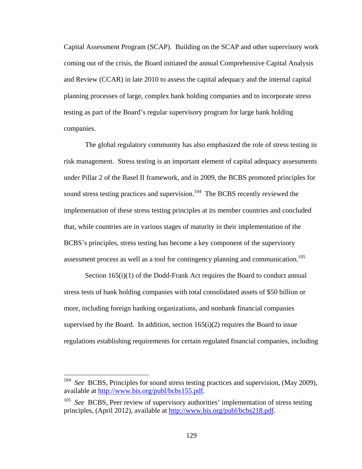Capital Assessment Program (SCAP). Building on the SCAP and other supervisory work coming out of the crisis, the Board initiated the annual Comprehensive Capital Analysis and Review (CCAR) in late 2010 to assess the capital adequacy and the internal capital planning processes of large, complex bank holding companies and to incorporate stress testing as part of the Board's regular supervisory program for large bank holding companies.

The global regulatory community has also emphasized the role of stress testing in risk management. Stress testing is an important element of capital adequacy assessments under Pillar 2 of the Basel II framework, and in 2009, the BCBS promoted principles for sound stress testing practices and supervision.<sup>104</sup> The BCBS recently reviewed the implementation of these stress testing principles at its member countries and concluded that, while countries are in various stages of maturity in their implementation of the BCBS's principles, stress testing has become a key component of the supervisory assessment process as well as a tool for contingency planning and communication.<sup>105</sup>

Section 165(i)(1) of the Dodd-Frank Act requires the Board to conduct annual stress tests of bank holding companies with total consolidated assets of \$50 billion or more, including foreign banking organizations, and nonbank financial companies supervised by the Board. In addition, section  $165(i)(2)$  requires the Board to issue regulations establishing requirements for certain regulated financial companies, including

<sup>104</sup> *See* BCBS, Principles for sound stress testing practices and supervision, (May 2009), available at http://www.bis.org/publ/bcbs155.pdf.

<sup>&</sup>lt;sup>105</sup> *See* BCBS, Peer review of supervisory authorities' implementation of stress testing principles, (April 2012), available at http://www.bis.org/publ/bcbs218.pdf.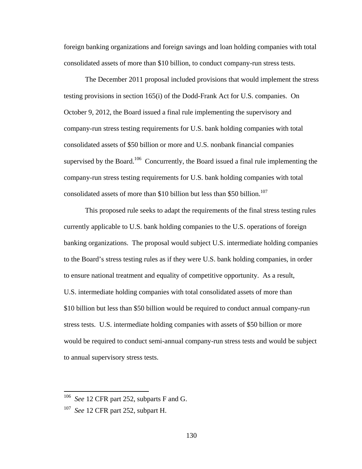foreign banking organizations and foreign savings and loan holding companies with total consolidated assets of more than \$10 billion, to conduct company-run stress tests.

The December 2011 proposal included provisions that would implement the stress testing provisions in section 165(i) of the Dodd-Frank Act for U.S. companies. On October 9, 2012, the Board issued a final rule implementing the supervisory and company-run stress testing requirements for U.S. bank holding companies with total consolidated assets of \$50 billion or more and U.S. nonbank financial companies supervised by the Board.<sup>106</sup> Concurrently, the Board issued a final rule implementing the company-run stress testing requirements for U.S. bank holding companies with total consolidated assets of more than \$10 billion but less than \$50 billion.<sup>107</sup>

This proposed rule seeks to adapt the requirements of the final stress testing rules currently applicable to U.S. bank holding companies to the U.S. operations of foreign banking organizations. The proposal would subject U.S. intermediate holding companies to the Board's stress testing rules as if they were U.S. bank holding companies, in order to ensure national treatment and equality of competitive opportunity. As a result, U.S. intermediate holding companies with total consolidated assets of more than \$10 billion but less than \$50 billion would be required to conduct annual company-run stress tests. U.S. intermediate holding companies with assets of \$50 billion or more would be required to conduct semi-annual company-run stress tests and would be subject to annual supervisory stress tests.

<sup>&</sup>lt;sup>106</sup> *See* 12 CFR part 252, subparts F and G.

<sup>107</sup> *See* 12 CFR part 252, subpart H.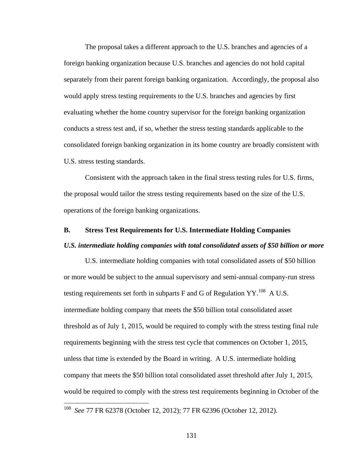The proposal takes a different approach to the U.S. branches and agencies of a foreign banking organization because U.S. branches and agencies do not hold capital separately from their parent foreign banking organization. Accordingly, the proposal also would apply stress testing requirements to the U.S. branches and agencies by first evaluating whether the home country supervisor for the foreign banking organization conducts a stress test and, if so, whether the stress testing standards applicable to the consolidated foreign banking organization in its home country are broadly consistent with U.S. stress testing standards.

Consistent with the approach taken in the final stress testing rules for U.S. firms, the proposal would tailor the stress testing requirements based on the size of the U.S. operations of the foreign banking organizations.

# **B. Stress Test Requirements for U.S. Intermediate Holding Companies**  *U.S. intermediate holding companies with total consolidated assets of \$50 billion or more*

U.S. intermediate holding companies with total consolidated assets of \$50 billion or more would be subject to the annual supervisory and semi-annual company-run stress testing requirements set forth in subparts F and G of Regulation  $YY$ .<sup>108</sup> A U.S. intermediate holding company that meets the \$50 billion total consolidated asset threshold as of July 1, 2015, would be required to comply with the stress testing final rule requirements beginning with the stress test cycle that commences on October 1, 2015, unless that time is extended by the Board in writing. A U.S. intermediate holding company that meets the \$50 billion total consolidated asset threshold after July 1, 2015, would be required to comply with the stress test requirements beginning in October of the

<sup>108</sup> *See* 77 FR 62378 (October 12, 2012); 77 FR 62396 (October 12, 2012).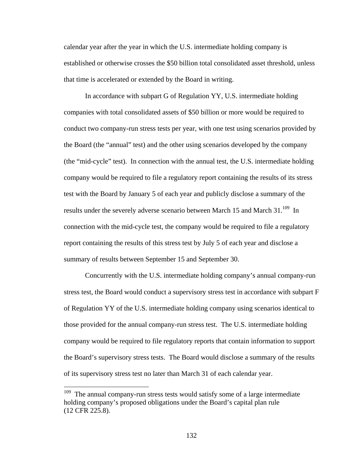calendar year after the year in which the U.S. intermediate holding company is established or otherwise crosses the \$50 billion total consolidated asset threshold, unless that time is accelerated or extended by the Board in writing.

In accordance with subpart G of Regulation YY, U.S. intermediate holding companies with total consolidated assets of \$50 billion or more would be required to conduct two company-run stress tests per year, with one test using scenarios provided by the Board (the "annual" test) and the other using scenarios developed by the company (the "mid-cycle" test). In connection with the annual test, the U.S. intermediate holding company would be required to file a regulatory report containing the results of its stress test with the Board by January 5 of each year and publicly disclose a summary of the results under the severely adverse scenario between March 15 and March 31.<sup>109</sup> In connection with the mid-cycle test, the company would be required to file a regulatory report containing the results of this stress test by July 5 of each year and disclose a summary of results between September 15 and September 30.

Concurrently with the U.S. intermediate holding company's annual company-run stress test, the Board would conduct a supervisory stress test in accordance with subpart F of Regulation YY of the U.S. intermediate holding company using scenarios identical to those provided for the annual company-run stress test. The U.S. intermediate holding company would be required to file regulatory reports that contain information to support the Board's supervisory stress tests. The Board would disclose a summary of the results of its supervisory stress test no later than March 31 of each calendar year.

 $109$  The annual company-run stress tests would satisfy some of a large intermediate holding company's proposed obligations under the Board's capital plan rule (12 CFR 225.8).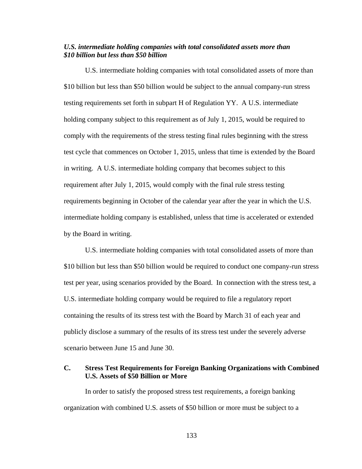# *U.S. intermediate holding companies with total consolidated assets more than \$10 billion but less than \$50 billion*

U.S. intermediate holding companies with total consolidated assets of more than \$10 billion but less than \$50 billion would be subject to the annual company-run stress testing requirements set forth in subpart H of Regulation YY. A U.S. intermediate holding company subject to this requirement as of July 1, 2015, would be required to comply with the requirements of the stress testing final rules beginning with the stress test cycle that commences on October 1, 2015, unless that time is extended by the Board in writing. A U.S. intermediate holding company that becomes subject to this requirement after July 1, 2015, would comply with the final rule stress testing requirements beginning in October of the calendar year after the year in which the U.S. intermediate holding company is established, unless that time is accelerated or extended by the Board in writing.

U.S. intermediate holding companies with total consolidated assets of more than \$10 billion but less than \$50 billion would be required to conduct one company-run stress test per year, using scenarios provided by the Board. In connection with the stress test, a U.S. intermediate holding company would be required to file a regulatory report containing the results of its stress test with the Board by March 31 of each year and publicly disclose a summary of the results of its stress test under the severely adverse scenario between June 15 and June 30.

# **C. Stress Test Requirements for Foreign Banking Organizations with Combined U.S. Assets of \$50 Billion or More**

In order to satisfy the proposed stress test requirements, a foreign banking organization with combined U.S. assets of \$50 billion or more must be subject to a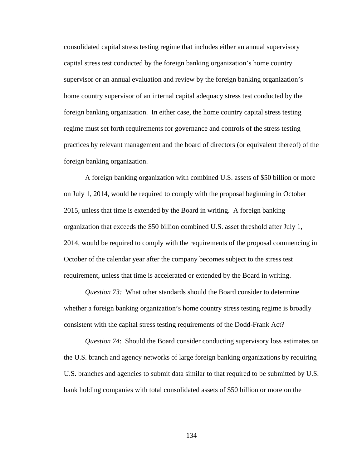consolidated capital stress testing regime that includes either an annual supervisory capital stress test conducted by the foreign banking organization's home country supervisor or an annual evaluation and review by the foreign banking organization's home country supervisor of an internal capital adequacy stress test conducted by the foreign banking organization. In either case, the home country capital stress testing regime must set forth requirements for governance and controls of the stress testing practices by relevant management and the board of directors (or equivalent thereof) of the foreign banking organization.

A foreign banking organization with combined U.S. assets of \$50 billion or more on July 1, 2014, would be required to comply with the proposal beginning in October 2015, unless that time is extended by the Board in writing. A foreign banking organization that exceeds the \$50 billion combined U.S. asset threshold after July 1, 2014, would be required to comply with the requirements of the proposal commencing in October of the calendar year after the company becomes subject to the stress test requirement, unless that time is accelerated or extended by the Board in writing.

*Question 73:* What other standards should the Board consider to determine whether a foreign banking organization's home country stress testing regime is broadly consistent with the capital stress testing requirements of the Dodd-Frank Act?

*Question 74*: Should the Board consider conducting supervisory loss estimates on the U.S. branch and agency networks of large foreign banking organizations by requiring U.S. branches and agencies to submit data similar to that required to be submitted by U.S. bank holding companies with total consolidated assets of \$50 billion or more on the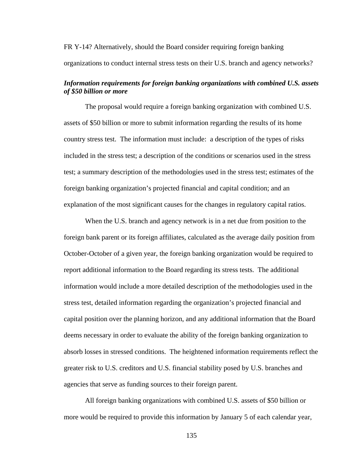# FR Y-14? Alternatively, should the Board consider requiring foreign banking organizations to conduct internal stress tests on their U.S. branch and agency networks?

# *Information requirements for foreign banking organizations with combined U.S. assets of \$50 billion or more*

The proposal would require a foreign banking organization with combined U.S. assets of \$50 billion or more to submit information regarding the results of its home country stress test. The information must include: a description of the types of risks included in the stress test; a description of the conditions or scenarios used in the stress test; a summary description of the methodologies used in the stress test; estimates of the foreign banking organization's projected financial and capital condition; and an explanation of the most significant causes for the changes in regulatory capital ratios.

When the U.S. branch and agency network is in a net due from position to the foreign bank parent or its foreign affiliates, calculated as the average daily position from October-October of a given year, the foreign banking organization would be required to report additional information to the Board regarding its stress tests. The additional information would include a more detailed description of the methodologies used in the stress test, detailed information regarding the organization's projected financial and capital position over the planning horizon, and any additional information that the Board deems necessary in order to evaluate the ability of the foreign banking organization to absorb losses in stressed conditions. The heightened information requirements reflect the greater risk to U.S. creditors and U.S. financial stability posed by U.S. branches and agencies that serve as funding sources to their foreign parent.

All foreign banking organizations with combined U.S. assets of \$50 billion or more would be required to provide this information by January 5 of each calendar year,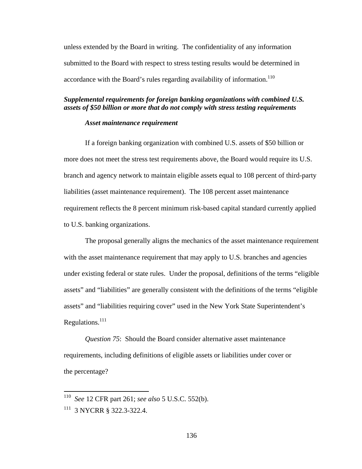unless extended by the Board in writing. The confidentiality of any information submitted to the Board with respect to stress testing results would be determined in accordance with the Board's rules regarding availability of information.<sup>110</sup>

# *Supplemental requirements for foreign banking organizations with combined U.S. assets of \$50 billion or more that do not comply with stress testing requirements*

#### *Asset maintenance requirement*

If a foreign banking organization with combined U.S. assets of \$50 billion or more does not meet the stress test requirements above, the Board would require its U.S. branch and agency network to maintain eligible assets equal to 108 percent of third-party liabilities (asset maintenance requirement). The 108 percent asset maintenance requirement reflects the 8 percent minimum risk-based capital standard currently applied to U.S. banking organizations.

The proposal generally aligns the mechanics of the asset maintenance requirement with the asset maintenance requirement that may apply to U.S. branches and agencies under existing federal or state rules. Under the proposal, definitions of the terms "eligible assets" and "liabilities" are generally consistent with the definitions of the terms "eligible assets" and "liabilities requiring cover" used in the New York State Superintendent's Regulations.<sup>111</sup>

*Question 75*: Should the Board consider alternative asset maintenance requirements, including definitions of eligible assets or liabilities under cover or the percentage?

<sup>110</sup> *See* 12 CFR part 261; *see also* 5 U.S.C. 552(b).

<sup>111 3</sup> NYCRR § 322.3-322.4.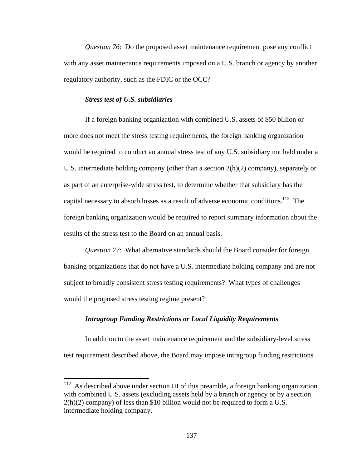*Question 76*: Do the proposed asset maintenance requirement pose any conflict with any asset maintenance requirements imposed on a U.S. branch or agency by another regulatory authority, such as the FDIC or the OCC?

## *Stress test of U.S. subsidiaries*

 $\overline{a}$ 

If a foreign banking organization with combined U.S. assets of \$50 billion or more does not meet the stress testing requirements, the foreign banking organization would be required to conduct an annual stress test of any U.S. subsidiary not held under a U.S. intermediate holding company (other than a section  $2(h)(2)$  company), separately or as part of an enterprise-wide stress test, to determine whether that subsidiary has the capital necessary to absorb losses as a result of adverse economic conditions.<sup>112</sup> The foreign banking organization would be required to report summary information about the results of the stress test to the Board on an annual basis.

*Question 77*: What alternative standards should the Board consider for foreign banking organizations that do not have a U.S. intermediate holding company and are not subject to broadly consistent stress testing requirements? What types of challenges would the proposed stress testing regime present?

# *Intragroup Funding Restrictions or Local Liquidity Requirements*

In addition to the asset maintenance requirement and the subsidiary-level stress test requirement described above, the Board may impose intragroup funding restrictions

 $112$  As described above under section III of this preamble, a foreign banking organization with combined U.S. assets (excluding assets held by a branch or agency or by a section  $2(h)(2)$  company) of less than \$10 billion would not be required to form a U.S. intermediate holding company.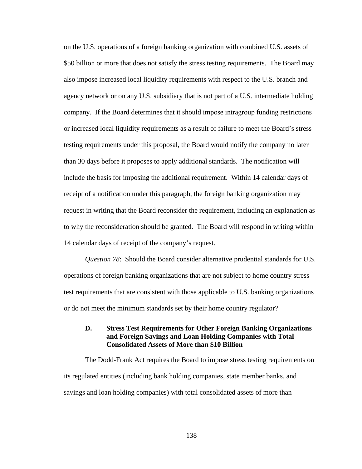on the U.S. operations of a foreign banking organization with combined U.S. assets of \$50 billion or more that does not satisfy the stress testing requirements. The Board may also impose increased local liquidity requirements with respect to the U.S. branch and agency network or on any U.S. subsidiary that is not part of a U.S. intermediate holding company. If the Board determines that it should impose intragroup funding restrictions or increased local liquidity requirements as a result of failure to meet the Board's stress testing requirements under this proposal, the Board would notify the company no later than 30 days before it proposes to apply additional standards. The notification will include the basis for imposing the additional requirement. Within 14 calendar days of receipt of a notification under this paragraph, the foreign banking organization may request in writing that the Board reconsider the requirement, including an explanation as to why the reconsideration should be granted. The Board will respond in writing within 14 calendar days of receipt of the company's request.

*Question 78*: Should the Board consider alternative prudential standards for U.S. operations of foreign banking organizations that are not subject to home country stress test requirements that are consistent with those applicable to U.S. banking organizations or do not meet the minimum standards set by their home country regulator?

# **D. Stress Test Requirements for Other Foreign Banking Organizations and Foreign Savings and Loan Holding Companies with Total Consolidated Assets of More than \$10 Billion**

The Dodd-Frank Act requires the Board to impose stress testing requirements on its regulated entities (including bank holding companies, state member banks, and savings and loan holding companies) with total consolidated assets of more than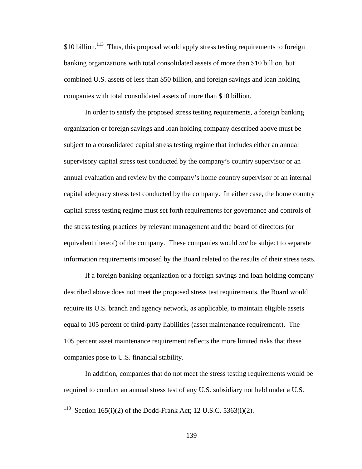$$10$  billion.<sup>113</sup> Thus, this proposal would apply stress testing requirements to foreign banking organizations with total consolidated assets of more than \$10 billion, but combined U.S. assets of less than \$50 billion, and foreign savings and loan holding companies with total consolidated assets of more than \$10 billion.

In order to satisfy the proposed stress testing requirements, a foreign banking organization or foreign savings and loan holding company described above must be subject to a consolidated capital stress testing regime that includes either an annual supervisory capital stress test conducted by the company's country supervisor or an annual evaluation and review by the company's home country supervisor of an internal capital adequacy stress test conducted by the company. In either case, the home country capital stress testing regime must set forth requirements for governance and controls of the stress testing practices by relevant management and the board of directors (or equivalent thereof) of the company. These companies would *not* be subject to separate information requirements imposed by the Board related to the results of their stress tests.

If a foreign banking organization or a foreign savings and loan holding company described above does not meet the proposed stress test requirements, the Board would require its U.S. branch and agency network, as applicable, to maintain eligible assets equal to 105 percent of third-party liabilities (asset maintenance requirement). The 105 percent asset maintenance requirement reflects the more limited risks that these companies pose to U.S. financial stability.

In addition, companies that do not meet the stress testing requirements would be required to conduct an annual stress test of any U.S. subsidiary not held under a U.S.

<sup>&</sup>lt;sup>113</sup> Section 165(i)(2) of the Dodd-Frank Act; 12 U.S.C. 5363(i)(2).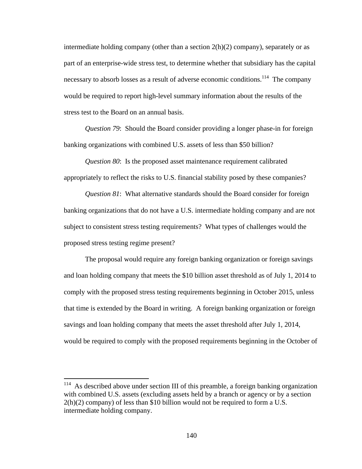intermediate holding company (other than a section  $2(h)(2)$  company), separately or as part of an enterprise-wide stress test, to determine whether that subsidiary has the capital necessary to absorb losses as a result of adverse economic conditions.<sup>114</sup> The company would be required to report high-level summary information about the results of the stress test to the Board on an annual basis.

*Question 79*: Should the Board consider providing a longer phase-in for foreign banking organizations with combined U.S. assets of less than \$50 billion?

*Question 80*: Is the proposed asset maintenance requirement calibrated appropriately to reflect the risks to U.S. financial stability posed by these companies?

*Question 81*: What alternative standards should the Board consider for foreign banking organizations that do not have a U.S. intermediate holding company and are not subject to consistent stress testing requirements? What types of challenges would the proposed stress testing regime present?

The proposal would require any foreign banking organization or foreign savings and loan holding company that meets the \$10 billion asset threshold as of July 1, 2014 to comply with the proposed stress testing requirements beginning in October 2015, unless that time is extended by the Board in writing. A foreign banking organization or foreign savings and loan holding company that meets the asset threshold after July 1, 2014, would be required to comply with the proposed requirements beginning in the October of

<sup>&</sup>lt;sup>114</sup> As described above under section III of this preamble, a foreign banking organization with combined U.S. assets (excluding assets held by a branch or agency or by a section 2(h)(2) company) of less than \$10 billion would not be required to form a U.S. intermediate holding company.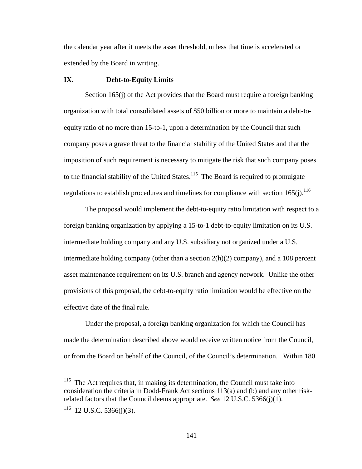the calendar year after it meets the asset threshold, unless that time is accelerated or extended by the Board in writing.

## **IX. Debt-to-Equity Limits**

Section 165(j) of the Act provides that the Board must require a foreign banking organization with total consolidated assets of \$50 billion or more to maintain a debt-toequity ratio of no more than 15-to-1, upon a determination by the Council that such company poses a grave threat to the financial stability of the United States and that the imposition of such requirement is necessary to mitigate the risk that such company poses to the financial stability of the United States.<sup>115</sup> The Board is required to promulgate regulations to establish procedures and timelines for compliance with section  $165(i)$ .<sup>116</sup>

The proposal would implement the debt-to-equity ratio limitation with respect to a foreign banking organization by applying a 15-to-1 debt-to-equity limitation on its U.S. intermediate holding company and any U.S. subsidiary not organized under a U.S. intermediate holding company (other than a section  $2(h)(2)$  company), and a 108 percent asset maintenance requirement on its U.S. branch and agency network. Unlike the other provisions of this proposal, the debt-to-equity ratio limitation would be effective on the effective date of the final rule.

Under the proposal, a foreign banking organization for which the Council has made the determination described above would receive written notice from the Council, or from the Board on behalf of the Council, of the Council's determination. Within 180

 $115$  The Act requires that, in making its determination, the Council must take into consideration the criteria in Dodd-Frank Act sections 113(a) and (b) and any other riskrelated factors that the Council deems appropriate. *See* 12 U.S.C. 5366(j)(1).

 $116$  12 U.S.C. 5366(j)(3).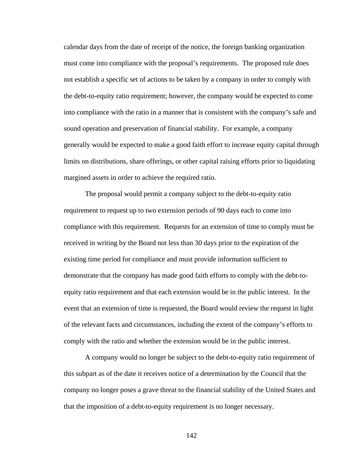calendar days from the date of receipt of the notice, the foreign banking organization must come into compliance with the proposal's requirements. The proposed rule does not establish a specific set of actions to be taken by a company in order to comply with the debt-to-equity ratio requirement; however, the company would be expected to come into compliance with the ratio in a manner that is consistent with the company's safe and sound operation and preservation of financial stability. For example, a company generally would be expected to make a good faith effort to increase equity capital through limits on distributions, share offerings, or other capital raising efforts prior to liquidating margined assets in order to achieve the required ratio.

The proposal would permit a company subject to the debt-to-equity ratio requirement to request up to two extension periods of 90 days each to come into compliance with this requirement. Requests for an extension of time to comply must be received in writing by the Board not less than 30 days prior to the expiration of the existing time period for compliance and must provide information sufficient to demonstrate that the company has made good faith efforts to comply with the debt-toequity ratio requirement and that each extension would be in the public interest. In the event that an extension of time is requested, the Board would review the request in light of the relevant facts and circumstances, including the extent of the company's efforts to comply with the ratio and whether the extension would be in the public interest.

A company would no longer be subject to the debt-to-equity ratio requirement of this subpart as of the date it receives notice of a determination by the Council that the company no longer poses a grave threat to the financial stability of the United States and that the imposition of a debt-to-equity requirement is no longer necessary.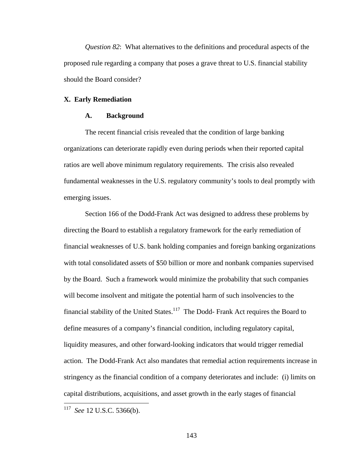*Question 82*: What alternatives to the definitions and procedural aspects of the proposed rule regarding a company that poses a grave threat to U.S. financial stability should the Board consider?

### **X. Early Remediation**

#### **A. Background**

The recent financial crisis revealed that the condition of large banking organizations can deteriorate rapidly even during periods when their reported capital ratios are well above minimum regulatory requirements. The crisis also revealed fundamental weaknesses in the U.S. regulatory community's tools to deal promptly with emerging issues.

Section 166 of the Dodd-Frank Act was designed to address these problems by directing the Board to establish a regulatory framework for the early remediation of financial weaknesses of U.S. bank holding companies and foreign banking organizations with total consolidated assets of \$50 billion or more and nonbank companies supervised by the Board. Such a framework would minimize the probability that such companies will become insolvent and mitigate the potential harm of such insolvencies to the financial stability of the United States.<sup>117</sup> The Dodd- Frank Act requires the Board to define measures of a company's financial condition, including regulatory capital, liquidity measures, and other forward-looking indicators that would trigger remedial action. The Dodd-Frank Act also mandates that remedial action requirements increase in stringency as the financial condition of a company deteriorates and include: (i) limits on capital distributions, acquisitions, and asset growth in the early stages of financial

 $\overline{a}$ 

<sup>117</sup> *See* 12 U.S.C. 5366(b).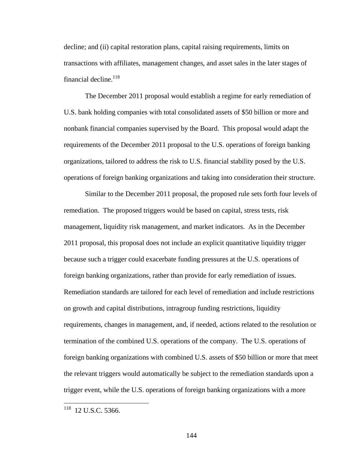decline; and (ii) capital restoration plans, capital raising requirements, limits on transactions with affiliates, management changes, and asset sales in the later stages of financial decline.<sup>118</sup>

The December 2011 proposal would establish a regime for early remediation of U.S. bank holding companies with total consolidated assets of \$50 billion or more and nonbank financial companies supervised by the Board. This proposal would adapt the requirements of the December 2011 proposal to the U.S. operations of foreign banking organizations, tailored to address the risk to U.S. financial stability posed by the U.S. operations of foreign banking organizations and taking into consideration their structure.

Similar to the December 2011 proposal, the proposed rule sets forth four levels of remediation. The proposed triggers would be based on capital, stress tests, risk management, liquidity risk management, and market indicators. As in the December 2011 proposal, this proposal does not include an explicit quantitative liquidity trigger because such a trigger could exacerbate funding pressures at the U.S. operations of foreign banking organizations, rather than provide for early remediation of issues. Remediation standards are tailored for each level of remediation and include restrictions on growth and capital distributions, intragroup funding restrictions, liquidity requirements, changes in management, and, if needed, actions related to the resolution or termination of the combined U.S. operations of the company. The U.S. operations of foreign banking organizations with combined U.S. assets of \$50 billion or more that meet the relevant triggers would automatically be subject to the remediation standards upon a trigger event, while the U.S. operations of foreign banking organizations with a more

<sup>&</sup>lt;sup>118</sup> 12 U.S.C. 5366.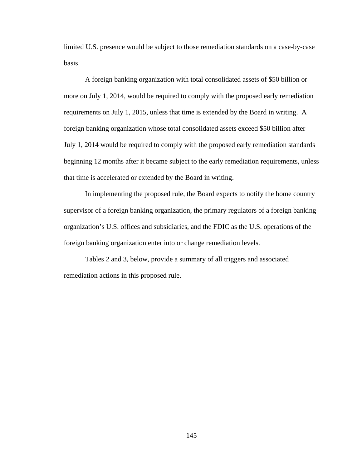limited U.S. presence would be subject to those remediation standards on a case-by-case basis.

A foreign banking organization with total consolidated assets of \$50 billion or more on July 1, 2014, would be required to comply with the proposed early remediation requirements on July 1, 2015, unless that time is extended by the Board in writing. A foreign banking organization whose total consolidated assets exceed \$50 billion after July 1, 2014 would be required to comply with the proposed early remediation standards beginning 12 months after it became subject to the early remediation requirements, unless that time is accelerated or extended by the Board in writing.

In implementing the proposed rule, the Board expects to notify the home country supervisor of a foreign banking organization, the primary regulators of a foreign banking organization's U.S. offices and subsidiaries, and the FDIC as the U.S. operations of the foreign banking organization enter into or change remediation levels.

Tables 2 and 3, below, provide a summary of all triggers and associated remediation actions in this proposed rule.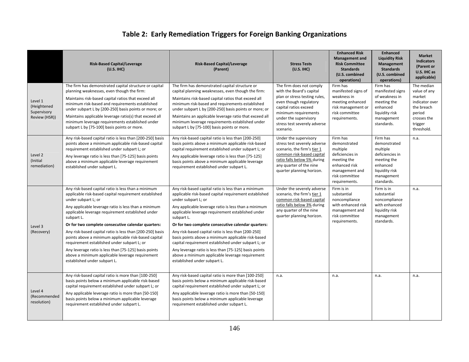# **Table 2: Early Remediation Triggers for Foreign Banking Organizations**

|                                                        | <b>Risk-Based Capital/Leverage</b><br>(U.S. IHC)                                                                                                                                                                                                                                                                                                                                                                                                                                                                                                                                                                                     | <b>Risk-Based Capital/Leverage</b><br>(Parent)                                                                                                                                                                                                                                                                                                                                                                                                                                                                                                                                                                                       | <b>Stress Tests</b><br>(U.S. IHC)                                                                                                                                                                                                      | <b>Enhanced Risk</b><br><b>Management and</b><br><b>Risk Committee</b><br><b>Standards</b><br>(U.S. combined<br>operations)                  | <b>Enhanced</b><br><b>Liquidity Risk</b><br>Management<br><b>Standards</b><br>(U.S. combined<br>operations)                      | <b>Market</b><br><b>Indicators</b><br>(Parent or<br>U.S. IHC as<br>applicable)                                         |
|--------------------------------------------------------|--------------------------------------------------------------------------------------------------------------------------------------------------------------------------------------------------------------------------------------------------------------------------------------------------------------------------------------------------------------------------------------------------------------------------------------------------------------------------------------------------------------------------------------------------------------------------------------------------------------------------------------|--------------------------------------------------------------------------------------------------------------------------------------------------------------------------------------------------------------------------------------------------------------------------------------------------------------------------------------------------------------------------------------------------------------------------------------------------------------------------------------------------------------------------------------------------------------------------------------------------------------------------------------|----------------------------------------------------------------------------------------------------------------------------------------------------------------------------------------------------------------------------------------|----------------------------------------------------------------------------------------------------------------------------------------------|----------------------------------------------------------------------------------------------------------------------------------|------------------------------------------------------------------------------------------------------------------------|
| Level 1<br>(Heightened<br>Supervisory<br>Review (HSR)) | The firm has demonstrated capital structure or capital<br>planning weaknesses, even though the firm:<br>Maintains risk-based capital ratios that exceed all<br>minimum risk-based and requirements established<br>under subpart L by [200-250] basis points or more; or<br>Maintains applicable leverage ratio(s) that exceed all<br>minimum leverage requirements established under<br>subpart L by [75-100] basis points or more.                                                                                                                                                                                                  | The firm has demonstrated capital structure or<br>capital planning weaknesses, even though the firm:<br>Maintains risk-based capital ratios that exceed all<br>minimum risk-based and requirements established<br>under subpart L by [200-250] basis points or more; or<br>Maintains an applicable leverage ratio that exceed all<br>minimum leverage requirements established under<br>subpart L by [75-100] basis points or more.                                                                                                                                                                                                  | The firm does not comply<br>with the Board's capital<br>plan or stress testing rules,<br>even though regulatory<br>capital ratios exceed<br>minimum requirements<br>under the supervisory<br>stress test severely adverse<br>scenario. | Firm has<br>manifested signs of<br>weakness in<br>meeting enhanced<br>risk management or<br>risk committee<br>requirements.                  | Firm has<br>manifested signs<br>of weakness in<br>meeting the<br>enhanced<br>liquidity risk<br>management<br>standards.          | The median<br>value of any<br>market<br>indicator over<br>the breach<br>period<br>crosses the<br>trigger<br>threshold. |
| Level 2<br>(Initial<br>remediation)                    | Any risk-based capital ratio is less than [200-250] basis<br>points above a minimum applicable risk-based capital<br>requirement established under subpart L; or<br>Any leverage ratio is less than [75-125] basis points<br>above a minimum applicable leverage requirement<br>established under subpart L.                                                                                                                                                                                                                                                                                                                         | Any risk-based capital ratio is less than [200-250]<br>basis points above a minimum applicable risk-based<br>capital requirement established under subpart L; or<br>Any applicable leverage ratio is less than [75-125]<br>basis points above a minimum applicable leverage<br>requirement established under subpart L.                                                                                                                                                                                                                                                                                                              | Under the supervisory<br>stress test severely adverse<br>scenario, the firm's tier 1<br>common risk-based capital<br>ratio falls below 5% during<br>any quarter of the nine<br>quarter planning horizon.                               | Firm has<br>demonstrated<br>multiple<br>deficiencies in<br>meeting the<br>enhanced risk<br>management and<br>risk committee<br>requirements. | Firm has<br>demonstrated<br>multiple<br>deficiencies in<br>meeting the<br>enhanced<br>liquidity risk<br>management<br>standards. | n.a.                                                                                                                   |
| Level 3<br>(Recovery)                                  | Any risk-based capital ratio is less than a minimum<br>applicable risk-based capital requirement established<br>under subpart L; or<br>Any applicable leverage ratio is less than a minimum<br>applicable leverage requirement established under<br>subpart L.<br>Or for two complete consecutive calendar quarters:<br>Any risk-based capital ratio is less than [200-250] basis<br>points above a minimum applicable risk-based capital<br>requirement established under subpart L; or<br>Any leverage ratio is less than [75-125] basis points<br>above a minimum applicable leverage requirement<br>established under subpart L. | Any risk-based capital ratio is less than a minimum<br>applicable risk-based capital requirement established<br>under subpart L; or<br>Any applicable leverage ratio is less than a minimum<br>applicable leverage requirement established under<br>subpart L.<br>Or for two complete consecutive calendar quarters:<br>Any risk-based capital ratio is less than [200-250]<br>basis points above a minimum applicable risk-based<br>capital requirement established under subpart L; or<br>Any leverage ratio is less than [75-125] basis points<br>above a minimum applicable leverage requirement<br>established under subpart L. | Under the severely adverse<br>scenario, the firm's tier 1<br>common risk-based capital<br>ratio falls below 3% during<br>any quarter of the nine<br>quarter planning horizon.                                                          | Firm is in<br>substantial<br>noncompliance<br>with enhanced risk<br>management and<br>risk committee<br>requirements.                        | Firm is in<br>substantial<br>noncompliance<br>with enhanced<br>liquidity risk<br>management<br>standards.                        | n.a.                                                                                                                   |
| Level 4<br>(Recommended<br>resolution)                 | Any risk-based capital ratio is more than [100-250]<br>basis points below a minimum applicable risk-based<br>capital requirement established under subpart L; or<br>Any applicable leverage ratio is more than [50-150]<br>basis points below a minimum applicable leverage<br>requirement established under subpart L.                                                                                                                                                                                                                                                                                                              | Any risk-based capital ratio is more than [100-250]<br>basis points below a minimum applicable risk-based<br>capital requirement established under subpart L; or<br>Any applicable leverage ratio is more than [50-150]<br>basis points below a minimum applicable leverage<br>requirement established under subpart L.                                                                                                                                                                                                                                                                                                              | n.a.                                                                                                                                                                                                                                   | n.a.                                                                                                                                         | n.a.                                                                                                                             | n.a.                                                                                                                   |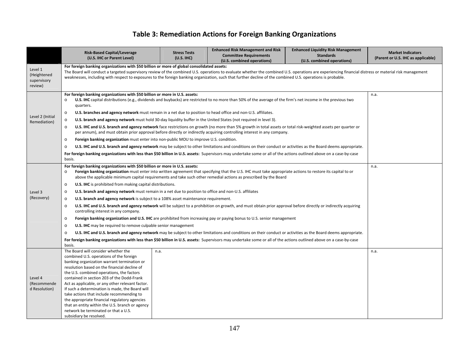# **Table 3: Remediation Actions for Foreign Banking Organizations**

|                                                  | <b>Risk-Based Capital/Leverage</b><br>(U.S. IHC or Parent Level)                                                                                                                                                                                                                                                                                                                                                                                                   | <b>Stress Tests</b><br>(U.S. IHC) | <b>Enhanced Risk Management and Risk</b><br><b>Committee Requirements</b><br>(U.S. combined operations) | <b>Enhanced Liquidity Risk Management</b><br><b>Standards</b><br>(U.S. combined operations) | <b>Market Indicators</b><br>(Parent or U.S. IHC as applicable) |
|--------------------------------------------------|--------------------------------------------------------------------------------------------------------------------------------------------------------------------------------------------------------------------------------------------------------------------------------------------------------------------------------------------------------------------------------------------------------------------------------------------------------------------|-----------------------------------|---------------------------------------------------------------------------------------------------------|---------------------------------------------------------------------------------------------|----------------------------------------------------------------|
| Level 1<br>(Heightened<br>supervisory<br>review) | For foreign banking organizations with \$50 billion or more of global consolidated assets:<br>The Board will conduct a targeted supervisory review of the combined U.S. operations to evaluate whether the combined U.S. operations are experiencing financial distress or material risk management<br>weaknesses, including with respect to exposures to the foreign banking organization, such that further decline of the combined U.S. operations is probable. |                                   |                                                                                                         |                                                                                             |                                                                |
| Level 2 (Initial<br>Remediation)                 | For foreign banking organizations with \$50 billion or more in U.S. assets:<br>U.S. IHC capital distributions (e.g., dividends and buybacks) are restricted to no more than 50% of the average of the firm's net income in the previous two<br>$\circ$<br>quarters.                                                                                                                                                                                                | n.a.                              |                                                                                                         |                                                                                             |                                                                |
|                                                  | <b>U.S. branches and agency network</b> must remain in a net due to position to head office and non-U.S. affiliates.<br>$\circ$                                                                                                                                                                                                                                                                                                                                    |                                   |                                                                                                         |                                                                                             |                                                                |
|                                                  | U.S. branch and agency network must hold 30-day liquidity buffer in the United States (not required in level 3).<br>$\circ$                                                                                                                                                                                                                                                                                                                                        |                                   |                                                                                                         |                                                                                             |                                                                |
|                                                  | U.S. IHC and U.S. branch and agency network face restrictions on growth (no more than 5% growth in total assets or total risk-weighted assets per quarter or<br>$\circ$<br>per annum), and must obtain prior approval before directly or indirectly acquiring controlling interest in any company.                                                                                                                                                                 |                                   |                                                                                                         |                                                                                             |                                                                |
|                                                  | Foreign banking organization must enter into non-public MOU to improve U.S. condition.<br>$\circ$                                                                                                                                                                                                                                                                                                                                                                  |                                   |                                                                                                         |                                                                                             |                                                                |
|                                                  | U.S. IHC and U.S. branch and agency network may be subject to other limitations and conditions on their conduct or activities as the Board deems appropriate.<br>$\circ$                                                                                                                                                                                                                                                                                           |                                   |                                                                                                         |                                                                                             |                                                                |
|                                                  | For foreign banking organizations with less than \$50 billion in U.S. assets: Supervisors may undertake some or all of the actions outlined above on a case-by-case<br>basis.                                                                                                                                                                                                                                                                                      |                                   |                                                                                                         |                                                                                             |                                                                |
| Level 3<br>(Recovery)                            | For foreign banking organizations with \$50 billion or more in U.S. assets:<br>Foreign banking organization must enter into written agreement that specifying that the U.S. IHC must take appropriate actions to restore its capital to or<br>$\circ$<br>above the applicable minimum capital requirements and take such other remedial actions as prescribed by the Board                                                                                         | n.a.                              |                                                                                                         |                                                                                             |                                                                |
|                                                  | U.S. IHC is prohibited from making capital distributions.<br>$\circ$                                                                                                                                                                                                                                                                                                                                                                                               |                                   |                                                                                                         |                                                                                             |                                                                |
|                                                  | U.S. branch and agency network must remain in a net due to position to office and non-U.S. affiliates<br>$\circ$                                                                                                                                                                                                                                                                                                                                                   |                                   |                                                                                                         |                                                                                             |                                                                |
|                                                  | U.S. branch and agency network is subject to a 108% asset maintenance requirement.<br>$\circ$                                                                                                                                                                                                                                                                                                                                                                      |                                   |                                                                                                         |                                                                                             |                                                                |
|                                                  | U.S. IHC and U.S. branch and agency network will be subject to a prohibition on growth, and must obtain prior approval before directly or indirectly acquiring<br>$\circ$<br>controlling interest in any company.                                                                                                                                                                                                                                                  |                                   |                                                                                                         |                                                                                             |                                                                |
|                                                  | Foreign banking organization and U.S. IHC are prohibited from increasing pay or paying bonus to U.S. senior management<br>$\circ$                                                                                                                                                                                                                                                                                                                                  |                                   |                                                                                                         |                                                                                             |                                                                |
|                                                  | <b>U.S. IHC</b> may be required to remove culpable senior management<br>$\circ$                                                                                                                                                                                                                                                                                                                                                                                    |                                   |                                                                                                         |                                                                                             |                                                                |
|                                                  | U.S. IHC and U.S. branch and agency network may be subject to other limitations and conditions on their conduct or activities as the Board deems appropriate.<br>$\circ$                                                                                                                                                                                                                                                                                           |                                   |                                                                                                         |                                                                                             |                                                                |
|                                                  | For foreign banking organizations with less than \$50 billion in U.S. assets: Supervisors may undertake some or all of the actions outlined above on a case-by-case<br>basis.                                                                                                                                                                                                                                                                                      |                                   |                                                                                                         |                                                                                             |                                                                |
|                                                  | The Board will consider whether the                                                                                                                                                                                                                                                                                                                                                                                                                                | n.a.                              |                                                                                                         |                                                                                             | n.a.                                                           |
| Level 4                                          | combined U.S. operations of the foreign                                                                                                                                                                                                                                                                                                                                                                                                                            |                                   |                                                                                                         |                                                                                             |                                                                |
|                                                  | banking organization warrant termination or<br>resolution based on the financial decline of                                                                                                                                                                                                                                                                                                                                                                        |                                   |                                                                                                         |                                                                                             |                                                                |
|                                                  | the U.S. combined operations, the factors                                                                                                                                                                                                                                                                                                                                                                                                                          |                                   |                                                                                                         |                                                                                             |                                                                |
|                                                  | contained in section 203 of the Dodd-Frank                                                                                                                                                                                                                                                                                                                                                                                                                         |                                   |                                                                                                         |                                                                                             |                                                                |
| (Recommende                                      | Act as applicable, or any other relevant factor.                                                                                                                                                                                                                                                                                                                                                                                                                   |                                   |                                                                                                         |                                                                                             |                                                                |
| d Resolution)                                    | If such a determination is made, the Board will                                                                                                                                                                                                                                                                                                                                                                                                                    |                                   |                                                                                                         |                                                                                             |                                                                |
|                                                  | take actions that include recommending to<br>the appropriate financial regulatory agencies                                                                                                                                                                                                                                                                                                                                                                         |                                   |                                                                                                         |                                                                                             |                                                                |
|                                                  | that an entity within the U.S. branch or agency                                                                                                                                                                                                                                                                                                                                                                                                                    |                                   |                                                                                                         |                                                                                             |                                                                |
|                                                  | network be terminated or that a U.S.                                                                                                                                                                                                                                                                                                                                                                                                                               |                                   |                                                                                                         |                                                                                             |                                                                |
|                                                  | subsidiary be resolved.                                                                                                                                                                                                                                                                                                                                                                                                                                            |                                   |                                                                                                         |                                                                                             |                                                                |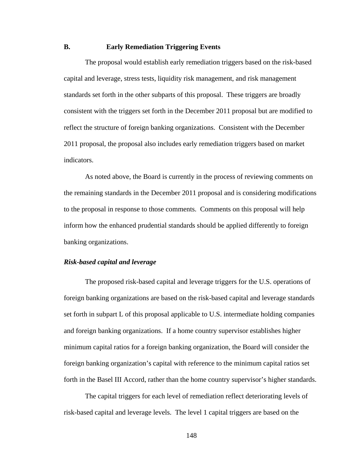# **B. Early Remediation Triggering Events**

The proposal would establish early remediation triggers based on the risk-based capital and leverage, stress tests, liquidity risk management, and risk management standards set forth in the other subparts of this proposal. These triggers are broadly consistent with the triggers set forth in the December 2011 proposal but are modified to reflect the structure of foreign banking organizations. Consistent with the December 2011 proposal, the proposal also includes early remediation triggers based on market indicators.

As noted above, the Board is currently in the process of reviewing comments on the remaining standards in the December 2011 proposal and is considering modifications to the proposal in response to those comments. Comments on this proposal will help inform how the enhanced prudential standards should be applied differently to foreign banking organizations.

## *Risk-based capital and leverage*

The proposed risk-based capital and leverage triggers for the U.S. operations of foreign banking organizations are based on the risk-based capital and leverage standards set forth in subpart L of this proposal applicable to U.S. intermediate holding companies and foreign banking organizations. If a home country supervisor establishes higher minimum capital ratios for a foreign banking organization, the Board will consider the foreign banking organization's capital with reference to the minimum capital ratios set forth in the Basel III Accord, rather than the home country supervisor's higher standards.

The capital triggers for each level of remediation reflect deteriorating levels of risk-based capital and leverage levels. The level 1 capital triggers are based on the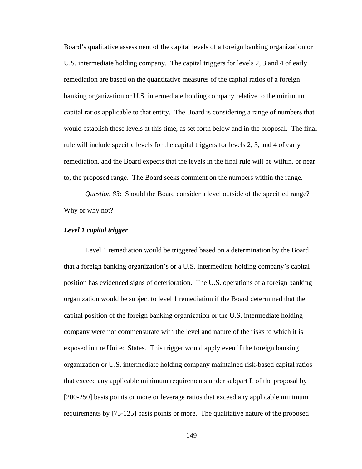Board's qualitative assessment of the capital levels of a foreign banking organization or U.S. intermediate holding company. The capital triggers for levels 2, 3 and 4 of early remediation are based on the quantitative measures of the capital ratios of a foreign banking organization or U.S. intermediate holding company relative to the minimum capital ratios applicable to that entity. The Board is considering a range of numbers that would establish these levels at this time, as set forth below and in the proposal. The final rule will include specific levels for the capital triggers for levels 2, 3, and 4 of early remediation, and the Board expects that the levels in the final rule will be within, or near to, the proposed range. The Board seeks comment on the numbers within the range.

*Question 83*: Should the Board consider a level outside of the specified range? Why or why not?

#### *Level 1 capital trigger*

Level 1 remediation would be triggered based on a determination by the Board that a foreign banking organization's or a U.S. intermediate holding company's capital position has evidenced signs of deterioration. The U.S. operations of a foreign banking organization would be subject to level 1 remediation if the Board determined that the capital position of the foreign banking organization or the U.S. intermediate holding company were not commensurate with the level and nature of the risks to which it is exposed in the United States. This trigger would apply even if the foreign banking organization or U.S. intermediate holding company maintained risk-based capital ratios that exceed any applicable minimum requirements under subpart L of the proposal by [200-250] basis points or more or leverage ratios that exceed any applicable minimum requirements by [75-125] basis points or more. The qualitative nature of the proposed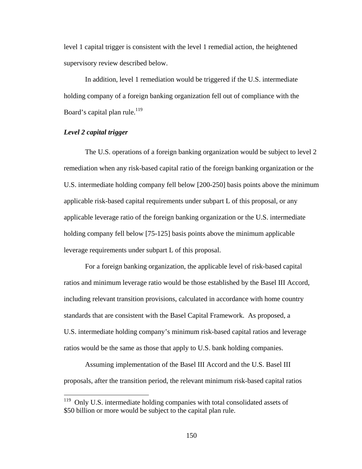level 1 capital trigger is consistent with the level 1 remedial action, the heightened supervisory review described below.

In addition, level 1 remediation would be triggered if the U.S. intermediate holding company of a foreign banking organization fell out of compliance with the Board's capital plan rule.<sup>119</sup>

### *Level 2 capital trigger*

 $\overline{a}$ 

The U.S. operations of a foreign banking organization would be subject to level 2 remediation when any risk-based capital ratio of the foreign banking organization or the U.S. intermediate holding company fell below [200-250] basis points above the minimum applicable risk-based capital requirements under subpart L of this proposal, or any applicable leverage ratio of the foreign banking organization or the U.S. intermediate holding company fell below [75-125] basis points above the minimum applicable leverage requirements under subpart L of this proposal.

For a foreign banking organization, the applicable level of risk-based capital ratios and minimum leverage ratio would be those established by the Basel III Accord, including relevant transition provisions, calculated in accordance with home country standards that are consistent with the Basel Capital Framework. As proposed, a U.S. intermediate holding company's minimum risk-based capital ratios and leverage ratios would be the same as those that apply to U.S. bank holding companies.

Assuming implementation of the Basel III Accord and the U.S. Basel III proposals, after the transition period, the relevant minimum risk-based capital ratios

 $119$  Only U.S. intermediate holding companies with total consolidated assets of \$50 billion or more would be subject to the capital plan rule.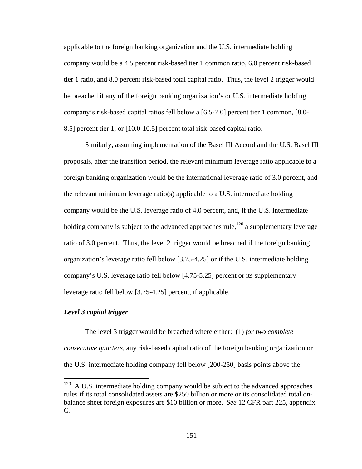applicable to the foreign banking organization and the U.S. intermediate holding company would be a 4.5 percent risk-based tier 1 common ratio, 6.0 percent risk-based tier 1 ratio, and 8.0 percent risk-based total capital ratio. Thus, the level 2 trigger would be breached if any of the foreign banking organization's or U.S. intermediate holding company's risk-based capital ratios fell below a [6.5-7.0] percent tier 1 common, [8.0- 8.5] percent tier 1, or [10.0-10.5] percent total risk-based capital ratio.

Similarly, assuming implementation of the Basel III Accord and the U.S. Basel III proposals, after the transition period, the relevant minimum leverage ratio applicable to a foreign banking organization would be the international leverage ratio of 3.0 percent, and the relevant minimum leverage ratio(s) applicable to a U.S. intermediate holding company would be the U.S. leverage ratio of 4.0 percent, and, if the U.S. intermediate holding company is subject to the advanced approaches rule,<sup>120</sup> a supplementary leverage ratio of 3.0 percent. Thus, the level 2 trigger would be breached if the foreign banking organization's leverage ratio fell below [3.75-4.25] or if the U.S. intermediate holding company's U.S. leverage ratio fell below [4.75-5.25] percent or its supplementary leverage ratio fell below [3.75-4.25] percent, if applicable.

# *Level 3 capital trigger*

 $\overline{a}$ 

The level 3 trigger would be breached where either: (1) *for two complete consecutive quarters,* any risk-based capital ratio of the foreign banking organization or the U.S. intermediate holding company fell below [200-250] basis points above the

 $120$  A U.S. intermediate holding company would be subject to the advanced approaches rules if its total consolidated assets are \$250 billion or more or its consolidated total onbalance sheet foreign exposures are \$10 billion or more. *See* 12 CFR part 225, appendix G.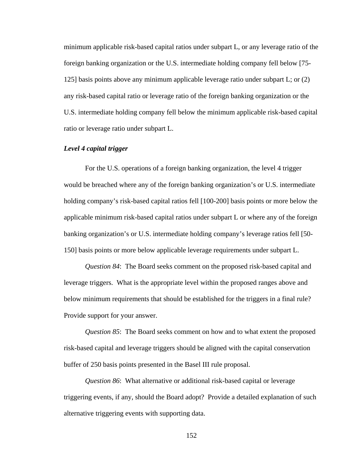minimum applicable risk-based capital ratios under subpart L, or any leverage ratio of the foreign banking organization or the U.S. intermediate holding company fell below [75- 125] basis points above any minimum applicable leverage ratio under subpart L; or (2) any risk-based capital ratio or leverage ratio of the foreign banking organization or the U.S. intermediate holding company fell below the minimum applicable risk-based capital ratio or leverage ratio under subpart L.

#### *Level 4 capital trigger*

For the U.S. operations of a foreign banking organization, the level 4 trigger would be breached where any of the foreign banking organization's or U.S. intermediate holding company's risk-based capital ratios fell [100-200] basis points or more below the applicable minimum risk-based capital ratios under subpart L or where any of the foreign banking organization's or U.S. intermediate holding company's leverage ratios fell [50- 150] basis points or more below applicable leverage requirements under subpart L.

*Question 84*: The Board seeks comment on the proposed risk-based capital and leverage triggers. What is the appropriate level within the proposed ranges above and below minimum requirements that should be established for the triggers in a final rule? Provide support for your answer.

*Question 85*: The Board seeks comment on how and to what extent the proposed risk-based capital and leverage triggers should be aligned with the capital conservation buffer of 250 basis points presented in the Basel III rule proposal.

*Question 86*: What alternative or additional risk-based capital or leverage triggering events, if any, should the Board adopt? Provide a detailed explanation of such alternative triggering events with supporting data.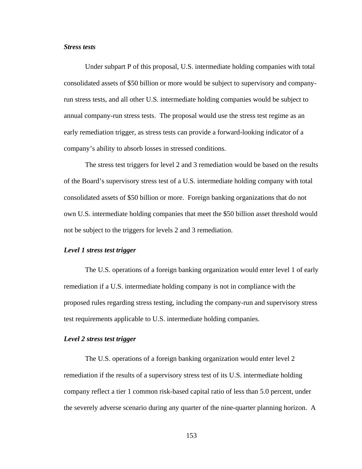# *Stress tests*

Under subpart P of this proposal, U.S. intermediate holding companies with total consolidated assets of \$50 billion or more would be subject to supervisory and companyrun stress tests, and all other U.S. intermediate holding companies would be subject to annual company-run stress tests. The proposal would use the stress test regime as an early remediation trigger, as stress tests can provide a forward-looking indicator of a company's ability to absorb losses in stressed conditions.

The stress test triggers for level 2 and 3 remediation would be based on the results of the Board's supervisory stress test of a U.S. intermediate holding company with total consolidated assets of \$50 billion or more. Foreign banking organizations that do not own U.S. intermediate holding companies that meet the \$50 billion asset threshold would not be subject to the triggers for levels 2 and 3 remediation.

#### *Level 1 stress test trigger*

The U.S. operations of a foreign banking organization would enter level 1 of early remediation if a U.S. intermediate holding company is not in compliance with the proposed rules regarding stress testing, including the company-run and supervisory stress test requirements applicable to U.S. intermediate holding companies.

#### *Level 2 stress test trigger*

The U.S. operations of a foreign banking organization would enter level 2 remediation if the results of a supervisory stress test of its U.S. intermediate holding company reflect a tier 1 common risk-based capital ratio of less than 5.0 percent, under the severely adverse scenario during any quarter of the nine-quarter planning horizon. A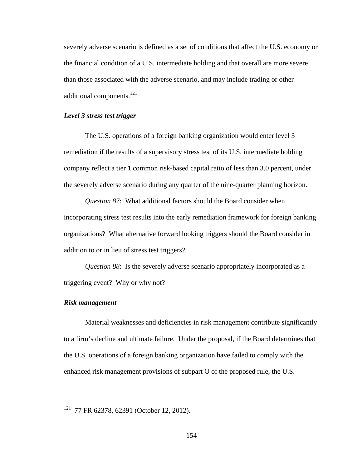severely adverse scenario is defined as a set of conditions that affect the U.S. economy or the financial condition of a U.S. intermediate holding and that overall are more severe than those associated with the adverse scenario, and may include trading or other additional components.<sup>121</sup>

# *Level 3 stress test trigger*

The U.S. operations of a foreign banking organization would enter level 3 remediation if the results of a supervisory stress test of its U.S. intermediate holding company reflect a tier 1 common risk-based capital ratio of less than 3.0 percent, under the severely adverse scenario during any quarter of the nine-quarter planning horizon.

*Question 87*: What additional factors should the Board consider when incorporating stress test results into the early remediation framework for foreign banking organizations? What alternative forward looking triggers should the Board consider in addition to or in lieu of stress test triggers?

*Question 88*: Is the severely adverse scenario appropriately incorporated as a triggering event? Why or why not?

### *Risk management*

 $\overline{a}$ 

Material weaknesses and deficiencies in risk management contribute significantly to a firm's decline and ultimate failure. Under the proposal, if the Board determines that the U.S. operations of a foreign banking organization have failed to comply with the enhanced risk management provisions of subpart O of the proposed rule, the U.S.

 $121$  77 FR 62378, 62391 (October 12, 2012).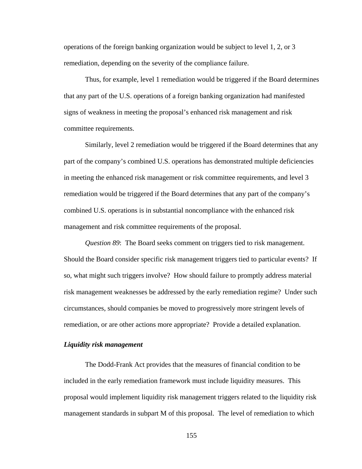operations of the foreign banking organization would be subject to level 1, 2, or 3 remediation, depending on the severity of the compliance failure.

Thus, for example, level 1 remediation would be triggered if the Board determines that any part of the U.S. operations of a foreign banking organization had manifested signs of weakness in meeting the proposal's enhanced risk management and risk committee requirements.

Similarly, level 2 remediation would be triggered if the Board determines that any part of the company's combined U.S. operations has demonstrated multiple deficiencies in meeting the enhanced risk management or risk committee requirements, and level 3 remediation would be triggered if the Board determines that any part of the company's combined U.S. operations is in substantial noncompliance with the enhanced risk management and risk committee requirements of the proposal.

*Question 89*: The Board seeks comment on triggers tied to risk management. Should the Board consider specific risk management triggers tied to particular events? If so, what might such triggers involve? How should failure to promptly address material risk management weaknesses be addressed by the early remediation regime? Under such circumstances, should companies be moved to progressively more stringent levels of remediation, or are other actions more appropriate? Provide a detailed explanation.

#### *Liquidity risk management*

The Dodd-Frank Act provides that the measures of financial condition to be included in the early remediation framework must include liquidity measures. This proposal would implement liquidity risk management triggers related to the liquidity risk management standards in subpart M of this proposal. The level of remediation to which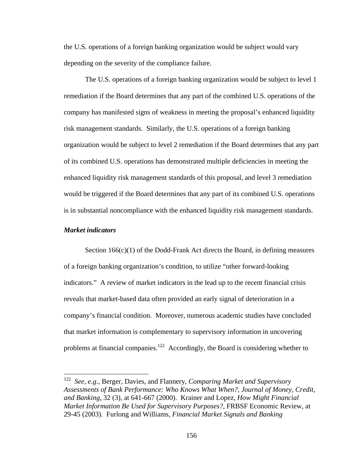the U.S. operations of a foreign banking organization would be subject would vary depending on the severity of the compliance failure.

The U.S. operations of a foreign banking organization would be subject to level 1 remediation if the Board determines that any part of the combined U.S. operations of the company has manifested signs of weakness in meeting the proposal's enhanced liquidity risk management standards. Similarly, the U.S. operations of a foreign banking organization would be subject to level 2 remediation if the Board determines that any part of its combined U.S. operations has demonstrated multiple deficiencies in meeting the enhanced liquidity risk management standards of this proposal, and level 3 remediation would be triggered if the Board determines that any part of its combined U.S. operations is in substantial noncompliance with the enhanced liquidity risk management standards.

### *Market indicators*

 $\overline{a}$ 

Section  $166(c)(1)$  of the Dodd-Frank Act directs the Board, in defining measures of a foreign banking organization's condition, to utilize "other forward-looking indicators." A review of market indicators in the lead up to the recent financial crisis reveals that market-based data often provided an early signal of deterioration in a company's financial condition. Moreover, numerous academic studies have concluded that market information is complementary to supervisory information in uncovering problems at financial companies.<sup>122</sup> Accordingly, the Board is considering whether to

<sup>122</sup> *See, e.g.*, Berger, Davies, and Flannery, *Comparing Market and Supervisory Assessments of Bank Performance: Who Knows What When?, Journal of Money, Credit, and Banking*, 32 (3), at 641-667 (2000). Krainer and Lopez, *How Might Financial Market Information Be Used for Supervisory Purposes?*, FRBSF Economic Review, at 29-45 (2003). Furlong and Williams, *Financial Market Signals and Banking*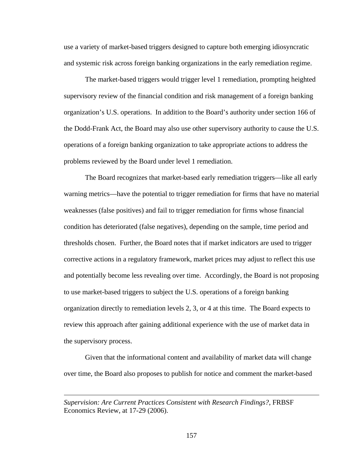use a variety of market-based triggers designed to capture both emerging idiosyncratic and systemic risk across foreign banking organizations in the early remediation regime.

The market-based triggers would trigger level 1 remediation, prompting heighted supervisory review of the financial condition and risk management of a foreign banking organization's U.S. operations. In addition to the Board's authority under section 166 of the Dodd-Frank Act, the Board may also use other supervisory authority to cause the U.S. operations of a foreign banking organization to take appropriate actions to address the problems reviewed by the Board under level 1 remediation.

The Board recognizes that market-based early remediation triggers—like all early warning metrics—have the potential to trigger remediation for firms that have no material weaknesses (false positives) and fail to trigger remediation for firms whose financial condition has deteriorated (false negatives), depending on the sample, time period and thresholds chosen. Further, the Board notes that if market indicators are used to trigger corrective actions in a regulatory framework, market prices may adjust to reflect this use and potentially become less revealing over time. Accordingly, the Board is not proposing to use market-based triggers to subject the U.S. operations of a foreign banking organization directly to remediation levels 2, 3, or 4 at this time. The Board expects to review this approach after gaining additional experience with the use of market data in the supervisory process.

Given that the informational content and availability of market data will change over time, the Board also proposes to publish for notice and comment the market-based

 $\overline{a}$ 

*Supervision: Are Current Practices Consistent with Research Findings?*, FRBSF Economics Review, at 17-29 (2006).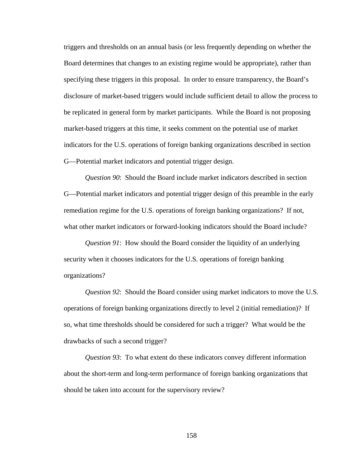triggers and thresholds on an annual basis (or less frequently depending on whether the Board determines that changes to an existing regime would be appropriate), rather than specifying these triggers in this proposal. In order to ensure transparency, the Board's disclosure of market-based triggers would include sufficient detail to allow the process to be replicated in general form by market participants. While the Board is not proposing market-based triggers at this time, it seeks comment on the potential use of market indicators for the U.S. operations of foreign banking organizations described in section G—Potential market indicators and potential trigger design.

*Question 90*: Should the Board include market indicators described in section G—Potential market indicators and potential trigger design of this preamble in the early remediation regime for the U.S. operations of foreign banking organizations? If not, what other market indicators or forward-looking indicators should the Board include?

*Question 91*: How should the Board consider the liquidity of an underlying security when it chooses indicators for the U.S. operations of foreign banking organizations?

*Question 92*: Should the Board consider using market indicators to move the U.S. operations of foreign banking organizations directly to level 2 (initial remediation)? If so, what time thresholds should be considered for such a trigger? What would be the drawbacks of such a second trigger?

*Question 93*: To what extent do these indicators convey different information about the short-term and long-term performance of foreign banking organizations that should be taken into account for the supervisory review?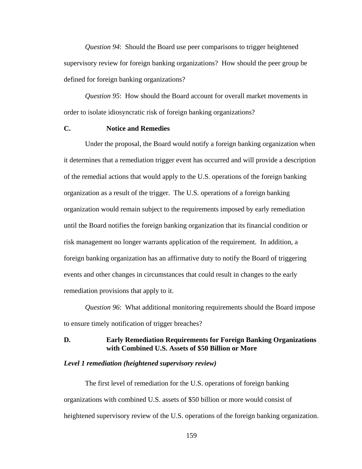*Question 94*: Should the Board use peer comparisons to trigger heightened supervisory review for foreign banking organizations? How should the peer group be defined for foreign banking organizations?

*Question 95*: How should the Board account for overall market movements in order to isolate idiosyncratic risk of foreign banking organizations?

# **C. Notice and Remedies**

Under the proposal, the Board would notify a foreign banking organization when it determines that a remediation trigger event has occurred and will provide a description of the remedial actions that would apply to the U.S. operations of the foreign banking organization as a result of the trigger. The U.S. operations of a foreign banking organization would remain subject to the requirements imposed by early remediation until the Board notifies the foreign banking organization that its financial condition or risk management no longer warrants application of the requirement. In addition, a foreign banking organization has an affirmative duty to notify the Board of triggering events and other changes in circumstances that could result in changes to the early remediation provisions that apply to it.

*Question 96*: What additional monitoring requirements should the Board impose to ensure timely notification of trigger breaches?

# **D. Early Remediation Requirements for Foreign Banking Organizations with Combined U.S. Assets of \$50 Billion or More**

#### *Level 1 remediation (heightened supervisory review)*

The first level of remediation for the U.S. operations of foreign banking organizations with combined U.S. assets of \$50 billion or more would consist of heightened supervisory review of the U.S. operations of the foreign banking organization.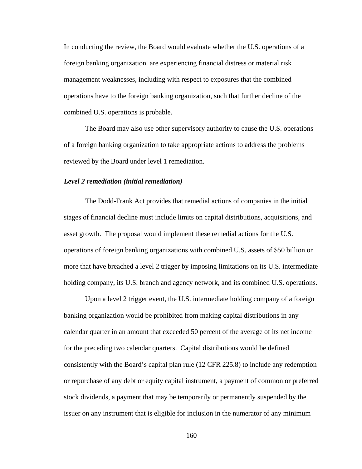In conducting the review, the Board would evaluate whether the U.S. operations of a foreign banking organization are experiencing financial distress or material risk management weaknesses, including with respect to exposures that the combined operations have to the foreign banking organization, such that further decline of the combined U.S. operations is probable.

The Board may also use other supervisory authority to cause the U.S. operations of a foreign banking organization to take appropriate actions to address the problems reviewed by the Board under level 1 remediation.

#### *Level 2 remediation (initial remediation)*

The Dodd-Frank Act provides that remedial actions of companies in the initial stages of financial decline must include limits on capital distributions, acquisitions, and asset growth. The proposal would implement these remedial actions for the U.S. operations of foreign banking organizations with combined U.S. assets of \$50 billion or more that have breached a level 2 trigger by imposing limitations on its U.S. intermediate holding company, its U.S. branch and agency network, and its combined U.S. operations.

Upon a level 2 trigger event, the U.S. intermediate holding company of a foreign banking organization would be prohibited from making capital distributions in any calendar quarter in an amount that exceeded 50 percent of the average of its net income for the preceding two calendar quarters. Capital distributions would be defined consistently with the Board's capital plan rule (12 CFR 225.8) to include any redemption or repurchase of any debt or equity capital instrument, a payment of common or preferred stock dividends, a payment that may be temporarily or permanently suspended by the issuer on any instrument that is eligible for inclusion in the numerator of any minimum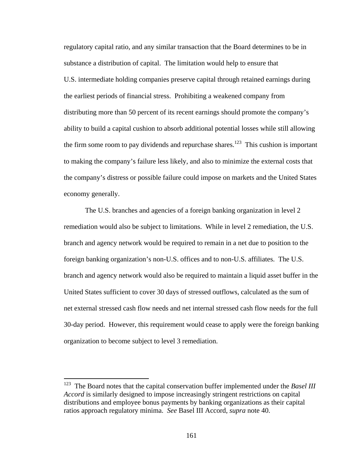regulatory capital ratio, and any similar transaction that the Board determines to be in substance a distribution of capital. The limitation would help to ensure that U.S. intermediate holding companies preserve capital through retained earnings during the earliest periods of financial stress. Prohibiting a weakened company from distributing more than 50 percent of its recent earnings should promote the company's ability to build a capital cushion to absorb additional potential losses while still allowing the firm some room to pay dividends and repurchase shares.<sup>123</sup> This cushion is important to making the company's failure less likely, and also to minimize the external costs that the company's distress or possible failure could impose on markets and the United States economy generally.

The U.S. branches and agencies of a foreign banking organization in level 2 remediation would also be subject to limitations. While in level 2 remediation, the U.S. branch and agency network would be required to remain in a net due to position to the foreign banking organization's non-U.S. offices and to non-U.S. affiliates. The U.S. branch and agency network would also be required to maintain a liquid asset buffer in the United States sufficient to cover 30 days of stressed outflows, calculated as the sum of net external stressed cash flow needs and net internal stressed cash flow needs for the full 30-day period. However, this requirement would cease to apply were the foreign banking organization to become subject to level 3 remediation.

 $\overline{a}$ 

<sup>123</sup> The Board notes that the capital conservation buffer implemented under the *Basel III Accord* is similarly designed to impose increasingly stringent restrictions on capital distributions and employee bonus payments by banking organizations as their capital ratios approach regulatory minima. *See* Basel III Accord, *supra* note 40.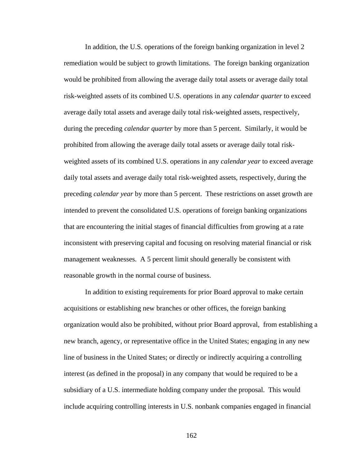In addition, the U.S. operations of the foreign banking organization in level 2 remediation would be subject to growth limitations. The foreign banking organization would be prohibited from allowing the average daily total assets or average daily total risk-weighted assets of its combined U.S. operations in any *calendar quarter* to exceed average daily total assets and average daily total risk-weighted assets, respectively, during the preceding *calendar quarter* by more than 5 percent. Similarly, it would be prohibited from allowing the average daily total assets or average daily total riskweighted assets of its combined U.S. operations in any *calendar year* to exceed average daily total assets and average daily total risk-weighted assets, respectively, during the preceding *calendar year* by more than 5 percent. These restrictions on asset growth are intended to prevent the consolidated U.S. operations of foreign banking organizations that are encountering the initial stages of financial difficulties from growing at a rate inconsistent with preserving capital and focusing on resolving material financial or risk management weaknesses. A 5 percent limit should generally be consistent with reasonable growth in the normal course of business.

In addition to existing requirements for prior Board approval to make certain acquisitions or establishing new branches or other offices, the foreign banking organization would also be prohibited, without prior Board approval, from establishing a new branch, agency, or representative office in the United States; engaging in any new line of business in the United States; or directly or indirectly acquiring a controlling interest (as defined in the proposal) in any company that would be required to be a subsidiary of a U.S. intermediate holding company under the proposal. This would include acquiring controlling interests in U.S. nonbank companies engaged in financial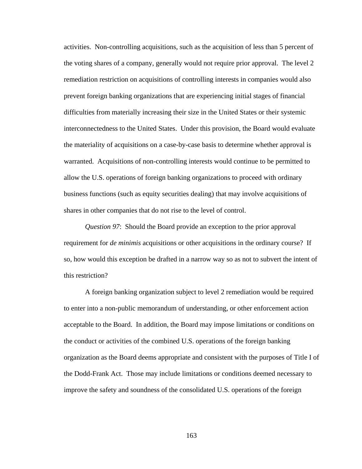activities. Non-controlling acquisitions, such as the acquisition of less than 5 percent of the voting shares of a company, generally would not require prior approval. The level 2 remediation restriction on acquisitions of controlling interests in companies would also prevent foreign banking organizations that are experiencing initial stages of financial difficulties from materially increasing their size in the United States or their systemic interconnectedness to the United States. Under this provision, the Board would evaluate the materiality of acquisitions on a case-by-case basis to determine whether approval is warranted. Acquisitions of non-controlling interests would continue to be permitted to allow the U.S. operations of foreign banking organizations to proceed with ordinary business functions (such as equity securities dealing) that may involve acquisitions of shares in other companies that do not rise to the level of control.

*Question 97*: Should the Board provide an exception to the prior approval requirement for *de minimis* acquisitions or other acquisitions in the ordinary course? If so, how would this exception be drafted in a narrow way so as not to subvert the intent of this restriction?

A foreign banking organization subject to level 2 remediation would be required to enter into a non-public memorandum of understanding, or other enforcement action acceptable to the Board. In addition, the Board may impose limitations or conditions on the conduct or activities of the combined U.S. operations of the foreign banking organization as the Board deems appropriate and consistent with the purposes of Title I of the Dodd-Frank Act. Those may include limitations or conditions deemed necessary to improve the safety and soundness of the consolidated U.S. operations of the foreign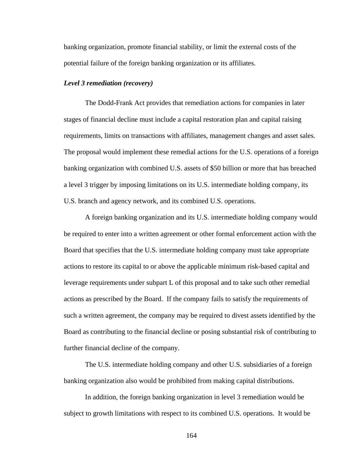banking organization, promote financial stability, or limit the external costs of the potential failure of the foreign banking organization or its affiliates.

#### *Level 3 remediation (recovery)*

The Dodd-Frank Act provides that remediation actions for companies in later stages of financial decline must include a capital restoration plan and capital raising requirements, limits on transactions with affiliates, management changes and asset sales. The proposal would implement these remedial actions for the U.S. operations of a foreign banking organization with combined U.S. assets of \$50 billion or more that has breached a level 3 trigger by imposing limitations on its U.S. intermediate holding company, its U.S. branch and agency network, and its combined U.S. operations.

A foreign banking organization and its U.S. intermediate holding company would be required to enter into a written agreement or other formal enforcement action with the Board that specifies that the U.S. intermediate holding company must take appropriate actions to restore its capital to or above the applicable minimum risk-based capital and leverage requirements under subpart L of this proposal and to take such other remedial actions as prescribed by the Board. If the company fails to satisfy the requirements of such a written agreement, the company may be required to divest assets identified by the Board as contributing to the financial decline or posing substantial risk of contributing to further financial decline of the company.

The U.S. intermediate holding company and other U.S. subsidiaries of a foreign banking organization also would be prohibited from making capital distributions.

In addition, the foreign banking organization in level 3 remediation would be subject to growth limitations with respect to its combined U.S. operations. It would be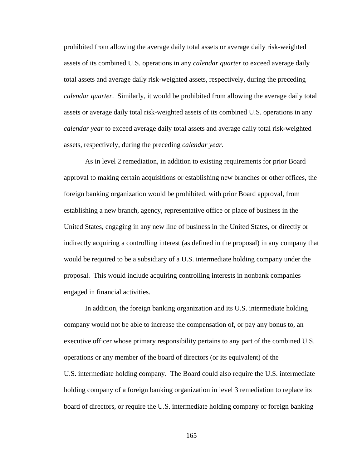prohibited from allowing the average daily total assets or average daily risk-weighted assets of its combined U.S. operations in any *calendar quarter* to exceed average daily total assets and average daily risk-weighted assets, respectively, during the preceding *calendar quarter*. Similarly, it would be prohibited from allowing the average daily total assets or average daily total risk-weighted assets of its combined U.S. operations in any *calendar year* to exceed average daily total assets and average daily total risk-weighted assets, respectively, during the preceding *calendar year*.

As in level 2 remediation, in addition to existing requirements for prior Board approval to making certain acquisitions or establishing new branches or other offices, the foreign banking organization would be prohibited, with prior Board approval, from establishing a new branch, agency, representative office or place of business in the United States, engaging in any new line of business in the United States, or directly or indirectly acquiring a controlling interest (as defined in the proposal) in any company that would be required to be a subsidiary of a U.S. intermediate holding company under the proposal. This would include acquiring controlling interests in nonbank companies engaged in financial activities.

In addition, the foreign banking organization and its U.S. intermediate holding company would not be able to increase the compensation of, or pay any bonus to, an executive officer whose primary responsibility pertains to any part of the combined U.S. operations or any member of the board of directors (or its equivalent) of the U.S. intermediate holding company. The Board could also require the U.S. intermediate holding company of a foreign banking organization in level 3 remediation to replace its board of directors, or require the U.S. intermediate holding company or foreign banking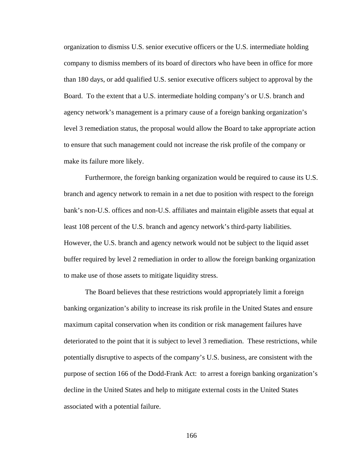organization to dismiss U.S. senior executive officers or the U.S. intermediate holding company to dismiss members of its board of directors who have been in office for more than 180 days, or add qualified U.S. senior executive officers subject to approval by the Board. To the extent that a U.S. intermediate holding company's or U.S. branch and agency network's management is a primary cause of a foreign banking organization's level 3 remediation status, the proposal would allow the Board to take appropriate action to ensure that such management could not increase the risk profile of the company or make its failure more likely.

Furthermore, the foreign banking organization would be required to cause its U.S. branch and agency network to remain in a net due to position with respect to the foreign bank's non-U.S. offices and non-U.S. affiliates and maintain eligible assets that equal at least 108 percent of the U.S. branch and agency network's third-party liabilities. However, the U.S. branch and agency network would not be subject to the liquid asset buffer required by level 2 remediation in order to allow the foreign banking organization to make use of those assets to mitigate liquidity stress.

The Board believes that these restrictions would appropriately limit a foreign banking organization's ability to increase its risk profile in the United States and ensure maximum capital conservation when its condition or risk management failures have deteriorated to the point that it is subject to level 3 remediation. These restrictions, while potentially disruptive to aspects of the company's U.S. business, are consistent with the purpose of section 166 of the Dodd-Frank Act: to arrest a foreign banking organization's decline in the United States and help to mitigate external costs in the United States associated with a potential failure.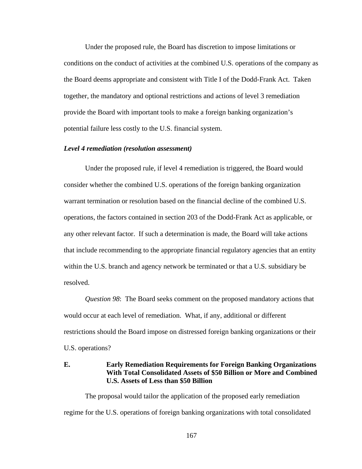Under the proposed rule, the Board has discretion to impose limitations or conditions on the conduct of activities at the combined U.S. operations of the company as the Board deems appropriate and consistent with Title I of the Dodd-Frank Act. Taken together, the mandatory and optional restrictions and actions of level 3 remediation provide the Board with important tools to make a foreign banking organization's potential failure less costly to the U.S. financial system.

#### *Level 4 remediation (resolution assessment)*

Under the proposed rule, if level 4 remediation is triggered, the Board would consider whether the combined U.S. operations of the foreign banking organization warrant termination or resolution based on the financial decline of the combined U.S. operations, the factors contained in section 203 of the Dodd-Frank Act as applicable, or any other relevant factor. If such a determination is made, the Board will take actions that include recommending to the appropriate financial regulatory agencies that an entity within the U.S. branch and agency network be terminated or that a U.S. subsidiary be resolved.

*Question 98*: The Board seeks comment on the proposed mandatory actions that would occur at each level of remediation. What, if any, additional or different restrictions should the Board impose on distressed foreign banking organizations or their U.S. operations?

# **E. Early Remediation Requirements for Foreign Banking Organizations With Total Consolidated Assets of \$50 Billion or More and Combined U.S. Assets of Less than \$50 Billion**

The proposal would tailor the application of the proposed early remediation regime for the U.S. operations of foreign banking organizations with total consolidated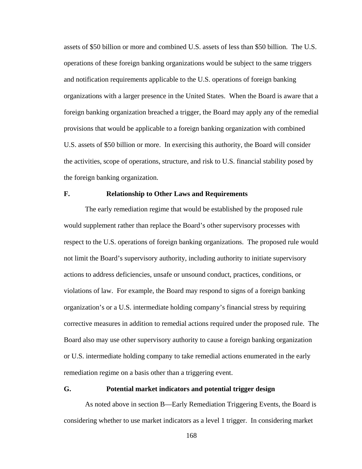assets of \$50 billion or more and combined U.S. assets of less than \$50 billion. The U.S. operations of these foreign banking organizations would be subject to the same triggers and notification requirements applicable to the U.S. operations of foreign banking organizations with a larger presence in the United States. When the Board is aware that a foreign banking organization breached a trigger, the Board may apply any of the remedial provisions that would be applicable to a foreign banking organization with combined U.S. assets of \$50 billion or more. In exercising this authority, the Board will consider the activities, scope of operations, structure, and risk to U.S. financial stability posed by the foreign banking organization.

# **F. Relationship to Other Laws and Requirements**

The early remediation regime that would be established by the proposed rule would supplement rather than replace the Board's other supervisory processes with respect to the U.S. operations of foreign banking organizations. The proposed rule would not limit the Board's supervisory authority, including authority to initiate supervisory actions to address deficiencies, unsafe or unsound conduct, practices, conditions, or violations of law. For example, the Board may respond to signs of a foreign banking organization's or a U.S. intermediate holding company's financial stress by requiring corrective measures in addition to remedial actions required under the proposed rule. The Board also may use other supervisory authority to cause a foreign banking organization or U.S. intermediate holding company to take remedial actions enumerated in the early remediation regime on a basis other than a triggering event.

# **G. Potential market indicators and potential trigger design**

As noted above in section B—Early Remediation Triggering Events, the Board is considering whether to use market indicators as a level 1 trigger. In considering market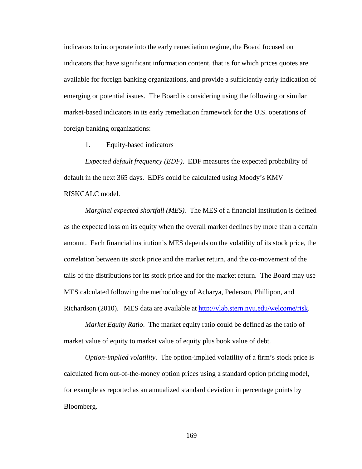indicators to incorporate into the early remediation regime, the Board focused on indicators that have significant information content, that is for which prices quotes are available for foreign banking organizations, and provide a sufficiently early indication of emerging or potential issues. The Board is considering using the following or similar market-based indicators in its early remediation framework for the U.S. operations of foreign banking organizations:

1. Equity-based indicators

*Expected default frequency (EDF)*. EDF measures the expected probability of default in the next 365 days. EDFs could be calculated using Moody's KMV RISKCALC model.

*Marginal expected shortfall (MES).* The MES of a financial institution is defined as the expected loss on its equity when the overall market declines by more than a certain amount. Each financial institution's MES depends on the volatility of its stock price, the correlation between its stock price and the market return, and the co-movement of the tails of the distributions for its stock price and for the market return. The Board may use MES calculated following the methodology of Acharya, Pederson, Phillipon, and Richardson (2010). MES data are available at http://vlab.stern.nyu.edu/welcome/risk.

*Market Equity Ratio*. The market equity ratio could be defined as the ratio of market value of equity to market value of equity plus book value of debt.

*Option-implied volatility*. The option-implied volatility of a firm's stock price is calculated from out-of-the-money option prices using a standard option pricing model, for example as reported as an annualized standard deviation in percentage points by Bloomberg.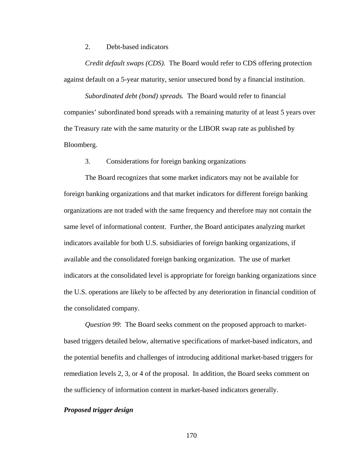2. Debt-based indicators

*Credit default swaps (CDS).* The Board would refer to CDS offering protection against default on a 5-year maturity, senior unsecured bond by a financial institution.

*Subordinated debt (bond) spreads.* The Board would refer to financial companies' subordinated bond spreads with a remaining maturity of at least 5 years over the Treasury rate with the same maturity or the LIBOR swap rate as published by Bloomberg.

3. Considerations for foreign banking organizations

The Board recognizes that some market indicators may not be available for foreign banking organizations and that market indicators for different foreign banking organizations are not traded with the same frequency and therefore may not contain the same level of informational content. Further, the Board anticipates analyzing market indicators available for both U.S. subsidiaries of foreign banking organizations, if available and the consolidated foreign banking organization. The use of market indicators at the consolidated level is appropriate for foreign banking organizations since the U.S. operations are likely to be affected by any deterioration in financial condition of the consolidated company.

*Question 99*: The Board seeks comment on the proposed approach to marketbased triggers detailed below, alternative specifications of market-based indicators, and the potential benefits and challenges of introducing additional market-based triggers for remediation levels 2, 3, or 4 of the proposal. In addition, the Board seeks comment on the sufficiency of information content in market-based indicators generally.

### *Proposed trigger design*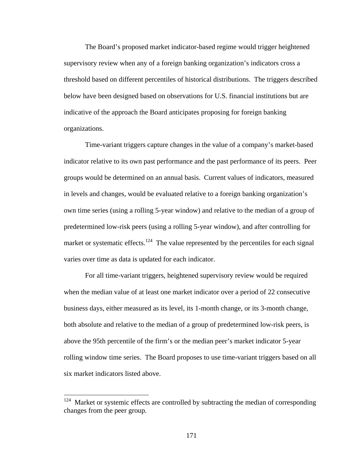The Board's proposed market indicator-based regime would trigger heightened supervisory review when any of a foreign banking organization's indicators cross a threshold based on different percentiles of historical distributions. The triggers described below have been designed based on observations for U.S. financial institutions but are indicative of the approach the Board anticipates proposing for foreign banking organizations.

Time-variant triggers capture changes in the value of a company's market-based indicator relative to its own past performance and the past performance of its peers. Peer groups would be determined on an annual basis. Current values of indicators, measured in levels and changes, would be evaluated relative to a foreign banking organization's own time series (using a rolling 5-year window) and relative to the median of a group of predetermined low-risk peers (using a rolling 5-year window), and after controlling for market or systematic effects.<sup>124</sup> The value represented by the percentiles for each signal varies over time as data is updated for each indicator.

For all time-variant triggers, heightened supervisory review would be required when the median value of at least one market indicator over a period of 22 consecutive business days, either measured as its level, its 1-month change, or its 3-month change, both absolute and relative to the median of a group of predetermined low-risk peers, is above the 95th percentile of the firm's or the median peer's market indicator 5-year rolling window time series. The Board proposes to use time-variant triggers based on all six market indicators listed above.

Market or systemic effects are controlled by subtracting the median of corresponding changes from the peer group.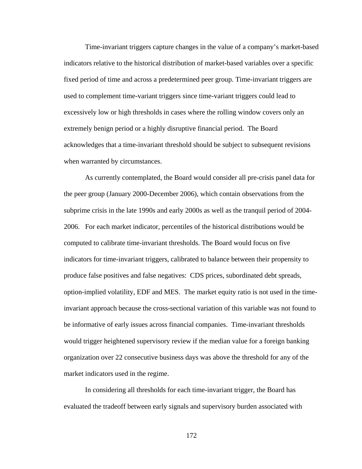Time-invariant triggers capture changes in the value of a company's market-based indicators relative to the historical distribution of market-based variables over a specific fixed period of time and across a predetermined peer group. Time-invariant triggers are used to complement time-variant triggers since time-variant triggers could lead to excessively low or high thresholds in cases where the rolling window covers only an extremely benign period or a highly disruptive financial period. The Board acknowledges that a time-invariant threshold should be subject to subsequent revisions when warranted by circumstances.

As currently contemplated, the Board would consider all pre-crisis panel data for the peer group (January 2000-December 2006), which contain observations from the subprime crisis in the late 1990s and early 2000s as well as the tranquil period of 2004- 2006. For each market indicator, percentiles of the historical distributions would be computed to calibrate time-invariant thresholds. The Board would focus on five indicators for time-invariant triggers, calibrated to balance between their propensity to produce false positives and false negatives: CDS prices, subordinated debt spreads, option-implied volatility, EDF and MES. The market equity ratio is not used in the timeinvariant approach because the cross-sectional variation of this variable was not found to be informative of early issues across financial companies. Time-invariant thresholds would trigger heightened supervisory review if the median value for a foreign banking organization over 22 consecutive business days was above the threshold for any of the market indicators used in the regime.

 In considering all thresholds for each time-invariant trigger, the Board has evaluated the tradeoff between early signals and supervisory burden associated with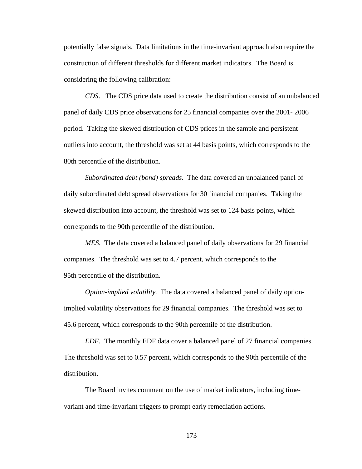potentially false signals. Data limitations in the time-invariant approach also require the construction of different thresholds for different market indicators. The Board is considering the following calibration:

*CDS*. The CDS price data used to create the distribution consist of an unbalanced panel of daily CDS price observations for 25 financial companies over the 2001- 2006 period. Taking the skewed distribution of CDS prices in the sample and persistent outliers into account, the threshold was set at 44 basis points, which corresponds to the 80th percentile of the distribution.

*Subordinated debt (bond) spreads.* The data covered an unbalanced panel of daily subordinated debt spread observations for 30 financial companies. Taking the skewed distribution into account, the threshold was set to 124 basis points, which corresponds to the 90th percentile of the distribution.

*MES.* The data covered a balanced panel of daily observations for 29 financial companies. The threshold was set to 4.7 percent, which corresponds to the 95th percentile of the distribution.

*Option-implied volatility.* The data covered a balanced panel of daily optionimplied volatility observations for 29 financial companies. The threshold was set to 45.6 percent, which corresponds to the 90th percentile of the distribution.

*EDF.* The monthly EDF data cover a balanced panel of 27 financial companies. The threshold was set to 0.57 percent, which corresponds to the 90th percentile of the distribution.

The Board invites comment on the use of market indicators, including timevariant and time-invariant triggers to prompt early remediation actions.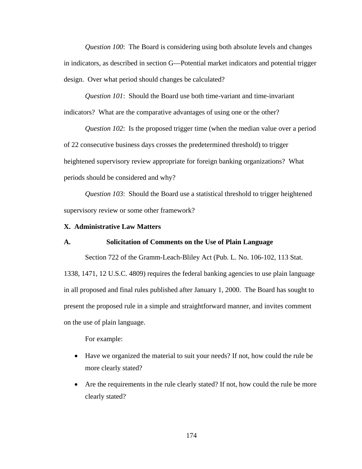*Question 100*: The Board is considering using both absolute levels and changes in indicators, as described in section G—Potential market indicators and potential trigger design. Over what period should changes be calculated?

*Question 101*: Should the Board use both time-variant and time-invariant indicators? What are the comparative advantages of using one or the other?

*Question 102*: Is the proposed trigger time (when the median value over a period of 22 consecutive business days crosses the predetermined threshold) to trigger heightened supervisory review appropriate for foreign banking organizations? What periods should be considered and why?

*Question 103*: Should the Board use a statistical threshold to trigger heightened supervisory review or some other framework?

### **X. Administrative Law Matters**

# **A. Solicitation of Comments on the Use of Plain Language**

Section 722 of the Gramm-Leach-Bliley Act (Pub. L. No. 106-102, 113 Stat. 1338, 1471, 12 U.S.C. 4809) requires the federal banking agencies to use plain language in all proposed and final rules published after January 1, 2000. The Board has sought to present the proposed rule in a simple and straightforward manner, and invites comment on the use of plain language.

For example:

- Have we organized the material to suit your needs? If not, how could the rule be more clearly stated?
- Are the requirements in the rule clearly stated? If not, how could the rule be more clearly stated?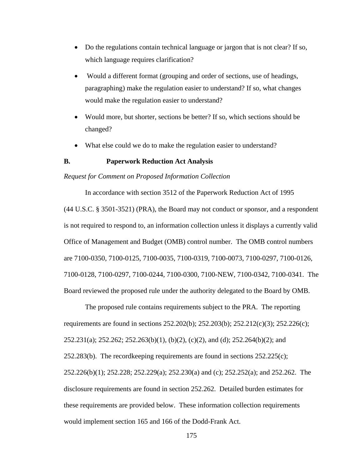- Do the regulations contain technical language or jargon that is not clear? If so, which language requires clarification?
- Would a different format (grouping and order of sections, use of headings, paragraphing) make the regulation easier to understand? If so, what changes would make the regulation easier to understand?
- Would more, but shorter, sections be better? If so, which sections should be changed?
- What else could we do to make the regulation easier to understand?

### **B. Paperwork Reduction Act Analysis**

#### *Request for Comment on Proposed Information Collection*

In accordance with section 3512 of the Paperwork Reduction Act of 1995 (44 U.S.C. § 3501-3521) (PRA), the Board may not conduct or sponsor, and a respondent is not required to respond to, an information collection unless it displays a currently valid Office of Management and Budget (OMB) control number. The OMB control numbers are 7100-0350, 7100-0125, 7100-0035, 7100-0319, 7100-0073, 7100-0297, 7100-0126, 7100-0128, 7100-0297, 7100-0244, 7100-0300, 7100-NEW, 7100-0342, 7100-0341. The Board reviewed the proposed rule under the authority delegated to the Board by OMB.

The proposed rule contains requirements subject to the PRA. The reporting requirements are found in sections 252.202(b); 252.203(b); 252.212(c)(3); 252.226(c); 252.231(a); 252.262; 252.263(b)(1), (b)(2), (c)(2), and (d); 252.264(b)(2); and  $252.283(b)$ . The record keeping requirements are found in sections  $252.225(c)$ ; 252.226(b)(1); 252.228; 252.229(a); 252.230(a) and (c); 252.252(a); and 252.262. The disclosure requirements are found in section 252.262. Detailed burden estimates for these requirements are provided below. These information collection requirements would implement section 165 and 166 of the Dodd-Frank Act.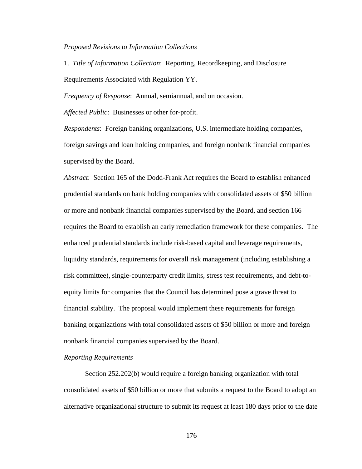*Proposed Revisions to Information Collections* 

1. *Title of Information Collection*: Reporting, Recordkeeping, and Disclosure Requirements Associated with Regulation YY.

*Frequency of Response*: Annual, semiannual, and on occasion.

*Affected Public*: Businesses or other for-profit.

*Respondents*: Foreign banking organizations, U.S. intermediate holding companies, foreign savings and loan holding companies, and foreign nonbank financial companies supervised by the Board.

*Abstract*:Section 165 of the Dodd-Frank Act requires the Board to establish enhanced prudential standards on bank holding companies with consolidated assets of \$50 billion or more and nonbank financial companies supervised by the Board, and section 166 requires the Board to establish an early remediation framework for these companies. The enhanced prudential standards include risk-based capital and leverage requirements, liquidity standards, requirements for overall risk management (including establishing a risk committee), single-counterparty credit limits, stress test requirements, and debt-toequity limits for companies that the Council has determined pose a grave threat to financial stability. The proposal would implement these requirements for foreign banking organizations with total consolidated assets of \$50 billion or more and foreign nonbank financial companies supervised by the Board.

### *Reporting Requirements*

Section 252.202(b) would require a foreign banking organization with total consolidated assets of \$50 billion or more that submits a request to the Board to adopt an alternative organizational structure to submit its request at least 180 days prior to the date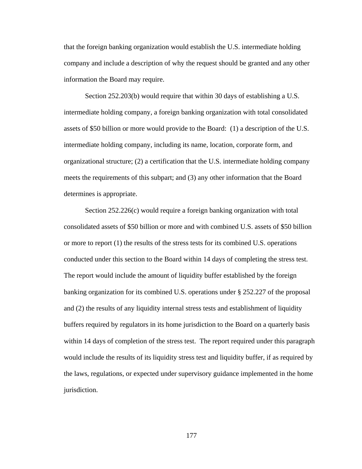that the foreign banking organization would establish the U.S. intermediate holding company and include a description of why the request should be granted and any other information the Board may require.

Section 252.203(b) would require that within 30 days of establishing a U.S. intermediate holding company, a foreign banking organization with total consolidated assets of \$50 billion or more would provide to the Board: (1) a description of the U.S. intermediate holding company, including its name, location, corporate form, and organizational structure; (2) a certification that the U.S. intermediate holding company meets the requirements of this subpart; and (3) any other information that the Board determines is appropriate.

Section 252.226(c) would require a foreign banking organization with total consolidated assets of \$50 billion or more and with combined U.S. assets of \$50 billion or more to report (1) the results of the stress tests for its combined U.S. operations conducted under this section to the Board within 14 days of completing the stress test. The report would include the amount of liquidity buffer established by the foreign banking organization for its combined U.S. operations under § 252.227 of the proposal and (2) the results of any liquidity internal stress tests and establishment of liquidity buffers required by regulators in its home jurisdiction to the Board on a quarterly basis within 14 days of completion of the stress test. The report required under this paragraph would include the results of its liquidity stress test and liquidity buffer, if as required by the laws, regulations, or expected under supervisory guidance implemented in the home jurisdiction.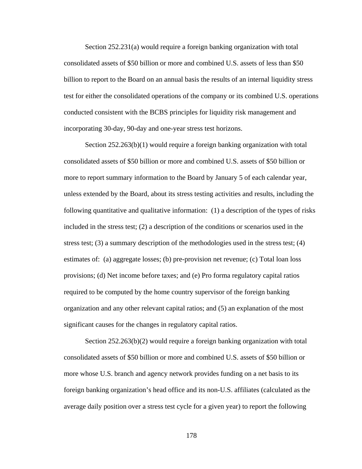Section 252.231(a) would require a foreign banking organization with total consolidated assets of \$50 billion or more and combined U.S. assets of less than \$50 billion to report to the Board on an annual basis the results of an internal liquidity stress test for either the consolidated operations of the company or its combined U.S. operations conducted consistent with the BCBS principles for liquidity risk management and incorporating 30-day, 90-day and one-year stress test horizons.

Section  $252.263(b)(1)$  would require a foreign banking organization with total consolidated assets of \$50 billion or more and combined U.S. assets of \$50 billion or more to report summary information to the Board by January 5 of each calendar year, unless extended by the Board, about its stress testing activities and results, including the following quantitative and qualitative information: (1) a description of the types of risks included in the stress test; (2) a description of the conditions or scenarios used in the stress test; (3) a summary description of the methodologies used in the stress test; (4) estimates of: (a) aggregate losses; (b) pre-provision net revenue; (c) Total loan loss provisions; (d) Net income before taxes; and (e) Pro forma regulatory capital ratios required to be computed by the home country supervisor of the foreign banking organization and any other relevant capital ratios; and (5) an explanation of the most significant causes for the changes in regulatory capital ratios.

Section 252.263(b)(2) would require a foreign banking organization with total consolidated assets of \$50 billion or more and combined U.S. assets of \$50 billion or more whose U.S. branch and agency network provides funding on a net basis to its foreign banking organization's head office and its non-U.S. affiliates (calculated as the average daily position over a stress test cycle for a given year) to report the following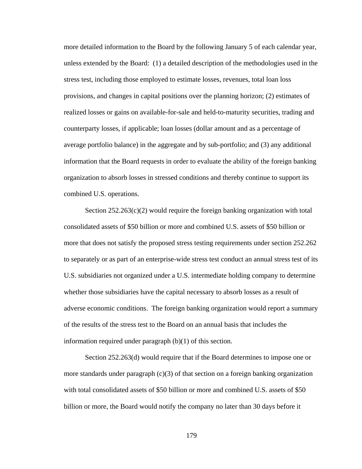more detailed information to the Board by the following January 5 of each calendar year, unless extended by the Board: (1) a detailed description of the methodologies used in the stress test, including those employed to estimate losses, revenues, total loan loss provisions, and changes in capital positions over the planning horizon; (2) estimates of realized losses or gains on available-for-sale and held-to-maturity securities, trading and counterparty losses, if applicable; loan losses (dollar amount and as a percentage of average portfolio balance) in the aggregate and by sub-portfolio; and (3) any additional information that the Board requests in order to evaluate the ability of the foreign banking organization to absorb losses in stressed conditions and thereby continue to support its combined U.S. operations.

Section  $252.263(c)(2)$  would require the foreign banking organization with total consolidated assets of \$50 billion or more and combined U.S. assets of \$50 billion or more that does not satisfy the proposed stress testing requirements under section 252.262 to separately or as part of an enterprise-wide stress test conduct an annual stress test of its U.S. subsidiaries not organized under a U.S. intermediate holding company to determine whether those subsidiaries have the capital necessary to absorb losses as a result of adverse economic conditions. The foreign banking organization would report a summary of the results of the stress test to the Board on an annual basis that includes the information required under paragraph (b)(1) of this section.

Section 252.263(d) would require that if the Board determines to impose one or more standards under paragraph  $(c)(3)$  of that section on a foreign banking organization with total consolidated assets of \$50 billion or more and combined U.S. assets of \$50 billion or more, the Board would notify the company no later than 30 days before it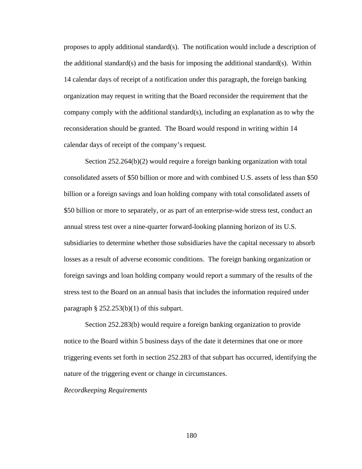proposes to apply additional standard(s). The notification would include a description of the additional standard(s) and the basis for imposing the additional standard(s). Within 14 calendar days of receipt of a notification under this paragraph, the foreign banking organization may request in writing that the Board reconsider the requirement that the company comply with the additional standard(s), including an explanation as to why the reconsideration should be granted. The Board would respond in writing within 14 calendar days of receipt of the company's request.

Section 252.264(b)(2) would require a foreign banking organization with total consolidated assets of \$50 billion or more and with combined U.S. assets of less than \$50 billion or a foreign savings and loan holding company with total consolidated assets of \$50 billion or more to separately, or as part of an enterprise-wide stress test, conduct an annual stress test over a nine-quarter forward-looking planning horizon of its U.S. subsidiaries to determine whether those subsidiaries have the capital necessary to absorb losses as a result of adverse economic conditions. The foreign banking organization or foreign savings and loan holding company would report a summary of the results of the stress test to the Board on an annual basis that includes the information required under paragraph  $\S$  252.253(b)(1) of this subpart.

Section 252.283(b) would require a foreign banking organization to provide notice to the Board within 5 business days of the date it determines that one or more triggering events set forth in section 252.283 of that subpart has occurred, identifying the nature of the triggering event or change in circumstances.

*Recordkeeping Requirements*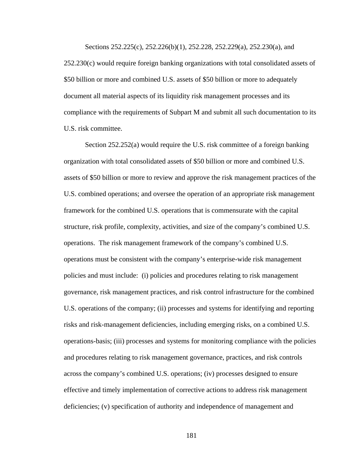Sections 252.225(c), 252.226(b)(1), 252.228, 252.229(a), 252.230(a), and 252.230(c) would require foreign banking organizations with total consolidated assets of \$50 billion or more and combined U.S. assets of \$50 billion or more to adequately document all material aspects of its liquidity risk management processes and its compliance with the requirements of Subpart M and submit all such documentation to its U.S. risk committee.

Section 252.252(a) would require the U.S. risk committee of a foreign banking organization with total consolidated assets of \$50 billion or more and combined U.S. assets of \$50 billion or more to review and approve the risk management practices of the U.S. combined operations; and oversee the operation of an appropriate risk management framework for the combined U.S. operations that is commensurate with the capital structure, risk profile, complexity, activities, and size of the company's combined U.S. operations. The risk management framework of the company's combined U.S. operations must be consistent with the company's enterprise-wide risk management policies and must include: (i) policies and procedures relating to risk management governance, risk management practices, and risk control infrastructure for the combined U.S. operations of the company; (ii) processes and systems for identifying and reporting risks and risk-management deficiencies, including emerging risks, on a combined U.S. operations-basis; (iii) processes and systems for monitoring compliance with the policies and procedures relating to risk management governance, practices, and risk controls across the company's combined U.S. operations; (iv) processes designed to ensure effective and timely implementation of corrective actions to address risk management deficiencies; (v) specification of authority and independence of management and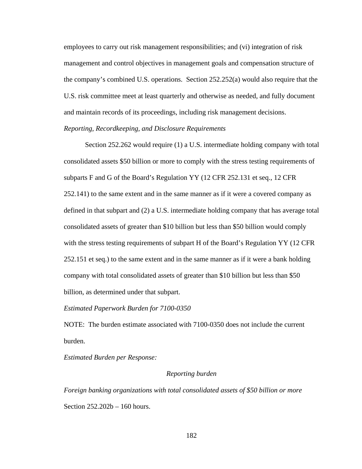employees to carry out risk management responsibilities; and (vi) integration of risk management and control objectives in management goals and compensation structure of the company's combined U.S. operations. Section 252.252(a) would also require that the U.S. risk committee meet at least quarterly and otherwise as needed, and fully document and maintain records of its proceedings, including risk management decisions.

# *Reporting, Recordkeeping, and Disclosure Requirements*

Section 252.262 would require (1) a U.S. intermediate holding company with total consolidated assets \$50 billion or more to comply with the stress testing requirements of subparts F and G of the Board's Regulation YY (12 CFR 252.131 et seq., 12 CFR 252.141) to the same extent and in the same manner as if it were a covered company as defined in that subpart and (2) a U.S. intermediate holding company that has average total consolidated assets of greater than \$10 billion but less than \$50 billion would comply with the stress testing requirements of subpart H of the Board's Regulation YY (12 CFR 252.151 et seq.) to the same extent and in the same manner as if it were a bank holding company with total consolidated assets of greater than \$10 billion but less than \$50 billion, as determined under that subpart.

### *Estimated Paperwork Burden for 7100-0350*

NOTE: The burden estimate associated with 7100-0350 does not include the current burden.

*Estimated Burden per Response:* 

### *Reporting burden*

*Foreign banking organizations with total consolidated assets of \$50 billion or more*  Section 252.202b – 160 hours.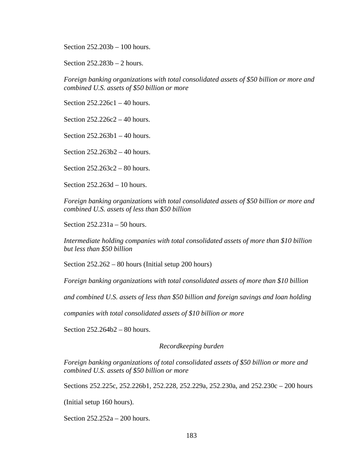Section 252.203b – 100 hours.

Section 252.283b – 2 hours.

*Foreign banking organizations with total consolidated assets of \$50 billion or more and combined U.S. assets of \$50 billion or more* 

Section 252.226c1 – 40 hours.

Section 252.226c2 – 40 hours.

Section 252.263b1 – 40 hours.

Section 252.263b2 – 40 hours.

Section 252.263c2 – 80 hours.

Section 252.263d – 10 hours.

*Foreign banking organizations with total consolidated assets of \$50 billion or more and combined U.S. assets of less than \$50 billion* 

Section 252.231a – 50 hours.

*Intermediate holding companies with total consolidated assets of more than \$10 billion but less than \$50 billion* 

Section 252.262 – 80 hours (Initial setup 200 hours)

*Foreign banking organizations with total consolidated assets of more than \$10 billion* 

*and combined U.S. assets of less than \$50 billion and foreign savings and loan holding* 

*companies with total consolidated assets of \$10 billion or more* 

Section 252.264b2 – 80 hours.

### *Recordkeeping burden*

*Foreign banking organizations of total consolidated assets of \$50 billion or more and combined U.S. assets of \$50 billion or more* 

Sections 252.225c, 252.226b1, 252.228, 252.229a, 252.230a, and 252.230c – 200 hours

(Initial setup 160 hours).

Section 252.252a – 200 hours.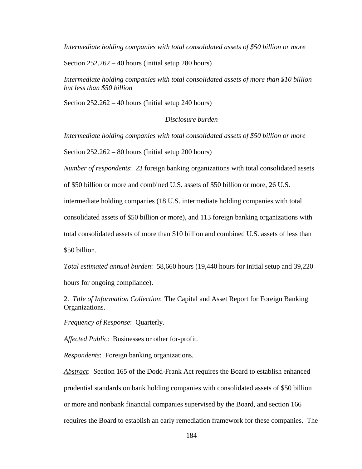*Intermediate holding companies with total consolidated assets of \$50 billion or more* 

Section 252.262 – 40 hours (Initial setup 280 hours)

*Intermediate holding companies with total consolidated assets of more than \$10 billion but less than \$50 billion* 

Section 252.262 – 40 hours (Initial setup 240 hours)

*Disclosure burden* 

*Intermediate holding companies with total consolidated assets of \$50 billion or more* 

Section 252.262 – 80 hours (Initial setup 200 hours)

*Number of respondents*: 23 foreign banking organizations with total consolidated assets

of \$50 billion or more and combined U.S. assets of \$50 billion or more, 26 U.S.

intermediate holding companies (18 U.S. intermediate holding companies with total

consolidated assets of \$50 billion or more), and 113 foreign banking organizations with

total consolidated assets of more than \$10 billion and combined U.S. assets of less than

\$50 billion.

*Total estimated annual burden*: 58,660 hours (19,440 hours for initial setup and 39,220

hours for ongoing compliance).

2. *Title of Information Collection*: The Capital and Asset Report for Foreign Banking Organizations.

*Frequency of Response*: Quarterly.

*Affected Public*: Businesses or other for-profit.

*Respondents*: Foreign banking organizations.

*Abstract*:Section 165 of the Dodd-Frank Act requires the Board to establish enhanced prudential standards on bank holding companies with consolidated assets of \$50 billion or more and nonbank financial companies supervised by the Board, and section 166 requires the Board to establish an early remediation framework for these companies. The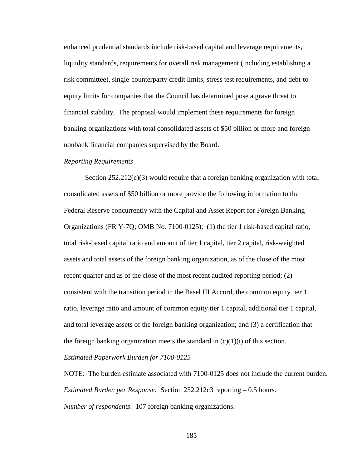enhanced prudential standards include risk-based capital and leverage requirements, liquidity standards, requirements for overall risk management (including establishing a risk committee), single-counterparty credit limits, stress test requirements, and debt-toequity limits for companies that the Council has determined pose a grave threat to financial stability. The proposal would implement these requirements for foreign banking organizations with total consolidated assets of \$50 billion or more and foreign nonbank financial companies supervised by the Board.

### *Reporting Requirements*

Section  $252.212(c)(3)$  would require that a foreign banking organization with total consolidated assets of \$50 billion or more provide the following information to the Federal Reserve concurrently with the Capital and Asset Report for Foreign Banking Organizations (FR Y-7Q; OMB No. 7100-0125): (1) the tier 1 risk-based capital ratio, total risk-based capital ratio and amount of tier 1 capital, tier 2 capital, risk-weighted assets and total assets of the foreign banking organization, as of the close of the most recent quarter and as of the close of the most recent audited reporting period; (2) consistent with the transition period in the Basel III Accord, the common equity tier 1 ratio, leverage ratio and amount of common equity tier 1 capital, additional tier 1 capital, and total leverage assets of the foreign banking organization; and (3) a certification that the foreign banking organization meets the standard in  $(c)(1)(i)$  of this section.

#### *Estimated Paperwork Burden for 7100-0125*

NOTE: The burden estimate associated with 7100-0125 does not include the current burden. *Estimated Burden per Response:* Section 252.212c3 reporting – 0.5 hours. *Number of respondents*: 107 foreign banking organizations.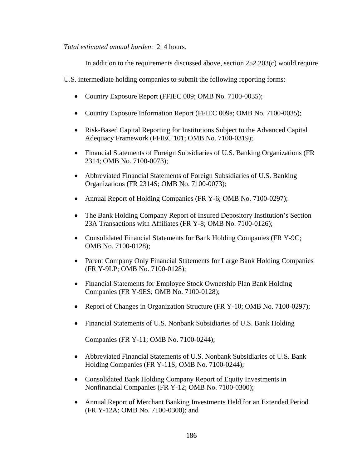*Total estimated annual burden*: 214 hours.

In addition to the requirements discussed above, section 252.203(c) would require

U.S. intermediate holding companies to submit the following reporting forms:

- Country Exposure Report (FFIEC 009; OMB No. 7100-0035);
- Country Exposure Information Report (FFIEC 009a; OMB No. 7100-0035);
- Risk-Based Capital Reporting for Institutions Subject to the Advanced Capital Adequacy Framework (FFIEC 101; OMB No. 7100-0319);
- Financial Statements of Foreign Subsidiaries of U.S. Banking Organizations (FR 2314; OMB No. 7100-0073);
- Abbreviated Financial Statements of Foreign Subsidiaries of U.S. Banking Organizations (FR 2314S; OMB No. 7100-0073);
- Annual Report of Holding Companies (FR Y-6; OMB No. 7100-0297);
- The Bank Holding Company Report of Insured Depository Institution's Section 23A Transactions with Affiliates (FR Y-8; OMB No. 7100-0126);
- Consolidated Financial Statements for Bank Holding Companies (FR Y-9C; OMB No. 7100-0128);
- Parent Company Only Financial Statements for Large Bank Holding Companies (FR Y-9LP; OMB No. 7100-0128);
- Financial Statements for Employee Stock Ownership Plan Bank Holding Companies (FR Y-9ES; OMB No. 7100-0128);
- Report of Changes in Organization Structure (FR Y-10; OMB No. 7100-0297);
- Financial Statements of U.S. Nonbank Subsidiaries of U.S. Bank Holding

Companies (FR Y-11; OMB No. 7100-0244);

- Abbreviated Financial Statements of U.S. Nonbank Subsidiaries of U.S. Bank Holding Companies (FR Y-11S; OMB No. 7100-0244);
- Consolidated Bank Holding Company Report of Equity Investments in Nonfinancial Companies (FR Y-12; OMB No. 7100-0300);
- Annual Report of Merchant Banking Investments Held for an Extended Period (FR Y-12A; OMB No. 7100-0300); and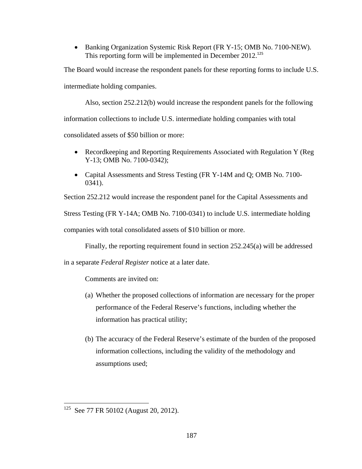• Banking Organization Systemic Risk Report (FR Y-15; OMB No. 7100-NEW). This reporting form will be implemented in December 2012.<sup>125</sup>

The Board would increase the respondent panels for these reporting forms to include U.S. intermediate holding companies.

Also, section 252.212(b) would increase the respondent panels for the following information collections to include U.S. intermediate holding companies with total consolidated assets of \$50 billion or more:

- Recordkeeping and Reporting Requirements Associated with Regulation Y (Reg Y-13; OMB No. 7100-0342);
- Capital Assessments and Stress Testing (FR Y-14M and Q; OMB No. 7100-0341).

Section 252.212 would increase the respondent panel for the Capital Assessments and Stress Testing (FR Y-14A; OMB No. 7100-0341) to include U.S. intermediate holding companies with total consolidated assets of \$10 billion or more.

Finally, the reporting requirement found in section 252.245(a) will be addressed

in a separate *Federal Register* notice at a later date.

Comments are invited on:

- (a) Whether the proposed collections of information are necessary for the proper performance of the Federal Reserve's functions, including whether the information has practical utility;
- (b) The accuracy of the Federal Reserve's estimate of the burden of the proposed information collections, including the validity of the methodology and assumptions used;

 $125$  See 77 FR 50102 (August 20, 2012).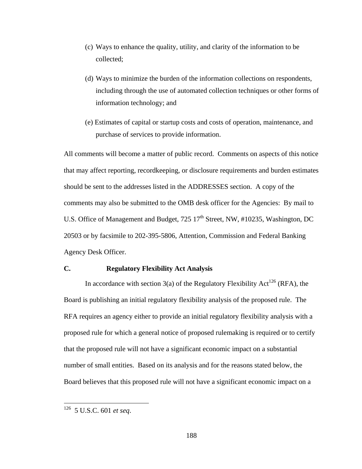- (c) Ways to enhance the quality, utility, and clarity of the information to be collected;
- (d) Ways to minimize the burden of the information collections on respondents, including through the use of automated collection techniques or other forms of information technology; and
- (e) Estimates of capital or startup costs and costs of operation, maintenance, and purchase of services to provide information.

All comments will become a matter of public record. Comments on aspects of this notice that may affect reporting, recordkeeping, or disclosure requirements and burden estimates should be sent to the addresses listed in the ADDRESSES section. A copy of the comments may also be submitted to the OMB desk officer for the Agencies: By mail to U.S. Office of Management and Budget,  $725 \times 17^{th}$  Street, NW,  $\#10235$ , Washington, DC 20503 or by facsimile to 202-395-5806, Attention, Commission and Federal Banking Agency Desk Officer.

# **C. Regulatory Flexibility Act Analysis**

In accordance with section 3(a) of the Regulatory Flexibility Act<sup>126</sup> (RFA), the Board is publishing an initial regulatory flexibility analysis of the proposed rule. The RFA requires an agency either to provide an initial regulatory flexibility analysis with a proposed rule for which a general notice of proposed rulemaking is required or to certify that the proposed rule will not have a significant economic impact on a substantial number of small entities. Based on its analysis and for the reasons stated below, the Board believes that this proposed rule will not have a significant economic impact on a

 $\overline{a}$ 

<sup>126 5</sup> U.S.C. 601 *et seq*.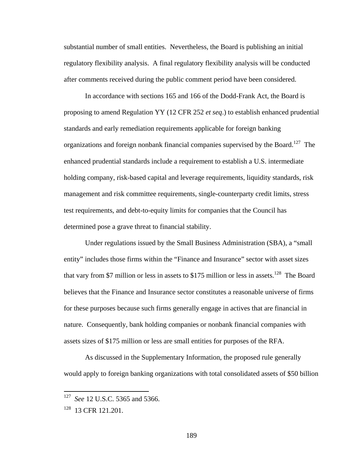substantial number of small entities. Nevertheless, the Board is publishing an initial regulatory flexibility analysis. A final regulatory flexibility analysis will be conducted after comments received during the public comment period have been considered.

In accordance with sections 165 and 166 of the Dodd-Frank Act, the Board is proposing to amend Regulation YY (12 CFR 252 *et seq*.) to establish enhanced prudential standards and early remediation requirements applicable for foreign banking organizations and foreign nonbank financial companies supervised by the Board.<sup>127</sup> The enhanced prudential standards include a requirement to establish a U.S. intermediate holding company, risk-based capital and leverage requirements, liquidity standards, risk management and risk committee requirements, single-counterparty credit limits, stress test requirements, and debt-to-equity limits for companies that the Council has determined pose a grave threat to financial stability.

Under regulations issued by the Small Business Administration (SBA), a "small entity" includes those firms within the "Finance and Insurance" sector with asset sizes that vary from \$7 million or less in assets to \$175 million or less in assets.<sup>128</sup> The Board believes that the Finance and Insurance sector constitutes a reasonable universe of firms for these purposes because such firms generally engage in actives that are financial in nature. Consequently, bank holding companies or nonbank financial companies with assets sizes of \$175 million or less are small entities for purposes of the RFA.

As discussed in the Supplementary Information, the proposed rule generally would apply to foreign banking organizations with total consolidated assets of \$50 billion

 $\overline{a}$ 

See 12 U.S.C. 5365 and 5366.

<sup>&</sup>lt;sup>128</sup> 13 CFR 121.201.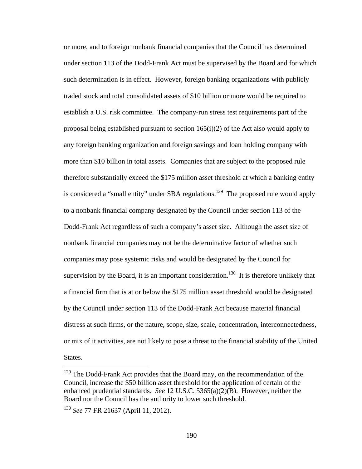or more, and to foreign nonbank financial companies that the Council has determined under section 113 of the Dodd-Frank Act must be supervised by the Board and for which such determination is in effect. However, foreign banking organizations with publicly traded stock and total consolidated assets of \$10 billion or more would be required to establish a U.S. risk committee. The company-run stress test requirements part of the proposal being established pursuant to section 165(i)(2) of the Act also would apply to any foreign banking organization and foreign savings and loan holding company with more than \$10 billion in total assets. Companies that are subject to the proposed rule therefore substantially exceed the \$175 million asset threshold at which a banking entity is considered a "small entity" under SBA regulations.<sup>129</sup> The proposed rule would apply to a nonbank financial company designated by the Council under section 113 of the Dodd-Frank Act regardless of such a company's asset size. Although the asset size of nonbank financial companies may not be the determinative factor of whether such companies may pose systemic risks and would be designated by the Council for supervision by the Board, it is an important consideration.<sup>130</sup> It is therefore unlikely that a financial firm that is at or below the \$175 million asset threshold would be designated by the Council under section 113 of the Dodd-Frank Act because material financial distress at such firms, or the nature, scope, size, scale, concentration, interconnectedness, or mix of it activities, are not likely to pose a threat to the financial stability of the United States.

 $\overline{a}$ 

 $129$  The Dodd-Frank Act provides that the Board may, on the recommendation of the Council, increase the \$50 billion asset threshold for the application of certain of the enhanced prudential standards. *See* 12 U.S.C. 5365(a)(2)(B). However, neither the Board nor the Council has the authority to lower such threshold.

<sup>130</sup> *See* 77 FR 21637 (April 11, 2012).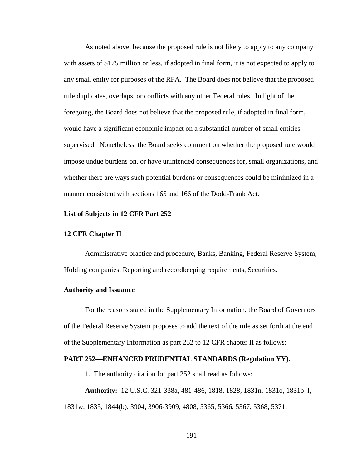As noted above, because the proposed rule is not likely to apply to any company with assets of \$175 million or less, if adopted in final form, it is not expected to apply to any small entity for purposes of the RFA. The Board does not believe that the proposed rule duplicates, overlaps, or conflicts with any other Federal rules. In light of the foregoing, the Board does not believe that the proposed rule, if adopted in final form, would have a significant economic impact on a substantial number of small entities supervised. Nonetheless, the Board seeks comment on whether the proposed rule would impose undue burdens on, or have unintended consequences for, small organizations, and whether there are ways such potential burdens or consequences could be minimized in a manner consistent with sections 165 and 166 of the Dodd-Frank Act.

### **List of Subjects in 12 CFR Part 252**

### **12 CFR Chapter II**

Administrative practice and procedure, Banks, Banking, Federal Reserve System, Holding companies, Reporting and recordkeeping requirements, Securities.

### **Authority and Issuance**

For the reasons stated in the Supplementary Information, the Board of Governors of the Federal Reserve System proposes to add the text of the rule as set forth at the end of the Supplementary Information as part 252 to 12 CFR chapter II as follows:

## **PART 252—ENHANCED PRUDENTIAL STANDARDS (Regulation YY).**

1. The authority citation for part 252 shall read as follows:

**Authority:** 12 U.S.C. 321-338a, 481-486, 1818, 1828, 1831n, 1831o, 1831p–l, 1831w, 1835, 1844(b), 3904, 3906-3909, 4808, 5365, 5366, 5367, 5368, 5371.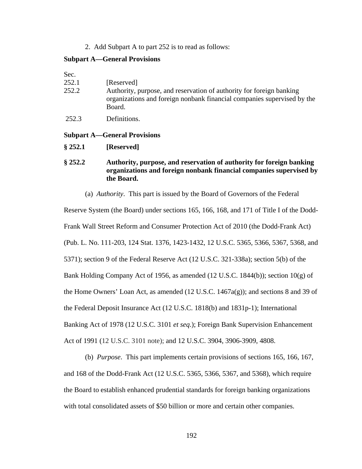2. Add Subpart A to part 252 is to read as follows:

## **Subpart A—General Provisions**

| Sec.  |                                                                                                                                                           |
|-------|-----------------------------------------------------------------------------------------------------------------------------------------------------------|
| 252.1 | [Reserved]                                                                                                                                                |
| 252.2 | Authority, purpose, and reservation of authority for foreign banking<br>organizations and foreign nonbank financial companies supervised by the<br>Board. |
| 252.3 | Definitions.                                                                                                                                              |

### **Subpart A—General Provisions**

**§ 252.1 [Reserved]**

# **§ 252.2 Authority, purpose, and reservation of authority for foreign banking organizations and foreign nonbank financial companies supervised by the Board.**

(a) *Authority*. This part is issued by the Board of Governors of the Federal

Reserve System (the Board) under sections 165, 166, 168, and 171 of Title I of the Dodd-Frank Wall Street Reform and Consumer Protection Act of 2010 (the Dodd-Frank Act) (Pub. L. No. 111-203, 124 Stat. 1376, 1423-1432, 12 U.S.C. 5365, 5366, 5367, 5368, and 5371); section 9 of the Federal Reserve Act (12 U.S.C. 321-338a); section 5(b) of the Bank Holding Company Act of 1956, as amended (12 U.S.C. 1844(b)); section 10(g) of the Home Owners' Loan Act, as amended (12 U.S.C. 1467a(g)); and sections 8 and 39 of the Federal Deposit Insurance Act (12 U.S.C. 1818(b) and 1831p-1); International Banking Act of 1978 (12 U.S.C. 3101 *et seq*.); Foreign Bank Supervision Enhancement Act of 1991 (12 U.S.C. 3101 note); and 12 U.S.C. 3904, 3906-3909, 4808.

(b) *Purpose*. This part implements certain provisions of sections 165, 166, 167, and 168 of the Dodd-Frank Act (12 U.S.C. 5365, 5366, 5367, and 5368), which require the Board to establish enhanced prudential standards for foreign banking organizations with total consolidated assets of \$50 billion or more and certain other companies.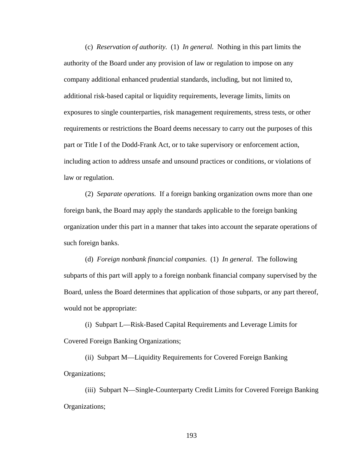(c) *Reservation of authority.* (1) *In general.* Nothing in this part limits the authority of the Board under any provision of law or regulation to impose on any company additional enhanced prudential standards, including, but not limited to, additional risk-based capital or liquidity requirements, leverage limits, limits on exposures to single counterparties, risk management requirements, stress tests, or other requirements or restrictions the Board deems necessary to carry out the purposes of this part or Title I of the Dodd-Frank Act, or to take supervisory or enforcement action, including action to address unsafe and unsound practices or conditions, or violations of law or regulation.

(2) *Separate operations*. If a foreign banking organization owns more than one foreign bank, the Board may apply the standards applicable to the foreign banking organization under this part in a manner that takes into account the separate operations of such foreign banks.

(d) *Foreign nonbank financial companies*. (1) *In general.* The following subparts of this part will apply to a foreign nonbank financial company supervised by the Board, unless the Board determines that application of those subparts, or any part thereof, would not be appropriate:

(i) Subpart L—Risk-Based Capital Requirements and Leverage Limits for Covered Foreign Banking Organizations;

(ii) Subpart M—Liquidity Requirements for Covered Foreign Banking Organizations;

(iii) Subpart N—Single-Counterparty Credit Limits for Covered Foreign Banking Organizations;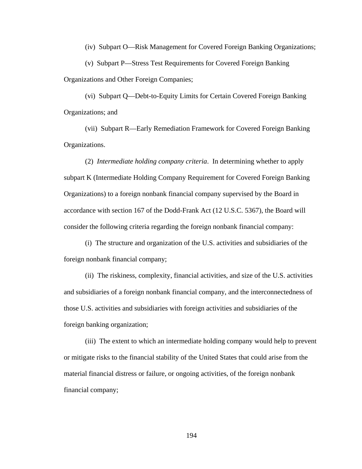(iv) Subpart O—Risk Management for Covered Foreign Banking Organizations;

(v) Subpart P—Stress Test Requirements for Covered Foreign Banking Organizations and Other Foreign Companies;

(vi) Subpart Q—Debt-to-Equity Limits for Certain Covered Foreign Banking Organizations; and

(vii) Subpart R—Early Remediation Framework for Covered Foreign Banking Organizations.

(2) *Intermediate holding company criteria*. In determining whether to apply subpart K (Intermediate Holding Company Requirement for Covered Foreign Banking Organizations) to a foreign nonbank financial company supervised by the Board in accordance with section 167 of the Dodd-Frank Act (12 U.S.C. 5367), the Board will consider the following criteria regarding the foreign nonbank financial company:

(i) The structure and organization of the U.S. activities and subsidiaries of the foreign nonbank financial company;

(ii) The riskiness, complexity, financial activities, and size of the U.S. activities and subsidiaries of a foreign nonbank financial company, and the interconnectedness of those U.S. activities and subsidiaries with foreign activities and subsidiaries of the foreign banking organization;

(iii) The extent to which an intermediate holding company would help to prevent or mitigate risks to the financial stability of the United States that could arise from the material financial distress or failure, or ongoing activities, of the foreign nonbank financial company;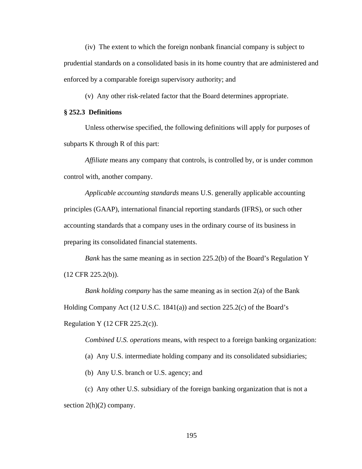(iv) The extent to which the foreign nonbank financial company is subject to prudential standards on a consolidated basis in its home country that are administered and enforced by a comparable foreign supervisory authority; and

(v) Any other risk-related factor that the Board determines appropriate.

## **§ 252.3 Definitions**

Unless otherwise specified, the following definitions will apply for purposes of subparts K through R of this part:

*Affiliate* means any company that controls, is controlled by, or is under common control with, another company.

*Applicable accounting standards* means U.S. generally applicable accounting principles (GAAP), international financial reporting standards (IFRS), or such other accounting standards that a company uses in the ordinary course of its business in preparing its consolidated financial statements.

*Bank* has the same meaning as in section 225.2(b) of the Board's Regulation Y (12 CFR 225.2(b)).

*Bank holding company* has the same meaning as in section 2(a) of the Bank Holding Company Act (12 U.S.C. 1841(a)) and section 225.2(c) of the Board's Regulation Y (12 CFR 225.2(c)).

*Combined U.S. operations* means, with respect to a foreign banking organization:

(a) Any U.S. intermediate holding company and its consolidated subsidiaries;

(b) Any U.S. branch or U.S. agency; and

(c) Any other U.S. subsidiary of the foreign banking organization that is not a section  $2(h)(2)$  company.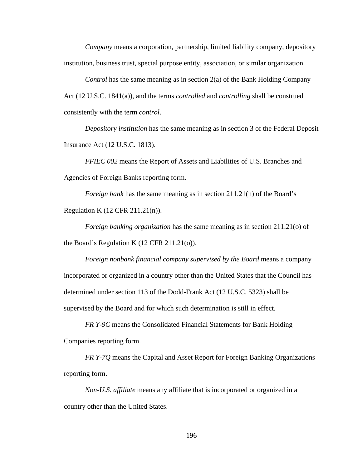*Company* means a corporation, partnership, limited liability company, depository institution, business trust, special purpose entity, association, or similar organization.

*Control* has the same meaning as in section 2(a) of the Bank Holding Company Act (12 U.S.C. 1841(a)), and the terms *controlled* and *controlling* shall be construed consistently with the term *control*.

*Depository institution* has the same meaning as in section 3 of the Federal Deposit Insurance Act (12 U.S.C. 1813).

*FFIEC 002* means the Report of Assets and Liabilities of U.S. Branches and Agencies of Foreign Banks reporting form.

*Foreign bank* has the same meaning as in section 211.21(n) of the Board's Regulation K (12 CFR 211.21(n)).

*Foreign banking organization* has the same meaning as in section 211.21(o) of the Board's Regulation K (12 CFR 211.21(o)).

*Foreign nonbank financial company supervised by the Board* means a company incorporated or organized in a country other than the United States that the Council has determined under section 113 of the Dodd-Frank Act (12 U.S.C. 5323) shall be supervised by the Board and for which such determination is still in effect.

*FR Y-9C* means the Consolidated Financial Statements for Bank Holding Companies reporting form.

*FR Y-7Q* means the Capital and Asset Report for Foreign Banking Organizations reporting form.

*Non-U.S. affiliate* means any affiliate that is incorporated or organized in a country other than the United States.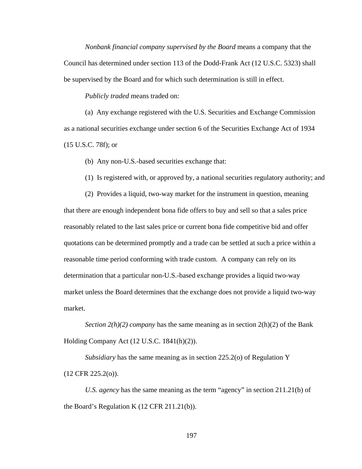*Nonbank financial company supervised by the Board* means a company that the Council has determined under section 113 of the Dodd-Frank Act (12 U.S.C. 5323) shall be supervised by the Board and for which such determination is still in effect.

*Publicly traded* means traded on:

(a) Any exchange registered with the U.S. Securities and Exchange Commission as a national securities exchange under section 6 of the Securities Exchange Act of 1934 (15 U.S.C. 78f); or

(b) Any non-U.S.-based securities exchange that:

(1) Is registered with, or approved by, a national securities regulatory authority; and

(2) Provides a liquid, two-way market for the instrument in question, meaning that there are enough independent bona fide offers to buy and sell so that a sales price reasonably related to the last sales price or current bona fide competitive bid and offer quotations can be determined promptly and a trade can be settled at such a price within a reasonable time period conforming with trade custom. A company can rely on its determination that a particular non-U.S.-based exchange provides a liquid two-way market unless the Board determines that the exchange does not provide a liquid two-way market.

*Section 2(h)(2) company* has the same meaning as in section 2(h)(2) of the Bank Holding Company Act (12 U.S.C. 1841(h)(2)).

*Subsidiary* has the same meaning as in section 225.2(o) of Regulation Y  $(12 \text{ CFR } 225.2(0)).$ 

*U.S. agency* has the same meaning as the term "agency" in section 211.21(b) of the Board's Regulation K (12 CFR 211.21(b)).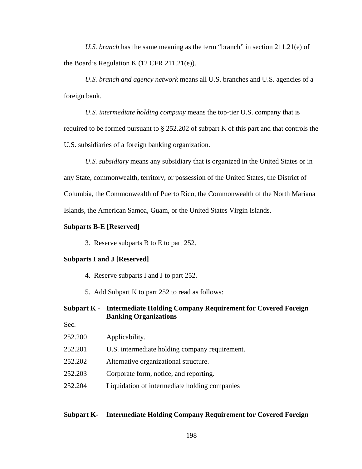*U.S. branch* has the same meaning as the term "branch" in section 211.21(e) of the Board's Regulation K (12 CFR 211.21(e)).

*U.S. branch and agency network* means all U.S. branches and U.S. agencies of a foreign bank.

*U.S. intermediate holding company* means the top-tier U.S. company that is required to be formed pursuant to § 252.202 of subpart K of this part and that controls the U.S. subsidiaries of a foreign banking organization.

*U.S. subsidiary* means any subsidiary that is organized in the United States or in any State, commonwealth, territory, or possession of the United States, the District of Columbia, the Commonwealth of Puerto Rico, the Commonwealth of the North Mariana Islands, the American Samoa, Guam, or the United States Virgin Islands.

### **Subparts B-E [Reserved]**

3. Reserve subparts B to E to part 252.

#### **Subparts I and J [Reserved]**

- 4. Reserve subparts I and J to part 252.
- 5. Add Subpart K to part 252 to read as follows:

# **Subpart K - Intermediate Holding Company Requirement for Covered Foreign Banking Organizations**

- Sec.
- 252.200 Applicability.
- 252.201 U.S. intermediate holding company requirement.
- 252.202 Alternative organizational structure.
- 252.203 Corporate form, notice, and reporting.
- 252.204 Liquidation of intermediate holding companies

## **Subpart K- Intermediate Holding Company Requirement for Covered Foreign**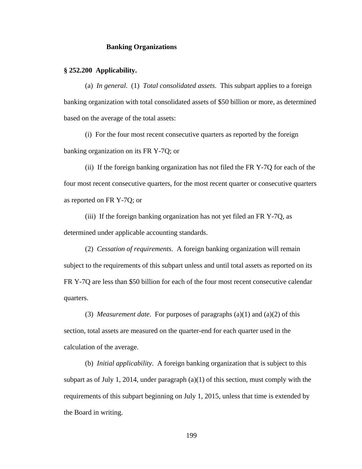## **Banking Organizations**

## **§ 252.200 Applicability.**

(a) *In general*. (1) *Total consolidated assets*. This subpart applies to a foreign banking organization with total consolidated assets of \$50 billion or more, as determined based on the average of the total assets:

(i) For the four most recent consecutive quarters as reported by the foreign banking organization on its FR Y-7Q; or

(ii) If the foreign banking organization has not filed the FR Y-7Q for each of the four most recent consecutive quarters, for the most recent quarter or consecutive quarters as reported on FR Y-7Q; or

(iii) If the foreign banking organization has not yet filed an FR Y-7Q, as determined under applicable accounting standards.

(2) *Cessation of requirements*. A foreign banking organization will remain subject to the requirements of this subpart unless and until total assets as reported on its FR Y-7Q are less than \$50 billion for each of the four most recent consecutive calendar quarters.

(3) *Measurement date*. For purposes of paragraphs (a)(1) and (a)(2) of this section, total assets are measured on the quarter-end for each quarter used in the calculation of the average.

(b) *Initial applicability*. A foreign banking organization that is subject to this subpart as of July 1, 2014, under paragraph  $(a)(1)$  of this section, must comply with the requirements of this subpart beginning on July 1, 2015, unless that time is extended by the Board in writing.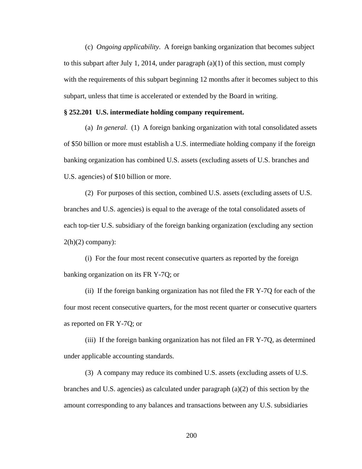(c) *Ongoing applicability*. A foreign banking organization that becomes subject to this subpart after July 1, 2014, under paragraph  $(a)(1)$  of this section, must comply with the requirements of this subpart beginning 12 months after it becomes subject to this subpart, unless that time is accelerated or extended by the Board in writing.

### **§ 252.201 U.S. intermediate holding company requirement.**

(a) *In general*. (1) A foreign banking organization with total consolidated assets of \$50 billion or more must establish a U.S. intermediate holding company if the foreign banking organization has combined U.S. assets (excluding assets of U.S. branches and U.S. agencies) of \$10 billion or more.

(2) For purposes of this section, combined U.S. assets (excluding assets of U.S. branches and U.S. agencies) is equal to the average of the total consolidated assets of each top-tier U.S. subsidiary of the foreign banking organization (excluding any section  $2(h)(2)$  company):

(i) For the four most recent consecutive quarters as reported by the foreign banking organization on its FR Y-7Q; or

(ii) If the foreign banking organization has not filed the FR Y-7Q for each of the four most recent consecutive quarters, for the most recent quarter or consecutive quarters as reported on FR Y-7Q; or

(iii) If the foreign banking organization has not filed an FR Y-7Q, as determined under applicable accounting standards.

(3) A company may reduce its combined U.S. assets (excluding assets of U.S. branches and U.S. agencies) as calculated under paragraph  $(a)(2)$  of this section by the amount corresponding to any balances and transactions between any U.S. subsidiaries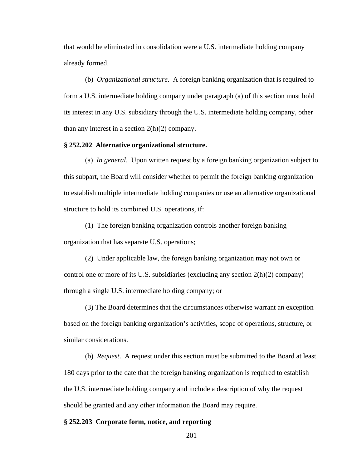that would be eliminated in consolidation were a U.S. intermediate holding company already formed.

(b) *Organizational structure*. A foreign banking organization that is required to form a U.S. intermediate holding company under paragraph (a) of this section must hold its interest in any U.S. subsidiary through the U.S. intermediate holding company, other than any interest in a section  $2(h)(2)$  company.

### **§ 252.202 Alternative organizational structure.**

(a) *In general*. Upon written request by a foreign banking organization subject to this subpart, the Board will consider whether to permit the foreign banking organization to establish multiple intermediate holding companies or use an alternative organizational structure to hold its combined U.S. operations, if:

(1) The foreign banking organization controls another foreign banking organization that has separate U.S. operations;

(2) Under applicable law, the foreign banking organization may not own or control one or more of its U.S. subsidiaries (excluding any section 2(h)(2) company) through a single U.S. intermediate holding company; or

(3) The Board determines that the circumstances otherwise warrant an exception based on the foreign banking organization's activities, scope of operations, structure, or similar considerations.

(b) *Request*. A request under this section must be submitted to the Board at least 180 days prior to the date that the foreign banking organization is required to establish the U.S. intermediate holding company and include a description of why the request should be granted and any other information the Board may require.

#### **§ 252.203 Corporate form, notice, and reporting**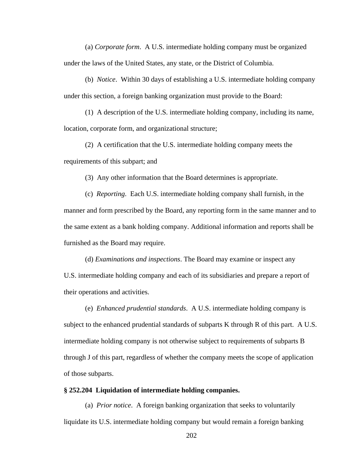(a) *Corporate form*. A U.S. intermediate holding company must be organized under the laws of the United States, any state, or the District of Columbia.

(b) *Notice*. Within 30 days of establishing a U.S. intermediate holding company under this section, a foreign banking organization must provide to the Board:

(1) A description of the U.S. intermediate holding company, including its name, location, corporate form, and organizational structure;

(2) A certification that the U.S. intermediate holding company meets the requirements of this subpart; and

(3) Any other information that the Board determines is appropriate.

(c) *Reporting*. Each U.S. intermediate holding company shall furnish, in the manner and form prescribed by the Board, any reporting form in the same manner and to the same extent as a bank holding company. Additional information and reports shall be furnished as the Board may require.

(d) *Examinations and inspections*. The Board may examine or inspect any U.S. intermediate holding company and each of its subsidiaries and prepare a report of their operations and activities.

(e) *Enhanced prudential standards*. A U.S. intermediate holding company is subject to the enhanced prudential standards of subparts K through R of this part. A U.S. intermediate holding company is not otherwise subject to requirements of subparts B through J of this part, regardless of whether the company meets the scope of application of those subparts.

## **§ 252.204 Liquidation of intermediate holding companies.**

(a) *Prior notice*. A foreign banking organization that seeks to voluntarily liquidate its U.S. intermediate holding company but would remain a foreign banking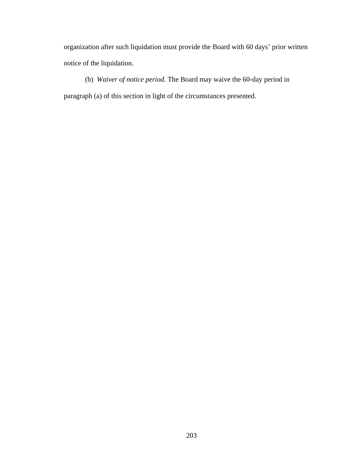organization after such liquidation must provide the Board with 60 days' prior written notice of the liquidation.

(b) *Waiver of notice period*. The Board may waive the 60-day period in paragraph (a) of this section in light of the circumstances presented.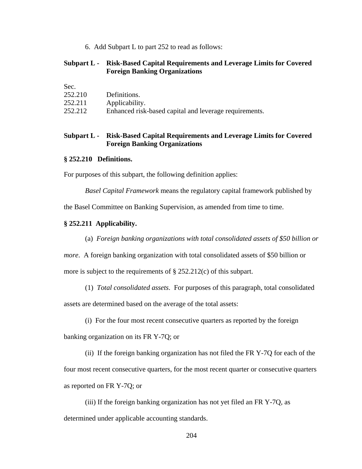6. Add Subpart L to part 252 to read as follows:

## **Subpart L - Risk-Based Capital Requirements and Leverage Limits for Covered Foreign Banking Organizations**

Sec.

| .       |                                                        |
|---------|--------------------------------------------------------|
| 252.210 | Definitions.                                           |
| 252.211 | Applicability.                                         |
| 252.212 | Enhanced risk-based capital and leverage requirements. |

## **Subpart L - Risk-Based Capital Requirements and Leverage Limits for Covered Foreign Banking Organizations**

## **§ 252.210 Definitions.**

For purposes of this subpart, the following definition applies:

*Basel Capital Framework* means the regulatory capital framework published by

the Basel Committee on Banking Supervision, as amended from time to time.

## **§ 252.211 Applicability.**

(a) *Foreign banking organizations with total consolidated assets of \$50 billion or* 

*more*. A foreign banking organization with total consolidated assets of \$50 billion or

more is subject to the requirements of § 252.212(c) of this subpart.

(1) *Total consolidated assets*. For purposes of this paragraph, total consolidated

assets are determined based on the average of the total assets:

(i) For the four most recent consecutive quarters as reported by the foreign

banking organization on its FR Y-7Q; or

(ii) If the foreign banking organization has not filed the FR Y-7Q for each of the four most recent consecutive quarters, for the most recent quarter or consecutive quarters as reported on FR Y-7Q; or

(iii) If the foreign banking organization has not yet filed an FR Y-7Q, as determined under applicable accounting standards.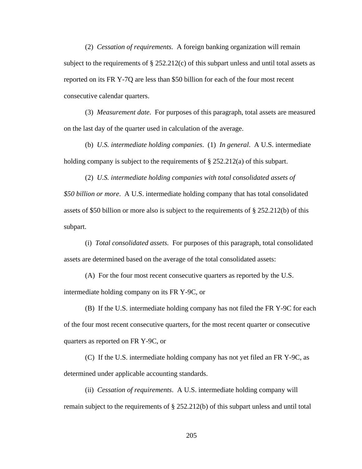(2) *Cessation of requirements*. A foreign banking organization will remain subject to the requirements of  $\S 252.212(c)$  of this subpart unless and until total assets as reported on its FR Y-7Q are less than \$50 billion for each of the four most recent consecutive calendar quarters.

(3) *Measurement date*. For purposes of this paragraph, total assets are measured on the last day of the quarter used in calculation of the average.

(b) *U.S. intermediate holding companies*. (1) *In general*. A U.S. intermediate holding company is subject to the requirements of  $\S 252.212(a)$  of this subpart.

(2) *U.S. intermediate holding companies with total consolidated assets of \$50 billion or more*. A U.S. intermediate holding company that has total consolidated assets of \$50 billion or more also is subject to the requirements of § 252.212(b) of this subpart.

(i) *Total consolidated assets.* For purposes of this paragraph, total consolidated assets are determined based on the average of the total consolidated assets:

(A) For the four most recent consecutive quarters as reported by the U.S. intermediate holding company on its FR Y-9C, or

(B) If the U.S. intermediate holding company has not filed the FR Y-9C for each of the four most recent consecutive quarters, for the most recent quarter or consecutive quarters as reported on FR Y-9C, or

(C) If the U.S. intermediate holding company has not yet filed an FR Y-9C, as determined under applicable accounting standards.

(ii) *Cessation of requirements*. A U.S. intermediate holding company will remain subject to the requirements of § 252.212(b) of this subpart unless and until total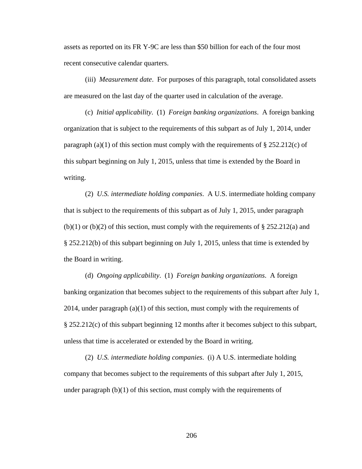assets as reported on its FR Y-9C are less than \$50 billion for each of the four most recent consecutive calendar quarters.

(iii) *Measurement date*. For purposes of this paragraph, total consolidated assets are measured on the last day of the quarter used in calculation of the average.

(c) *Initial applicability*. (1) *Foreign banking organizations*. A foreign banking organization that is subject to the requirements of this subpart as of July 1, 2014, under paragraph (a)(1) of this section must comply with the requirements of § 252.212(c) of this subpart beginning on July 1, 2015, unless that time is extended by the Board in writing.

(2) *U.S. intermediate holding companies*. A U.S. intermediate holding company that is subject to the requirements of this subpart as of July 1, 2015, under paragraph  $(b)(1)$  or  $(b)(2)$  of this section, must comply with the requirements of § 252.212(a) and § 252.212(b) of this subpart beginning on July 1, 2015, unless that time is extended by the Board in writing.

(d) *Ongoing applicability*. (1) *Foreign banking organizations*. A foreign banking organization that becomes subject to the requirements of this subpart after July 1, 2014, under paragraph  $(a)(1)$  of this section, must comply with the requirements of § 252.212(c) of this subpart beginning 12 months after it becomes subject to this subpart, unless that time is accelerated or extended by the Board in writing.

(2) *U.S. intermediate holding companies*. (i) A U.S. intermediate holding company that becomes subject to the requirements of this subpart after July 1, 2015, under paragraph  $(b)(1)$  of this section, must comply with the requirements of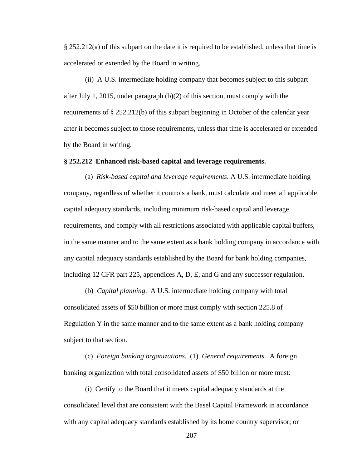§ 252.212(a) of this subpart on the date it is required to be established, unless that time is accelerated or extended by the Board in writing.

(ii) A U.S. intermediate holding company that becomes subject to this subpart after July 1, 2015, under paragraph (b)(2) of this section, must comply with the requirements of § 252.212(b) of this subpart beginning in October of the calendar year after it becomes subject to those requirements, unless that time is accelerated or extended by the Board in writing.

## **§ 252.212 Enhanced risk-based capital and leverage requirements.**

(a) *Risk-based capital and leverage requirements*. A U.S. intermediate holding company, regardless of whether it controls a bank, must calculate and meet all applicable capital adequacy standards, including minimum risk-based capital and leverage requirements, and comply with all restrictions associated with applicable capital buffers, in the same manner and to the same extent as a bank holding company in accordance with any capital adequacy standards established by the Board for bank holding companies, including 12 CFR part 225, appendices A, D, E, and G and any successor regulation.

(b) *Capital planning*. A U.S. intermediate holding company with total consolidated assets of \$50 billion or more must comply with section 225.8 of Regulation Y in the same manner and to the same extent as a bank holding company subject to that section.

(c) *Foreign banking organizations*. (1) *General requirements*. A foreign banking organization with total consolidated assets of \$50 billion or more must:

(i) Certify to the Board that it meets capital adequacy standards at the consolidated level that are consistent with the Basel Capital Framework in accordance with any capital adequacy standards established by its home country supervisor; or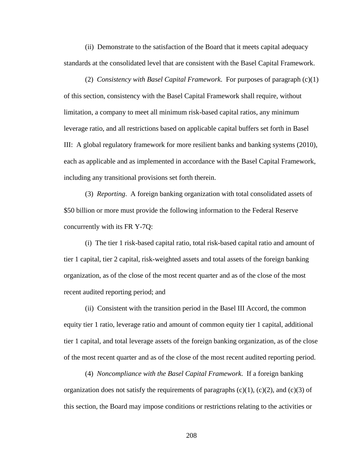(ii) Demonstrate to the satisfaction of the Board that it meets capital adequacy standards at the consolidated level that are consistent with the Basel Capital Framework.

(2) *Consistency with Basel Capital Framework*. For purposes of paragraph (c)(1) of this section, consistency with the Basel Capital Framework shall require, without limitation, a company to meet all minimum risk-based capital ratios, any minimum leverage ratio, and all restrictions based on applicable capital buffers set forth in Basel III: A global regulatory framework for more resilient banks and banking systems (2010), each as applicable and as implemented in accordance with the Basel Capital Framework, including any transitional provisions set forth therein.

(3) *Reporting*. A foreign banking organization with total consolidated assets of \$50 billion or more must provide the following information to the Federal Reserve concurrently with its FR Y-7Q:

(i) The tier 1 risk-based capital ratio, total risk-based capital ratio and amount of tier 1 capital, tier 2 capital, risk-weighted assets and total assets of the foreign banking organization, as of the close of the most recent quarter and as of the close of the most recent audited reporting period; and

(ii) Consistent with the transition period in the Basel III Accord, the common equity tier 1 ratio, leverage ratio and amount of common equity tier 1 capital, additional tier 1 capital, and total leverage assets of the foreign banking organization, as of the close of the most recent quarter and as of the close of the most recent audited reporting period.

(4) *Noncompliance with the Basel Capital Framework*. If a foreign banking organization does not satisfy the requirements of paragraphs  $(c)(1)$ ,  $(c)(2)$ , and  $(c)(3)$  of this section, the Board may impose conditions or restrictions relating to the activities or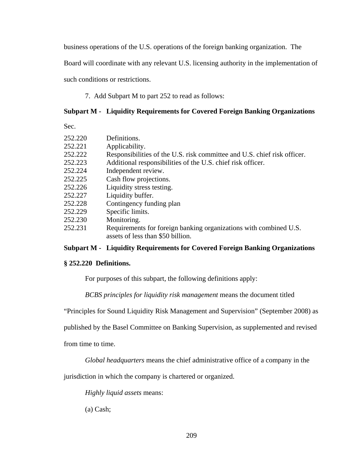business operations of the U.S. operations of the foreign banking organization. The

Board will coordinate with any relevant U.S. licensing authority in the implementation of

such conditions or restrictions.

7. Add Subpart M to part 252 to read as follows:

# **Subpart M - Liquidity Requirements for Covered Foreign Banking Organizations**

Sec.

| 252.220 | Definitions.                                                             |
|---------|--------------------------------------------------------------------------|
| 252.221 | Applicability.                                                           |
| 252.222 | Responsibilities of the U.S. risk committee and U.S. chief risk officer. |
| 252.223 | Additional responsibilities of the U.S. chief risk officer.              |
| 252.224 | Independent review.                                                      |
| 252.225 | Cash flow projections.                                                   |
| 252.226 | Liquidity stress testing.                                                |
| 252.227 | Liquidity buffer.                                                        |
| 252.228 | Contingency funding plan                                                 |
| 252.229 | Specific limits.                                                         |
| 252.230 | Monitoring.                                                              |
| 252.231 | Requirements for foreign banking organizations with combined U.S.        |

assets of less than \$50 billion.

## **Subpart M - Liquidity Requirements for Covered Foreign Banking Organizations**

## **§ 252.220 Definitions.**

For purposes of this subpart, the following definitions apply:

*BCBS principles for liquidity risk management* means the document titled

"Principles for Sound Liquidity Risk Management and Supervision" (September 2008) as

published by the Basel Committee on Banking Supervision, as supplemented and revised

from time to time.

*Global headquarters* means the chief administrative office of a company in the

jurisdiction in which the company is chartered or organized.

*Highly liquid assets* means:

(a) Cash;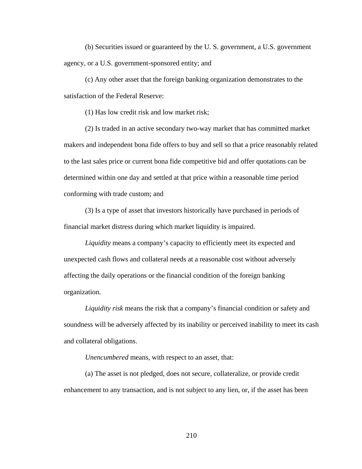(b) Securities issued or guaranteed by the U. S. government, a U.S. government agency, or a U.S. government-sponsored entity; and

(c) Any other asset that the foreign banking organization demonstrates to the satisfaction of the Federal Reserve:

(1) Has low credit risk and low market risk;

(2) Is traded in an active secondary two-way market that has committed market makers and independent bona fide offers to buy and sell so that a price reasonably related to the last sales price or current bona fide competitive bid and offer quotations can be determined within one day and settled at that price within a reasonable time period conforming with trade custom; and

(3) Is a type of asset that investors historically have purchased in periods of financial market distress during which market liquidity is impaired.

*Liquidity* means a company's capacity to efficiently meet its expected and unexpected cash flows and collateral needs at a reasonable cost without adversely affecting the daily operations or the financial condition of the foreign banking organization.

*Liquidity risk* means the risk that a company's financial condition or safety and soundness will be adversely affected by its inability or perceived inability to meet its cash and collateral obligations.

*Unencumbered* means, with respect to an asset, that:

(a) The asset is not pledged, does not secure, collateralize, or provide credit enhancement to any transaction, and is not subject to any lien, or, if the asset has been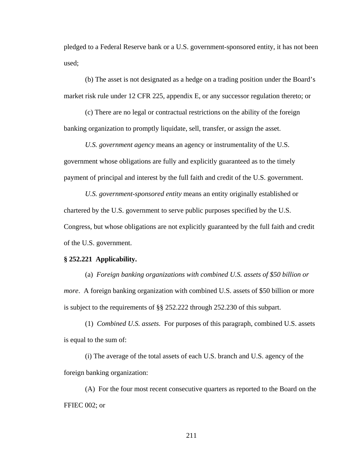pledged to a Federal Reserve bank or a U.S. government-sponsored entity, it has not been used;

(b) The asset is not designated as a hedge on a trading position under the Board's market risk rule under 12 CFR 225, appendix E, or any successor regulation thereto; or

(c) There are no legal or contractual restrictions on the ability of the foreign banking organization to promptly liquidate, sell, transfer, or assign the asset.

*U.S. government agency* means an agency or instrumentality of the U.S. government whose obligations are fully and explicitly guaranteed as to the timely payment of principal and interest by the full faith and credit of the U.S. government.

*U.S. government-sponsored entity* means an entity originally established or chartered by the U.S. government to serve public purposes specified by the U.S. Congress, but whose obligations are not explicitly guaranteed by the full faith and credit of the U.S. government.

#### **§ 252.221 Applicability.**

(a) *Foreign banking organizations with combined U.S. assets of \$50 billion or more*. A foreign banking organization with combined U.S. assets of \$50 billion or more is subject to the requirements of §§ 252.222 through 252.230 of this subpart.

(1) *Combined U.S. assets*. For purposes of this paragraph, combined U.S. assets is equal to the sum of:

(i) The average of the total assets of each U.S. branch and U.S. agency of the foreign banking organization:

(A) For the four most recent consecutive quarters as reported to the Board on the FFIEC 002; or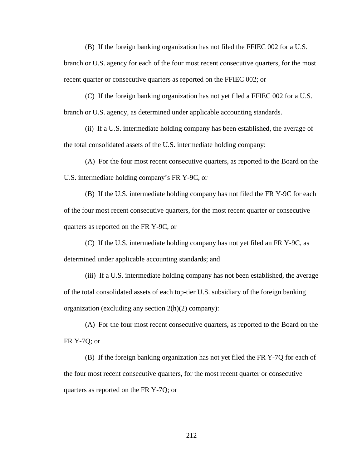(B) If the foreign banking organization has not filed the FFIEC 002 for a U.S.

branch or U.S. agency for each of the four most recent consecutive quarters, for the most recent quarter or consecutive quarters as reported on the FFIEC 002; or

(C) If the foreign banking organization has not yet filed a FFIEC 002 for a U.S. branch or U.S. agency, as determined under applicable accounting standards.

(ii) If a U.S. intermediate holding company has been established, the average of the total consolidated assets of the U.S. intermediate holding company:

(A) For the four most recent consecutive quarters, as reported to the Board on the U.S. intermediate holding company's FR Y-9C, or

(B) If the U.S. intermediate holding company has not filed the FR Y-9C for each of the four most recent consecutive quarters, for the most recent quarter or consecutive quarters as reported on the FR Y-9C, or

(C) If the U.S. intermediate holding company has not yet filed an FR Y-9C, as determined under applicable accounting standards; and

(iii) If a U.S. intermediate holding company has not been established, the average of the total consolidated assets of each top-tier U.S. subsidiary of the foreign banking organization (excluding any section 2(h)(2) company):

(A) For the four most recent consecutive quarters, as reported to the Board on the FR Y-7Q; or

(B) If the foreign banking organization has not yet filed the FR Y-7Q for each of the four most recent consecutive quarters, for the most recent quarter or consecutive quarters as reported on the FR Y-7Q; or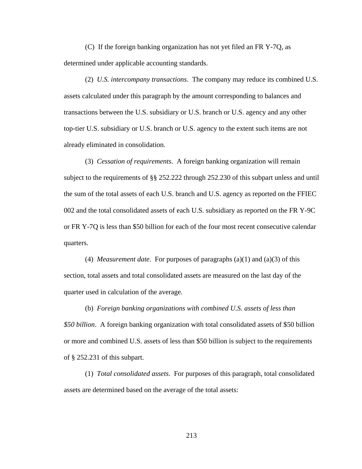(C) If the foreign banking organization has not yet filed an FR Y-7Q, as determined under applicable accounting standards.

(2) *U.S. intercompany transactions*. The company may reduce its combined U.S. assets calculated under this paragraph by the amount corresponding to balances and transactions between the U.S. subsidiary or U.S. branch or U.S. agency and any other top-tier U.S. subsidiary or U.S. branch or U.S. agency to the extent such items are not already eliminated in consolidation.

(3) *Cessation of requirements*. A foreign banking organization will remain subject to the requirements of §§ 252.222 through 252.230 of this subpart unless and until the sum of the total assets of each U.S. branch and U.S. agency as reported on the FFIEC 002 and the total consolidated assets of each U.S. subsidiary as reported on the FR Y-9C or FR Y-7Q is less than \$50 billion for each of the four most recent consecutive calendar quarters.

(4) *Measurement date*. For purposes of paragraphs (a)(1) and (a)(3) of this section, total assets and total consolidated assets are measured on the last day of the quarter used in calculation of the average.

(b) *Foreign banking organizations with combined U.S. assets of less than \$50 billion*. A foreign banking organization with total consolidated assets of \$50 billion or more and combined U.S. assets of less than \$50 billion is subject to the requirements of § 252.231 of this subpart.

(1) *Total consolidated assets*. For purposes of this paragraph, total consolidated assets are determined based on the average of the total assets: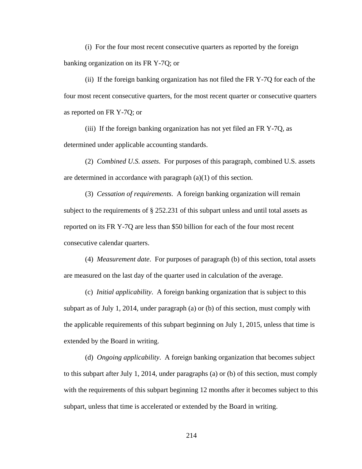(i) For the four most recent consecutive quarters as reported by the foreign banking organization on its FR Y-7Q; or

(ii) If the foreign banking organization has not filed the FR Y-7Q for each of the four most recent consecutive quarters, for the most recent quarter or consecutive quarters as reported on FR Y-7Q; or

(iii) If the foreign banking organization has not yet filed an FR Y-7Q, as determined under applicable accounting standards.

(2) *Combined U.S. assets*. For purposes of this paragraph, combined U.S. assets are determined in accordance with paragraph (a)(1) of this section.

(3) *Cessation of requirements*. A foreign banking organization will remain subject to the requirements of § 252.231 of this subpart unless and until total assets as reported on its FR Y-7Q are less than \$50 billion for each of the four most recent consecutive calendar quarters.

(4) *Measurement date*. For purposes of paragraph (b) of this section, total assets are measured on the last day of the quarter used in calculation of the average.

(c) *Initial applicability*. A foreign banking organization that is subject to this subpart as of July 1, 2014, under paragraph (a) or (b) of this section, must comply with the applicable requirements of this subpart beginning on July 1, 2015, unless that time is extended by the Board in writing.

(d) *Ongoing applicability*. A foreign banking organization that becomes subject to this subpart after July 1, 2014, under paragraphs (a) or (b) of this section, must comply with the requirements of this subpart beginning 12 months after it becomes subject to this subpart, unless that time is accelerated or extended by the Board in writing.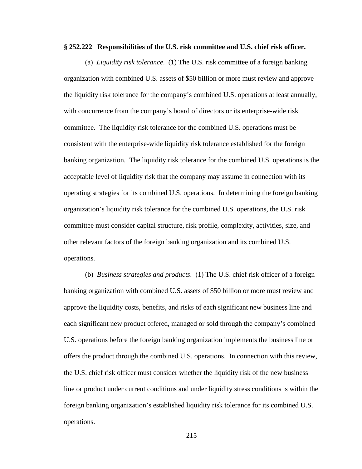#### **§ 252.222 Responsibilities of the U.S. risk committee and U.S. chief risk officer.**

(a) *Liquidity risk tolerance*. (1) The U.S. risk committee of a foreign banking organization with combined U.S. assets of \$50 billion or more must review and approve the liquidity risk tolerance for the company's combined U.S. operations at least annually, with concurrence from the company's board of directors or its enterprise-wide risk committee. The liquidity risk tolerance for the combined U.S. operations must be consistent with the enterprise-wide liquidity risk tolerance established for the foreign banking organization. The liquidity risk tolerance for the combined U.S. operations is the acceptable level of liquidity risk that the company may assume in connection with its operating strategies for its combined U.S. operations. In determining the foreign banking organization's liquidity risk tolerance for the combined U.S. operations, the U.S. risk committee must consider capital structure, risk profile, complexity, activities, size, and other relevant factors of the foreign banking organization and its combined U.S. operations.

(b) *Business strategies and products*. (1) The U.S. chief risk officer of a foreign banking organization with combined U.S. assets of \$50 billion or more must review and approve the liquidity costs, benefits, and risks of each significant new business line and each significant new product offered, managed or sold through the company's combined U.S. operations before the foreign banking organization implements the business line or offers the product through the combined U.S. operations. In connection with this review, the U.S. chief risk officer must consider whether the liquidity risk of the new business line or product under current conditions and under liquidity stress conditions is within the foreign banking organization's established liquidity risk tolerance for its combined U.S. operations.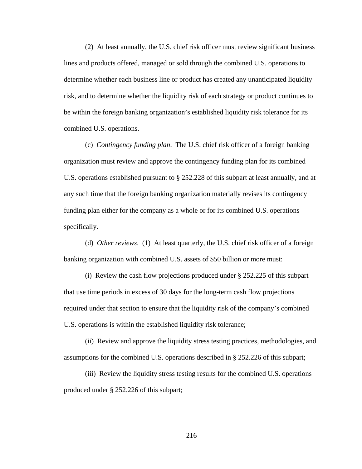(2) At least annually, the U.S. chief risk officer must review significant business lines and products offered, managed or sold through the combined U.S. operations to determine whether each business line or product has created any unanticipated liquidity risk, and to determine whether the liquidity risk of each strategy or product continues to be within the foreign banking organization's established liquidity risk tolerance for its combined U.S. operations.

(c) *Contingency funding plan*. The U.S. chief risk officer of a foreign banking organization must review and approve the contingency funding plan for its combined U.S. operations established pursuant to § 252.228 of this subpart at least annually, and at any such time that the foreign banking organization materially revises its contingency funding plan either for the company as a whole or for its combined U.S. operations specifically.

(d) *Other reviews*. (1) At least quarterly, the U.S. chief risk officer of a foreign banking organization with combined U.S. assets of \$50 billion or more must:

(i) Review the cash flow projections produced under § 252.225 of this subpart that use time periods in excess of 30 days for the long-term cash flow projections required under that section to ensure that the liquidity risk of the company's combined U.S. operations is within the established liquidity risk tolerance;

(ii) Review and approve the liquidity stress testing practices, methodologies, and assumptions for the combined U.S. operations described in § 252.226 of this subpart;

(iii) Review the liquidity stress testing results for the combined U.S. operations produced under § 252.226 of this subpart;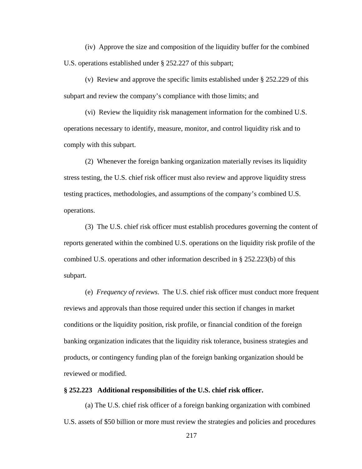(iv) Approve the size and composition of the liquidity buffer for the combined U.S. operations established under § 252.227 of this subpart;

(v) Review and approve the specific limits established under § 252.229 of this subpart and review the company's compliance with those limits; and

(vi) Review the liquidity risk management information for the combined U.S. operations necessary to identify, measure, monitor, and control liquidity risk and to comply with this subpart.

(2) Whenever the foreign banking organization materially revises its liquidity stress testing, the U.S. chief risk officer must also review and approve liquidity stress testing practices, methodologies, and assumptions of the company's combined U.S. operations.

(3) The U.S. chief risk officer must establish procedures governing the content of reports generated within the combined U.S. operations on the liquidity risk profile of the combined U.S. operations and other information described in § 252.223(b) of this subpart.

(e) *Frequency of reviews*. The U.S. chief risk officer must conduct more frequent reviews and approvals than those required under this section if changes in market conditions or the liquidity position, risk profile, or financial condition of the foreign banking organization indicates that the liquidity risk tolerance, business strategies and products, or contingency funding plan of the foreign banking organization should be reviewed or modified.

### **§ 252.223 Additional responsibilities of the U.S. chief risk officer.**

(a) The U.S. chief risk officer of a foreign banking organization with combined U.S. assets of \$50 billion or more must review the strategies and policies and procedures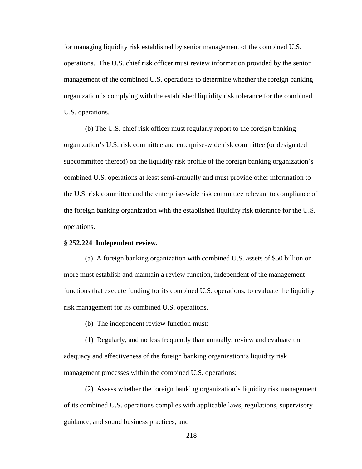for managing liquidity risk established by senior management of the combined U.S. operations. The U.S. chief risk officer must review information provided by the senior management of the combined U.S. operations to determine whether the foreign banking organization is complying with the established liquidity risk tolerance for the combined U.S. operations.

(b) The U.S. chief risk officer must regularly report to the foreign banking organization's U.S. risk committee and enterprise-wide risk committee (or designated subcommittee thereof) on the liquidity risk profile of the foreign banking organization's combined U.S. operations at least semi-annually and must provide other information to the U.S. risk committee and the enterprise-wide risk committee relevant to compliance of the foreign banking organization with the established liquidity risk tolerance for the U.S. operations.

### **§ 252.224 Independent review.**

(a) A foreign banking organization with combined U.S. assets of \$50 billion or more must establish and maintain a review function, independent of the management functions that execute funding for its combined U.S. operations, to evaluate the liquidity risk management for its combined U.S. operations.

(b) The independent review function must:

(1) Regularly, and no less frequently than annually, review and evaluate the adequacy and effectiveness of the foreign banking organization's liquidity risk management processes within the combined U.S. operations;

(2) Assess whether the foreign banking organization's liquidity risk management of its combined U.S. operations complies with applicable laws, regulations, supervisory guidance, and sound business practices; and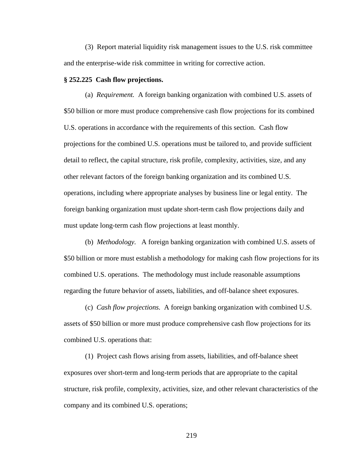(3) Report material liquidity risk management issues to the U.S. risk committee and the enterprise-wide risk committee in writing for corrective action.

#### **§ 252.225 Cash flow projections.**

(a) *Requirement.* A foreign banking organization with combined U.S. assets of \$50 billion or more must produce comprehensive cash flow projections for its combined U.S. operations in accordance with the requirements of this section. Cash flow projections for the combined U.S. operations must be tailored to, and provide sufficient detail to reflect, the capital structure, risk profile, complexity, activities, size, and any other relevant factors of the foreign banking organization and its combined U.S. operations, including where appropriate analyses by business line or legal entity. The foreign banking organization must update short-term cash flow projections daily and must update long-term cash flow projections at least monthly.

(b) *Methodology.* A foreign banking organization with combined U.S. assets of \$50 billion or more must establish a methodology for making cash flow projections for its combined U.S. operations. The methodology must include reasonable assumptions regarding the future behavior of assets, liabilities, and off-balance sheet exposures.

(c) *Cash flow projections.* A foreign banking organization with combined U.S. assets of \$50 billion or more must produce comprehensive cash flow projections for its combined U.S. operations that:

(1) Project cash flows arising from assets, liabilities, and off-balance sheet exposures over short-term and long-term periods that are appropriate to the capital structure, risk profile, complexity, activities, size, and other relevant characteristics of the company and its combined U.S. operations;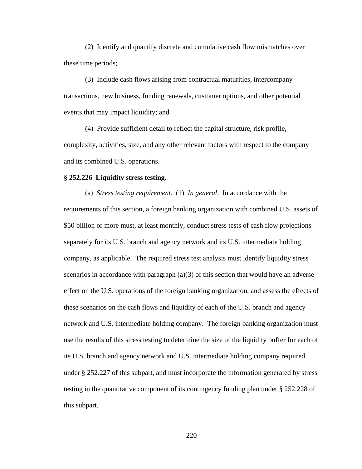(2) Identify and quantify discrete and cumulative cash flow mismatches over these time periods;

(3) Include cash flows arising from contractual maturities, intercompany transactions, new business, funding renewals, customer options, and other potential events that may impact liquidity; and

(4) Provide sufficient detail to reflect the capital structure, risk profile, complexity, activities, size, and any other relevant factors with respect to the company and its combined U.S. operations.

### **§ 252.226 Liquidity stress testing.**

(a) *Stress testing requirement.* (1) *In general*. In accordance with the requirements of this section, a foreign banking organization with combined U.S. assets of \$50 billion or more must, at least monthly, conduct stress tests of cash flow projections separately for its U.S. branch and agency network and its U.S. intermediate holding company, as applicable. The required stress test analysis must identify liquidity stress scenarios in accordance with paragraph (a)(3) of this section that would have an adverse effect on the U.S. operations of the foreign banking organization, and assess the effects of these scenarios on the cash flows and liquidity of each of the U.S. branch and agency network and U.S. intermediate holding company. The foreign banking organization must use the results of this stress testing to determine the size of the liquidity buffer for each of its U.S. branch and agency network and U.S. intermediate holding company required under § 252.227 of this subpart, and must incorporate the information generated by stress testing in the quantitative component of its contingency funding plan under § 252.228 of this subpart.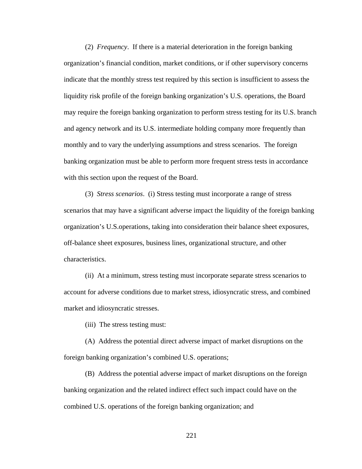(2) *Frequency*. If there is a material deterioration in the foreign banking organization's financial condition, market conditions, or if other supervisory concerns indicate that the monthly stress test required by this section is insufficient to assess the liquidity risk profile of the foreign banking organization's U.S. operations, the Board may require the foreign banking organization to perform stress testing for its U.S. branch and agency network and its U.S. intermediate holding company more frequently than monthly and to vary the underlying assumptions and stress scenarios. The foreign banking organization must be able to perform more frequent stress tests in accordance with this section upon the request of the Board.

(3) *Stress scenarios*. (i) Stress testing must incorporate a range of stress scenarios that may have a significant adverse impact the liquidity of the foreign banking organization's U.S.operations, taking into consideration their balance sheet exposures, off-balance sheet exposures, business lines, organizational structure, and other characteristics.

(ii) At a minimum, stress testing must incorporate separate stress scenarios to account for adverse conditions due to market stress, idiosyncratic stress, and combined market and idiosyncratic stresses.

(iii) The stress testing must:

(A) Address the potential direct adverse impact of market disruptions on the foreign banking organization's combined U.S. operations;

(B) Address the potential adverse impact of market disruptions on the foreign banking organization and the related indirect effect such impact could have on the combined U.S. operations of the foreign banking organization; and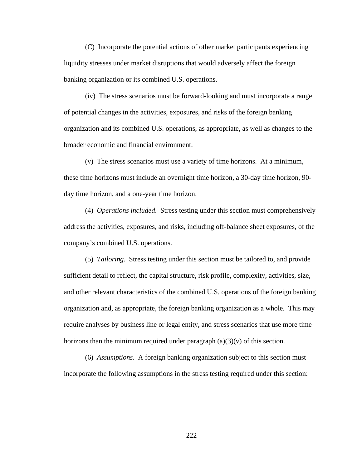(C) Incorporate the potential actions of other market participants experiencing liquidity stresses under market disruptions that would adversely affect the foreign banking organization or its combined U.S. operations.

(iv) The stress scenarios must be forward-looking and must incorporate a range of potential changes in the activities, exposures, and risks of the foreign banking organization and its combined U.S. operations, as appropriate, as well as changes to the broader economic and financial environment.

 (v) The stress scenarios must use a variety of time horizons. At a minimum, these time horizons must include an overnight time horizon, a 30-day time horizon, 90 day time horizon, and a one-year time horizon.

(4) *Operations included*. Stress testing under this section must comprehensively address the activities, exposures, and risks, including off-balance sheet exposures, of the company's combined U.S. operations.

(5) *Tailoring*. Stress testing under this section must be tailored to, and provide sufficient detail to reflect, the capital structure, risk profile, complexity, activities, size, and other relevant characteristics of the combined U.S. operations of the foreign banking organization and, as appropriate, the foreign banking organization as a whole. This may require analyses by business line or legal entity, and stress scenarios that use more time horizons than the minimum required under paragraph  $(a)(3)(v)$  of this section.

(6) *Assumptions*. A foreign banking organization subject to this section must incorporate the following assumptions in the stress testing required under this section: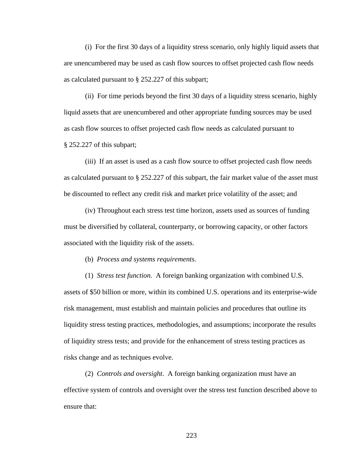(i) For the first 30 days of a liquidity stress scenario, only highly liquid assets that are unencumbered may be used as cash flow sources to offset projected cash flow needs as calculated pursuant to § 252.227 of this subpart;

(ii) For time periods beyond the first 30 days of a liquidity stress scenario, highly liquid assets that are unencumbered and other appropriate funding sources may be used as cash flow sources to offset projected cash flow needs as calculated pursuant to § 252.227 of this subpart;

(iii) If an asset is used as a cash flow source to offset projected cash flow needs as calculated pursuant to § 252.227 of this subpart, the fair market value of the asset must be discounted to reflect any credit risk and market price volatility of the asset; and

(iv) Throughout each stress test time horizon, assets used as sources of funding must be diversified by collateral, counterparty, or borrowing capacity, or other factors associated with the liquidity risk of the assets.

(b) *Process and systems requirements*.

(1) *Stress test function.* A foreign banking organization with combined U.S. assets of \$50 billion or more, within its combined U.S. operations and its enterprise-wide risk management, must establish and maintain policies and procedures that outline its liquidity stress testing practices, methodologies, and assumptions; incorporate the results of liquidity stress tests; and provide for the enhancement of stress testing practices as risks change and as techniques evolve.

(2) *Controls and oversight*. A foreign banking organization must have an effective system of controls and oversight over the stress test function described above to ensure that: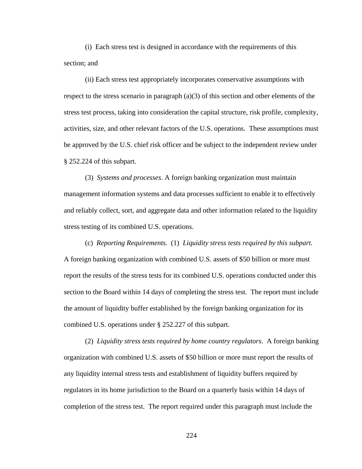(i) Each stress test is designed in accordance with the requirements of this section; and

(ii) Each stress test appropriately incorporates conservative assumptions with respect to the stress scenario in paragraph (a)(3) of this section and other elements of the stress test process, taking into consideration the capital structure, risk profile, complexity, activities, size, and other relevant factors of the U.S. operations. These assumptions must be approved by the U.S. chief risk officer and be subject to the independent review under § 252.224 of this subpart.

(3) *Systems and processes*. A foreign banking organization must maintain management information systems and data processes sufficient to enable it to effectively and reliably collect, sort, and aggregate data and other information related to the liquidity stress testing of its combined U.S. operations.

(c) *Reporting Requirements*. (1) *Liquidity stress tests required by this subpart.* A foreign banking organization with combined U.S. assets of \$50 billion or more must report the results of the stress tests for its combined U.S. operations conducted under this section to the Board within 14 days of completing the stress test. The report must include the amount of liquidity buffer established by the foreign banking organization for its combined U.S. operations under § 252.227 of this subpart.

(2) *Liquidity stress tests required by home country regulators*. A foreign banking organization with combined U.S. assets of \$50 billion or more must report the results of any liquidity internal stress tests and establishment of liquidity buffers required by regulators in its home jurisdiction to the Board on a quarterly basis within 14 days of completion of the stress test. The report required under this paragraph must include the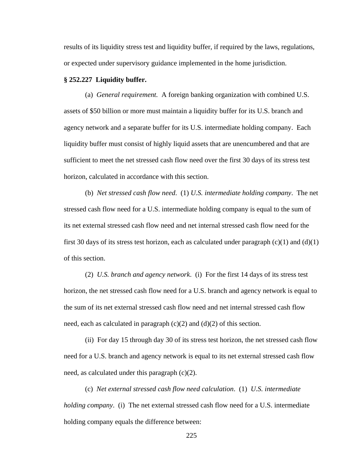results of its liquidity stress test and liquidity buffer, if required by the laws, regulations, or expected under supervisory guidance implemented in the home jurisdiction.

### **§ 252.227 Liquidity buffer.**

(a) *General requirement.* A foreign banking organization with combined U.S. assets of \$50 billion or more must maintain a liquidity buffer for its U.S. branch and agency network and a separate buffer for its U.S. intermediate holding company. Each liquidity buffer must consist of highly liquid assets that are unencumbered and that are sufficient to meet the net stressed cash flow need over the first 30 days of its stress test horizon, calculated in accordance with this section.

(b) *Net stressed cash flow need*. (1) *U.S. intermediate holding company*. The net stressed cash flow need for a U.S. intermediate holding company is equal to the sum of its net external stressed cash flow need and net internal stressed cash flow need for the first 30 days of its stress test horizon, each as calculated under paragraph  $(c)(1)$  and  $(d)(1)$ of this section.

(2) *U.S. branch and agency network*. (i) For the first 14 days of its stress test horizon, the net stressed cash flow need for a U.S. branch and agency network is equal to the sum of its net external stressed cash flow need and net internal stressed cash flow need, each as calculated in paragraph  $(c)(2)$  and  $(d)(2)$  of this section.

(ii) For day 15 through day 30 of its stress test horizon, the net stressed cash flow need for a U.S. branch and agency network is equal to its net external stressed cash flow need, as calculated under this paragraph (c)(2).

 (c) *Net external stressed cash flow need calculation*. (1) *U.S. intermediate holding company.* (i) The net external stressed cash flow need for a U.S. intermediate holding company equals the difference between: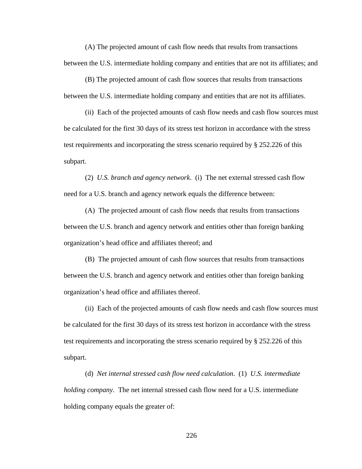(A) The projected amount of cash flow needs that results from transactions between the U.S. intermediate holding company and entities that are not its affiliates; and

(B) The projected amount of cash flow sources that results from transactions between the U.S. intermediate holding company and entities that are not its affiliates.

(ii) Each of the projected amounts of cash flow needs and cash flow sources must be calculated for the first 30 days of its stress test horizon in accordance with the stress test requirements and incorporating the stress scenario required by § 252.226 of this subpart.

 (2) *U.S. branch and agency network*. (i) The net external stressed cash flow need for a U.S. branch and agency network equals the difference between:

(A) The projected amount of cash flow needs that results from transactions between the U.S. branch and agency network and entities other than foreign banking organization's head office and affiliates thereof; and

(B) The projected amount of cash flow sources that results from transactions between the U.S. branch and agency network and entities other than foreign banking organization's head office and affiliates thereof.

(ii) Each of the projected amounts of cash flow needs and cash flow sources must be calculated for the first 30 days of its stress test horizon in accordance with the stress test requirements and incorporating the stress scenario required by § 252.226 of this subpart.

 (d) *Net internal stressed cash flow need calculation*. (1) *U.S. intermediate holding company*. The net internal stressed cash flow need for a U.S. intermediate holding company equals the greater of: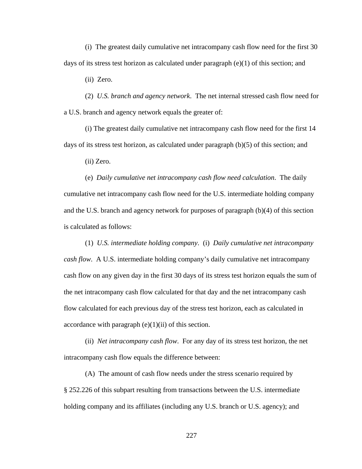(i) The greatest daily cumulative net intracompany cash flow need for the first 30 days of its stress test horizon as calculated under paragraph  $(e)(1)$  of this section; and

(ii) Zero.

 (2) *U.S. branch and agency network*. The net internal stressed cash flow need for a U.S. branch and agency network equals the greater of:

(i) The greatest daily cumulative net intracompany cash flow need for the first 14 days of its stress test horizon, as calculated under paragraph (b)(5) of this section; and

(ii) Zero.

 (e) *Daily cumulative net intracompany cash flow need calculation*. The daily cumulative net intracompany cash flow need for the U.S. intermediate holding company and the U.S. branch and agency network for purposes of paragraph (b)(4) of this section is calculated as follows:

 (1) *U.S. intermediate holding company*. (i) *Daily cumulative net intracompany cash flow*. A U.S. intermediate holding company's daily cumulative net intracompany cash flow on any given day in the first 30 days of its stress test horizon equals the sum of the net intracompany cash flow calculated for that day and the net intracompany cash flow calculated for each previous day of the stress test horizon, each as calculated in accordance with paragraph  $(e)(1)(ii)$  of this section.

(ii) *Net intracompany cash flow*. For any day of its stress test horizon, the net intracompany cash flow equals the difference between:

(A) The amount of cash flow needs under the stress scenario required by § 252.226 of this subpart resulting from transactions between the U.S. intermediate holding company and its affiliates (including any U.S. branch or U.S. agency); and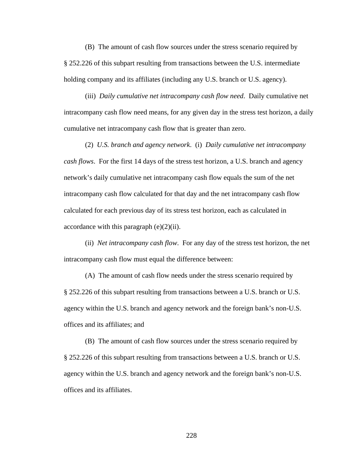(B) The amount of cash flow sources under the stress scenario required by § 252.226 of this subpart resulting from transactions between the U.S. intermediate holding company and its affiliates (including any U.S. branch or U.S. agency).

(iii) *Daily cumulative net intracompany cash flow need*. Daily cumulative net intracompany cash flow need means, for any given day in the stress test horizon, a daily cumulative net intracompany cash flow that is greater than zero.

(2) *U.S. branch and agency network*. (i) *Daily cumulative net intracompany cash flows*. For the first 14 days of the stress test horizon, a U.S. branch and agency network's daily cumulative net intracompany cash flow equals the sum of the net intracompany cash flow calculated for that day and the net intracompany cash flow calculated for each previous day of its stress test horizon, each as calculated in accordance with this paragraph  $(e)(2)(ii)$ .

(ii) *Net intracompany cash flow*. For any day of the stress test horizon, the net intracompany cash flow must equal the difference between:

(A) The amount of cash flow needs under the stress scenario required by § 252.226 of this subpart resulting from transactions between a U.S. branch or U.S. agency within the U.S. branch and agency network and the foreign bank's non-U.S. offices and its affiliates; and

(B) The amount of cash flow sources under the stress scenario required by § 252.226 of this subpart resulting from transactions between a U.S. branch or U.S. agency within the U.S. branch and agency network and the foreign bank's non-U.S. offices and its affiliates.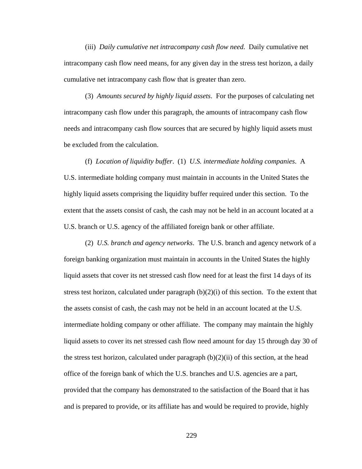(iii) *Daily cumulative net intracompany cash flow need*. Daily cumulative net intracompany cash flow need means, for any given day in the stress test horizon, a daily cumulative net intracompany cash flow that is greater than zero.

(3) *Amounts secured by highly liquid assets*. For the purposes of calculating net intracompany cash flow under this paragraph, the amounts of intracompany cash flow needs and intracompany cash flow sources that are secured by highly liquid assets must be excluded from the calculation.

(f) *Location of liquidity buffer*. (1) *U.S. intermediate holding companies*. A U.S. intermediate holding company must maintain in accounts in the United States the highly liquid assets comprising the liquidity buffer required under this section. To the extent that the assets consist of cash, the cash may not be held in an account located at a U.S. branch or U.S. agency of the affiliated foreign bank or other affiliate.

(2) *U.S. branch and agency networks*. The U.S. branch and agency network of a foreign banking organization must maintain in accounts in the United States the highly liquid assets that cover its net stressed cash flow need for at least the first 14 days of its stress test horizon, calculated under paragraph  $(b)(2)(i)$  of this section. To the extent that the assets consist of cash, the cash may not be held in an account located at the U.S. intermediate holding company or other affiliate. The company may maintain the highly liquid assets to cover its net stressed cash flow need amount for day 15 through day 30 of the stress test horizon, calculated under paragraph  $(b)(2)(ii)$  of this section, at the head office of the foreign bank of which the U.S. branches and U.S. agencies are a part, provided that the company has demonstrated to the satisfaction of the Board that it has and is prepared to provide, or its affiliate has and would be required to provide, highly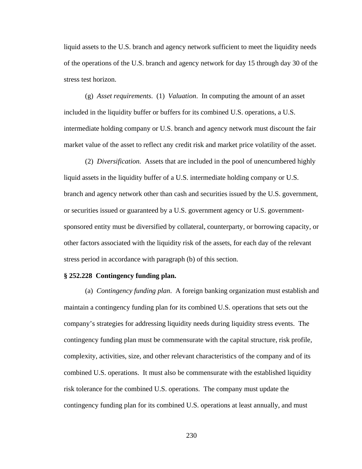liquid assets to the U.S. branch and agency network sufficient to meet the liquidity needs of the operations of the U.S. branch and agency network for day 15 through day 30 of the stress test horizon.

(g) *Asset requirements*. (1) *Valuation*. In computing the amount of an asset included in the liquidity buffer or buffers for its combined U.S. operations, a U.S. intermediate holding company or U.S. branch and agency network must discount the fair market value of the asset to reflect any credit risk and market price volatility of the asset.

(2) *Diversification.* Assets that are included in the pool of unencumbered highly liquid assets in the liquidity buffer of a U.S. intermediate holding company or U.S. branch and agency network other than cash and securities issued by the U.S. government, or securities issued or guaranteed by a U.S. government agency or U.S. governmentsponsored entity must be diversified by collateral, counterparty, or borrowing capacity, or other factors associated with the liquidity risk of the assets, for each day of the relevant stress period in accordance with paragraph (b) of this section.

### **§ 252.228 Contingency funding plan.**

(a) *Contingency funding plan*. A foreign banking organization must establish and maintain a contingency funding plan for its combined U.S. operations that sets out the company's strategies for addressing liquidity needs during liquidity stress events. The contingency funding plan must be commensurate with the capital structure, risk profile, complexity, activities, size, and other relevant characteristics of the company and of its combined U.S. operations. It must also be commensurate with the established liquidity risk tolerance for the combined U.S. operations. The company must update the contingency funding plan for its combined U.S. operations at least annually, and must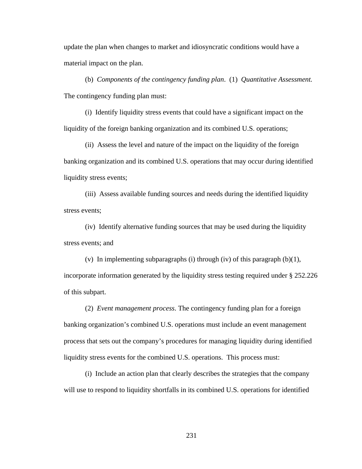update the plan when changes to market and idiosyncratic conditions would have a material impact on the plan.

 (b) *Components of the contingency funding plan*. (1) *Quantitative Assessment.* The contingency funding plan must:

(i) Identify liquidity stress events that could have a significant impact on the liquidity of the foreign banking organization and its combined U.S. operations;

(ii) Assess the level and nature of the impact on the liquidity of the foreign banking organization and its combined U.S. operations that may occur during identified liquidity stress events;

(iii) Assess available funding sources and needs during the identified liquidity stress events;

(iv) Identify alternative funding sources that may be used during the liquidity stress events; and

(v) In implementing subparagraphs (i) through (iv) of this paragraph  $(b)(1)$ , incorporate information generated by the liquidity stress testing required under § 252.226 of this subpart.

 (2) *Event management process*. The contingency funding plan for a foreign banking organization's combined U.S. operations must include an event management process that sets out the company's procedures for managing liquidity during identified liquidity stress events for the combined U.S. operations. This process must:

(i) Include an action plan that clearly describes the strategies that the company will use to respond to liquidity shortfalls in its combined U.S. operations for identified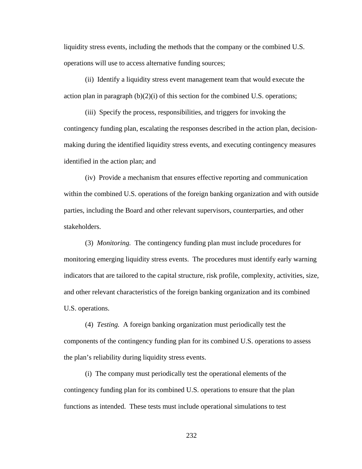liquidity stress events, including the methods that the company or the combined U.S. operations will use to access alternative funding sources;

(ii) Identify a liquidity stress event management team that would execute the action plan in paragraph  $(b)(2)(i)$  of this section for the combined U.S. operations;

(iii) Specify the process, responsibilities, and triggers for invoking the contingency funding plan, escalating the responses described in the action plan, decisionmaking during the identified liquidity stress events, and executing contingency measures identified in the action plan; and

(iv) Provide a mechanism that ensures effective reporting and communication within the combined U.S. operations of the foreign banking organization and with outside parties, including the Board and other relevant supervisors, counterparties, and other stakeholders.

 (3) *Monitoring.* The contingency funding plan must include procedures for monitoring emerging liquidity stress events. The procedures must identify early warning indicators that are tailored to the capital structure, risk profile, complexity, activities, size, and other relevant characteristics of the foreign banking organization and its combined U.S. operations.

 (4) *Testing.* A foreign banking organization must periodically test the components of the contingency funding plan for its combined U.S. operations to assess the plan's reliability during liquidity stress events.

(i) The company must periodically test the operational elements of the contingency funding plan for its combined U.S. operations to ensure that the plan functions as intended. These tests must include operational simulations to test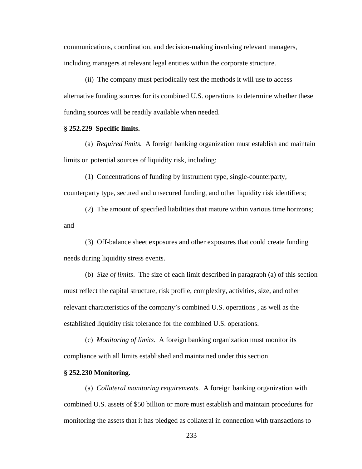communications, coordination, and decision-making involving relevant managers, including managers at relevant legal entities within the corporate structure.

(ii) The company must periodically test the methods it will use to access alternative funding sources for its combined U.S. operations to determine whether these funding sources will be readily available when needed.

### **§ 252.229 Specific limits.**

 (a) *Required limits.* A foreign banking organization must establish and maintain limits on potential sources of liquidity risk, including:

(1) Concentrations of funding by instrument type, single-counterparty, counterparty type, secured and unsecured funding, and other liquidity risk identifiers;

(2) The amount of specified liabilities that mature within various time horizons; and

(3) Off-balance sheet exposures and other exposures that could create funding needs during liquidity stress events.

(b) *Size of limits*. The size of each limit described in paragraph (a) of this section must reflect the capital structure, risk profile, complexity, activities, size, and other relevant characteristics of the company's combined U.S. operations , as well as the established liquidity risk tolerance for the combined U.S. operations.

(c) *Monitoring of limits*. A foreign banking organization must monitor its compliance with all limits established and maintained under this section.

### **§ 252.230 Monitoring.**

(a) *Collateral monitoring requirements*. A foreign banking organization with combined U.S. assets of \$50 billion or more must establish and maintain procedures for monitoring the assets that it has pledged as collateral in connection with transactions to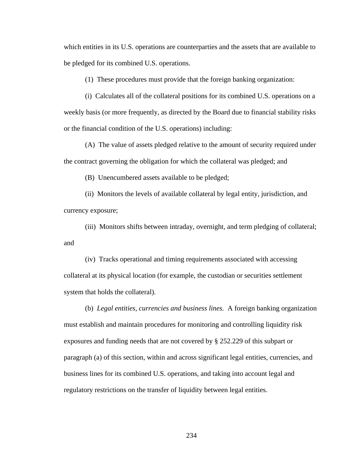which entities in its U.S. operations are counterparties and the assets that are available to be pledged for its combined U.S. operations.

(1) These procedures must provide that the foreign banking organization:

(i) Calculates all of the collateral positions for its combined U.S. operations on a weekly basis (or more frequently, as directed by the Board due to financial stability risks or the financial condition of the U.S. operations) including:

(A) The value of assets pledged relative to the amount of security required under the contract governing the obligation for which the collateral was pledged; and

(B) Unencumbered assets available to be pledged;

(ii) Monitors the levels of available collateral by legal entity, jurisdiction, and currency exposure;

(iii) Monitors shifts between intraday, overnight, and term pledging of collateral; and

(iv) Tracks operational and timing requirements associated with accessing collateral at its physical location (for example, the custodian or securities settlement system that holds the collateral).

 (b) *Legal entities, currencies and business lines.* A foreign banking organization must establish and maintain procedures for monitoring and controlling liquidity risk exposures and funding needs that are not covered by § 252.229 of this subpart or paragraph (a) of this section, within and across significant legal entities, currencies, and business lines for its combined U.S. operations, and taking into account legal and regulatory restrictions on the transfer of liquidity between legal entities.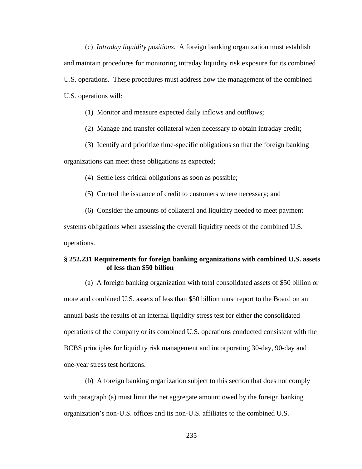(c) *Intraday liquidity positions*. A foreign banking organization must establish and maintain procedures for monitoring intraday liquidity risk exposure for its combined U.S. operations. These procedures must address how the management of the combined U.S. operations will:

(1) Monitor and measure expected daily inflows and outflows;

(2) Manage and transfer collateral when necessary to obtain intraday credit;

(3) Identify and prioritize time-specific obligations so that the foreign banking organizations can meet these obligations as expected;

(4) Settle less critical obligations as soon as possible;

(5) Control the issuance of credit to customers where necessary; and

(6) Consider the amounts of collateral and liquidity needed to meet payment systems obligations when assessing the overall liquidity needs of the combined U.S. operations.

## **§ 252.231 Requirements for foreign banking organizations with combined U.S. assets of less than \$50 billion**

(a) A foreign banking organization with total consolidated assets of \$50 billion or more and combined U.S. assets of less than \$50 billion must report to the Board on an annual basis the results of an internal liquidity stress test for either the consolidated operations of the company or its combined U.S. operations conducted consistent with the BCBS principles for liquidity risk management and incorporating 30-day, 90-day and one-year stress test horizons.

(b) A foreign banking organization subject to this section that does not comply with paragraph (a) must limit the net aggregate amount owed by the foreign banking organization's non-U.S. offices and its non-U.S. affiliates to the combined U.S.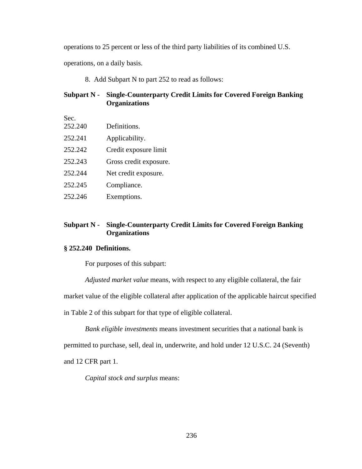operations to 25 percent or less of the third party liabilities of its combined U.S.

operations, on a daily basis.

8. Add Subpart N to part 252 to read as follows:

## **Subpart N - Single-Counterparty Credit Limits for Covered Foreign Banking Organizations**

Sec.

- 252.240 Definitions.
- 252.241 Applicability.
- 252.242 Credit exposure limit
- 252.243 Gross credit exposure.
- 252.244 Net credit exposure.
- 252.245 Compliance.
- 252.246 Exemptions.

# **Subpart N - Single-Counterparty Credit Limits for Covered Foreign Banking Organizations**

## **§ 252.240 Definitions.**

For purposes of this subpart:

*Adjusted market value* means, with respect to any eligible collateral, the fair

market value of the eligible collateral after application of the applicable haircut specified

in Table 2 of this subpart for that type of eligible collateral.

*Bank eligible investments* means investment securities that a national bank is

permitted to purchase, sell, deal in, underwrite, and hold under 12 U.S.C. 24 (Seventh)

and 12 CFR part 1.

*Capital stock and surplus* means: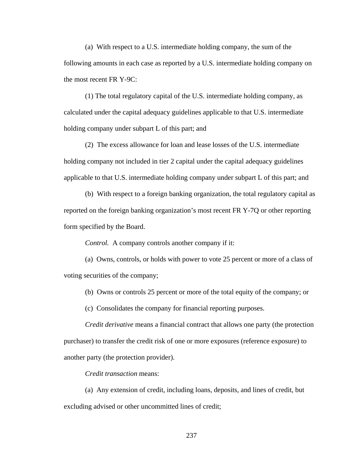(a) With respect to a U.S. intermediate holding company, the sum of the following amounts in each case as reported by a U.S. intermediate holding company on the most recent FR Y-9C:

(1) The total regulatory capital of the U.S. intermediate holding company, as calculated under the capital adequacy guidelines applicable to that U.S. intermediate holding company under subpart L of this part; and

(2) The excess allowance for loan and lease losses of the U.S. intermediate holding company not included in tier 2 capital under the capital adequacy guidelines applicable to that U.S. intermediate holding company under subpart L of this part; and

(b) With respect to a foreign banking organization, the total regulatory capital as reported on the foreign banking organization's most recent FR Y-7Q or other reporting form specified by the Board.

*Control.* A company controls another company if it:

(a) Owns, controls, or holds with power to vote 25 percent or more of a class of voting securities of the company;

(b) Owns or controls 25 percent or more of the total equity of the company; or

(c) Consolidates the company for financial reporting purposes.

*Credit derivative* means a financial contract that allows one party (the protection purchaser) to transfer the credit risk of one or more exposures (reference exposure) to another party (the protection provider).

*Credit transaction* means:

(a) Any extension of credit, including loans, deposits, and lines of credit, but excluding advised or other uncommitted lines of credit;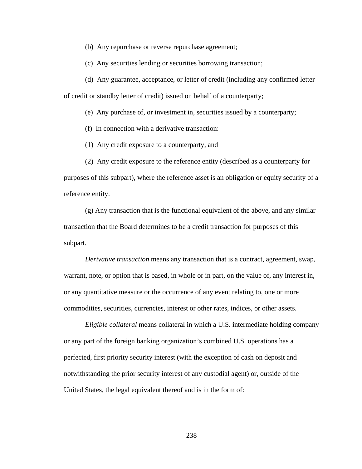(b) Any repurchase or reverse repurchase agreement;

(c) Any securities lending or securities borrowing transaction;

(d) Any guarantee, acceptance, or letter of credit (including any confirmed letter

of credit or standby letter of credit) issued on behalf of a counterparty;

(e) Any purchase of, or investment in, securities issued by a counterparty;

(f) In connection with a derivative transaction:

(1) Any credit exposure to a counterparty, and

(2) Any credit exposure to the reference entity (described as a counterparty for purposes of this subpart), where the reference asset is an obligation or equity security of a

reference entity.

 (g) Any transaction that is the functional equivalent of the above, and any similar transaction that the Board determines to be a credit transaction for purposes of this subpart.

*Derivative transaction* means any transaction that is a contract, agreement, swap, warrant, note, or option that is based, in whole or in part, on the value of, any interest in, or any quantitative measure or the occurrence of any event relating to, one or more commodities, securities, currencies, interest or other rates, indices, or other assets.

*Eligible collateral* means collateral in which a U.S. intermediate holding company or any part of the foreign banking organization's combined U.S. operations has a perfected, first priority security interest (with the exception of cash on deposit and notwithstanding the prior security interest of any custodial agent) or, outside of the United States, the legal equivalent thereof and is in the form of: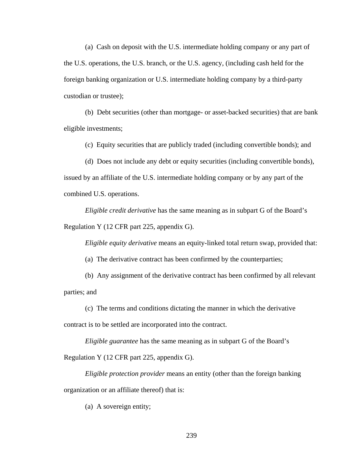(a) Cash on deposit with the U.S. intermediate holding company or any part of the U.S. operations, the U.S. branch, or the U.S. agency, (including cash held for the foreign banking organization or U.S. intermediate holding company by a third-party custodian or trustee);

(b) Debt securities (other than mortgage- or asset-backed securities) that are bank eligible investments;

(c) Equity securities that are publicly traded (including convertible bonds); and

(d) Does not include any debt or equity securities (including convertible bonds), issued by an affiliate of the U.S. intermediate holding company or by any part of the combined U.S. operations.

*Eligible credit derivative* has the same meaning as in subpart G of the Board's Regulation Y (12 CFR part 225, appendix G).

*Eligible equity derivative* means an equity-linked total return swap, provided that:

(a) The derivative contract has been confirmed by the counterparties;

(b) Any assignment of the derivative contract has been confirmed by all relevant parties; and

(c) The terms and conditions dictating the manner in which the derivative

contract is to be settled are incorporated into the contract.

*Eligible guarantee* has the same meaning as in subpart G of the Board's

Regulation Y (12 CFR part 225, appendix G).

*Eligible protection provider* means an entity (other than the foreign banking organization or an affiliate thereof) that is:

(a) A sovereign entity;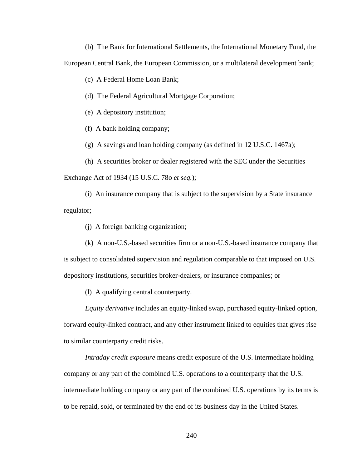(b) The Bank for International Settlements, the International Monetary Fund, the European Central Bank, the European Commission, or a multilateral development bank;

(c) A Federal Home Loan Bank;

(d) The Federal Agricultural Mortgage Corporation;

(e) A depository institution;

(f) A bank holding company;

(g) A savings and loan holding company (as defined in 12 U.S.C. 1467a);

(h) A securities broker or dealer registered with the SEC under the Securities

Exchange Act of 1934 (15 U.S.C. 78o *et seq.*);

(i) An insurance company that is subject to the supervision by a State insurance regulator;

(j) A foreign banking organization;

(k) A non-U.S.-based securities firm or a non-U.S.-based insurance company that is subject to consolidated supervision and regulation comparable to that imposed on U.S. depository institutions, securities broker-dealers, or insurance companies; or

(l) A qualifying central counterparty.

*Equity derivative* includes an equity-linked swap, purchased equity-linked option, forward equity-linked contract, and any other instrument linked to equities that gives rise to similar counterparty credit risks.

*Intraday credit exposure* means credit exposure of the U.S. intermediate holding company or any part of the combined U.S. operations to a counterparty that the U.S. intermediate holding company or any part of the combined U.S. operations by its terms is to be repaid, sold, or terminated by the end of its business day in the United States.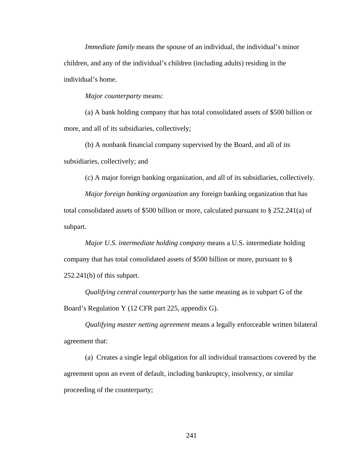*Immediate family* means the spouse of an individual, the individual's minor children, and any of the individual's children (including adults) residing in the individual's home.

*Major counterparty* means:

(a) A bank holding company that has total consolidated assets of \$500 billion or more, and all of its subsidiaries, collectively;

(b) A nonbank financial company supervised by the Board, and all of its subsidiaries, collectively; and

(c) A major foreign banking organization, and all of its subsidiaries, collectively.

*Major foreign banking organization* any foreign banking organization that has total consolidated assets of \$500 billion or more, calculated pursuant to § 252.241(a) of subpart.

*Major U.S. intermediate holding company* means a U.S. intermediate holding company that has total consolidated assets of \$500 billion or more, pursuant to § 252.241(b) of this subpart.

*Qualifying central counterparty* has the same meaning as in subpart G of the Board's Regulation Y (12 CFR part 225, appendix G).

*Qualifying master netting agreement* means a legally enforceable written bilateral agreement that:

(a) Creates a single legal obligation for all individual transactions covered by the agreement upon an event of default, including bankruptcy, insolvency, or similar proceeding of the counterparty;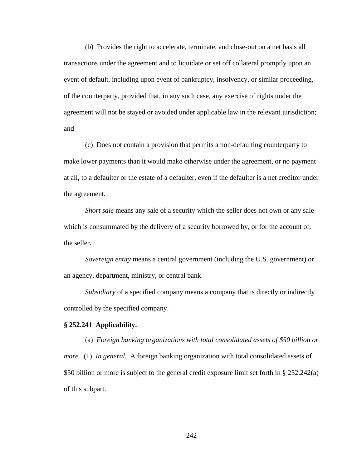(b) Provides the right to accelerate, terminate, and close-out on a net basis all transactions under the agreement and to liquidate or set off collateral promptly upon an event of default, including upon event of bankruptcy, insolvency, or similar proceeding, of the counterparty, provided that, in any such case, any exercise of rights under the agreement will not be stayed or avoided under applicable law in the relevant jurisdiction; and

(c) Does not contain a provision that permits a non-defaulting counterparty to make lower payments than it would make otherwise under the agreement, or no payment at all, to a defaulter or the estate of a defaulter, even if the defaulter is a net creditor under the agreement.

*Short sale* means any sale of a security which the seller does not own or any sale which is consummated by the delivery of a security borrowed by, or for the account of, the seller.

*Sovereign entity* means a central government (including the U.S. government) or an agency, department, ministry, or central bank.

*Subsidiary* of a specified company means a company that is directly or indirectly controlled by the specified company.

### **§ 252.241 Applicability.**

(a) *Foreign banking organizations with total consolidated assets of \$50 billion or more.* (1) *In general.* A foreign banking organization with total consolidated assets of \$50 billion or more is subject to the general credit exposure limit set forth in § 252.242(a) of this subpart.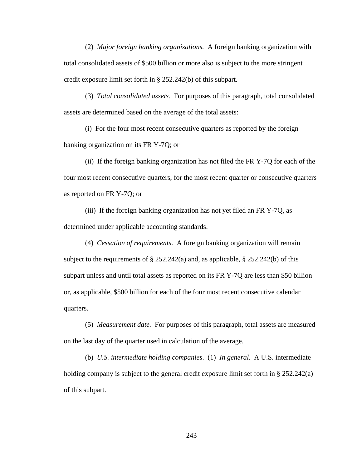(2) *Major foreign banking organizations.* A foreign banking organization with total consolidated assets of \$500 billion or more also is subject to the more stringent credit exposure limit set forth in § 252.242(b) of this subpart.

(3) *Total consolidated assets.* For purposes of this paragraph, total consolidated assets are determined based on the average of the total assets:

(i) For the four most recent consecutive quarters as reported by the foreign banking organization on its FR Y-7Q; or

(ii) If the foreign banking organization has not filed the FR Y-7Q for each of the four most recent consecutive quarters, for the most recent quarter or consecutive quarters as reported on FR Y-7Q; or

(iii) If the foreign banking organization has not yet filed an FR Y-7Q, as determined under applicable accounting standards.

(4) *Cessation of requirements*. A foreign banking organization will remain subject to the requirements of  $\S 252.242(a)$  and, as applicable,  $\S 252.242(b)$  of this subpart unless and until total assets as reported on its FR Y-7Q are less than \$50 billion or, as applicable, \$500 billion for each of the four most recent consecutive calendar quarters.

(5) *Measurement date.* For purposes of this paragraph, total assets are measured on the last day of the quarter used in calculation of the average.

(b) *U.S. intermediate holding companies*. (1) *In general*. A U.S. intermediate holding company is subject to the general credit exposure limit set forth in § 252.242(a) of this subpart.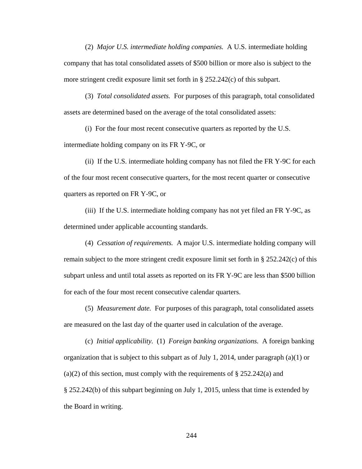(2) *Major U.S. intermediate holding companies.* A U.S. intermediate holding company that has total consolidated assets of \$500 billion or more also is subject to the more stringent credit exposure limit set forth in § 252.242(c) of this subpart.

(3) *Total consolidated assets.* For purposes of this paragraph, total consolidated assets are determined based on the average of the total consolidated assets:

(i) For the four most recent consecutive quarters as reported by the U.S. intermediate holding company on its FR Y-9C, or

(ii) If the U.S. intermediate holding company has not filed the FR Y-9C for each of the four most recent consecutive quarters, for the most recent quarter or consecutive quarters as reported on FR Y-9C, or

(iii) If the U.S. intermediate holding company has not yet filed an FR Y-9C, as determined under applicable accounting standards.

(4) *Cessation of requirements.* A major U.S. intermediate holding company will remain subject to the more stringent credit exposure limit set forth in  $\S 252.242(c)$  of this subpart unless and until total assets as reported on its FR Y-9C are less than \$500 billion for each of the four most recent consecutive calendar quarters.

(5) *Measurement date.* For purposes of this paragraph, total consolidated assets are measured on the last day of the quarter used in calculation of the average.

(c) *Initial applicability.* (1) *Foreign banking organizations.* A foreign banking organization that is subject to this subpart as of July 1, 2014, under paragraph (a)(1) or (a)(2) of this section, must comply with the requirements of  $\S 252.242(a)$  and § 252.242(b) of this subpart beginning on July 1, 2015, unless that time is extended by the Board in writing.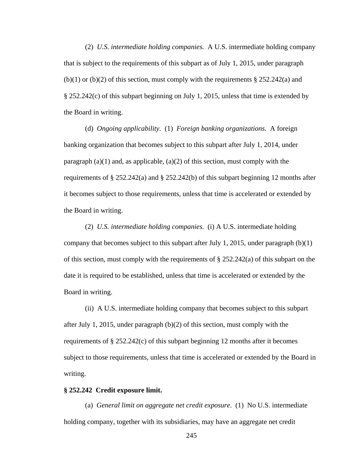(2) *U.S. intermediate holding companies.* A U.S. intermediate holding company that is subject to the requirements of this subpart as of July 1, 2015, under paragraph  $(b)(1)$  or  $(b)(2)$  of this section, must comply with the requirements § 252.242(a) and § 252.242(c) of this subpart beginning on July 1, 2015, unless that time is extended by the Board in writing.

(d) *Ongoing applicability.* (1) *Foreign banking organizations.* A foreign banking organization that becomes subject to this subpart after July 1, 2014, under paragraph  $(a)(1)$  and, as applicable,  $(a)(2)$  of this section, must comply with the requirements of  $\S 252.242(a)$  and  $\S 252.242(b)$  of this subpart beginning 12 months after it becomes subject to those requirements, unless that time is accelerated or extended by the Board in writing.

(2) *U.S. intermediate holding companies.* (i) A U.S. intermediate holding company that becomes subject to this subpart after July 1, 2015, under paragraph  $(b)(1)$ of this section, must comply with the requirements of  $\S 252.242(a)$  of this subpart on the date it is required to be established, unless that time is accelerated or extended by the Board in writing.

(ii) A U.S. intermediate holding company that becomes subject to this subpart after July 1, 2015, under paragraph  $(b)(2)$  of this section, must comply with the requirements of  $\S 252.242(c)$  of this subpart beginning 12 months after it becomes subject to those requirements, unless that time is accelerated or extended by the Board in writing.

### **§ 252.242 Credit exposure limit.**

(a) *General limit on aggregate net credit exposure*. (1) No U.S. intermediate holding company, together with its subsidiaries, may have an aggregate net credit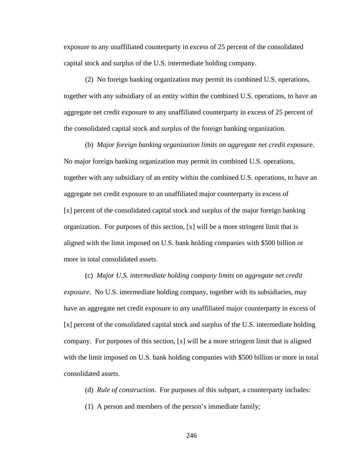exposure to any unaffiliated counterparty in excess of 25 percent of the consolidated capital stock and surplus of the U.S. intermediate holding company.

(2) No foreign banking organization may permit its combined U.S. operations, together with any subsidiary of an entity within the combined U.S. operations, to have an aggregate net credit exposure to any unaffiliated counterparty in excess of 25 percent of the consolidated capital stock and surplus of the foreign banking organization.

(b) *Major foreign banking organization limits on aggregate net credit exposure*. No major foreign banking organization may permit its combined U.S. operations, together with any subsidiary of an entity within the combined U.S. operations, to have an aggregate net credit exposure to an unaffiliated major counterparty in excess of [x] percent of the consolidated capital stock and surplus of the major foreign banking organization. For purposes of this section,  $[x]$  will be a more stringent limit that is aligned with the limit imposed on U.S. bank holding companies with \$500 billion or more in total consolidated assets.

(c) *Major U.S. intermediate holding company limits on aggregate net credit exposure*. No U.S. intermediate holding company, together with its subsidiaries, may have an aggregate net credit exposure to any unaffiliated major counterparty in excess of [x] percent of the consolidated capital stock and surplus of the U.S. intermediate holding company. For purposes of this section,  $[x]$  will be a more stringent limit that is aligned with the limit imposed on U.S. bank holding companies with \$500 billion or more in total consolidated assets.

(d) *Rule of construction*. For purposes of this subpart, a counterparty includes:

(1) A person and members of the person's immediate family;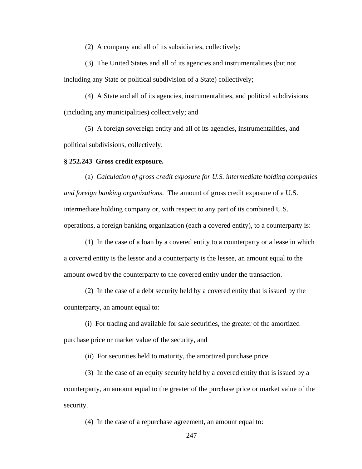(2) A company and all of its subsidiaries, collectively;

(3) The United States and all of its agencies and instrumentalities (but not including any State or political subdivision of a State) collectively;

(4) A State and all of its agencies, instrumentalities, and political subdivisions (including any municipalities) collectively; and

(5) A foreign sovereign entity and all of its agencies, instrumentalities, and political subdivisions, collectively.

## **§ 252.243 Gross credit exposure.**

(a) *Calculation of gross credit exposure for U.S. intermediate holding companies and foreign banking organizations*. The amount of gross credit exposure of a U.S. intermediate holding company or, with respect to any part of its combined U.S. operations, a foreign banking organization (each a covered entity), to a counterparty is:

(1) In the case of a loan by a covered entity to a counterparty or a lease in which a covered entity is the lessor and a counterparty is the lessee, an amount equal to the amount owed by the counterparty to the covered entity under the transaction.

(2) In the case of a debt security held by a covered entity that is issued by the counterparty, an amount equal to:

(i) For trading and available for sale securities, the greater of the amortized purchase price or market value of the security, and

(ii) For securities held to maturity, the amortized purchase price.

(3) In the case of an equity security held by a covered entity that is issued by a counterparty, an amount equal to the greater of the purchase price or market value of the security.

(4) In the case of a repurchase agreement, an amount equal to: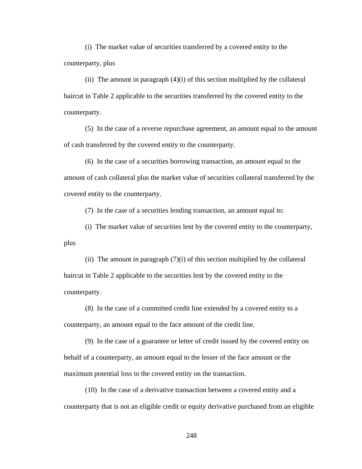(i) The market value of securities transferred by a covered entity to the counterparty, plus

(ii) The amount in paragraph  $(4)(i)$  of this section multiplied by the collateral haircut in Table 2 applicable to the securities transferred by the covered entity to the counterparty.

(5) In the case of a reverse repurchase agreement, an amount equal to the amount of cash transferred by the covered entity to the counterparty.

(6) In the case of a securities borrowing transaction, an amount equal to the amount of cash collateral plus the market value of securities collateral transferred by the covered entity to the counterparty.

(7) In the case of a securities lending transaction, an amount equal to:

(i) The market value of securities lent by the covered entity to the counterparty, plus

(ii) The amount in paragraph  $(7)(i)$  of this section multiplied by the collateral haircut in Table 2 applicable to the securities lent by the covered entity to the counterparty.

(8) In the case of a committed credit line extended by a covered entity to a counterparty, an amount equal to the face amount of the credit line.

(9) In the case of a guarantee or letter of credit issued by the covered entity on behalf of a counterparty, an amount equal to the lesser of the face amount or the maximum potential loss to the covered entity on the transaction.

(10) In the case of a derivative transaction between a covered entity and a counterparty that is not an eligible credit or equity derivative purchased from an eligible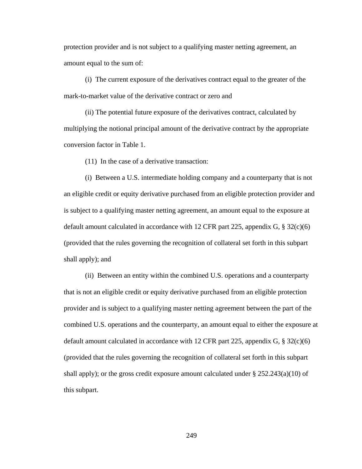protection provider and is not subject to a qualifying master netting agreement, an amount equal to the sum of:

(i) The current exposure of the derivatives contract equal to the greater of the mark-to-market value of the derivative contract or zero and

(ii) The potential future exposure of the derivatives contract, calculated by multiplying the notional principal amount of the derivative contract by the appropriate conversion factor in Table 1.

(11) In the case of a derivative transaction:

(i) Between a U.S. intermediate holding company and a counterparty that is not an eligible credit or equity derivative purchased from an eligible protection provider and is subject to a qualifying master netting agreement, an amount equal to the exposure at default amount calculated in accordance with 12 CFR part 225, appendix G,  $\S 32(c)(6)$ (provided that the rules governing the recognition of collateral set forth in this subpart shall apply); and

(ii) Between an entity within the combined U.S. operations and a counterparty that is not an eligible credit or equity derivative purchased from an eligible protection provider and is subject to a qualifying master netting agreement between the part of the combined U.S. operations and the counterparty, an amount equal to either the exposure at default amount calculated in accordance with 12 CFR part 225, appendix G,  $\S 32(c)(6)$ (provided that the rules governing the recognition of collateral set forth in this subpart shall apply); or the gross credit exposure amount calculated under  $\S 252.243(a)(10)$  of this subpart.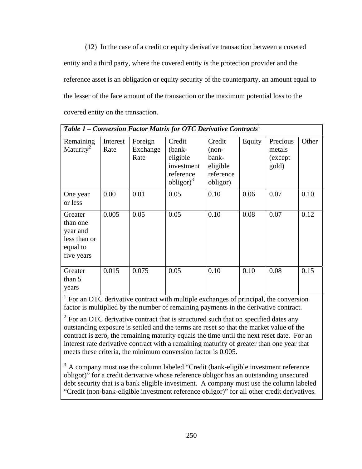(12) In the case of a credit or equity derivative transaction between a covered entity and a third party, where the covered entity is the protection provider and the reference asset is an obligation or equity security of the counterparty, an amount equal to the lesser of the face amount of the transaction or the maximum potential loss to the covered entity on the transaction.

| Table 1 – Conversion Factor Matrix for OTC Derivative Contracts <sup>1</sup> |                  |                             |                                                                                          |                                                                 |        |                                         |       |
|------------------------------------------------------------------------------|------------------|-----------------------------|------------------------------------------------------------------------------------------|-----------------------------------------------------------------|--------|-----------------------------------------|-------|
| Remaining<br>Maturity <sup>2</sup>                                           | Interest<br>Rate | Foreign<br>Exchange<br>Rate | Credit<br>(bank-<br>eligible<br>investment<br>reference<br>$\text{obligor}$ <sup>3</sup> | Credit<br>$(non-$<br>bank-<br>eligible<br>reference<br>obligor) | Equity | Precious<br>metals<br>(except)<br>gold) | Other |
| One year<br>or less                                                          | 0.00             | 0.01                        | 0.05                                                                                     | 0.10                                                            | 0.06   | 0.07                                    | 0.10  |
| Greater<br>than one<br>year and<br>less than or<br>equal to<br>five years    | 0.005            | 0.05                        | 0.05                                                                                     | 0.10                                                            | 0.08   | 0.07                                    | 0.12  |
| Greater<br>than 5<br>years                                                   | 0.015            | 0.075                       | 0.05                                                                                     | 0.10                                                            | 0.10   | 0.08                                    | 0.15  |

<sup>1</sup> For an OTC derivative contract with multiple exchanges of principal, the conversion factor is multiplied by the number of remaining payments in the derivative contract.

 $2$  For an OTC derivative contract that is structured such that on specified dates any outstanding exposure is settled and the terms are reset so that the market value of the contract is zero, the remaining maturity equals the time until the next reset date. For an interest rate derivative contract with a remaining maturity of greater than one year that meets these criteria, the minimum conversion factor is 0.005.

<sup>3</sup> A company must use the column labeled "Credit (bank-eligible investment reference obligor)" for a credit derivative whose reference obligor has an outstanding unsecured debt security that is a bank eligible investment. A company must use the column labeled "Credit (non-bank-eligible investment reference obligor)" for all other credit derivatives.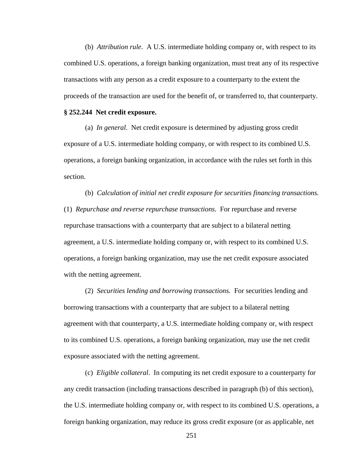(b) *Attribution rule*. A U.S. intermediate holding company or, with respect to its combined U.S. operations, a foreign banking organization, must treat any of its respective transactions with any person as a credit exposure to a counterparty to the extent the proceeds of the transaction are used for the benefit of, or transferred to, that counterparty.

#### **§ 252.244 Net credit exposure.**

(a) *In general*. Net credit exposure is determined by adjusting gross credit exposure of a U.S. intermediate holding company, or with respect to its combined U.S. operations, a foreign banking organization, in accordance with the rules set forth in this section.

(b) *Calculation of initial net credit exposure for securities financing transactions.* (1) *Repurchase and reverse repurchase transactions.* For repurchase and reverse repurchase transactions with a counterparty that are subject to a bilateral netting agreement, a U.S. intermediate holding company or, with respect to its combined U.S. operations, a foreign banking organization, may use the net credit exposure associated with the netting agreement.

(2) *Securities lending and borrowing transactions.* For securities lending and borrowing transactions with a counterparty that are subject to a bilateral netting agreement with that counterparty, a U.S. intermediate holding company or, with respect to its combined U.S. operations, a foreign banking organization, may use the net credit exposure associated with the netting agreement.

(c) *Eligible collateral*. In computing its net credit exposure to a counterparty for any credit transaction (including transactions described in paragraph (b) of this section), the U.S. intermediate holding company or, with respect to its combined U.S. operations, a foreign banking organization, may reduce its gross credit exposure (or as applicable, net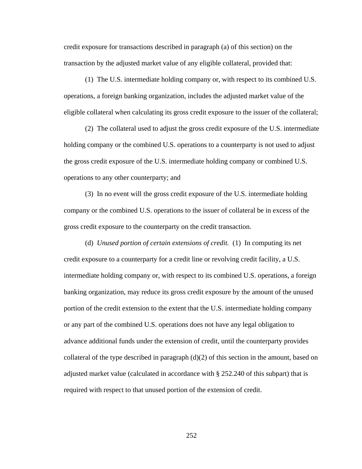credit exposure for transactions described in paragraph (a) of this section) on the transaction by the adjusted market value of any eligible collateral, provided that:

(1) The U.S. intermediate holding company or, with respect to its combined U.S. operations, a foreign banking organization, includes the adjusted market value of the eligible collateral when calculating its gross credit exposure to the issuer of the collateral;

(2) The collateral used to adjust the gross credit exposure of the U.S. intermediate holding company or the combined U.S. operations to a counterparty is not used to adjust the gross credit exposure of the U.S. intermediate holding company or combined U.S. operations to any other counterparty; and

(3) In no event will the gross credit exposure of the U.S. intermediate holding company or the combined U.S. operations to the issuer of collateral be in excess of the gross credit exposure to the counterparty on the credit transaction.

(d) *Unused portion of certain extensions of credit.* (1) In computing its net credit exposure to a counterparty for a credit line or revolving credit facility, a U.S. intermediate holding company or, with respect to its combined U.S. operations, a foreign banking organization, may reduce its gross credit exposure by the amount of the unused portion of the credit extension to the extent that the U.S. intermediate holding company or any part of the combined U.S. operations does not have any legal obligation to advance additional funds under the extension of credit, until the counterparty provides collateral of the type described in paragraph  $(d)(2)$  of this section in the amount, based on adjusted market value (calculated in accordance with § 252.240 of this subpart) that is required with respect to that unused portion of the extension of credit.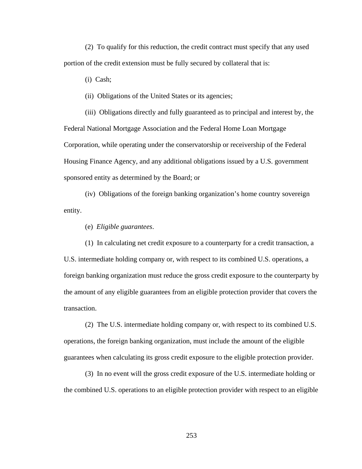(2) To qualify for this reduction, the credit contract must specify that any used portion of the credit extension must be fully secured by collateral that is:

(i) Cash;

(ii) Obligations of the United States or its agencies;

(iii) Obligations directly and fully guaranteed as to principal and interest by, the Federal National Mortgage Association and the Federal Home Loan Mortgage Corporation, while operating under the conservatorship or receivership of the Federal Housing Finance Agency, and any additional obligations issued by a U.S. government sponsored entity as determined by the Board; or

(iv) Obligations of the foreign banking organization's home country sovereign entity.

(e) *Eligible guarantees*.

(1) In calculating net credit exposure to a counterparty for a credit transaction, a U.S. intermediate holding company or, with respect to its combined U.S. operations, a foreign banking organization must reduce the gross credit exposure to the counterparty by the amount of any eligible guarantees from an eligible protection provider that covers the transaction.

 (2) The U.S. intermediate holding company or, with respect to its combined U.S. operations, the foreign banking organization, must include the amount of the eligible guarantees when calculating its gross credit exposure to the eligible protection provider.

 (3) In no event will the gross credit exposure of the U.S. intermediate holding or the combined U.S. operations to an eligible protection provider with respect to an eligible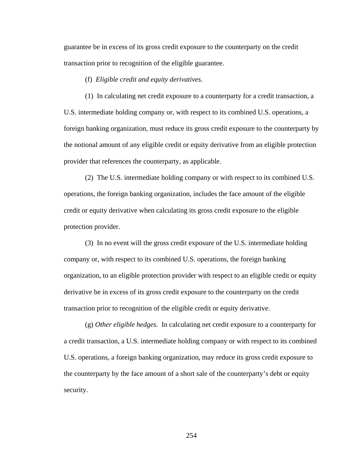guarantee be in excess of its gross credit exposure to the counterparty on the credit transaction prior to recognition of the eligible guarantee.

(f) *Eligible credit and equity derivatives*.

(1) In calculating net credit exposure to a counterparty for a credit transaction, a U.S. intermediate holding company or, with respect to its combined U.S. operations, a foreign banking organization, must reduce its gross credit exposure to the counterparty by the notional amount of any eligible credit or equity derivative from an eligible protection provider that references the counterparty, as applicable.

(2) The U.S. intermediate holding company or with respect to its combined U.S. operations, the foreign banking organization, includes the face amount of the eligible credit or equity derivative when calculating its gross credit exposure to the eligible protection provider.

(3) In no event will the gross credit exposure of the U.S. intermediate holding company or, with respect to its combined U.S. operations, the foreign banking organization, to an eligible protection provider with respect to an eligible credit or equity derivative be in excess of its gross credit exposure to the counterparty on the credit transaction prior to recognition of the eligible credit or equity derivative.

(g) *Other eligible hedges*. In calculating net credit exposure to a counterparty for a credit transaction, a U.S. intermediate holding company or with respect to its combined U.S. operations, a foreign banking organization, may reduce its gross credit exposure to the counterparty by the face amount of a short sale of the counterparty's debt or equity security.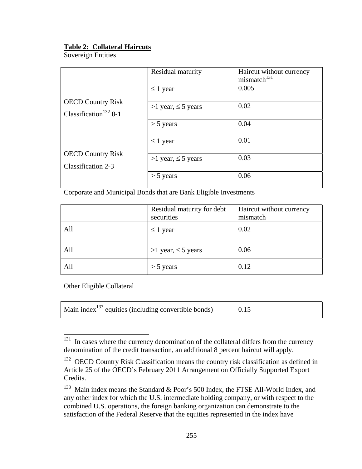# **Table 2: Collateral Haircuts**

Sovereign Entities

|                                                               | Residual maturity       | Haircut without currency<br>mismatch <sup>131</sup> |
|---------------------------------------------------------------|-------------------------|-----------------------------------------------------|
|                                                               | $\leq 1$ year           | 0.005                                               |
| <b>OECD Country Risk</b><br>Classification <sup>132</sup> 0-1 | >1 year, $\leq$ 5 years | 0.02                                                |
|                                                               | $>$ 5 years             | 0.04                                                |
|                                                               | $\leq 1$ year           | 0.01                                                |
| <b>OECD Country Risk</b><br>Classification 2-3                | >1 year, $\leq$ 5 years | 0.03                                                |
|                                                               | $>$ 5 years             | 0.06                                                |

Corporate and Municipal Bonds that are Bank Eligible Investments

|     | Residual maturity for debt | Haircut without currency |
|-----|----------------------------|--------------------------|
|     | securities                 | mismatch                 |
| All | $\leq 1$ year              | 0.02                     |
| All | >1 year, $\leq$ 5 years    | 0.06                     |
| All | $>$ 5 years                | 0.12                     |

Other Eligible Collateral

| Main index $^{133}$ equities (including convertible bonds) | 0.15 |  |
|------------------------------------------------------------|------|--|
|------------------------------------------------------------|------|--|

<sup>131</sup> In cases where the currency denomination of the collateral differs from the currency denomination of the credit transaction, an additional 8 percent haircut will apply.

<sup>&</sup>lt;sup>132</sup> OECD Country Risk Classification means the country risk classification as defined in Article 25 of the OECD's February 2011 Arrangement on Officially Supported Export Credits.

 $133$  Main index means the Standard & Poor's 500 Index, the FTSE All-World Index, and any other index for which the U.S. intermediate holding company, or with respect to the combined U.S. operations, the foreign banking organization can demonstrate to the satisfaction of the Federal Reserve that the equities represented in the index have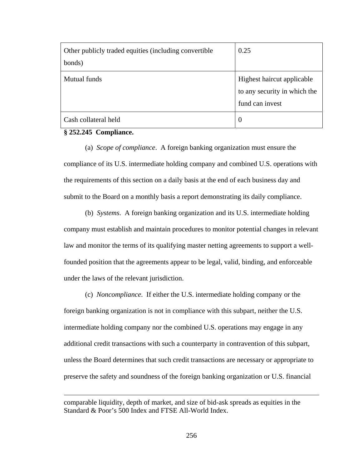| Other publicly traded equities (including convertible<br>bonds) | 0.25                                                                          |
|-----------------------------------------------------------------|-------------------------------------------------------------------------------|
| <b>Mutual funds</b>                                             | Highest haircut applicable<br>to any security in which the<br>fund can invest |
| Cash collateral held                                            | $\theta$                                                                      |

## **§ 252.245 Compliance.**

 $\overline{a}$ 

(a) *Scope of compliance*. A foreign banking organization must ensure the compliance of its U.S. intermediate holding company and combined U.S. operations with the requirements of this section on a daily basis at the end of each business day and submit to the Board on a monthly basis a report demonstrating its daily compliance.

(b) *Systems*. A foreign banking organization and its U.S. intermediate holding company must establish and maintain procedures to monitor potential changes in relevant law and monitor the terms of its qualifying master netting agreements to support a wellfounded position that the agreements appear to be legal, valid, binding, and enforceable under the laws of the relevant jurisdiction.

(c) *Noncompliance*. If either the U.S. intermediate holding company or the foreign banking organization is not in compliance with this subpart, neither the U.S. intermediate holding company nor the combined U.S. operations may engage in any additional credit transactions with such a counterparty in contravention of this subpart, unless the Board determines that such credit transactions are necessary or appropriate to preserve the safety and soundness of the foreign banking organization or U.S. financial

comparable liquidity, depth of market, and size of bid-ask spreads as equities in the Standard & Poor's 500 Index and FTSE All-World Index.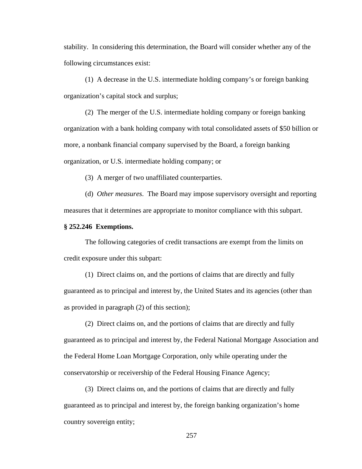stability. In considering this determination, the Board will consider whether any of the following circumstances exist:

(1) A decrease in the U.S. intermediate holding company's or foreign banking organization's capital stock and surplus;

(2) The merger of the U.S. intermediate holding company or foreign banking organization with a bank holding company with total consolidated assets of \$50 billion or more, a nonbank financial company supervised by the Board, a foreign banking organization, or U.S. intermediate holding company; or

(3) A merger of two unaffiliated counterparties.

(d) *Other measures*. The Board may impose supervisory oversight and reporting measures that it determines are appropriate to monitor compliance with this subpart.

## **§ 252.246 Exemptions.**

The following categories of credit transactions are exempt from the limits on credit exposure under this subpart:

(1) Direct claims on, and the portions of claims that are directly and fully guaranteed as to principal and interest by, the United States and its agencies (other than as provided in paragraph (2) of this section);

(2) Direct claims on, and the portions of claims that are directly and fully guaranteed as to principal and interest by, the Federal National Mortgage Association and the Federal Home Loan Mortgage Corporation, only while operating under the conservatorship or receivership of the Federal Housing Finance Agency;

(3) Direct claims on, and the portions of claims that are directly and fully guaranteed as to principal and interest by, the foreign banking organization's home country sovereign entity;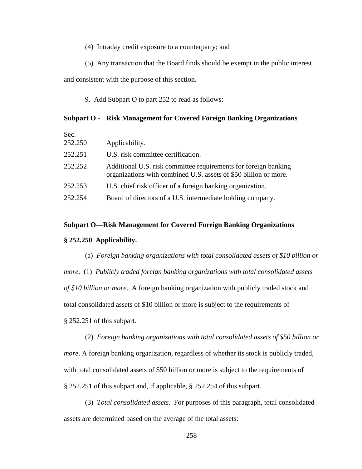- (4) Intraday credit exposure to a counterparty; and
- (5) Any transaction that the Board finds should be exempt in the public interest

and consistent with the purpose of this section.

9. Add Subpart O to part 252 to read as follows:

## **Subpart O - Risk Management for Covered Foreign Banking Organizations**

| Sec.    |                                                                                                                                     |
|---------|-------------------------------------------------------------------------------------------------------------------------------------|
| 252.250 | Applicability.                                                                                                                      |
| 252.251 | U.S. risk committee certification.                                                                                                  |
| 252.252 | Additional U.S. risk committee requirements for foreign banking<br>organizations with combined U.S. assets of \$50 billion or more. |
| 252.253 | U.S. chief risk officer of a foreign banking organization.                                                                          |
| 252.254 | Board of directors of a U.S. intermediate holding company.                                                                          |

### **Subpart O—Risk Management for Covered Foreign Banking Organizations**

### **§ 252.250 Applicability.**

(a) *Foreign banking organizations with total consolidated assets of \$10 billion or more*. (1) *Publicly traded foreign banking organizations with total consolidated assets of \$10 billion or more*. A foreign banking organization with publicly traded stock and total consolidated assets of \$10 billion or more is subject to the requirements of § 252.251 of this subpart.

(2) *Foreign banking organizations with total consolidated assets of \$50 billion or more*. A foreign banking organization, regardless of whether its stock is publicly traded, with total consolidated assets of \$50 billion or more is subject to the requirements of § 252.251 of this subpart and, if applicable, § 252.254 of this subpart.

(3) *Total consolidated assets*. For purposes of this paragraph, total consolidated assets are determined based on the average of the total assets: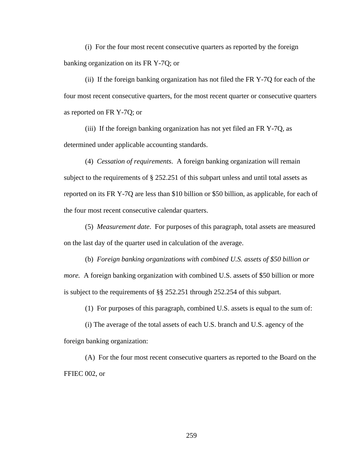(i) For the four most recent consecutive quarters as reported by the foreign banking organization on its FR Y-7Q; or

(ii) If the foreign banking organization has not filed the FR Y-7Q for each of the four most recent consecutive quarters, for the most recent quarter or consecutive quarters as reported on FR Y-7Q; or

(iii) If the foreign banking organization has not yet filed an FR Y-7Q, as determined under applicable accounting standards.

(4) *Cessation of requirements*. A foreign banking organization will remain subject to the requirements of § 252.251 of this subpart unless and until total assets as reported on its FR Y-7Q are less than \$10 billion or \$50 billion, as applicable, for each of the four most recent consecutive calendar quarters.

(5) *Measurement date*. For purposes of this paragraph, total assets are measured on the last day of the quarter used in calculation of the average.

(b) *Foreign banking organizations with combined U.S. assets of \$50 billion or more.* A foreign banking organization with combined U.S. assets of \$50 billion or more is subject to the requirements of §§ 252.251 through 252.254 of this subpart.

(1) For purposes of this paragraph, combined U.S. assets is equal to the sum of:

(i) The average of the total assets of each U.S. branch and U.S. agency of the foreign banking organization:

(A) For the four most recent consecutive quarters as reported to the Board on the FFIEC 002, or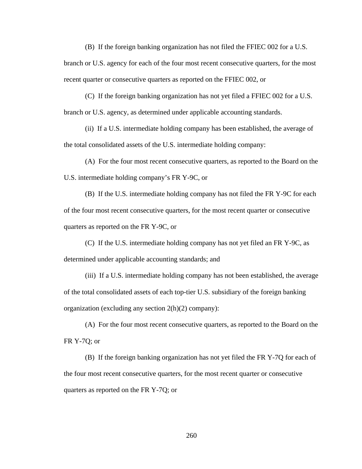(B) If the foreign banking organization has not filed the FFIEC 002 for a U.S.

branch or U.S. agency for each of the four most recent consecutive quarters, for the most recent quarter or consecutive quarters as reported on the FFIEC 002, or

(C) If the foreign banking organization has not yet filed a FFIEC 002 for a U.S. branch or U.S. agency, as determined under applicable accounting standards.

(ii) If a U.S. intermediate holding company has been established, the average of the total consolidated assets of the U.S. intermediate holding company:

(A) For the four most recent consecutive quarters, as reported to the Board on the U.S. intermediate holding company's FR Y-9C, or

(B) If the U.S. intermediate holding company has not filed the FR Y-9C for each of the four most recent consecutive quarters, for the most recent quarter or consecutive quarters as reported on the FR Y-9C, or

(C) If the U.S. intermediate holding company has not yet filed an FR Y-9C, as determined under applicable accounting standards; and

(iii) If a U.S. intermediate holding company has not been established, the average of the total consolidated assets of each top-tier U.S. subsidiary of the foreign banking organization (excluding any section 2(h)(2) company):

(A) For the four most recent consecutive quarters, as reported to the Board on the FR Y-7Q; or

(B) If the foreign banking organization has not yet filed the FR Y-7Q for each of the four most recent consecutive quarters, for the most recent quarter or consecutive quarters as reported on the FR Y-7Q; or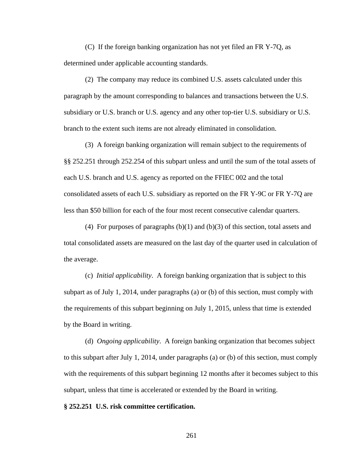(C) If the foreign banking organization has not yet filed an FR Y-7Q, as determined under applicable accounting standards.

(2) The company may reduce its combined U.S. assets calculated under this paragraph by the amount corresponding to balances and transactions between the U.S. subsidiary or U.S. branch or U.S. agency and any other top-tier U.S. subsidiary or U.S. branch to the extent such items are not already eliminated in consolidation.

(3) A foreign banking organization will remain subject to the requirements of §§ 252.251 through 252.254 of this subpart unless and until the sum of the total assets of each U.S. branch and U.S. agency as reported on the FFIEC 002 and the total consolidated assets of each U.S. subsidiary as reported on the FR Y-9C or FR Y-7Q are less than \$50 billion for each of the four most recent consecutive calendar quarters.

(4) For purposes of paragraphs  $(b)(1)$  and  $(b)(3)$  of this section, total assets and total consolidated assets are measured on the last day of the quarter used in calculation of the average.

(c) *Initial applicability*. A foreign banking organization that is subject to this subpart as of July 1, 2014, under paragraphs (a) or (b) of this section, must comply with the requirements of this subpart beginning on July 1, 2015, unless that time is extended by the Board in writing.

(d) *Ongoing applicability*. A foreign banking organization that becomes subject to this subpart after July 1, 2014, under paragraphs (a) or (b) of this section, must comply with the requirements of this subpart beginning 12 months after it becomes subject to this subpart, unless that time is accelerated or extended by the Board in writing.

#### **§ 252.251 U.S. risk committee certification.**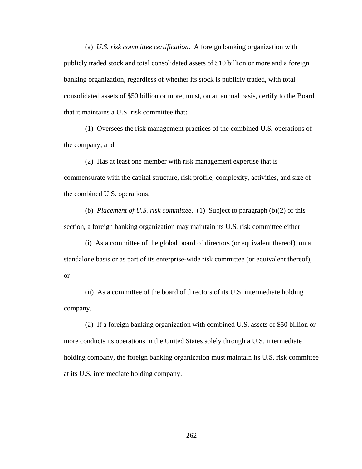(a) *U.S. risk committee certification*. A foreign banking organization with publicly traded stock and total consolidated assets of \$10 billion or more and a foreign banking organization, regardless of whether its stock is publicly traded, with total consolidated assets of \$50 billion or more, must, on an annual basis, certify to the Board that it maintains a U.S. risk committee that:

(1) Oversees the risk management practices of the combined U.S. operations of the company; and

(2) Has at least one member with risk management expertise that is commensurate with the capital structure, risk profile, complexity, activities, and size of the combined U.S. operations.

(b) *Placement of U.S. risk committee.* (1) Subject to paragraph (b)(2) of this section, a foreign banking organization may maintain its U.S. risk committee either:

(i) As a committee of the global board of directors (or equivalent thereof), on a standalone basis or as part of its enterprise-wide risk committee (or equivalent thereof), or

(ii) As a committee of the board of directors of its U.S. intermediate holding company.

(2) If a foreign banking organization with combined U.S. assets of \$50 billion or more conducts its operations in the United States solely through a U.S. intermediate holding company, the foreign banking organization must maintain its U.S. risk committee at its U.S. intermediate holding company.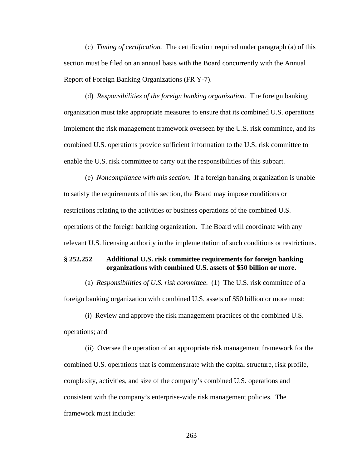(c) *Timing of certification.* The certification required under paragraph (a) of this section must be filed on an annual basis with the Board concurrently with the Annual Report of Foreign Banking Organizations (FR Y-7).

(d) *Responsibilities of the foreign banking organization.* The foreign banking organization must take appropriate measures to ensure that its combined U.S. operations implement the risk management framework overseen by the U.S. risk committee, and its combined U.S. operations provide sufficient information to the U.S. risk committee to enable the U.S. risk committee to carry out the responsibilities of this subpart.

(e) *Noncompliance with this section.* If a foreign banking organization is unable to satisfy the requirements of this section, the Board may impose conditions or restrictions relating to the activities or business operations of the combined U.S. operations of the foreign banking organization. The Board will coordinate with any relevant U.S. licensing authority in the implementation of such conditions or restrictions.

## **§ 252.252 Additional U.S. risk committee requirements for foreign banking organizations with combined U.S. assets of \$50 billion or more.**

(a) *Responsibilities of U.S. risk committee*. (1) The U.S. risk committee of a foreign banking organization with combined U.S. assets of \$50 billion or more must:

(i) Review and approve the risk management practices of the combined U.S. operations; and

(ii) Oversee the operation of an appropriate risk management framework for the combined U.S. operations that is commensurate with the capital structure, risk profile, complexity, activities, and size of the company's combined U.S. operations and consistent with the company's enterprise-wide risk management policies. The framework must include: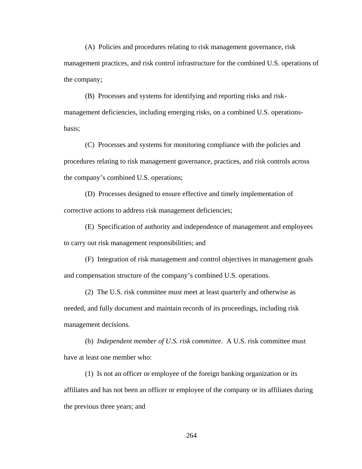(A) Policies and procedures relating to risk management governance, risk management practices, and risk control infrastructure for the combined U.S. operations of the company;

(B) Processes and systems for identifying and reporting risks and riskmanagement deficiencies, including emerging risks, on a combined U.S. operationsbasis;

(C) Processes and systems for monitoring compliance with the policies and procedures relating to risk management governance, practices, and risk controls across the company's combined U.S. operations;

(D) Processes designed to ensure effective and timely implementation of corrective actions to address risk management deficiencies;

(E) Specification of authority and independence of management and employees to carry out risk management responsibilities; and

(F) Integration of risk management and control objectives in management goals and compensation structure of the company's combined U.S. operations.

(2) The U.S. risk committee must meet at least quarterly and otherwise as needed, and fully document and maintain records of its proceedings, including risk management decisions.

(b) *Independent member of U.S. risk committee.* A U.S. risk committee must have at least one member who:

(1) Is not an officer or employee of the foreign banking organization or its affiliates and has not been an officer or employee of the company or its affiliates during the previous three years; and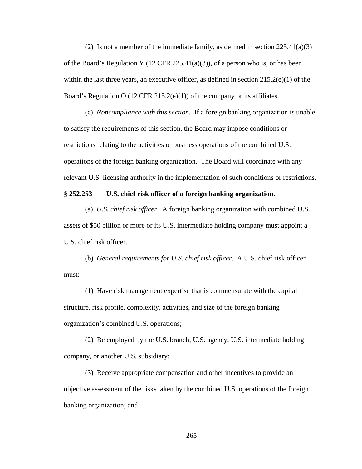(2) Is not a member of the immediate family, as defined in section  $225.41(a)(3)$ of the Board's Regulation Y (12 CFR 225.41(a)(3)), of a person who is, or has been within the last three years, an executive officer, as defined in section 215.2(e)(1) of the Board's Regulation O (12 CFR 215.2(e)(1)) of the company or its affiliates.

(c) *Noncompliance with this section*. If a foreign banking organization is unable to satisfy the requirements of this section, the Board may impose conditions or restrictions relating to the activities or business operations of the combined U.S. operations of the foreign banking organization. The Board will coordinate with any relevant U.S. licensing authority in the implementation of such conditions or restrictions.

## **§ 252.253 U.S. chief risk officer of a foreign banking organization.**

(a) *U.S. chief risk officer*. A foreign banking organization with combined U.S. assets of \$50 billion or more or its U.S. intermediate holding company must appoint a U.S. chief risk officer.

(b) *General requirements for U.S. chief risk officer*. A U.S. chief risk officer must:

(1) Have risk management expertise that is commensurate with the capital structure, risk profile, complexity, activities, and size of the foreign banking organization's combined U.S. operations;

(2) Be employed by the U.S. branch, U.S. agency, U.S. intermediate holding company, or another U.S. subsidiary;

(3) Receive appropriate compensation and other incentives to provide an objective assessment of the risks taken by the combined U.S. operations of the foreign banking organization; and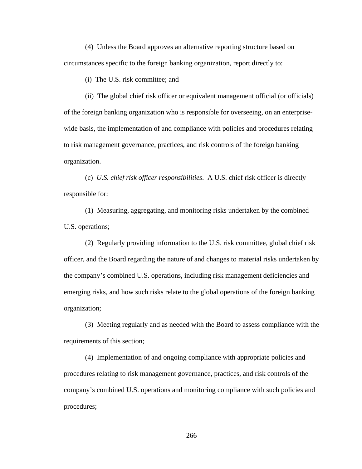(4) Unless the Board approves an alternative reporting structure based on circumstances specific to the foreign banking organization, report directly to:

(i) The U.S. risk committee; and

(ii) The global chief risk officer or equivalent management official (or officials) of the foreign banking organization who is responsible for overseeing, on an enterprisewide basis, the implementation of and compliance with policies and procedures relating to risk management governance, practices, and risk controls of the foreign banking organization.

(c) *U.S. chief risk officer responsibilities*. A U.S. chief risk officer is directly responsible for:

(1) Measuring, aggregating, and monitoring risks undertaken by the combined U.S. operations;

(2) Regularly providing information to the U.S. risk committee, global chief risk officer, and the Board regarding the nature of and changes to material risks undertaken by the company's combined U.S. operations, including risk management deficiencies and emerging risks, and how such risks relate to the global operations of the foreign banking organization;

(3) Meeting regularly and as needed with the Board to assess compliance with the requirements of this section;

(4) Implementation of and ongoing compliance with appropriate policies and procedures relating to risk management governance, practices, and risk controls of the company's combined U.S. operations and monitoring compliance with such policies and procedures;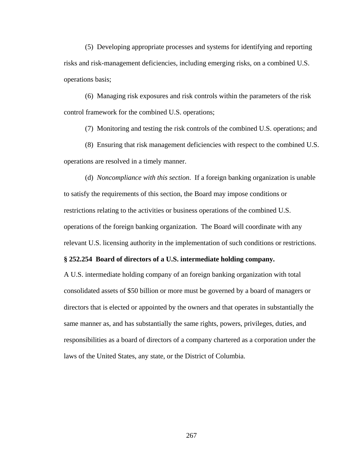(5) Developing appropriate processes and systems for identifying and reporting risks and risk-management deficiencies, including emerging risks, on a combined U.S. operations basis;

(6) Managing risk exposures and risk controls within the parameters of the risk control framework for the combined U.S. operations;

(7) Monitoring and testing the risk controls of the combined U.S. operations; and

(8) Ensuring that risk management deficiencies with respect to the combined U.S. operations are resolved in a timely manner.

(d) *Noncompliance with this section*. If a foreign banking organization is unable to satisfy the requirements of this section, the Board may impose conditions or restrictions relating to the activities or business operations of the combined U.S. operations of the foreign banking organization. The Board will coordinate with any relevant U.S. licensing authority in the implementation of such conditions or restrictions.

## **§ 252.254 Board of directors of a U.S. intermediate holding company.**

A U.S. intermediate holding company of an foreign banking organization with total consolidated assets of \$50 billion or more must be governed by a board of managers or directors that is elected or appointed by the owners and that operates in substantially the same manner as, and has substantially the same rights, powers, privileges, duties, and responsibilities as a board of directors of a company chartered as a corporation under the laws of the United States, any state, or the District of Columbia.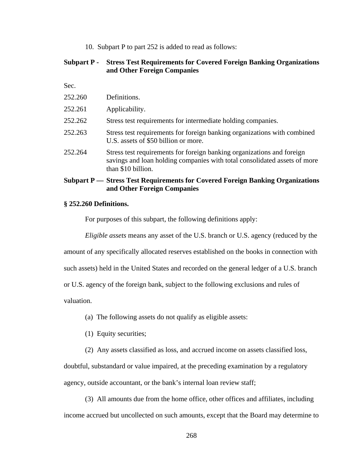10. Subpart P to part 252 is added to read as follows:

# **Subpart P - Stress Test Requirements for Covered Foreign Banking Organizations and Other Foreign Companies**

Sec.

|         | Subpart P — Stress Test Requirements for Covered Foreign Banking Organizations<br>and Other Foreign Companies                                                             |
|---------|---------------------------------------------------------------------------------------------------------------------------------------------------------------------------|
| 252.264 | Stress test requirements for foreign banking organizations and foreign<br>savings and loan holding companies with total consolidated assets of more<br>than \$10 billion. |
| 252.263 | Stress test requirements for foreign banking organizations with combined<br>U.S. assets of \$50 billion or more.                                                          |
| 252.262 | Stress test requirements for intermediate holding companies.                                                                                                              |
| 252.261 | Applicability.                                                                                                                                                            |
| 252.260 | Definitions.                                                                                                                                                              |
|         |                                                                                                                                                                           |

### **§ 252.260 Definitions.**

For purposes of this subpart, the following definitions apply:

*Eligible assets* means any asset of the U.S. branch or U.S. agency (reduced by the

amount of any specifically allocated reserves established on the books in connection with

such assets) held in the United States and recorded on the general ledger of a U.S. branch

or U.S. agency of the foreign bank, subject to the following exclusions and rules of

valuation.

(a) The following assets do not qualify as eligible assets:

(1) Equity securities;

(2) Any assets classified as loss, and accrued income on assets classified loss,

doubtful, substandard or value impaired, at the preceding examination by a regulatory agency, outside accountant, or the bank's internal loan review staff;

(3) All amounts due from the home office, other offices and affiliates, including income accrued but uncollected on such amounts, except that the Board may determine to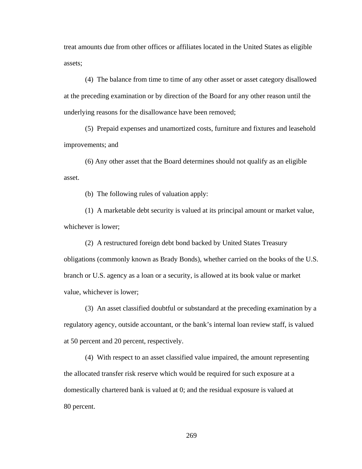treat amounts due from other offices or affiliates located in the United States as eligible assets;

(4) The balance from time to time of any other asset or asset category disallowed at the preceding examination or by direction of the Board for any other reason until the underlying reasons for the disallowance have been removed;

(5) Prepaid expenses and unamortized costs, furniture and fixtures and leasehold improvements; and

(6) Any other asset that the Board determines should not qualify as an eligible asset.

(b) The following rules of valuation apply:

(1) A marketable debt security is valued at its principal amount or market value, whichever is lower;

(2) A restructured foreign debt bond backed by United States Treasury obligations (commonly known as Brady Bonds), whether carried on the books of the U.S. branch or U.S. agency as a loan or a security, is allowed at its book value or market value, whichever is lower;

(3) An asset classified doubtful or substandard at the preceding examination by a regulatory agency, outside accountant, or the bank's internal loan review staff, is valued at 50 percent and 20 percent, respectively.

(4) With respect to an asset classified value impaired, the amount representing the allocated transfer risk reserve which would be required for such exposure at a domestically chartered bank is valued at 0; and the residual exposure is valued at 80 percent.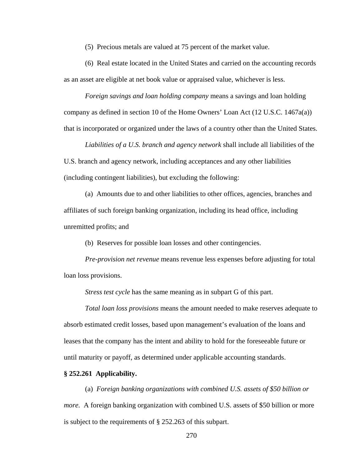(5) Precious metals are valued at 75 percent of the market value.

(6) Real estate located in the United States and carried on the accounting records as an asset are eligible at net book value or appraised value, whichever is less.

*Foreign savings and loan holding company* means a savings and loan holding company as defined in section 10 of the Home Owners' Loan Act (12 U.S.C. 1467a(a)) that is incorporated or organized under the laws of a country other than the United States.

*Liabilities of a U.S. branch and agency network* shall include all liabilities of the U.S. branch and agency network, including acceptances and any other liabilities (including contingent liabilities), but excluding the following:

(a) Amounts due to and other liabilities to other offices, agencies, branches and affiliates of such foreign banking organization, including its head office, including unremitted profits; and

(b) Reserves for possible loan losses and other contingencies.

*Pre-provision net revenue* means revenue less expenses before adjusting for total loan loss provisions.

*Stress test cycle* has the same meaning as in subpart G of this part.

*Total loan loss provisions* means the amount needed to make reserves adequate to absorb estimated credit losses, based upon management's evaluation of the loans and leases that the company has the intent and ability to hold for the foreseeable future or until maturity or payoff, as determined under applicable accounting standards.

### **§ 252.261 Applicability.**

(a) *Foreign banking organizations with combined U.S. assets of \$50 billion or more.* A foreign banking organization with combined U.S. assets of \$50 billion or more is subject to the requirements of § 252.263 of this subpart.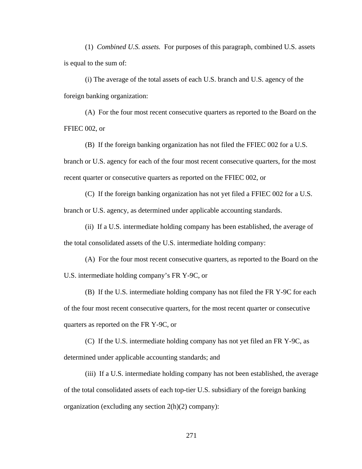(1) *Combined U.S. assets.* For purposes of this paragraph, combined U.S. assets is equal to the sum of:

(i) The average of the total assets of each U.S. branch and U.S. agency of the foreign banking organization:

(A) For the four most recent consecutive quarters as reported to the Board on the FFIEC 002, or

(B) If the foreign banking organization has not filed the FFIEC 002 for a U.S. branch or U.S. agency for each of the four most recent consecutive quarters, for the most recent quarter or consecutive quarters as reported on the FFIEC 002, or

(C) If the foreign banking organization has not yet filed a FFIEC 002 for a U.S. branch or U.S. agency, as determined under applicable accounting standards.

(ii) If a U.S. intermediate holding company has been established, the average of the total consolidated assets of the U.S. intermediate holding company:

(A) For the four most recent consecutive quarters, as reported to the Board on the U.S. intermediate holding company's FR Y-9C, or

(B) If the U.S. intermediate holding company has not filed the FR Y-9C for each of the four most recent consecutive quarters, for the most recent quarter or consecutive quarters as reported on the FR Y-9C, or

(C) If the U.S. intermediate holding company has not yet filed an FR Y-9C, as determined under applicable accounting standards; and

(iii) If a U.S. intermediate holding company has not been established, the average of the total consolidated assets of each top-tier U.S. subsidiary of the foreign banking organization (excluding any section 2(h)(2) company):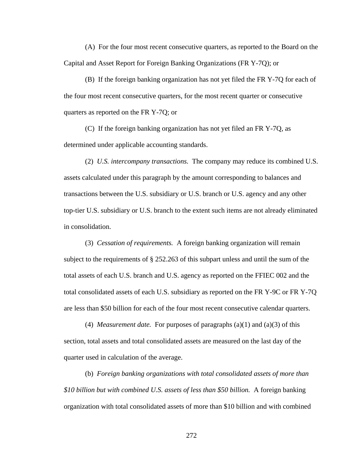(A) For the four most recent consecutive quarters, as reported to the Board on the Capital and Asset Report for Foreign Banking Organizations (FR Y-7Q); or

(B) If the foreign banking organization has not yet filed the FR Y-7Q for each of the four most recent consecutive quarters, for the most recent quarter or consecutive quarters as reported on the FR Y-7Q; or

(C) If the foreign banking organization has not yet filed an FR Y-7Q, as determined under applicable accounting standards.

(2) *U.S. intercompany transactions.* The company may reduce its combined U.S. assets calculated under this paragraph by the amount corresponding to balances and transactions between the U.S. subsidiary or U.S. branch or U.S. agency and any other top-tier U.S. subsidiary or U.S. branch to the extent such items are not already eliminated in consolidation.

(3) *Cessation of requirements.* A foreign banking organization will remain subject to the requirements of § 252.263 of this subpart unless and until the sum of the total assets of each U.S. branch and U.S. agency as reported on the FFIEC 002 and the total consolidated assets of each U.S. subsidiary as reported on the FR Y-9C or FR Y-7Q are less than \$50 billion for each of the four most recent consecutive calendar quarters.

(4) *Measurement date.* For purposes of paragraphs (a)(1) and (a)(3) of this section, total assets and total consolidated assets are measured on the last day of the quarter used in calculation of the average.

(b) *Foreign banking organizations with total consolidated assets of more than \$10 billion but with combined U.S. assets of less than \$50 billion.* A foreign banking organization with total consolidated assets of more than \$10 billion and with combined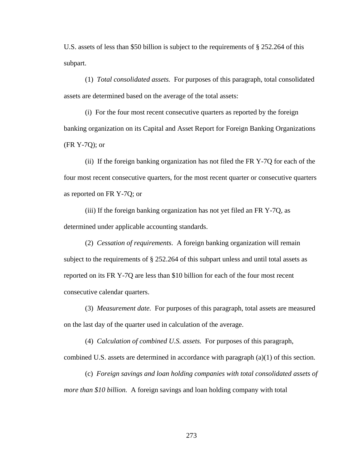U.S. assets of less than \$50 billion is subject to the requirements of § 252.264 of this subpart.

(1) *Total consolidated assets.* For purposes of this paragraph, total consolidated assets are determined based on the average of the total assets:

(i) For the four most recent consecutive quarters as reported by the foreign banking organization on its Capital and Asset Report for Foreign Banking Organizations (FR Y-7Q); or

(ii) If the foreign banking organization has not filed the FR Y-7Q for each of the four most recent consecutive quarters, for the most recent quarter or consecutive quarters as reported on FR Y-7Q; or

(iii) If the foreign banking organization has not yet filed an FR Y-7Q, as determined under applicable accounting standards.

(2) *Cessation of requirements*. A foreign banking organization will remain subject to the requirements of § 252.264 of this subpart unless and until total assets as reported on its FR Y-7Q are less than \$10 billion for each of the four most recent consecutive calendar quarters.

(3) *Measurement date.* For purposes of this paragraph, total assets are measured on the last day of the quarter used in calculation of the average.

(4) *Calculation of combined U.S. assets.* For purposes of this paragraph,

combined U.S. assets are determined in accordance with paragraph (a)(1) of this section.

(c) *Foreign savings and loan holding companies with total consolidated assets of more than \$10 billion.* A foreign savings and loan holding company with total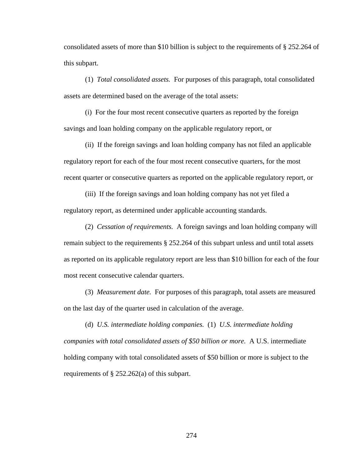consolidated assets of more than \$10 billion is subject to the requirements of § 252.264 of this subpart.

(1) *Total consolidated assets.* For purposes of this paragraph, total consolidated assets are determined based on the average of the total assets:

(i) For the four most recent consecutive quarters as reported by the foreign savings and loan holding company on the applicable regulatory report, or

(ii) If the foreign savings and loan holding company has not filed an applicable regulatory report for each of the four most recent consecutive quarters, for the most recent quarter or consecutive quarters as reported on the applicable regulatory report, or

(iii) If the foreign savings and loan holding company has not yet filed a regulatory report, as determined under applicable accounting standards.

(2) *Cessation of requirements.* A foreign savings and loan holding company will remain subject to the requirements § 252.264 of this subpart unless and until total assets as reported on its applicable regulatory report are less than \$10 billion for each of the four most recent consecutive calendar quarters.

(3) *Measurement date.* For purposes of this paragraph, total assets are measured on the last day of the quarter used in calculation of the average.

(d) *U.S. intermediate holding companies.* (1) *U.S. intermediate holding companies with total consolidated assets of \$50 billion or more.* A U.S. intermediate holding company with total consolidated assets of \$50 billion or more is subject to the requirements of § 252.262(a) of this subpart.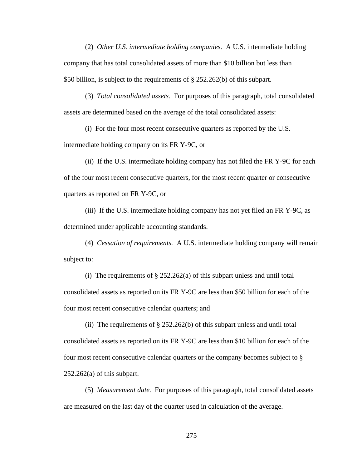(2) *Other U.S. intermediate holding companies.* A U.S. intermediate holding company that has total consolidated assets of more than \$10 billion but less than \$50 billion, is subject to the requirements of § 252.262(b) of this subpart.

(3) *Total consolidated assets.* For purposes of this paragraph, total consolidated assets are determined based on the average of the total consolidated assets:

(i) For the four most recent consecutive quarters as reported by the U.S.

intermediate holding company on its FR Y-9C, or

(ii) If the U.S. intermediate holding company has not filed the FR Y-9C for each of the four most recent consecutive quarters, for the most recent quarter or consecutive quarters as reported on FR Y-9C, or

(iii) If the U.S. intermediate holding company has not yet filed an FR Y-9C, as determined under applicable accounting standards.

(4) *Cessation of requirements.* A U.S. intermediate holding company will remain subject to:

(i) The requirements of  $\S 252.262(a)$  of this subpart unless and until total consolidated assets as reported on its FR Y-9C are less than \$50 billion for each of the four most recent consecutive calendar quarters; and

(ii) The requirements of  $\S 252.262(b)$  of this subpart unless and until total consolidated assets as reported on its FR Y-9C are less than \$10 billion for each of the four most recent consecutive calendar quarters or the company becomes subject to §  $252.262(a)$  of this subpart.

(5) *Measurement date.* For purposes of this paragraph, total consolidated assets are measured on the last day of the quarter used in calculation of the average.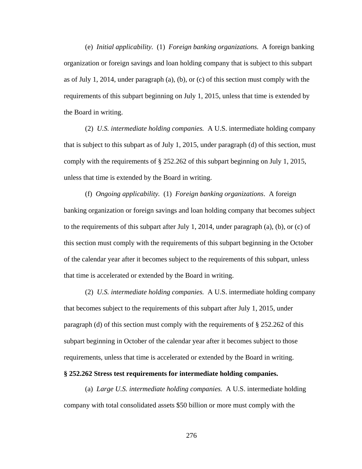(e) *Initial applicability.* (1) *Foreign banking organizations.* A foreign banking organization or foreign savings and loan holding company that is subject to this subpart as of July 1, 2014, under paragraph  $(a)$ ,  $(b)$ , or  $(c)$  of this section must comply with the requirements of this subpart beginning on July 1, 2015, unless that time is extended by the Board in writing.

(2) *U.S. intermediate holding companies.* A U.S. intermediate holding company that is subject to this subpart as of July 1, 2015, under paragraph (d) of this section, must comply with the requirements of § 252.262 of this subpart beginning on July 1, 2015, unless that time is extended by the Board in writing.

(f) *Ongoing applicability.* (1) *Foreign banking organizations*. A foreign banking organization or foreign savings and loan holding company that becomes subject to the requirements of this subpart after July 1, 2014, under paragraph (a), (b), or (c) of this section must comply with the requirements of this subpart beginning in the October of the calendar year after it becomes subject to the requirements of this subpart, unless that time is accelerated or extended by the Board in writing.

(2) *U.S. intermediate holding companies.* A U.S. intermediate holding company that becomes subject to the requirements of this subpart after July 1, 2015, under paragraph (d) of this section must comply with the requirements of § 252.262 of this subpart beginning in October of the calendar year after it becomes subject to those requirements, unless that time is accelerated or extended by the Board in writing.

#### **§ 252.262 Stress test requirements for intermediate holding companies.**

(a) *Large U.S. intermediate holding companies.* A U.S. intermediate holding company with total consolidated assets \$50 billion or more must comply with the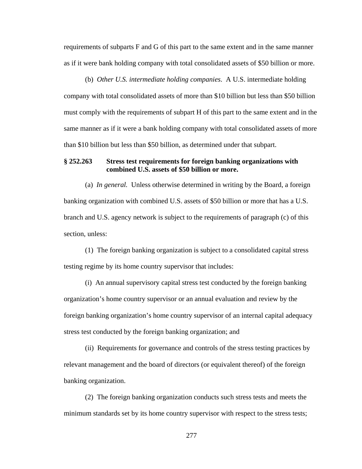requirements of subparts F and G of this part to the same extent and in the same manner as if it were bank holding company with total consolidated assets of \$50 billion or more.

(b) *Other U.S. intermediate holding companies*. A U.S. intermediate holding company with total consolidated assets of more than \$10 billion but less than \$50 billion must comply with the requirements of subpart H of this part to the same extent and in the same manner as if it were a bank holding company with total consolidated assets of more than \$10 billion but less than \$50 billion, as determined under that subpart.

## **§ 252.263 Stress test requirements for foreign banking organizations with combined U.S. assets of \$50 billion or more.**

(a) *In general.* Unless otherwise determined in writing by the Board, a foreign banking organization with combined U.S. assets of \$50 billion or more that has a U.S. branch and U.S. agency network is subject to the requirements of paragraph (c) of this section, unless:

(1) The foreign banking organization is subject to a consolidated capital stress testing regime by its home country supervisor that includes:

(i) An annual supervisory capital stress test conducted by the foreign banking organization's home country supervisor or an annual evaluation and review by the foreign banking organization's home country supervisor of an internal capital adequacy stress test conducted by the foreign banking organization; and

(ii) Requirements for governance and controls of the stress testing practices by relevant management and the board of directors (or equivalent thereof) of the foreign banking organization.

(2) The foreign banking organization conducts such stress tests and meets the minimum standards set by its home country supervisor with respect to the stress tests;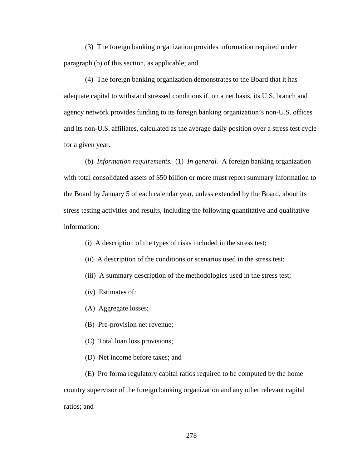(3) The foreign banking organization provides information required under paragraph (b) of this section, as applicable; and

(4) The foreign banking organization demonstrates to the Board that it has adequate capital to withstand stressed conditions if, on a net basis, its U.S. branch and agency network provides funding to its foreign banking organization's non-U.S. offices and its non-U.S. affiliates, calculated as the average daily position over a stress test cycle for a given year.

(b) *Information requirements.* (1) *In general.* A foreign banking organization with total consolidated assets of \$50 billion or more must report summary information to the Board by January 5 of each calendar year, unless extended by the Board, about its stress testing activities and results, including the following quantitative and qualitative information:

- (i) A description of the types of risks included in the stress test;
- (ii) A description of the conditions or scenarios used in the stress test;
- (iii) A summary description of the methodologies used in the stress test;
- (iv) Estimates of:
- (A) Aggregate losses;
- (B) Pre-provision net revenue;
- (C) Total loan loss provisions;
- (D) Net income before taxes; and

(E) Pro forma regulatory capital ratios required to be computed by the home country supervisor of the foreign banking organization and any other relevant capital ratios; and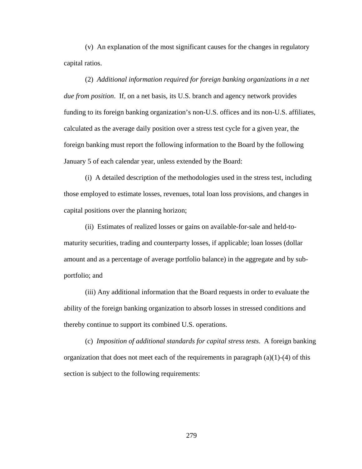(v) An explanation of the most significant causes for the changes in regulatory capital ratios.

(2) *Additional information required for foreign banking organizations in a net due from position*. If, on a net basis, its U.S. branch and agency network provides funding to its foreign banking organization's non-U.S. offices and its non-U.S. affiliates, calculated as the average daily position over a stress test cycle for a given year, the foreign banking must report the following information to the Board by the following January 5 of each calendar year, unless extended by the Board:

(i) A detailed description of the methodologies used in the stress test, including those employed to estimate losses, revenues, total loan loss provisions, and changes in capital positions over the planning horizon;

(ii) Estimates of realized losses or gains on available-for-sale and held-tomaturity securities, trading and counterparty losses, if applicable; loan losses (dollar amount and as a percentage of average portfolio balance) in the aggregate and by subportfolio; and

(iii) Any additional information that the Board requests in order to evaluate the ability of the foreign banking organization to absorb losses in stressed conditions and thereby continue to support its combined U.S. operations.

(c) *Imposition of additional standards for capital stress tests*. A foreign banking organization that does not meet each of the requirements in paragraph  $(a)(1)-(4)$  of this section is subject to the following requirements: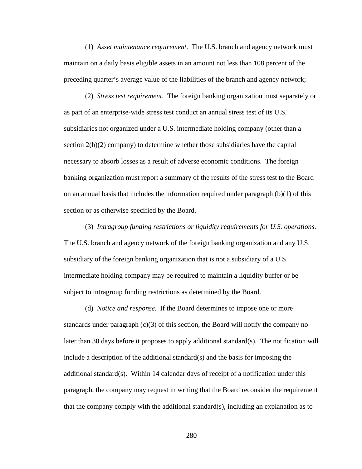(1) *Asset maintenance requirement*. The U.S. branch and agency network must maintain on a daily basis eligible assets in an amount not less than 108 percent of the preceding quarter's average value of the liabilities of the branch and agency network;

(2) *Stress test requirement*. The foreign banking organization must separately or as part of an enterprise-wide stress test conduct an annual stress test of its U.S. subsidiaries not organized under a U.S. intermediate holding company (other than a section  $2(h)(2)$  company) to determine whether those subsidiaries have the capital necessary to absorb losses as a result of adverse economic conditions. The foreign banking organization must report a summary of the results of the stress test to the Board on an annual basis that includes the information required under paragraph  $(b)(1)$  of this section or as otherwise specified by the Board.

(3) *Intragroup funding restrictions or liquidity requirements for U.S. operations*. The U.S. branch and agency network of the foreign banking organization and any U.S. subsidiary of the foreign banking organization that is not a subsidiary of a U.S. intermediate holding company may be required to maintain a liquidity buffer or be subject to intragroup funding restrictions as determined by the Board.

(d) *Notice and response.* If the Board determines to impose one or more standards under paragraph  $(c)(3)$  of this section, the Board will notify the company no later than 30 days before it proposes to apply additional standard(s). The notification will include a description of the additional standard(s) and the basis for imposing the additional standard(s). Within 14 calendar days of receipt of a notification under this paragraph, the company may request in writing that the Board reconsider the requirement that the company comply with the additional standard(s), including an explanation as to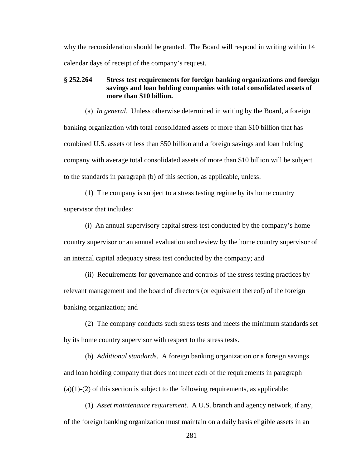why the reconsideration should be granted. The Board will respond in writing within 14 calendar days of receipt of the company's request.

# **§ 252.264 Stress test requirements for foreign banking organizations and foreign savings and loan holding companies with total consolidated assets of more than \$10 billion.**

(a) *In general*. Unless otherwise determined in writing by the Board, a foreign banking organization with total consolidated assets of more than \$10 billion that has combined U.S. assets of less than \$50 billion and a foreign savings and loan holding company with average total consolidated assets of more than \$10 billion will be subject to the standards in paragraph (b) of this section, as applicable, unless:

(1) The company is subject to a stress testing regime by its home country supervisor that includes:

(i) An annual supervisory capital stress test conducted by the company's home country supervisor or an annual evaluation and review by the home country supervisor of an internal capital adequacy stress test conducted by the company; and

(ii) Requirements for governance and controls of the stress testing practices by relevant management and the board of directors (or equivalent thereof) of the foreign banking organization; and

(2) The company conducts such stress tests and meets the minimum standards set by its home country supervisor with respect to the stress tests.

(b) *Additional standards*. A foreign banking organization or a foreign savings and loan holding company that does not meet each of the requirements in paragraph  $(a)(1)-(2)$  of this section is subject to the following requirements, as applicable:

(1) *Asset maintenance requirement*. A U.S. branch and agency network, if any, of the foreign banking organization must maintain on a daily basis eligible assets in an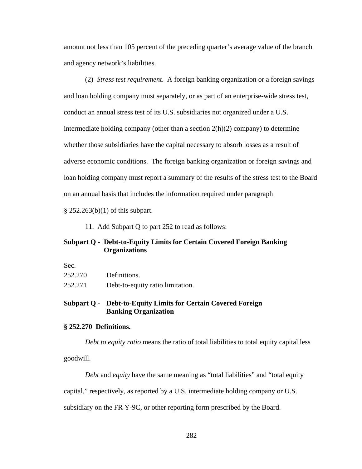amount not less than 105 percent of the preceding quarter's average value of the branch and agency network's liabilities.

(2) *Stress test requirement*. A foreign banking organization or a foreign savings and loan holding company must separately, or as part of an enterprise-wide stress test, conduct an annual stress test of its U.S. subsidiaries not organized under a U.S. intermediate holding company (other than a section 2(h)(2) company) to determine whether those subsidiaries have the capital necessary to absorb losses as a result of adverse economic conditions. The foreign banking organization or foreign savings and loan holding company must report a summary of the results of the stress test to the Board on an annual basis that includes the information required under paragraph

§ 252.263(b)(1) of this subpart.

11. Add Subpart Q to part 252 to read as follows:

# **Subpart Q - Debt-to-Equity Limits for Certain Covered Foreign Banking Organizations**

| Sec.    |                                  |
|---------|----------------------------------|
| 252.270 | Definitions.                     |
| 252.271 | Debt-to-equity ratio limitation. |

# **Subpart Q - Debt-to-Equity Limits for Certain Covered Foreign Banking Organization**

## **§ 252.270 Definitions.**

*Debt to equity ratio* means the ratio of total liabilities to total equity capital less

goodwill.

*Debt* and *equity* have the same meaning as "total liabilities" and "total equity

capital," respectively, as reported by a U.S. intermediate holding company or U.S.

subsidiary on the FR Y-9C, or other reporting form prescribed by the Board.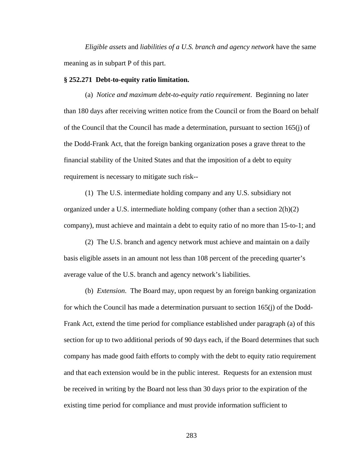*Eligible assets* and *liabilities of a U.S. branch and agency network* have the same meaning as in subpart P of this part.

### **§ 252.271 Debt-to-equity ratio limitation.**

(a) *Notice and maximum debt-to-equity ratio requirement*. Beginning no later than 180 days after receiving written notice from the Council or from the Board on behalf of the Council that the Council has made a determination, pursuant to section 165(j) of the Dodd-Frank Act, that the foreign banking organization poses a grave threat to the financial stability of the United States and that the imposition of a debt to equity requirement is necessary to mitigate such risk--

(1) The U.S. intermediate holding company and any U.S. subsidiary not organized under a U.S. intermediate holding company (other than a section  $2(h)(2)$ ) company), must achieve and maintain a debt to equity ratio of no more than 15-to-1; and

(2) The U.S. branch and agency network must achieve and maintain on a daily basis eligible assets in an amount not less than 108 percent of the preceding quarter's average value of the U.S. branch and agency network's liabilities.

(b) *Extension*. The Board may, upon request by an foreign banking organization for which the Council has made a determination pursuant to section 165(j) of the Dodd-Frank Act, extend the time period for compliance established under paragraph (a) of this section for up to two additional periods of 90 days each, if the Board determines that such company has made good faith efforts to comply with the debt to equity ratio requirement and that each extension would be in the public interest. Requests for an extension must be received in writing by the Board not less than 30 days prior to the expiration of the existing time period for compliance and must provide information sufficient to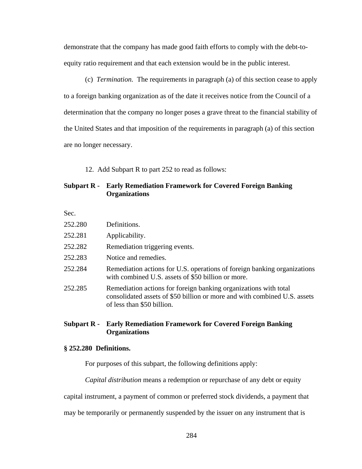demonstrate that the company has made good faith efforts to comply with the debt-toequity ratio requirement and that each extension would be in the public interest.

(c) *Termination.* The requirements in paragraph (a) of this section cease to apply to a foreign banking organization as of the date it receives notice from the Council of a determination that the company no longer poses a grave threat to the financial stability of the United States and that imposition of the requirements in paragraph (a) of this section are no longer necessary.

12. Add Subpart R to part 252 to read as follows:

# **Subpart R - Early Remediation Framework for Covered Foreign Banking Organizations**

Sec.

| 252.280 | Definitions.                                                                                                                                                                |
|---------|-----------------------------------------------------------------------------------------------------------------------------------------------------------------------------|
| 252.281 | Applicability.                                                                                                                                                              |
| 252.282 | Remediation triggering events.                                                                                                                                              |
| 252.283 | Notice and remedies.                                                                                                                                                        |
| 252.284 | Remediation actions for U.S. operations of foreign banking organizations<br>with combined U.S. assets of \$50 billion or more.                                              |
| 252.285 | Remediation actions for foreign banking organizations with total<br>consolidated assets of \$50 billion or more and with combined U.S. assets<br>of less than \$50 billion. |

## **Subpart R - Early Remediation Framework for Covered Foreign Banking Organizations**

### **§ 252.280 Definitions.**

For purposes of this subpart, the following definitions apply:

*Capital distribution* means a redemption or repurchase of any debt or equity

capital instrument, a payment of common or preferred stock dividends, a payment that

may be temporarily or permanently suspended by the issuer on any instrument that is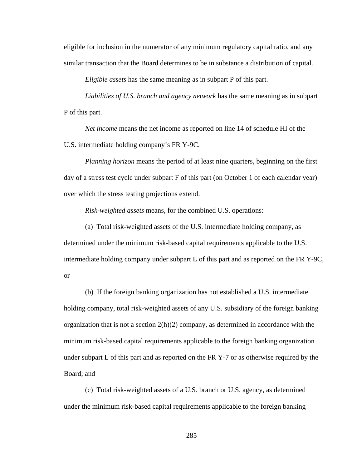eligible for inclusion in the numerator of any minimum regulatory capital ratio, and any similar transaction that the Board determines to be in substance a distribution of capital.

*Eligible assets* has the same meaning as in subpart P of this part.

*Liabilities of U.S. branch and agency network* has the same meaning as in subpart P of this part.

*Net income* means the net income as reported on line 14 of schedule HI of the U.S. intermediate holding company's FR Y-9C.

*Planning horizon* means the period of at least nine quarters, beginning on the first day of a stress test cycle under subpart F of this part (on October 1 of each calendar year) over which the stress testing projections extend.

*Risk-weighted assets* means, for the combined U.S. operations:

(a) Total risk-weighted assets of the U.S. intermediate holding company, as determined under the minimum risk-based capital requirements applicable to the U.S. intermediate holding company under subpart L of this part and as reported on the FR Y-9C, or

(b) If the foreign banking organization has not established a U.S. intermediate holding company, total risk-weighted assets of any U.S. subsidiary of the foreign banking organization that is not a section  $2(h)(2)$  company, as determined in accordance with the minimum risk-based capital requirements applicable to the foreign banking organization under subpart L of this part and as reported on the FR Y-7 or as otherwise required by the Board; and

(c) Total risk-weighted assets of a U.S. branch or U.S. agency, as determined under the minimum risk-based capital requirements applicable to the foreign banking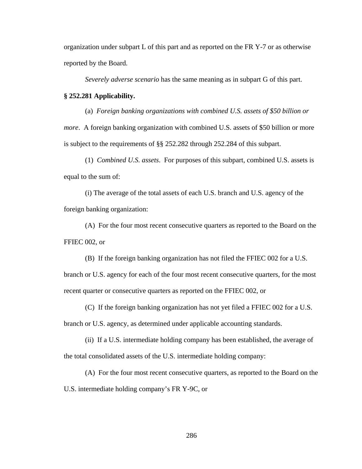organization under subpart L of this part and as reported on the FR Y-7 or as otherwise reported by the Board.

*Severely adverse scenario* has the same meaning as in subpart G of this part.

#### **§ 252.281 Applicability.**

(a) *Foreign banking organizations with combined U.S. assets of \$50 billion or more*. A foreign banking organization with combined U.S. assets of \$50 billion or more is subject to the requirements of §§ 252.282 through 252.284 of this subpart.

(1) *Combined U.S. assets*. For purposes of this subpart, combined U.S. assets is equal to the sum of:

(i) The average of the total assets of each U.S. branch and U.S. agency of the foreign banking organization:

(A) For the four most recent consecutive quarters as reported to the Board on the FFIEC 002, or

(B) If the foreign banking organization has not filed the FFIEC 002 for a U.S.

branch or U.S. agency for each of the four most recent consecutive quarters, for the most recent quarter or consecutive quarters as reported on the FFIEC 002, or

(C) If the foreign banking organization has not yet filed a FFIEC 002 for a U.S.

branch or U.S. agency, as determined under applicable accounting standards.

(ii) If a U.S. intermediate holding company has been established, the average of the total consolidated assets of the U.S. intermediate holding company:

(A) For the four most recent consecutive quarters, as reported to the Board on the

U.S. intermediate holding company's FR Y-9C, or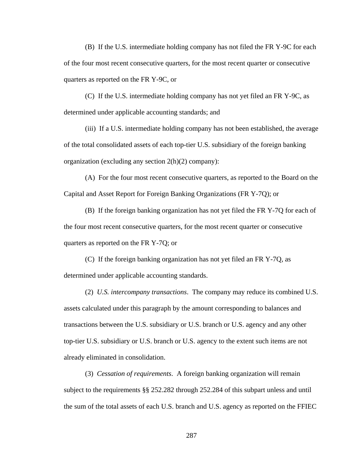(B) If the U.S. intermediate holding company has not filed the FR Y-9C for each of the four most recent consecutive quarters, for the most recent quarter or consecutive quarters as reported on the FR Y-9C, or

(C) If the U.S. intermediate holding company has not yet filed an FR Y-9C, as determined under applicable accounting standards; and

(iii) If a U.S. intermediate holding company has not been established, the average of the total consolidated assets of each top-tier U.S. subsidiary of the foreign banking organization (excluding any section 2(h)(2) company):

(A) For the four most recent consecutive quarters, as reported to the Board on the Capital and Asset Report for Foreign Banking Organizations (FR Y-7Q); or

(B) If the foreign banking organization has not yet filed the FR Y-7Q for each of the four most recent consecutive quarters, for the most recent quarter or consecutive quarters as reported on the FR Y-7Q; or

(C) If the foreign banking organization has not yet filed an FR Y-7Q, as determined under applicable accounting standards.

(2) *U.S. intercompany transactions*. The company may reduce its combined U.S. assets calculated under this paragraph by the amount corresponding to balances and transactions between the U.S. subsidiary or U.S. branch or U.S. agency and any other top-tier U.S. subsidiary or U.S. branch or U.S. agency to the extent such items are not already eliminated in consolidation.

(3) *Cessation of requirements*. A foreign banking organization will remain subject to the requirements §§ 252.282 through 252.284 of this subpart unless and until the sum of the total assets of each U.S. branch and U.S. agency as reported on the FFIEC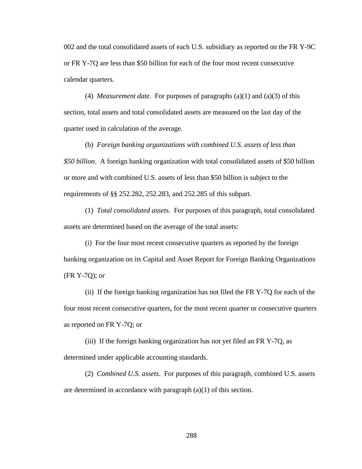002 and the total consolidated assets of each U.S. subsidiary as reported on the FR Y-9C or FR Y-7Q are less than \$50 billion for each of the four most recent consecutive calendar quarters.

(4) *Measurement date*. For purposes of paragraphs (a)(1) and (a)(3) of this section, total assets and total consolidated assets are measured on the last day of the quarter used in calculation of the average.

(b) *Foreign banking organizations with combined U.S. assets of less than \$50 billion*. A foreign banking organization with total consolidated assets of \$50 billion or more and with combined U.S. assets of less than \$50 billion is subject to the requirements of §§ 252.282, 252.283, and 252.285 of this subpart.

(1) *Total consolidated assets*. For purposes of this paragraph, total consolidated assets are determined based on the average of the total assets:

(i) For the four most recent consecutive quarters as reported by the foreign banking organization on its Capital and Asset Report for Foreign Banking Organizations (FR Y-7Q); or

(ii) If the foreign banking organization has not filed the FR Y-7Q for each of the four most recent consecutive quarters, for the most recent quarter or consecutive quarters as reported on FR Y-7Q; or

(iii) If the foreign banking organization has not yet filed an FR Y-7Q, as determined under applicable accounting standards.

(2) *Combined U.S. assets*. For purposes of this paragraph, combined U.S. assets are determined in accordance with paragraph (a)(1) of this section.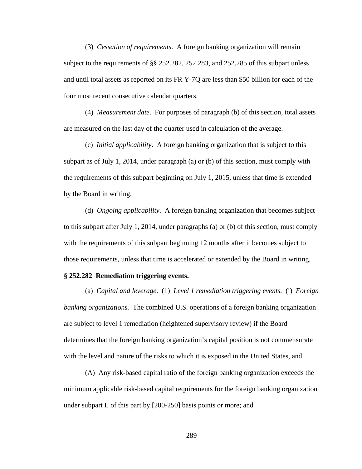(3) *Cessation of requirements*. A foreign banking organization will remain subject to the requirements of §§ 252.282, 252.283, and 252.285 of this subpart unless and until total assets as reported on its FR Y-7Q are less than \$50 billion for each of the four most recent consecutive calendar quarters.

(4) *Measurement date*. For purposes of paragraph (b) of this section, total assets are measured on the last day of the quarter used in calculation of the average.

(c) *Initial applicability*. A foreign banking organization that is subject to this subpart as of July 1, 2014, under paragraph (a) or (b) of this section, must comply with the requirements of this subpart beginning on July 1, 2015, unless that time is extended by the Board in writing.

(d) *Ongoing applicability*. A foreign banking organization that becomes subject to this subpart after July 1, 2014, under paragraphs (a) or (b) of this section, must comply with the requirements of this subpart beginning 12 months after it becomes subject to those requirements, unless that time is accelerated or extended by the Board in writing.

### **§ 252.282 Remediation triggering events.**

(a) *Capital and leverage*. (1) *Level 1 remediation triggering events.* (i) *Foreign banking organizations.* The combined U.S. operations of a foreign banking organization are subject to level 1 remediation (heightened supervisory review) if the Board determines that the foreign banking organization's capital position is not commensurate with the level and nature of the risks to which it is exposed in the United States, and

(A) Any risk-based capital ratio of the foreign banking organization exceeds the minimum applicable risk-based capital requirements for the foreign banking organization under subpart L of this part by [200-250] basis points or more; and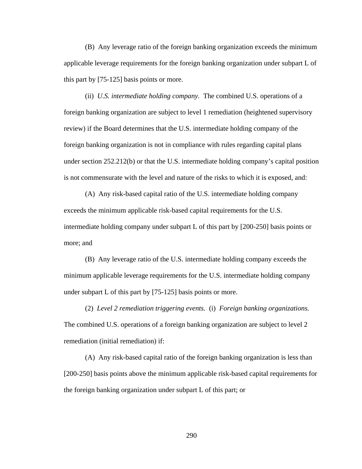(B) Any leverage ratio of the foreign banking organization exceeds the minimum applicable leverage requirements for the foreign banking organization under subpart L of this part by [75-125] basis points or more.

(ii) *U.S. intermediate holding company.* The combined U.S. operations of a foreign banking organization are subject to level 1 remediation (heightened supervisory review) if the Board determines that the U.S. intermediate holding company of the foreign banking organization is not in compliance with rules regarding capital plans under section 252.212(b) or that the U.S. intermediate holding company's capital position is not commensurate with the level and nature of the risks to which it is exposed, and:

(A) Any risk-based capital ratio of the U.S. intermediate holding company exceeds the minimum applicable risk-based capital requirements for the U.S. intermediate holding company under subpart L of this part by [200-250] basis points or more; and

(B) Any leverage ratio of the U.S. intermediate holding company exceeds the minimum applicable leverage requirements for the U.S. intermediate holding company under subpart L of this part by [75-125] basis points or more.

(2) *Level 2 remediation triggering events.* (i) *Foreign banking organizations.* The combined U.S. operations of a foreign banking organization are subject to level 2 remediation (initial remediation) if:

(A) Any risk-based capital ratio of the foreign banking organization is less than [200-250] basis points above the minimum applicable risk-based capital requirements for the foreign banking organization under subpart L of this part; or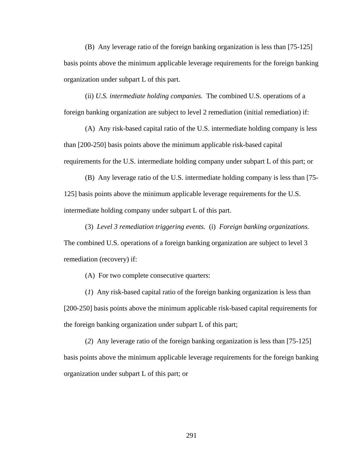(B) Any leverage ratio of the foreign banking organization is less than [75-125] basis points above the minimum applicable leverage requirements for the foreign banking organization under subpart L of this part.

(ii) *U.S. intermediate holding companies.* The combined U.S. operations of a foreign banking organization are subject to level 2 remediation (initial remediation) if:

(A) Any risk-based capital ratio of the U.S. intermediate holding company is less than [200-250] basis points above the minimum applicable risk-based capital requirements for the U.S. intermediate holding company under subpart L of this part; or

(B) Any leverage ratio of the U.S. intermediate holding company is less than [75- 125] basis points above the minimum applicable leverage requirements for the U.S. intermediate holding company under subpart L of this part.

(3) *Level 3 remediation triggering events.* (i) *Foreign banking organizations.* The combined U.S. operations of a foreign banking organization are subject to level 3 remediation (recovery) if:

(A) For two complete consecutive quarters:

(*1*) Any risk-based capital ratio of the foreign banking organization is less than [200-250] basis points above the minimum applicable risk-based capital requirements for the foreign banking organization under subpart L of this part;

(*2*) Any leverage ratio of the foreign banking organization is less than [75-125] basis points above the minimum applicable leverage requirements for the foreign banking organization under subpart L of this part; or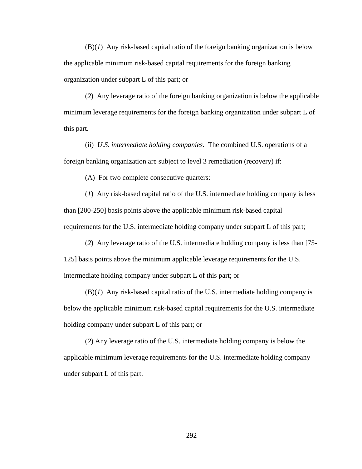(B)(*1*) Any risk-based capital ratio of the foreign banking organization is below the applicable minimum risk-based capital requirements for the foreign banking organization under subpart L of this part; or

(*2*) Any leverage ratio of the foreign banking organization is below the applicable minimum leverage requirements for the foreign banking organization under subpart L of this part.

(ii) *U.S. intermediate holding companies*. The combined U.S. operations of a foreign banking organization are subject to level 3 remediation (recovery) if:

(A) For two complete consecutive quarters:

(*1*) Any risk-based capital ratio of the U.S. intermediate holding company is less than [200-250] basis points above the applicable minimum risk-based capital requirements for the U.S. intermediate holding company under subpart L of this part;

(*2*) Any leverage ratio of the U.S. intermediate holding company is less than [75- 125] basis points above the minimum applicable leverage requirements for the U.S. intermediate holding company under subpart L of this part; or

(B)(*1*) Any risk-based capital ratio of the U.S. intermediate holding company is below the applicable minimum risk-based capital requirements for the U.S. intermediate holding company under subpart L of this part; or

(*2*) Any leverage ratio of the U.S. intermediate holding company is below the applicable minimum leverage requirements for the U.S. intermediate holding company under subpart L of this part.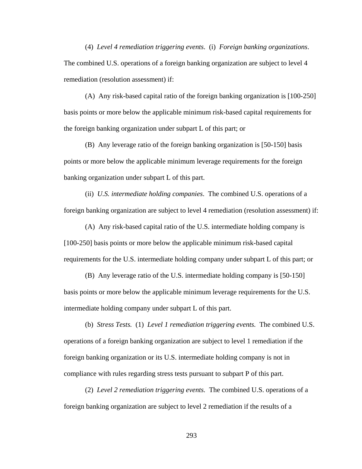(4) *Level 4 remediation triggering events*. (i) *Foreign banking organizations*. The combined U.S. operations of a foreign banking organization are subject to level 4 remediation (resolution assessment) if:

(A) Any risk-based capital ratio of the foreign banking organization is [100-250] basis points or more below the applicable minimum risk-based capital requirements for the foreign banking organization under subpart L of this part; or

(B) Any leverage ratio of the foreign banking organization is [50-150] basis points or more below the applicable minimum leverage requirements for the foreign banking organization under subpart L of this part.

(ii) *U.S. intermediate holding companies*. The combined U.S. operations of a foreign banking organization are subject to level 4 remediation (resolution assessment) if:

(A) Any risk-based capital ratio of the U.S. intermediate holding company is [100-250] basis points or more below the applicable minimum risk-based capital requirements for the U.S. intermediate holding company under subpart L of this part; or

(B) Any leverage ratio of the U.S. intermediate holding company is [50-150] basis points or more below the applicable minimum leverage requirements for the U.S. intermediate holding company under subpart L of this part.

(b) *Stress Tests.* (1) *Level 1 remediation triggering events.* The combined U.S. operations of a foreign banking organization are subject to level 1 remediation if the foreign banking organization or its U.S. intermediate holding company is not in compliance with rules regarding stress tests pursuant to subpart P of this part.

(2) *Level 2 remediation triggering events.* The combined U.S. operations of a foreign banking organization are subject to level 2 remediation if the results of a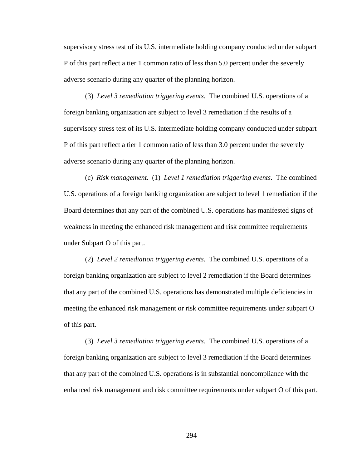supervisory stress test of its U.S. intermediate holding company conducted under subpart P of this part reflect a tier 1 common ratio of less than 5.0 percent under the severely adverse scenario during any quarter of the planning horizon.

(3) *Level 3 remediation triggering events.* The combined U.S. operations of a foreign banking organization are subject to level 3 remediation if the results of a supervisory stress test of its U.S. intermediate holding company conducted under subpart P of this part reflect a tier 1 common ratio of less than 3.0 percent under the severely adverse scenario during any quarter of the planning horizon.

(c) *Risk management*. (1) *Level 1 remediation triggering events*. The combined U.S. operations of a foreign banking organization are subject to level 1 remediation if the Board determines that any part of the combined U.S. operations has manifested signs of weakness in meeting the enhanced risk management and risk committee requirements under Subpart O of this part.

(2) *Level 2 remediation triggering events*. The combined U.S. operations of a foreign banking organization are subject to level 2 remediation if the Board determines that any part of the combined U.S. operations has demonstrated multiple deficiencies in meeting the enhanced risk management or risk committee requirements under subpart O of this part.

(3) *Level 3 remediation triggering events.* The combined U.S. operations of a foreign banking organization are subject to level 3 remediation if the Board determines that any part of the combined U.S. operations is in substantial noncompliance with the enhanced risk management and risk committee requirements under subpart O of this part.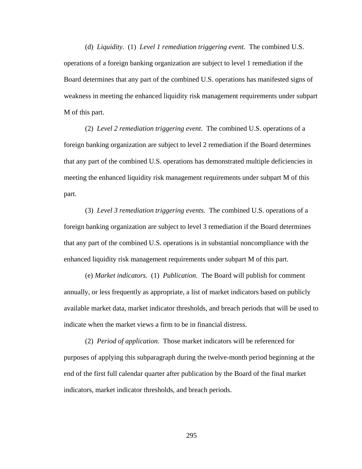(d) *Liquidity.* (1) *Level 1 remediation triggering event.* The combined U.S. operations of a foreign banking organization are subject to level 1 remediation if the Board determines that any part of the combined U.S. operations has manifested signs of weakness in meeting the enhanced liquidity risk management requirements under subpart M of this part.

(2) *Level 2 remediation triggering event*. The combined U.S. operations of a foreign banking organization are subject to level 2 remediation if the Board determines that any part of the combined U.S. operations has demonstrated multiple deficiencies in meeting the enhanced liquidity risk management requirements under subpart M of this part.

 (3) *Level 3 remediation triggering events.* The combined U.S. operations of a foreign banking organization are subject to level 3 remediation if the Board determines that any part of the combined U.S. operations is in substantial noncompliance with the enhanced liquidity risk management requirements under subpart M of this part.

 (e) *Market indicators.* (1) *Publication.* The Board will publish for comment annually, or less frequently as appropriate, a list of market indicators based on publicly available market data, market indicator thresholds, and breach periods that will be used to indicate when the market views a firm to be in financial distress.

 (2) *Period of application.* Those market indicators will be referenced for purposes of applying this subparagraph during the twelve-month period beginning at the end of the first full calendar quarter after publication by the Board of the final market indicators, market indicator thresholds, and breach periods.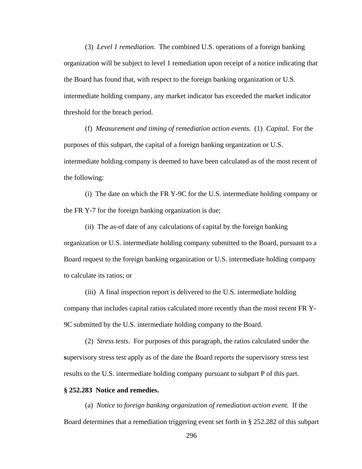(3) *Level 1 remediation.* The combined U.S. operations of a foreign banking organization will be subject to level 1 remediation upon receipt of a notice indicating that the Board has found that, with respect to the foreign banking organization or U.S. intermediate holding company, any market indicator has exceeded the market indicator threshold for the breach period.

(f) *Measurement and timing of remediation action events.* (1) *Capital.* For the purposes of this subpart, the capital of a foreign banking organization or U.S. intermediate holding company is deemed to have been calculated as of the most recent of the following:

(i) The date on which the FR Y-9C for the U.S. intermediate holding company or the FR Y-7 for the foreign banking organization is due;

(ii) The as-of date of any calculations of capital by the foreign banking organization or U.S. intermediate holding company submitted to the Board, pursuant to a Board request to the foreign banking organization or U.S. intermediate holding company to calculate its ratios; or

(iii) A final inspection report is delivered to the U.S. intermediate holding company that includes capital ratios calculated more recently than the most recent FR Y-9C submitted by the U.S. intermediate holding company to the Board.

(2) *Stress tests*. For purposes of this paragraph, the ratios calculated under the **s**upervisory stress test apply as of the date the Board reports the supervisory stress test results to the U.S. intermediate holding company pursuant to subpart P of this part.

### **§ 252.283 Notice and remedies.**

(a) *Notice to foreign banking organization of remediation action event.* If the Board determines that a remediation triggering event set forth in § 252.282 of this subpart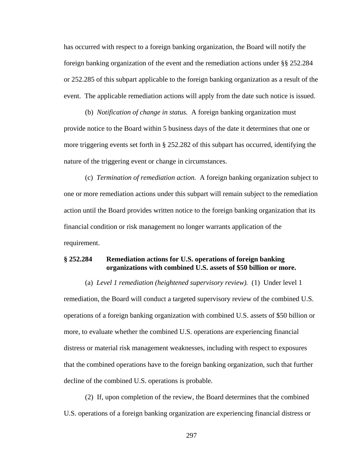has occurred with respect to a foreign banking organization, the Board will notify the foreign banking organization of the event and the remediation actions under §§ 252.284 or 252.285 of this subpart applicable to the foreign banking organization as a result of the event. The applicable remediation actions will apply from the date such notice is issued.

(b) *Notification of change in status.* A foreign banking organization must provide notice to the Board within 5 business days of the date it determines that one or more triggering events set forth in § 252.282 of this subpart has occurred, identifying the nature of the triggering event or change in circumstances.

(c) *Termination of remediation action.* A foreign banking organization subject to one or more remediation actions under this subpart will remain subject to the remediation action until the Board provides written notice to the foreign banking organization that its financial condition or risk management no longer warrants application of the requirement.

## **§ 252.284 Remediation actions for U.S. operations of foreign banking organizations with combined U.S. assets of \$50 billion or more.**

(a) *Level 1 remediation (heightened supervisory review).* (1) Under level 1 remediation, the Board will conduct a targeted supervisory review of the combined U.S. operations of a foreign banking organization with combined U.S. assets of \$50 billion or more, to evaluate whether the combined U.S. operations are experiencing financial distress or material risk management weaknesses, including with respect to exposures that the combined operations have to the foreign banking organization, such that further decline of the combined U.S. operations is probable.

(2) If, upon completion of the review, the Board determines that the combined U.S. operations of a foreign banking organization are experiencing financial distress or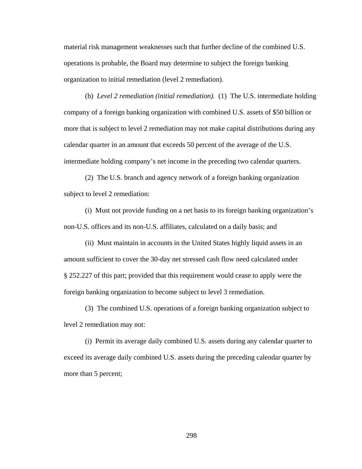material risk management weaknesses such that further decline of the combined U.S. operations is probable, the Board may determine to subject the foreign banking organization to initial remediation (level 2 remediation).

(b) *Level 2 remediation (initial remediation).* (1) The U.S. intermediate holding company of a foreign banking organization with combined U.S. assets of \$50 billion or more that is subject to level 2 remediation may not make capital distributions during any calendar quarter in an amount that exceeds 50 percent of the average of the U.S. intermediate holding company's net income in the preceding two calendar quarters.

(2) The U.S. branch and agency network of a foreign banking organization subject to level 2 remediation:

(i) Must not provide funding on a net basis to its foreign banking organization's non-U.S. offices and its non-U.S. affiliates, calculated on a daily basis; and

(ii) Must maintain in accounts in the United States highly liquid assets in an amount sufficient to cover the 30-day net stressed cash flow need calculated under § 252.227 of this part; provided that this requirement would cease to apply were the foreign banking organization to become subject to level 3 remediation.

(3) The combined U.S. operations of a foreign banking organization subject to level 2 remediation may not:

(i) Permit its average daily combined U.S. assets during any calendar quarter to exceed its average daily combined U.S. assets during the preceding calendar quarter by more than 5 percent;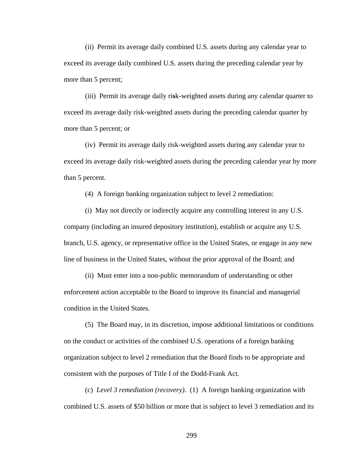(ii) Permit its average daily combined U.S. assets during any calendar year to exceed its average daily combined U.S. assets during the preceding calendar year by more than 5 percent;

(iii) Permit its average daily ri**s**k-weighted assets during any calendar quarter to exceed its average daily risk-weighted assets during the preceding calendar quarter by more than 5 percent; or

(iv) Permit its average daily risk-weighted assets during any calendar year to exceed its average daily risk-weighted assets during the preceding calendar year by more than 5 percent.

(4) A foreign banking organization subject to level 2 remediation:

(i) May not directly or indirectly acquire any controlling interest in any U.S. company (including an insured depository institution), establish or acquire any U.S. branch, U.S. agency, or representative office in the United States, or engage in any new line of business in the United States, without the prior approval of the Board; and

(ii) Must enter into a non-public memorandum of understanding or other enforcement action acceptable to the Board to improve its financial and managerial condition in the United States.

(5) The Board may, in its discretion, impose additional limitations or conditions on the conduct or activities of the combined U.S. operations of a foreign banking organization subject to level 2 remediation that the Board finds to be appropriate and consistent with the purposes of Title I of the Dodd-Frank Act.

(c) *Level 3 remediation (recovery).* (1) A foreign banking organization with combined U.S. assets of \$50 billion or more that is subject to level 3 remediation and its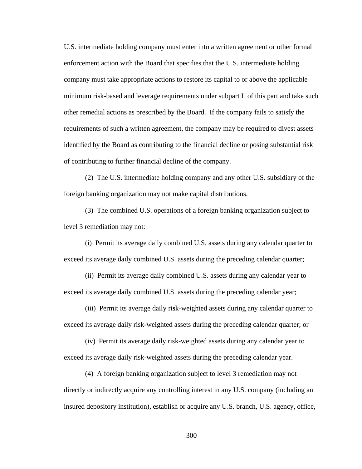U.S. intermediate holding company must enter into a written agreement or other formal enforcement action with the Board that specifies that the U.S. intermediate holding company must take appropriate actions to restore its capital to or above the applicable minimum risk-based and leverage requirements under subpart L of this part and take such other remedial actions as prescribed by the Board. If the company fails to satisfy the requirements of such a written agreement, the company may be required to divest assets identified by the Board as contributing to the financial decline or posing substantial risk of contributing to further financial decline of the company.

(2) The U.S. intermediate holding company and any other U.S. subsidiary of the foreign banking organization may not make capital distributions.

(3) The combined U.S. operations of a foreign banking organization subject to level 3 remediation may not:

(i) Permit its average daily combined U.S. assets during any calendar quarter to exceed its average daily combined U.S. assets during the preceding calendar quarter;

(ii) Permit its average daily combined U.S. assets during any calendar year to exceed its average daily combined U.S. assets during the preceding calendar year;

(iii) Permit its average daily ri**s**k-weighted assets during any calendar quarter to exceed its average daily risk-weighted assets during the preceding calendar quarter; or

(iv) Permit its average daily risk-weighted assets during any calendar year to exceed its average daily risk-weighted assets during the preceding calendar year.

(4) A foreign banking organization subject to level 3 remediation may not directly or indirectly acquire any controlling interest in any U.S. company (including an insured depository institution), establish or acquire any U.S. branch, U.S. agency, office,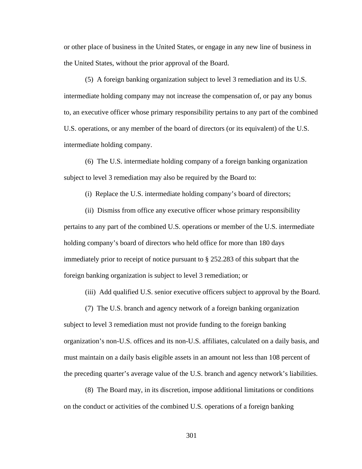or other place of business in the United States, or engage in any new line of business in the United States, without the prior approval of the Board.

(5) A foreign banking organization subject to level 3 remediation and its U.S. intermediate holding company may not increase the compensation of, or pay any bonus to, an executive officer whose primary responsibility pertains to any part of the combined U.S. operations, or any member of the board of directors (or its equivalent) of the U.S. intermediate holding company.

(6) The U.S. intermediate holding company of a foreign banking organization subject to level 3 remediation may also be required by the Board to:

(i) Replace the U.S. intermediate holding company's board of directors;

(ii) Dismiss from office any executive officer whose primary responsibility pertains to any part of the combined U.S. operations or member of the U.S. intermediate holding company's board of directors who held office for more than 180 days immediately prior to receipt of notice pursuant to § 252.283 of this subpart that the foreign banking organization is subject to level 3 remediation; or

(iii) Add qualified U.S. senior executive officers subject to approval by the Board.

(7) The U.S. branch and agency network of a foreign banking organization

subject to level 3 remediation must not provide funding to the foreign banking organization's non-U.S. offices and its non-U.S. affiliates, calculated on a daily basis, and must maintain on a daily basis eligible assets in an amount not less than 108 percent of the preceding quarter's average value of the U.S. branch and agency network's liabilities.

(8) The Board may, in its discretion, impose additional limitations or conditions on the conduct or activities of the combined U.S. operations of a foreign banking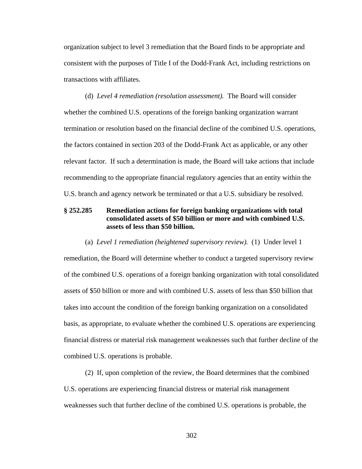organization subject to level 3 remediation that the Board finds to be appropriate and consistent with the purposes of Title I of the Dodd-Frank Act, including restrictions on transactions with affiliates.

(d) *Level 4 remediation (resolution assessment).* The Board will consider whether the combined U.S. operations of the foreign banking organization warrant termination or resolution based on the financial decline of the combined U.S. operations, the factors contained in section 203 of the Dodd-Frank Act as applicable, or any other relevant factor. If such a determination is made, the Board will take actions that include recommending to the appropriate financial regulatory agencies that an entity within the U.S. branch and agency network be terminated or that a U.S. subsidiary be resolved.

# **§ 252.285 Remediation actions for foreign banking organizations with total consolidated assets of \$50 billion or more and with combined U.S. assets of less than \$50 billion.**

#### (a) *Level 1 remediation (heightened supervisory review).* (1) Under level 1

remediation, the Board will determine whether to conduct a targeted supervisory review of the combined U.S. operations of a foreign banking organization with total consolidated assets of \$50 billion or more and with combined U.S. assets of less than \$50 billion that takes into account the condition of the foreign banking organization on a consolidated basis, as appropriate, to evaluate whether the combined U.S. operations are experiencing financial distress or material risk management weaknesses such that further decline of the combined U.S. operations is probable.

(2) If, upon completion of the review, the Board determines that the combined U.S. operations are experiencing financial distress or material risk management weaknesses such that further decline of the combined U.S. operations is probable, the